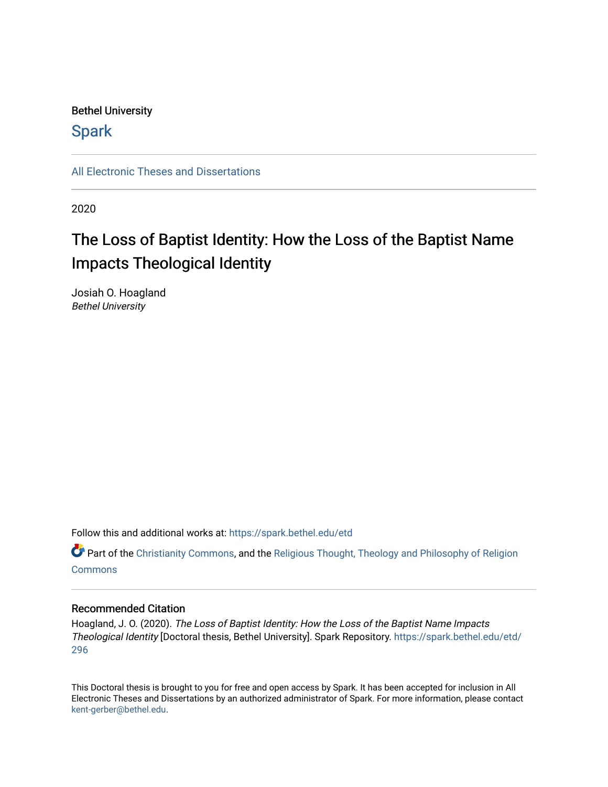#### Bethel University

### **Spark**

[All Electronic Theses and Dissertations](https://spark.bethel.edu/etd) 

2020

# The Loss of Baptist Identity: How the Loss of the Baptist Name Impacts Theological Identity

Josiah O. Hoagland Bethel University

Follow this and additional works at: [https://spark.bethel.edu/etd](https://spark.bethel.edu/etd?utm_source=spark.bethel.edu%2Fetd%2F296&utm_medium=PDF&utm_campaign=PDFCoverPages)

**C** Part of the [Christianity Commons,](http://network.bepress.com/hgg/discipline/1181?utm_source=spark.bethel.edu%2Fetd%2F296&utm_medium=PDF&utm_campaign=PDFCoverPages) and the Religious Thought, Theology and Philosophy of Religion **[Commons](http://network.bepress.com/hgg/discipline/544?utm_source=spark.bethel.edu%2Fetd%2F296&utm_medium=PDF&utm_campaign=PDFCoverPages)** 

#### Recommended Citation

Hoagland, J. O. (2020). The Loss of Baptist Identity: How the Loss of the Baptist Name Impacts Theological Identity [Doctoral thesis, Bethel University]. Spark Repository. [https://spark.bethel.edu/etd/](https://spark.bethel.edu/etd/296?utm_source=spark.bethel.edu%2Fetd%2F296&utm_medium=PDF&utm_campaign=PDFCoverPages) [296](https://spark.bethel.edu/etd/296?utm_source=spark.bethel.edu%2Fetd%2F296&utm_medium=PDF&utm_campaign=PDFCoverPages) 

This Doctoral thesis is brought to you for free and open access by Spark. It has been accepted for inclusion in All Electronic Theses and Dissertations by an authorized administrator of Spark. For more information, please contact [kent-gerber@bethel.edu](mailto:kent-gerber@bethel.edu).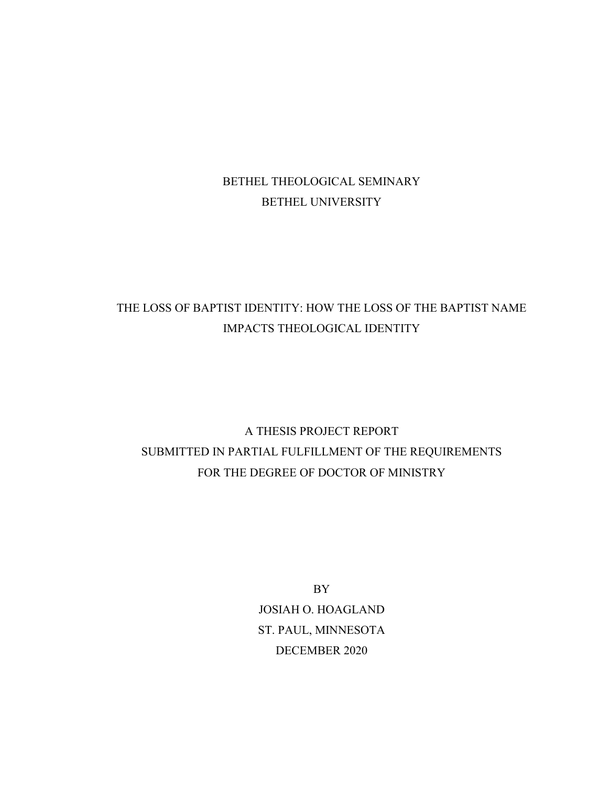### BETHEL THEOLOGICAL SEMINARY BETHEL UNIVERSITY

### THE LOSS OF BAPTIST IDENTITY: HOW THE LOSS OF THE BAPTIST NAME IMPACTS THEOLOGICAL IDENTITY

## A THESIS PROJECT REPORT SUBMITTED IN PARTIAL FULFILLMENT OF THE REQUIREMENTS FOR THE DEGREE OF DOCTOR OF MINISTRY

BY JOSIAH O. HOAGLAND ST. PAUL, MINNESOTA DECEMBER 2020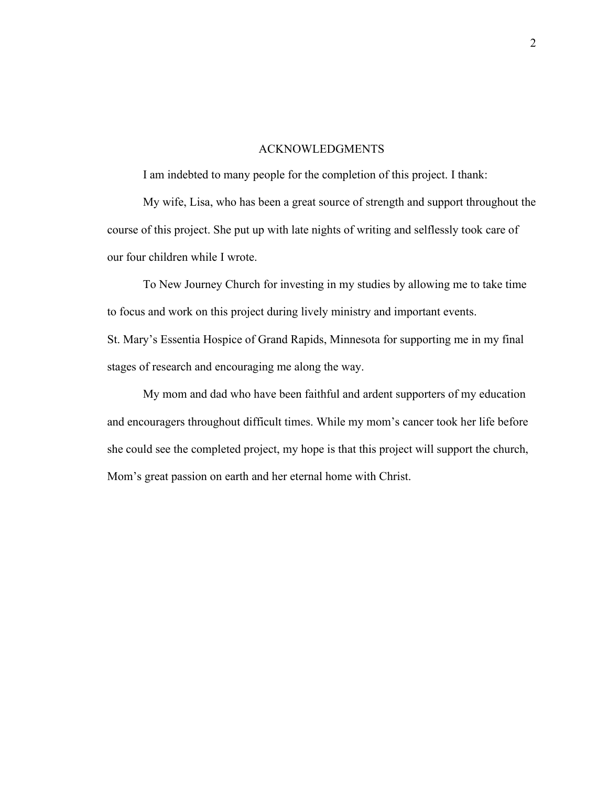#### ACKNOWLEDGMENTS

I am indebted to many people for the completion of this project. I thank:

My wife, Lisa, who has been a great source of strength and support throughout the course of this project. She put up with late nights of writing and selflessly took care of our four children while I wrote.

To New Journey Church for investing in my studies by allowing me to take time to focus and work on this project during lively ministry and important events. St. Mary's Essentia Hospice of Grand Rapids, Minnesota for supporting me in my final stages of research and encouraging me along the way.

My mom and dad who have been faithful and ardent supporters of my education and encouragers throughout difficult times. While my mom's cancer took her life before she could see the completed project, my hope is that this project will support the church, Mom's great passion on earth and her eternal home with Christ.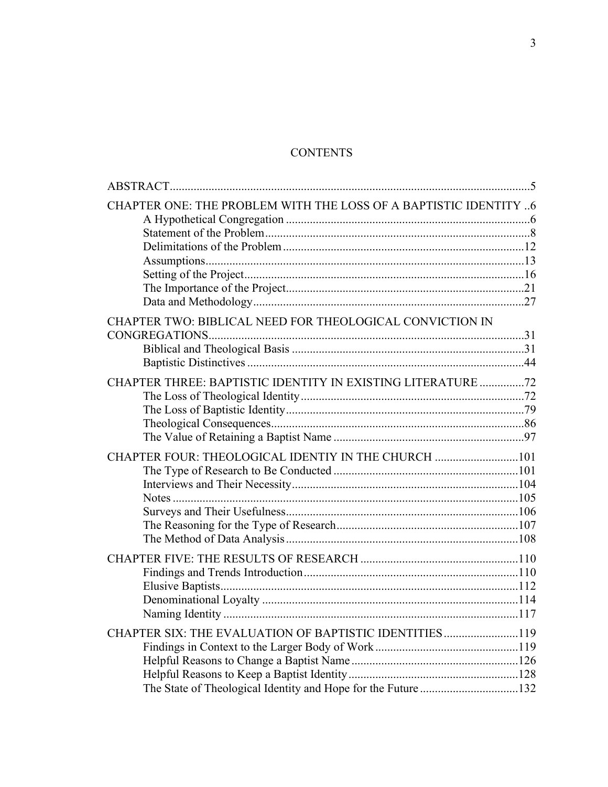### **CONTENTS**

| CHAPTER ONE: THE PROBLEM WITH THE LOSS OF A BAPTISTIC IDENTITY 6 |  |
|------------------------------------------------------------------|--|
|                                                                  |  |
|                                                                  |  |
|                                                                  |  |
|                                                                  |  |
| CHAPTER TWO: BIBLICAL NEED FOR THEOLOGICAL CONVICTION IN         |  |
|                                                                  |  |
|                                                                  |  |
| CHAPTER THREE: BAPTISTIC IDENTITY IN EXISTING LITERATURE 72      |  |
|                                                                  |  |
|                                                                  |  |
|                                                                  |  |
|                                                                  |  |
| CHAPTER FOUR: THEOLOGICAL IDENTIY IN THE CHURCH 101              |  |
|                                                                  |  |
|                                                                  |  |
|                                                                  |  |
|                                                                  |  |
|                                                                  |  |
|                                                                  |  |
|                                                                  |  |
|                                                                  |  |
|                                                                  |  |
|                                                                  |  |
|                                                                  |  |
| CHAPTER SIX: THE EVALUATION OF BAPTISTIC IDENTITIES119           |  |
|                                                                  |  |
|                                                                  |  |
|                                                                  |  |
| The State of Theological Identity and Hope for the Future 132    |  |
|                                                                  |  |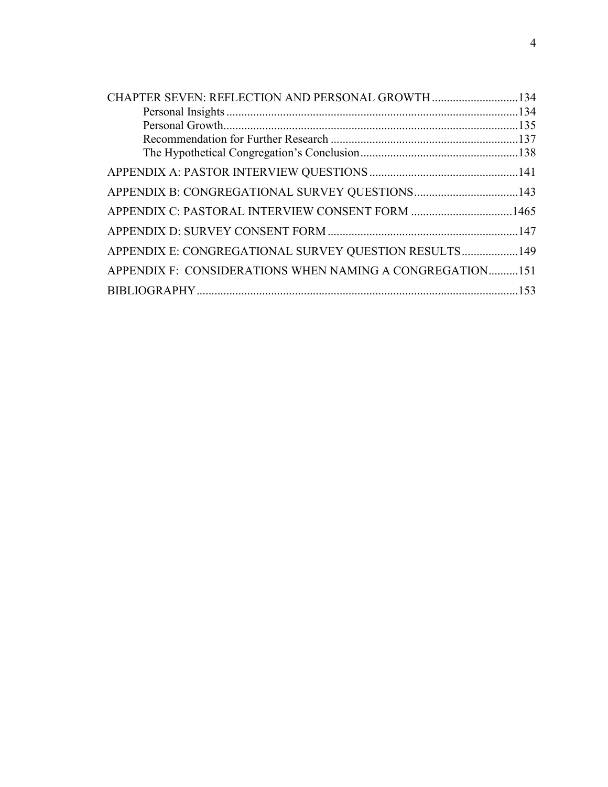| CHAPTER SEVEN: REFLECTION AND PERSONAL GROWTH 134        |  |
|----------------------------------------------------------|--|
|                                                          |  |
|                                                          |  |
|                                                          |  |
|                                                          |  |
|                                                          |  |
|                                                          |  |
| APPENDIX C: PASTORAL INTERVIEW CONSENT FORM 1465         |  |
|                                                          |  |
| APPENDIX E: CONGREGATIONAL SURVEY QUESTION RESULTS149    |  |
| APPENDIX F: CONSIDERATIONS WHEN NAMING A CONGREGATION151 |  |
|                                                          |  |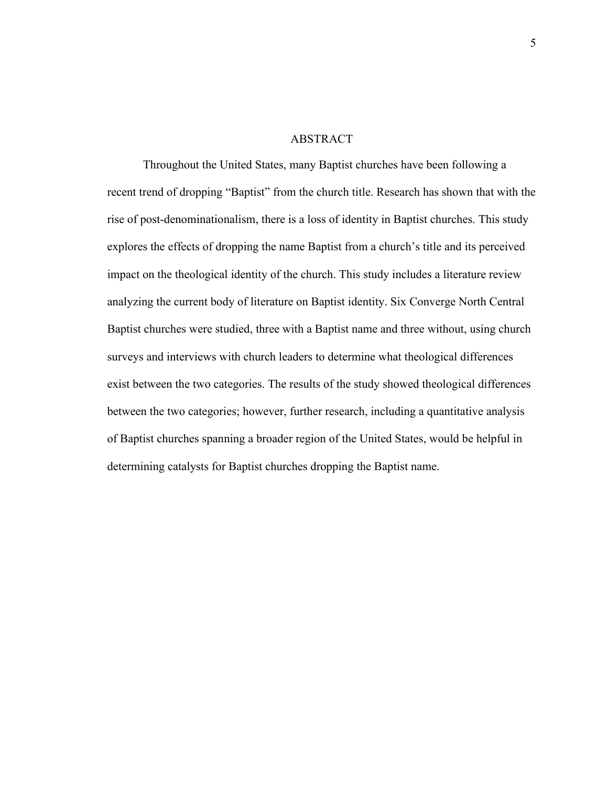#### ABSTRACT

<span id="page-6-0"></span>Throughout the United States, many Baptist churches have been following a recent trend of dropping "Baptist" from the church title. Research has shown that with the rise of post-denominationalism, there is a loss of identity in Baptist churches. This study explores the effects of dropping the name Baptist from a church's title and its perceived impact on the theological identity of the church. This study includes a literature review analyzing the current body of literature on Baptist identity. Six Converge North Central Baptist churches were studied, three with a Baptist name and three without, using church surveys and interviews with church leaders to determine what theological differences exist between the two categories. The results of the study showed theological differences between the two categories; however, further research, including a quantitative analysis of Baptist churches spanning a broader region of the United States, would be helpful in determining catalysts for Baptist churches dropping the Baptist name.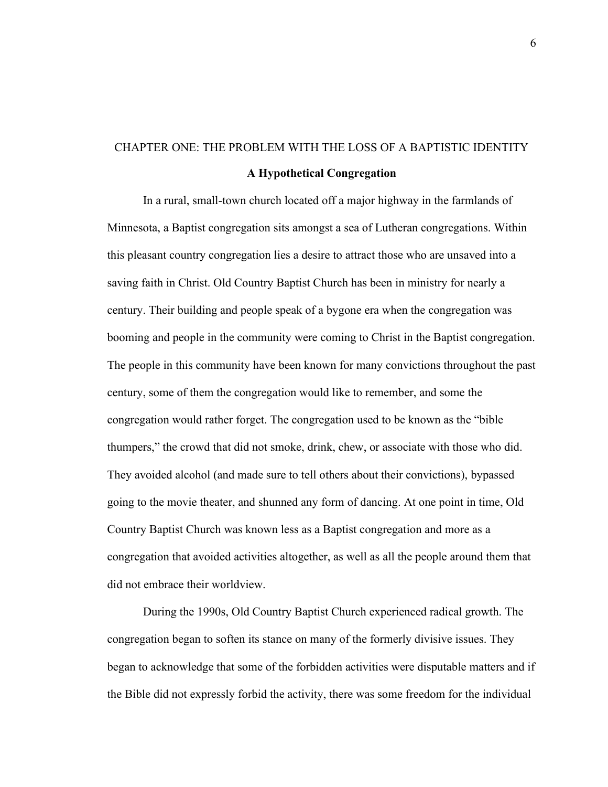## <span id="page-7-1"></span><span id="page-7-0"></span>CHAPTER ONE: THE PROBLEM WITH THE LOSS OF A BAPTISTIC IDENTITY **A Hypothetical Congregation**

In a rural, small-town church located off a major highway in the farmlands of Minnesota, a Baptist congregation sits amongst a sea of Lutheran congregations. Within this pleasant country congregation lies a desire to attract those who are unsaved into a saving faith in Christ. Old Country Baptist Church has been in ministry for nearly a century. Their building and people speak of a bygone era when the congregation was booming and people in the community were coming to Christ in the Baptist congregation. The people in this community have been known for many convictions throughout the past century, some of them the congregation would like to remember, and some the congregation would rather forget. The congregation used to be known as the "bible thumpers," the crowd that did not smoke, drink, chew, or associate with those who did. They avoided alcohol (and made sure to tell others about their convictions), bypassed going to the movie theater, and shunned any form of dancing. At one point in time, Old Country Baptist Church was known less as a Baptist congregation and more as a congregation that avoided activities altogether, as well as all the people around them that did not embrace their worldview.

During the 1990s, Old Country Baptist Church experienced radical growth. The congregation began to soften its stance on many of the formerly divisive issues. They began to acknowledge that some of the forbidden activities were disputable matters and if the Bible did not expressly forbid the activity, there was some freedom for the individual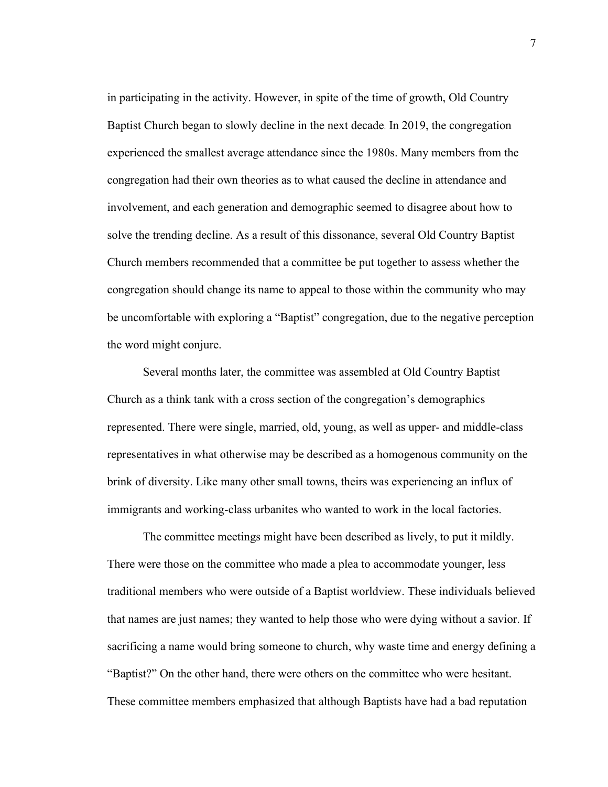in participating in the activity. However, in spite of the time of growth, Old Country Baptist Church began to slowly decline in the next decade. In 2019, the congregation experienced the smallest average attendance since the 1980s. Many members from the congregation had their own theories as to what caused the decline in attendance and involvement, and each generation and demographic seemed to disagree about how to solve the trending decline. As a result of this dissonance, several Old Country Baptist Church members recommended that a committee be put together to assess whether the congregation should change its name to appeal to those within the community who may be uncomfortable with exploring a "Baptist" congregation, due to the negative perception the word might conjure.

Several months later, the committee was assembled at Old Country Baptist Church as a think tank with a cross section of the congregation's demographics represented. There were single, married, old, young, as well as upper- and middle-class representatives in what otherwise may be described as a homogenous community on the brink of diversity. Like many other small towns, theirs was experiencing an influx of immigrants and working-class urbanites who wanted to work in the local factories.

The committee meetings might have been described as lively, to put it mildly. There were those on the committee who made a plea to accommodate younger, less traditional members who were outside of a Baptist worldview. These individuals believed that names are just names; they wanted to help those who were dying without a savior. If sacrificing a name would bring someone to church, why waste time and energy defining a "Baptist?" On the other hand, there were others on the committee who were hesitant. These committee members emphasized that although Baptists have had a bad reputation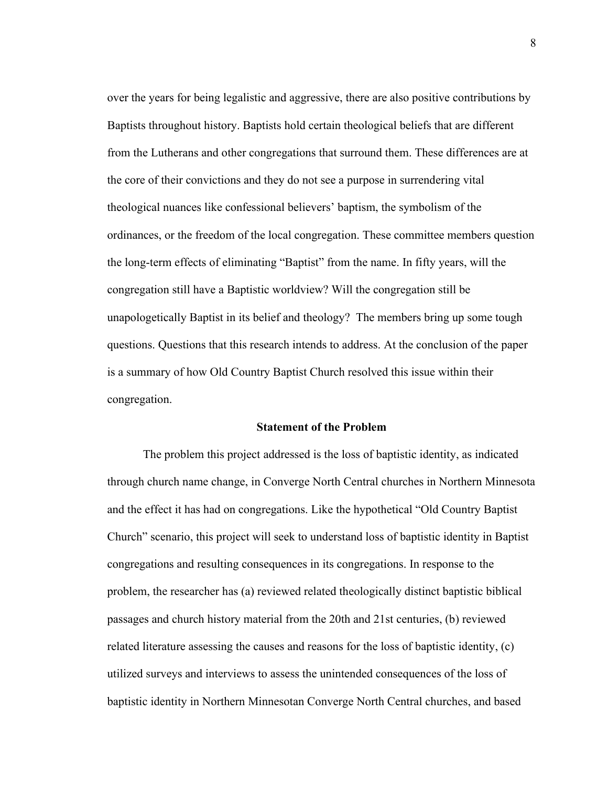over the years for being legalistic and aggressive, there are also positive contributions by Baptists throughout history. Baptists hold certain theological beliefs that are different from the Lutherans and other congregations that surround them. These differences are at the core of their convictions and they do not see a purpose in surrendering vital theological nuances like confessional believers' baptism, the symbolism of the ordinances, or the freedom of the local congregation. These committee members question the long-term effects of eliminating "Baptist" from the name. In fifty years, will the congregation still have a Baptistic worldview? Will the congregation still be unapologetically Baptist in its belief and theology? The members bring up some tough questions. Questions that this research intends to address. At the conclusion of the paper is a summary of how Old Country Baptist Church resolved this issue within their congregation.

#### **Statement of the Problem**

<span id="page-9-0"></span>The problem this project addressed is the loss of baptistic identity, as indicated through church name change, in Converge North Central churches in Northern Minnesota and the effect it has had on congregations. Like the hypothetical "Old Country Baptist Church" scenario, this project will seek to understand loss of baptistic identity in Baptist congregations and resulting consequences in its congregations. In response to the problem, the researcher has (a) reviewed related theologically distinct baptistic biblical passages and church history material from the 20th and 21st centuries, (b) reviewed related literature assessing the causes and reasons for the loss of baptistic identity, (c) utilized surveys and interviews to assess the unintended consequences of the loss of baptistic identity in Northern Minnesotan Converge North Central churches, and based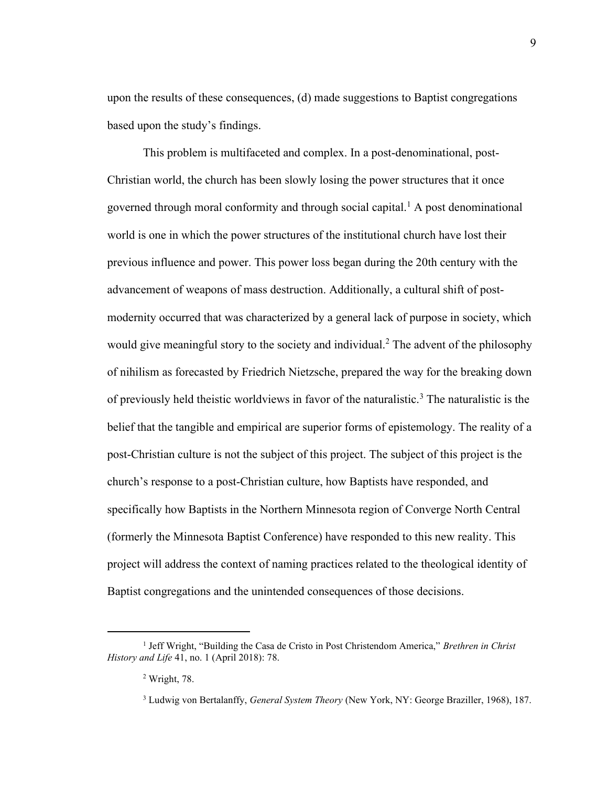upon the results of these consequences, (d) made suggestions to Baptist congregations based upon the study's findings.

This problem is multifaceted and complex. In a post-denominational, post-Christian world, the church has been slowly losing the power structures that it once governed through moral conformity and through social capital.<sup>1</sup> A post denominational world is one in which the power structures of the institutional church have lost their previous influence and power. This power loss began during the 20th century with the advancement of weapons of mass destruction. Additionally, a cultural shift of postmodernity occurred that was characterized by a general lack of purpose in society, which would give meaningful story to the society and individual.<sup>2</sup> The advent of the philosophy of nihilism as forecasted by Friedrich Nietzsche, prepared the way for the breaking down of previously held theistic worldviews in favor of the naturalistic.<sup>3</sup> The naturalistic is the belief that the tangible and empirical are superior forms of epistemology. The reality of a post-Christian culture is not the subject of this project. The subject of this project is the church's response to a post-Christian culture, how Baptists have responded, and specifically how Baptists in the Northern Minnesota region of Converge North Central (formerly the Minnesota Baptist Conference) have responded to this new reality. This project will address the context of naming practices related to the theological identity of Baptist congregations and the unintended consequences of those decisions.

<sup>&</sup>lt;sup>1</sup> Jeff Wright, "Building the Casa de Cristo in Post Christendom America," *Brethren in Christ History and Life* 41, no. 1 (April 2018): 78.

<sup>2</sup> Wright, 78.

<sup>3</sup> Ludwig von Bertalanffy, *General System Theory* (New York, NY: George Braziller, 1968), 187.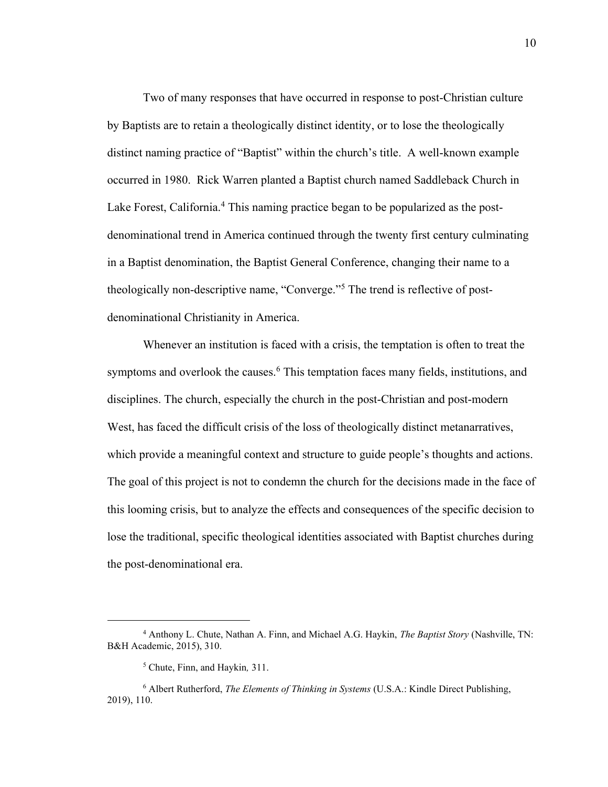Two of many responses that have occurred in response to post-Christian culture by Baptists are to retain a theologically distinct identity, or to lose the theologically distinct naming practice of "Baptist" within the church's title. A well-known example occurred in 1980. Rick Warren planted a Baptist church named Saddleback Church in Lake Forest, California.<sup>4</sup> This naming practice began to be popularized as the postdenominational trend in America continued through the twenty first century culminating in a Baptist denomination, the Baptist General Conference, changing their name to a theologically non-descriptive name, "Converge."<sup>5</sup> The trend is reflective of postdenominational Christianity in America.

Whenever an institution is faced with a crisis, the temptation is often to treat the symptoms and overlook the causes.<sup>6</sup> This temptation faces many fields, institutions, and disciplines. The church, especially the church in the post-Christian and post-modern West, has faced the difficult crisis of the loss of theologically distinct metanarratives, which provide a meaningful context and structure to guide people's thoughts and actions. The goal of this project is not to condemn the church for the decisions made in the face of this looming crisis, but to analyze the effects and consequences of the specific decision to lose the traditional, specific theological identities associated with Baptist churches during the post-denominational era.

<sup>4</sup> Anthony L. Chute, Nathan A. Finn, and Michael A.G. Haykin, *The Baptist Story* (Nashville, TN: B&H Academic, 2015), 310.

<sup>5</sup> Chute, Finn, and Haykin*,* 311.

<sup>6</sup> Albert Rutherford, *The Elements of Thinking in Systems* (U.S.A.: Kindle Direct Publishing, 2019), 110.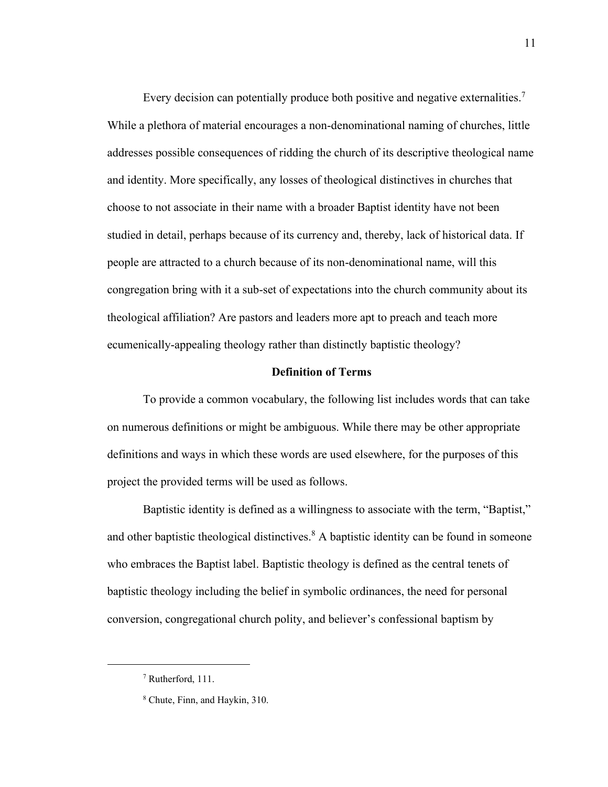Every decision can potentially produce both positive and negative externalities.<sup>7</sup> While a plethora of material encourages a non-denominational naming of churches, little addresses possible consequences of ridding the church of its descriptive theological name and identity. More specifically, any losses of theological distinctives in churches that choose to not associate in their name with a broader Baptist identity have not been studied in detail, perhaps because of its currency and, thereby, lack of historical data. If people are attracted to a church because of its non-denominational name, will this congregation bring with it a sub-set of expectations into the church community about its theological affiliation? Are pastors and leaders more apt to preach and teach more ecumenically-appealing theology rather than distinctly baptistic theology?

#### **Definition of Terms**

To provide a common vocabulary, the following list includes words that can take on numerous definitions or might be ambiguous. While there may be other appropriate definitions and ways in which these words are used elsewhere, for the purposes of this project the provided terms will be used as follows.

Baptistic identity is defined as a willingness to associate with the term, "Baptist," and other baptistic theological distinctives.<sup>8</sup> A baptistic identity can be found in someone who embraces the Baptist label. Baptistic theology is defined as the central tenets of baptistic theology including the belief in symbolic ordinances, the need for personal conversion, congregational church polity, and believer's confessional baptism by

<sup>7</sup> Rutherford, 111.

<sup>8</sup> Chute, Finn, and Haykin, 310.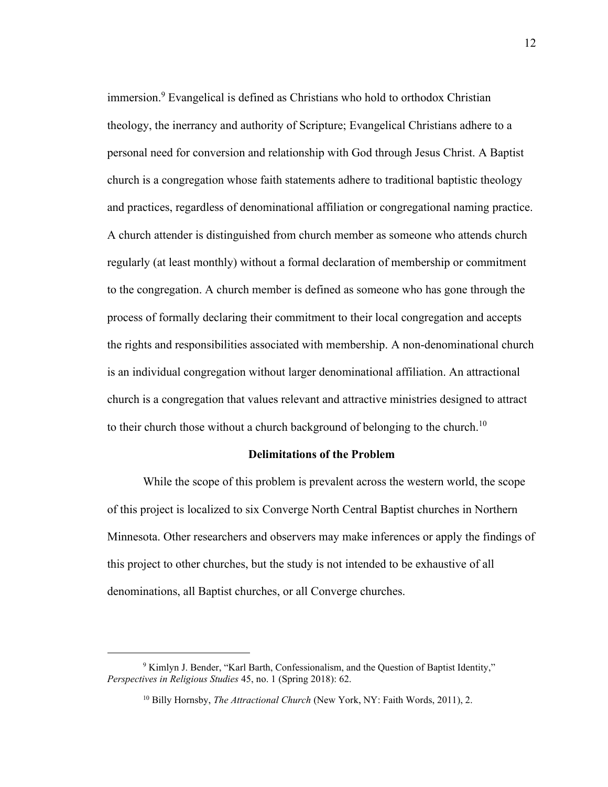immersion.<sup>9</sup> Evangelical is defined as Christians who hold to orthodox Christian theology, the inerrancy and authority of Scripture; Evangelical Christians adhere to a personal need for conversion and relationship with God through Jesus Christ. A Baptist church is a congregation whose faith statements adhere to traditional baptistic theology and practices, regardless of denominational affiliation or congregational naming practice. A church attender is distinguished from church member as someone who attends church regularly (at least monthly) without a formal declaration of membership or commitment to the congregation. A church member is defined as someone who has gone through the process of formally declaring their commitment to their local congregation and accepts the rights and responsibilities associated with membership. A non-denominational church is an individual congregation without larger denominational affiliation. An attractional church is a congregation that values relevant and attractive ministries designed to attract to their church those without a church background of belonging to the church.<sup>10</sup>

#### **Delimitations of the Problem**

<span id="page-13-0"></span>While the scope of this problem is prevalent across the western world, the scope of this project is localized to six Converge North Central Baptist churches in Northern Minnesota. Other researchers and observers may make inferences or apply the findings of this project to other churches, but the study is not intended to be exhaustive of all denominations, all Baptist churches, or all Converge churches.

<sup>&</sup>lt;sup>9</sup> Kimlyn J. Bender, "Karl Barth, Confessionalism, and the Question of Baptist Identity," *Perspectives in Religious Studies* 45, no. 1 (Spring 2018): 62.

<sup>10</sup> Billy Hornsby, *The Attractional Church* (New York, NY: Faith Words, 2011), 2.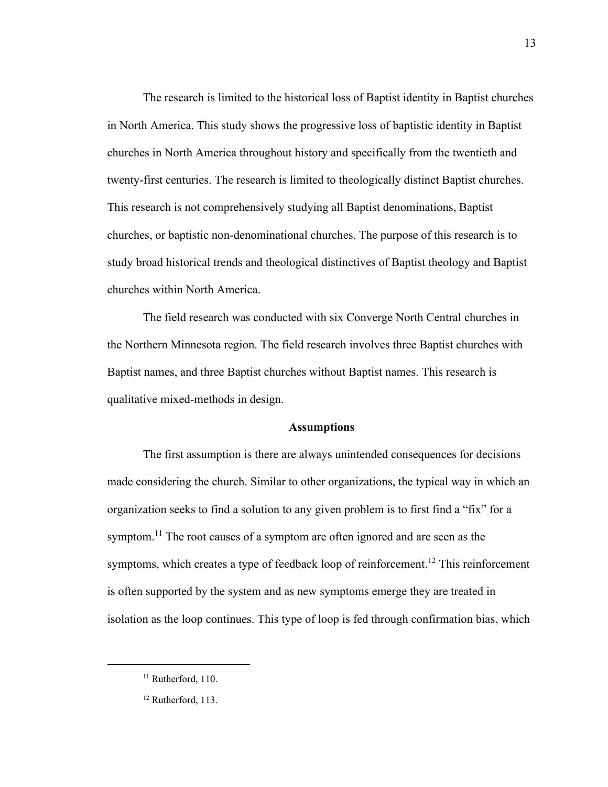The research is limited to the historical loss of Baptist identity in Baptist churches in North America. This study shows the progressive loss of baptistic identity in Baptist churches in North America throughout history and specifically from the twentieth and twenty-first centuries. The research is limited to theologically distinct Baptist churches. This research is not comprehensively studying all Baptist denominations, Baptist churches, or baptistic non-denominational churches. The purpose of this research is to study broad historical trends and theological distinctives of Baptist theology and Baptist churches within North America.

The field research was conducted with six Converge North Central churches in the Northern Minnesota region. The field research involves three Baptist churches with Baptist names, and three Baptist churches without Baptist names. This research is qualitative mixed-methods in design.

#### **Assumptions**

<span id="page-14-0"></span>The first assumption is there are always unintended consequences for decisions made considering the church. Similar to other organizations, the typical way in which an organization seeks to find a solution to any given problem is to first find a "fix" for a symptom.<sup>11</sup> The root causes of a symptom are often ignored and are seen as the symptoms, which creates a type of feedback loop of reinforcement.<sup>12</sup> This reinforcement is often supported by the system and as new symptoms emerge they are treated in isolation as the loop continues. This type of loop is fed through confirmation bias, which

 $11$  Rutherford, 110.

<sup>&</sup>lt;sup>12</sup> Rutherford, 113.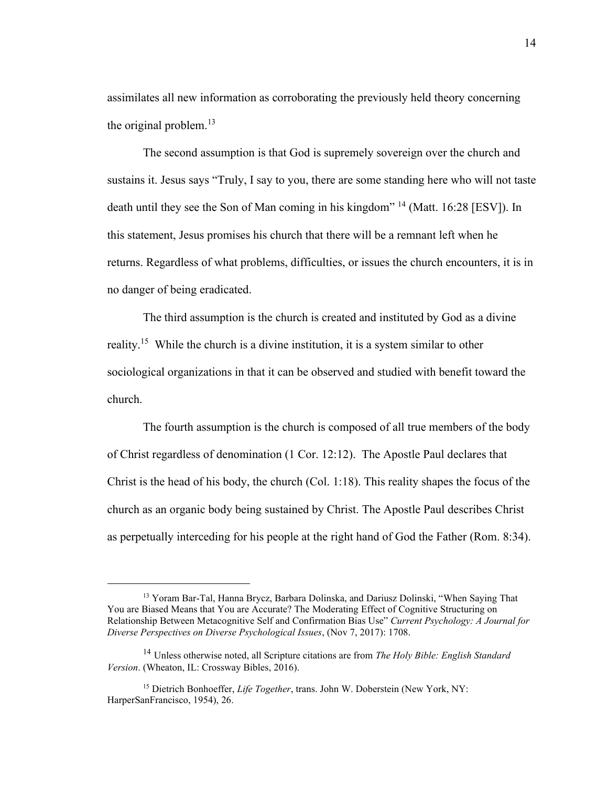assimilates all new information as corroborating the previously held theory concerning the original problem. $^{13}$ 

The second assumption is that God is supremely sovereign over the church and sustains it. Jesus says "Truly, I say to you, there are some standing here who will not taste death until they see the Son of Man coming in his kingdom"<sup>14</sup> (Matt. 16:28 [ESV]). In this statement, Jesus promises his church that there will be a remnant left when he returns. Regardless of what problems, difficulties, or issues the church encounters, it is in no danger of being eradicated.

The third assumption is the church is created and instituted by God as a divine reality.<sup>15</sup> While the church is a divine institution, it is a system similar to other sociological organizations in that it can be observed and studied with benefit toward the church.

The fourth assumption is the church is composed of all true members of the body of Christ regardless of denomination (1 Cor. 12:12). The Apostle Paul declares that Christ is the head of his body, the church (Col. 1:18). This reality shapes the focus of the church as an organic body being sustained by Christ. The Apostle Paul describes Christ as perpetually interceding for his people at the right hand of God the Father (Rom. 8:34).

<sup>13</sup> Yoram Bar-Tal, Hanna Brycz, Barbara Dolinska, and Dariusz Dolinski, "When Saying That You are Biased Means that You are Accurate? The Moderating Effect of Cognitive Structuring on Relationship Between Metacognitive Self and Confirmation Bias Use" *Current Psychology: A Journal for Diverse Perspectives on Diverse Psychological Issues*, (Nov 7, 2017): 1708.

<sup>14</sup> Unless otherwise noted, all Scripture citations are from *The Holy Bible: English Standard Version*. (Wheaton, IL: Crossway Bibles, 2016).

<sup>&</sup>lt;sup>15</sup> Dietrich Bonhoeffer, *Life Together*, trans. John W. Doberstein (New York, NY: HarperSanFrancisco, 1954), 26.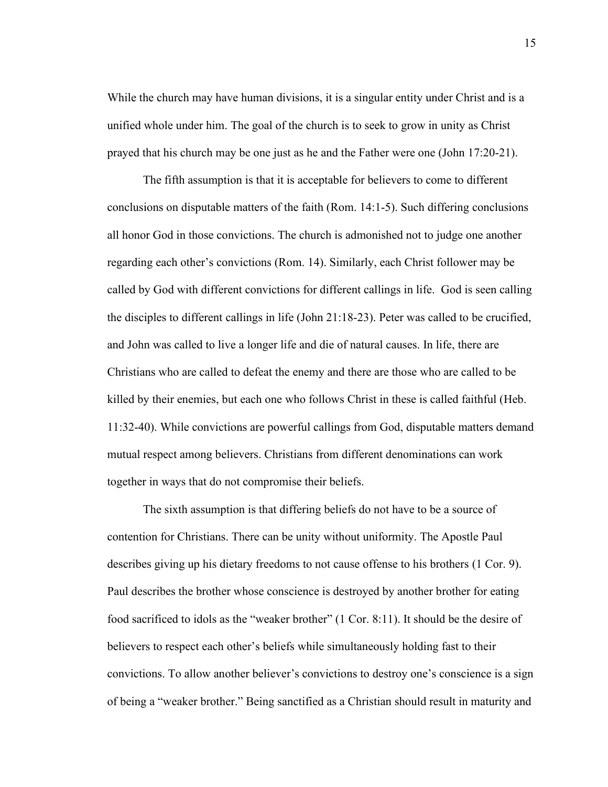While the church may have human divisions, it is a singular entity under Christ and is a unified whole under him. The goal of the church is to seek to grow in unity as Christ prayed that his church may be one just as he and the Father were one (John 17:20-21).

The fifth assumption is that it is acceptable for believers to come to different conclusions on disputable matters of the faith (Rom. 14:1-5). Such differing conclusions all honor God in those convictions. The church is admonished not to judge one another regarding each other's convictions (Rom. 14). Similarly, each Christ follower may be called by God with different convictions for different callings in life. God is seen calling the disciples to different callings in life (John 21:18-23). Peter was called to be crucified, and John was called to live a longer life and die of natural causes. In life, there are Christians who are called to defeat the enemy and there are those who are called to be killed by their enemies, but each one who follows Christ in these is called faithful (Heb. 11:32-40). While convictions are powerful callings from God, disputable matters demand mutual respect among believers. Christians from different denominations can work together in ways that do not compromise their beliefs.

The sixth assumption is that differing beliefs do not have to be a source of contention for Christians. There can be unity without uniformity. The Apostle Paul describes giving up his dietary freedoms to not cause offense to his brothers (1 Cor. 9). Paul describes the brother whose conscience is destroyed by another brother for eating food sacrificed to idols as the "weaker brother" (1 Cor. 8:11). It should be the desire of believers to respect each other's beliefs while simultaneously holding fast to their convictions. To allow another believer's convictions to destroy one's conscience is a sign of being a "weaker brother." Being sanctified as a Christian should result in maturity and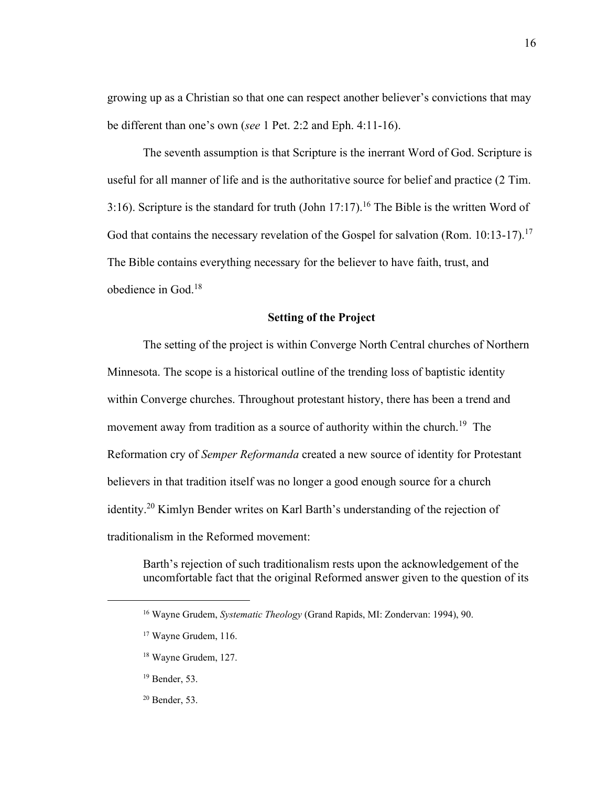growing up as a Christian so that one can respect another believer's convictions that may be different than one's own (*see* 1 Pet. 2:2 and Eph. 4:11-16).

The seventh assumption is that Scripture is the inerrant Word of God. Scripture is useful for all manner of life and is the authoritative source for belief and practice (2 Tim. 3:16). Scripture is the standard for truth (John  $17:17$ ).<sup>16</sup> The Bible is the written Word of God that contains the necessary revelation of the Gospel for salvation (Rom.  $10:13-17$ ).<sup>17</sup> The Bible contains everything necessary for the believer to have faith, trust, and obedience in God.<sup>18</sup>

#### **Setting of the Project**

<span id="page-17-0"></span>The setting of the project is within Converge North Central churches of Northern Minnesota. The scope is a historical outline of the trending loss of baptistic identity within Converge churches. Throughout protestant history, there has been a trend and movement away from tradition as a source of authority within the church.<sup>19</sup> The Reformation cry of *Semper Reformanda* created a new source of identity for Protestant believers in that tradition itself was no longer a good enough source for a church identity.<sup>20</sup> Kimlyn Bender writes on Karl Barth's understanding of the rejection of traditionalism in the Reformed movement:

Barth's rejection of such traditionalism rests upon the acknowledgement of the uncomfortable fact that the original Reformed answer given to the question of its

- <sup>19</sup> Bender, 53.
- <sup>20</sup> Bender, 53.

<sup>16</sup> Wayne Grudem, *Systematic Theology* (Grand Rapids, MI: Zondervan: 1994), 90.

<sup>17</sup> Wayne Grudem, 116.

<sup>18</sup> Wayne Grudem, 127.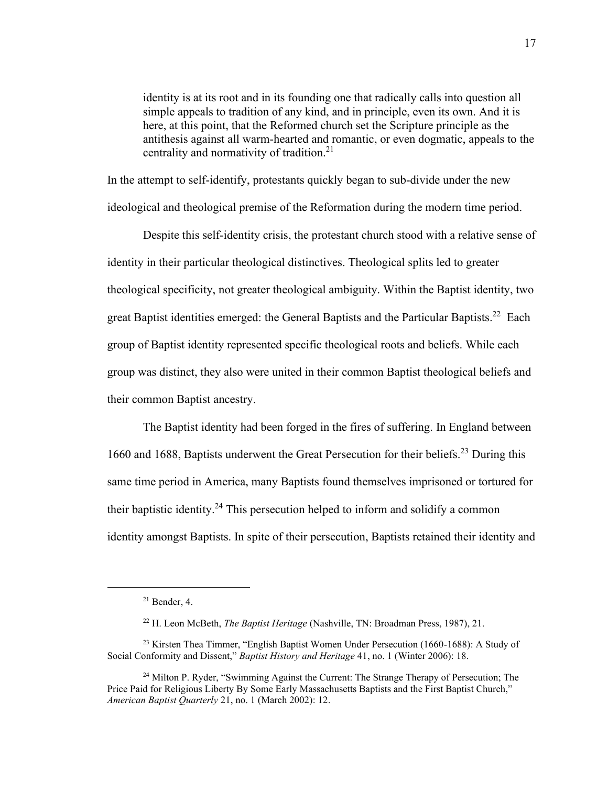identity is at its root and in its founding one that radically calls into question all simple appeals to tradition of any kind, and in principle, even its own. And it is here, at this point, that the Reformed church set the Scripture principle as the antithesis against all warm-hearted and romantic, or even dogmatic, appeals to the centrality and normativity of tradition.<sup>21</sup>

In the attempt to self-identify, protestants quickly began to sub-divide under the new ideological and theological premise of the Reformation during the modern time period.

Despite this self-identity crisis, the protestant church stood with a relative sense of identity in their particular theological distinctives. Theological splits led to greater theological specificity, not greater theological ambiguity. Within the Baptist identity, two great Baptist identities emerged: the General Baptists and the Particular Baptists.<sup>22</sup> Each group of Baptist identity represented specific theological roots and beliefs. While each group was distinct, they also were united in their common Baptist theological beliefs and their common Baptist ancestry.

The Baptist identity had been forged in the fires of suffering. In England between 1660 and 1688, Baptists underwent the Great Persecution for their beliefs.<sup>23</sup> During this same time period in America, many Baptists found themselves imprisoned or tortured for their baptistic identity.<sup>24</sup> This persecution helped to inform and solidify a common identity amongst Baptists. In spite of their persecution, Baptists retained their identity and

 $21$  Bender, 4.

<sup>22</sup> H. Leon McBeth, *The Baptist Heritage* (Nashville, TN: Broadman Press, 1987), 21.

<sup>&</sup>lt;sup>23</sup> Kirsten Thea Timmer, "English Baptist Women Under Persecution (1660-1688): A Study of Social Conformity and Dissent," *Baptist History and Heritage* 41, no. 1 (Winter 2006): 18.

<sup>&</sup>lt;sup>24</sup> Milton P. Ryder, "Swimming Against the Current: The Strange Therapy of Persecution; The Price Paid for Religious Liberty By Some Early Massachusetts Baptists and the First Baptist Church," *American Baptist Quarterly* 21, no. 1 (March 2002): 12.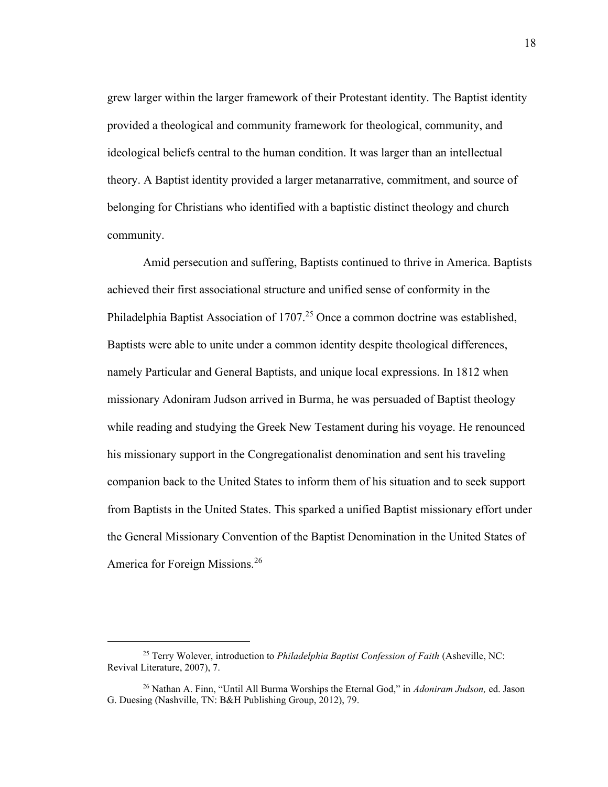grew larger within the larger framework of their Protestant identity. The Baptist identity provided a theological and community framework for theological, community, and ideological beliefs central to the human condition. It was larger than an intellectual theory. A Baptist identity provided a larger metanarrative, commitment, and source of belonging for Christians who identified with a baptistic distinct theology and church community.

Amid persecution and suffering, Baptists continued to thrive in America. Baptists achieved their first associational structure and unified sense of conformity in the Philadelphia Baptist Association of  $1707<sup>25</sup>$  Once a common doctrine was established, Baptists were able to unite under a common identity despite theological differences, namely Particular and General Baptists, and unique local expressions. In 1812 when missionary Adoniram Judson arrived in Burma, he was persuaded of Baptist theology while reading and studying the Greek New Testament during his voyage. He renounced his missionary support in the Congregationalist denomination and sent his traveling companion back to the United States to inform them of his situation and to seek support from Baptists in the United States. This sparked a unified Baptist missionary effort under the General Missionary Convention of the Baptist Denomination in the United States of America for Foreign Missions.<sup>26</sup>

<sup>25</sup> Terry Wolever, introduction to *Philadelphia Baptist Confession of Faith* (Asheville, NC: Revival Literature, 2007), 7.

<sup>26</sup> Nathan A. Finn, "Until All Burma Worships the Eternal God," in *Adoniram Judson,* ed. Jason G. Duesing (Nashville, TN: B&H Publishing Group, 2012), 79.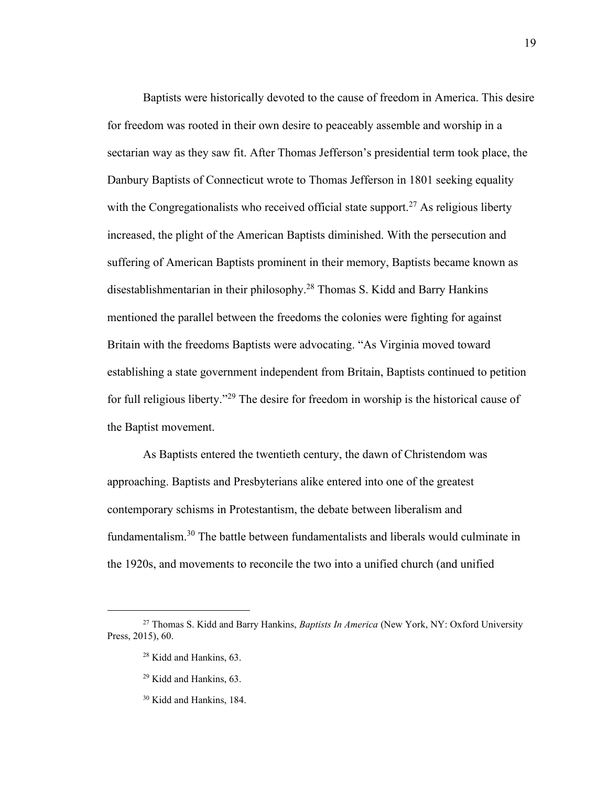Baptists were historically devoted to the cause of freedom in America. This desire for freedom was rooted in their own desire to peaceably assemble and worship in a sectarian way as they saw fit. After Thomas Jefferson's presidential term took place, the Danbury Baptists of Connecticut wrote to Thomas Jefferson in 1801 seeking equality with the Congregationalists who received official state support.<sup>27</sup> As religious liberty increased, the plight of the American Baptists diminished. With the persecution and suffering of American Baptists prominent in their memory, Baptists became known as disestablishmentarian in their philosophy.<sup>28</sup> Thomas S. Kidd and Barry Hankins mentioned the parallel between the freedoms the colonies were fighting for against Britain with the freedoms Baptists were advocating. "As Virginia moved toward establishing a state government independent from Britain, Baptists continued to petition for full religious liberty."<sup>29</sup> The desire for freedom in worship is the historical cause of the Baptist movement.

As Baptists entered the twentieth century, the dawn of Christendom was approaching. Baptists and Presbyterians alike entered into one of the greatest contemporary schisms in Protestantism, the debate between liberalism and fundamentalism.<sup>30</sup> The battle between fundamentalists and liberals would culminate in the 1920s, and movements to reconcile the two into a unified church (and unified

<sup>27</sup> Thomas S. Kidd and Barry Hankins, *Baptists In America* (New York, NY: Oxford University Press, 2015), 60.

<sup>28</sup> Kidd and Hankins, 63.

<sup>29</sup> Kidd and Hankins, 63.

<sup>30</sup> Kidd and Hankins, 184.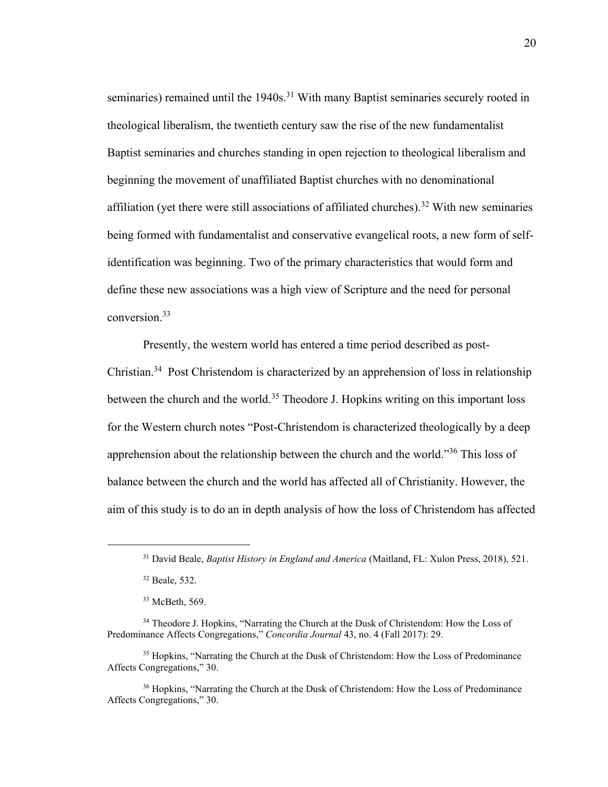seminaries) remained until the 1940s.<sup>31</sup> With many Baptist seminaries securely rooted in theological liberalism, the twentieth century saw the rise of the new fundamentalist Baptist seminaries and churches standing in open rejection to theological liberalism and beginning the movement of unaffiliated Baptist churches with no denominational affiliation (yet there were still associations of affiliated churches).<sup>32</sup> With new seminaries being formed with fundamentalist and conservative evangelical roots, a new form of selfidentification was beginning. Two of the primary characteristics that would form and define these new associations was a high view of Scripture and the need for personal conversion.<sup>33</sup>

Presently, the western world has entered a time period described as post-Christian.<sup>34</sup> Post Christendom is characterized by an apprehension of loss in relationship between the church and the world.<sup>35</sup> Theodore J. Hopkins writing on this important loss for the Western church notes "Post-Christendom is characterized theologically by a deep apprehension about the relationship between the church and the world."<sup>36</sup> This loss of balance between the church and the world has affected all of Christianity. However, the aim of this study is to do an in depth analysis of how the loss of Christendom has affected

<sup>31</sup> David Beale, *Baptist History in England and America* (Maitland, FL: Xulon Press, 2018), 521.

<sup>32</sup> Beale, 532.

<sup>33</sup> McBeth, 569.

<sup>&</sup>lt;sup>34</sup> Theodore J. Hopkins, "Narrating the Church at the Dusk of Christendom: How the Loss of Predominance Affects Congregations," *Concordia Journal* 43, no. 4 (Fall 2017): 29.

<sup>&</sup>lt;sup>35</sup> Hopkins, "Narrating the Church at the Dusk of Christendom: How the Loss of Predominance Affects Congregations," 30.

<sup>&</sup>lt;sup>36</sup> Hopkins, "Narrating the Church at the Dusk of Christendom: How the Loss of Predominance Affects Congregations," 30.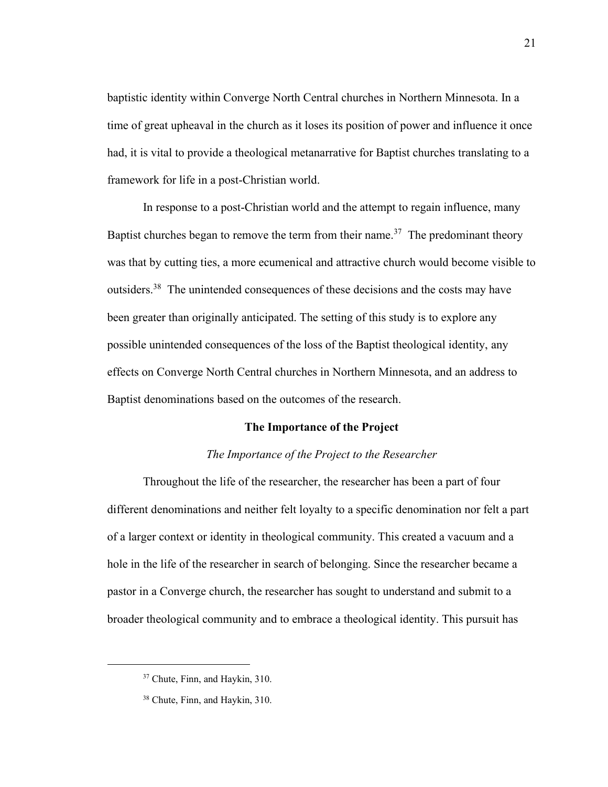baptistic identity within Converge North Central churches in Northern Minnesota. In a time of great upheaval in the church as it loses its position of power and influence it once had, it is vital to provide a theological metanarrative for Baptist churches translating to a framework for life in a post-Christian world.

In response to a post-Christian world and the attempt to regain influence, many Baptist churches began to remove the term from their name.<sup>37</sup> The predominant theory was that by cutting ties, a more ecumenical and attractive church would become visible to outsiders.<sup>38</sup> The unintended consequences of these decisions and the costs may have been greater than originally anticipated. The setting of this study is to explore any possible unintended consequences of the loss of the Baptist theological identity, any effects on Converge North Central churches in Northern Minnesota, and an address to Baptist denominations based on the outcomes of the research.

#### **The Importance of the Project**

#### *The Importance of the Project to the Researcher*

<span id="page-22-0"></span>Throughout the life of the researcher, the researcher has been a part of four different denominations and neither felt loyalty to a specific denomination nor felt a part of a larger context or identity in theological community. This created a vacuum and a hole in the life of the researcher in search of belonging. Since the researcher became a pastor in a Converge church, the researcher has sought to understand and submit to a broader theological community and to embrace a theological identity. This pursuit has

<sup>&</sup>lt;sup>37</sup> Chute, Finn, and Haykin, 310.

<sup>38</sup> Chute, Finn, and Haykin, 310.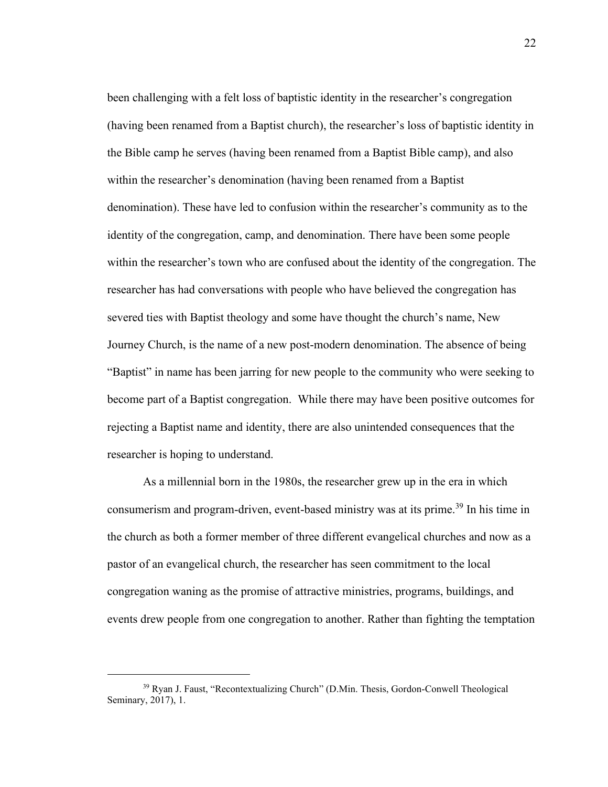been challenging with a felt loss of baptistic identity in the researcher's congregation (having been renamed from a Baptist church), the researcher's loss of baptistic identity in the Bible camp he serves (having been renamed from a Baptist Bible camp), and also within the researcher's denomination (having been renamed from a Baptist denomination). These have led to confusion within the researcher's community as to the identity of the congregation, camp, and denomination. There have been some people within the researcher's town who are confused about the identity of the congregation. The researcher has had conversations with people who have believed the congregation has severed ties with Baptist theology and some have thought the church's name, New Journey Church, is the name of a new post-modern denomination. The absence of being "Baptist" in name has been jarring for new people to the community who were seeking to become part of a Baptist congregation. While there may have been positive outcomes for rejecting a Baptist name and identity, there are also unintended consequences that the researcher is hoping to understand.

As a millennial born in the 1980s, the researcher grew up in the era in which consumerism and program-driven, event-based ministry was at its prime.<sup>39</sup> In his time in the church as both a former member of three different evangelical churches and now as a pastor of an evangelical church, the researcher has seen commitment to the local congregation waning as the promise of attractive ministries, programs, buildings, and events drew people from one congregation to another. Rather than fighting the temptation

<sup>39</sup> Ryan J. Faust, "Recontextualizing Church" (D.Min. Thesis, Gordon-Conwell Theological Seminary, 2017), 1.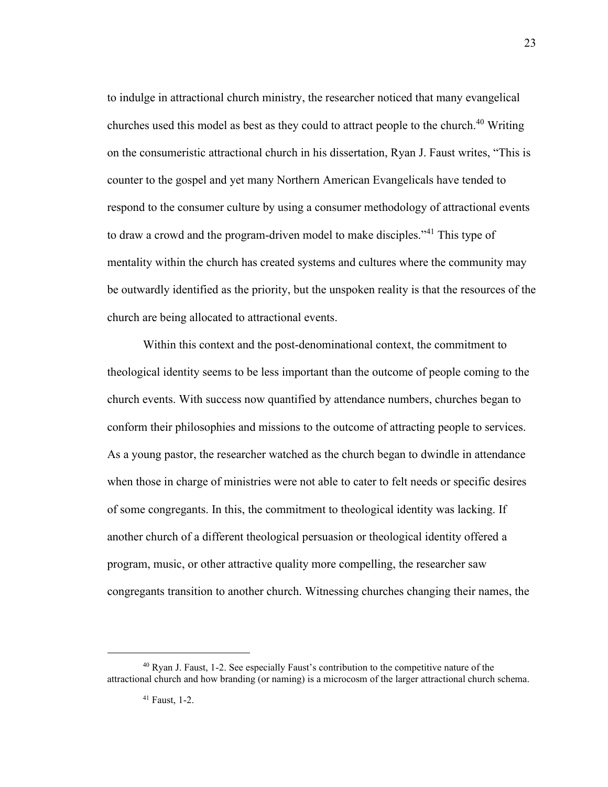to indulge in attractional church ministry, the researcher noticed that many evangelical churches used this model as best as they could to attract people to the church. <sup>40</sup> Writing on the consumeristic attractional church in his dissertation, Ryan J. Faust writes, "This is counter to the gospel and yet many Northern American Evangelicals have tended to respond to the consumer culture by using a consumer methodology of attractional events to draw a crowd and the program-driven model to make disciples."<sup>41</sup> This type of mentality within the church has created systems and cultures where the community may be outwardly identified as the priority, but the unspoken reality is that the resources of the church are being allocated to attractional events.

Within this context and the post-denominational context, the commitment to theological identity seems to be less important than the outcome of people coming to the church events. With success now quantified by attendance numbers, churches began to conform their philosophies and missions to the outcome of attracting people to services. As a young pastor, the researcher watched as the church began to dwindle in attendance when those in charge of ministries were not able to cater to felt needs or specific desires of some congregants. In this, the commitment to theological identity was lacking. If another church of a different theological persuasion or theological identity offered a program, music, or other attractive quality more compelling, the researcher saw congregants transition to another church. Witnessing churches changing their names, the

<sup>40</sup> Ryan J. Faust, 1-2. See especially Faust's contribution to the competitive nature of the attractional church and how branding (or naming) is a microcosm of the larger attractional church schema.

<sup>41</sup> Faust, 1-2.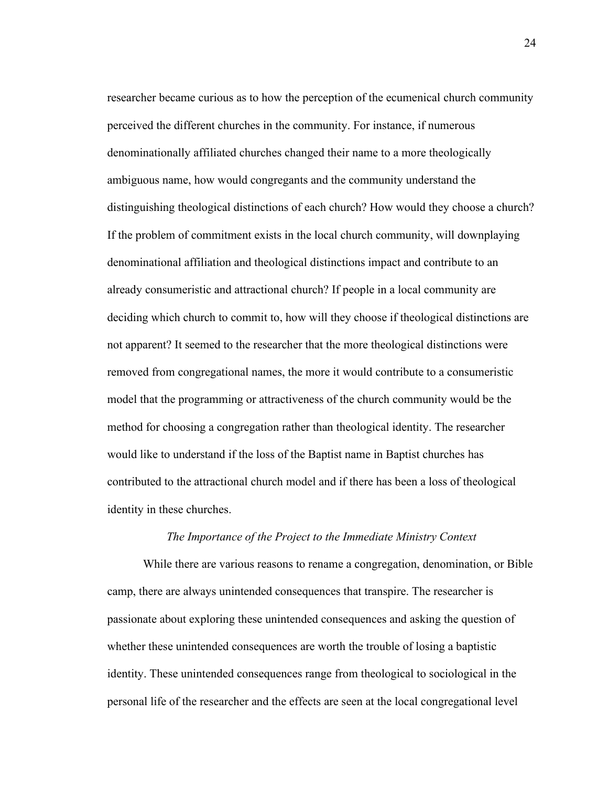researcher became curious as to how the perception of the ecumenical church community perceived the different churches in the community. For instance, if numerous denominationally affiliated churches changed their name to a more theologically ambiguous name, how would congregants and the community understand the distinguishing theological distinctions of each church? How would they choose a church? If the problem of commitment exists in the local church community, will downplaying denominational affiliation and theological distinctions impact and contribute to an already consumeristic and attractional church? If people in a local community are deciding which church to commit to, how will they choose if theological distinctions are not apparent? It seemed to the researcher that the more theological distinctions were removed from congregational names, the more it would contribute to a consumeristic model that the programming or attractiveness of the church community would be the method for choosing a congregation rather than theological identity. The researcher would like to understand if the loss of the Baptist name in Baptist churches has contributed to the attractional church model and if there has been a loss of theological identity in these churches.

#### *The Importance of the Project to the Immediate Ministry Context*

While there are various reasons to rename a congregation, denomination, or Bible camp, there are always unintended consequences that transpire. The researcher is passionate about exploring these unintended consequences and asking the question of whether these unintended consequences are worth the trouble of losing a baptistic identity. These unintended consequences range from theological to sociological in the personal life of the researcher and the effects are seen at the local congregational level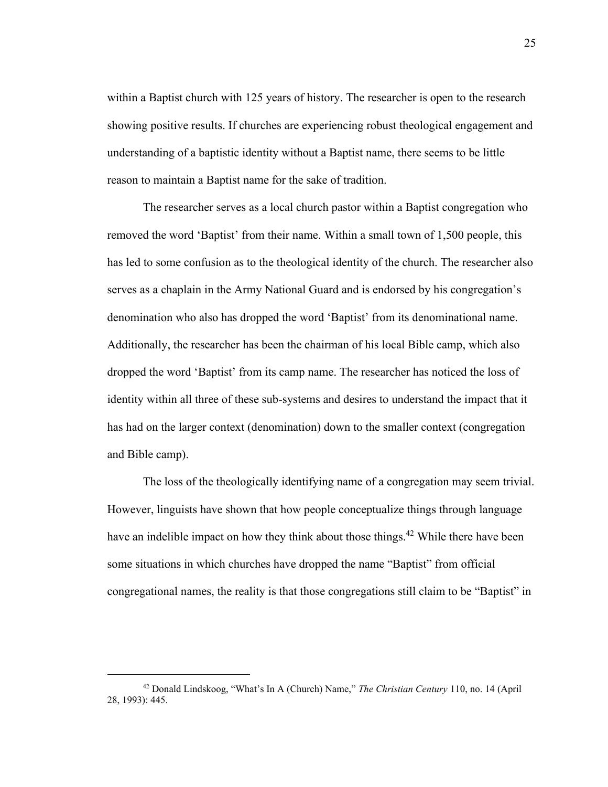within a Baptist church with 125 years of history. The researcher is open to the research showing positive results. If churches are experiencing robust theological engagement and understanding of a baptistic identity without a Baptist name, there seems to be little reason to maintain a Baptist name for the sake of tradition.

The researcher serves as a local church pastor within a Baptist congregation who removed the word 'Baptist' from their name. Within a small town of 1,500 people, this has led to some confusion as to the theological identity of the church. The researcher also serves as a chaplain in the Army National Guard and is endorsed by his congregation's denomination who also has dropped the word 'Baptist' from its denominational name. Additionally, the researcher has been the chairman of his local Bible camp, which also dropped the word 'Baptist' from its camp name. The researcher has noticed the loss of identity within all three of these sub-systems and desires to understand the impact that it has had on the larger context (denomination) down to the smaller context (congregation and Bible camp).

The loss of the theologically identifying name of a congregation may seem trivial. However, linguists have shown that how people conceptualize things through language have an indelible impact on how they think about those things.<sup>42</sup> While there have been some situations in which churches have dropped the name "Baptist" from official congregational names, the reality is that those congregations still claim to be "Baptist" in

<sup>42</sup> Donald Lindskoog, "What's In A (Church) Name," *The Christian Century* 110, no. 14 (April 28, 1993): 445.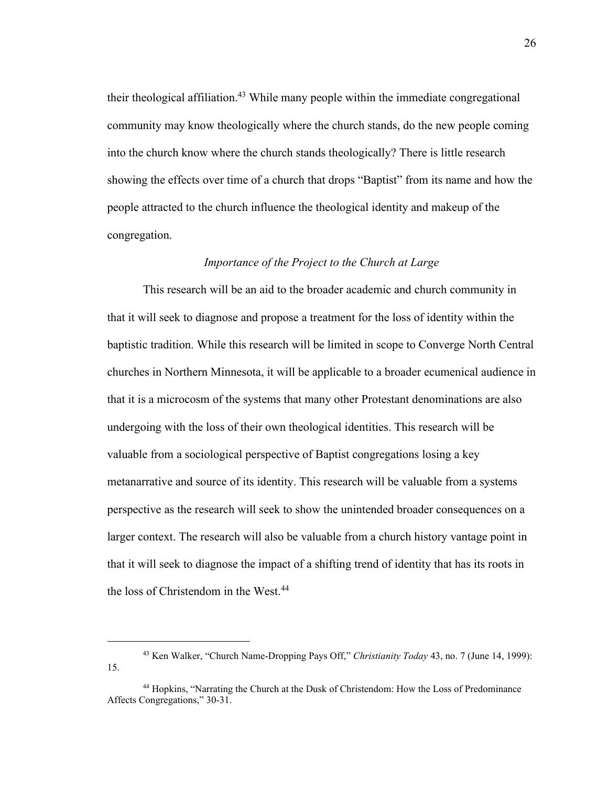their theological affiliation.<sup>43</sup> While many people within the immediate congregational community may know theologically where the church stands, do the new people coming into the church know where the church stands theologically? There is little research showing the effects over time of a church that drops "Baptist" from its name and how the people attracted to the church influence the theological identity and makeup of the congregation.

#### *Importance of the Project to the Church at Large*

This research will be an aid to the broader academic and church community in that it will seek to diagnose and propose a treatment for the loss of identity within the baptistic tradition. While this research will be limited in scope to Converge North Central churches in Northern Minnesota, it will be applicable to a broader ecumenical audience in that it is a microcosm of the systems that many other Protestant denominations are also undergoing with the loss of their own theological identities. This research will be valuable from a sociological perspective of Baptist congregations losing a key metanarrative and source of its identity. This research will be valuable from a systems perspective as the research will seek to show the unintended broader consequences on a larger context. The research will also be valuable from a church history vantage point in that it will seek to diagnose the impact of a shifting trend of identity that has its roots in the loss of Christendom in the West.<sup>44</sup>

<sup>43</sup> Ken Walker, "Church Name-Dropping Pays Off," *Christianity Today* 43, no. 7 (June 14, 1999): 15.

<sup>44</sup> Hopkins, "Narrating the Church at the Dusk of Christendom: How the Loss of Predominance Affects Congregations," 30-31.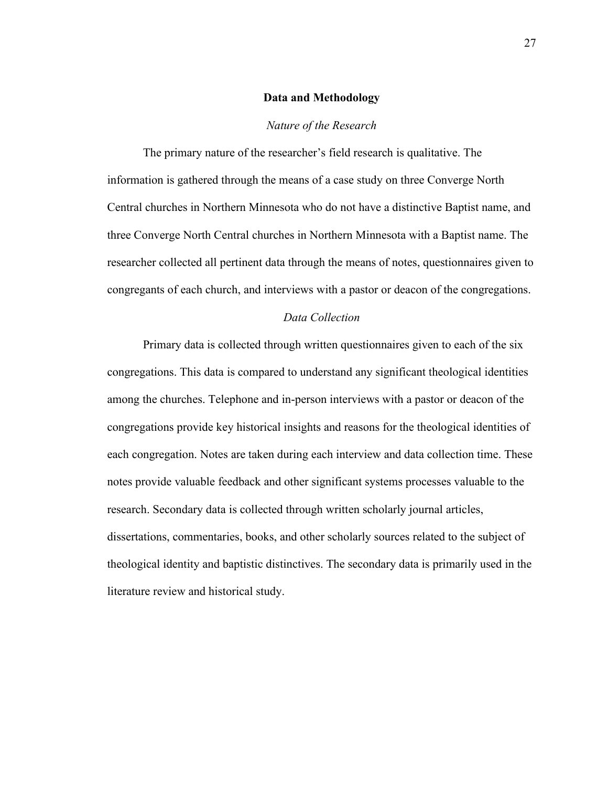#### **Data and Methodology**

#### *Nature of the Research*

<span id="page-28-0"></span>The primary nature of the researcher's field research is qualitative. The information is gathered through the means of a case study on three Converge North Central churches in Northern Minnesota who do not have a distinctive Baptist name, and three Converge North Central churches in Northern Minnesota with a Baptist name. The researcher collected all pertinent data through the means of notes, questionnaires given to congregants of each church, and interviews with a pastor or deacon of the congregations.

#### *Data Collection*

Primary data is collected through written questionnaires given to each of the six congregations. This data is compared to understand any significant theological identities among the churches. Telephone and in-person interviews with a pastor or deacon of the congregations provide key historical insights and reasons for the theological identities of each congregation. Notes are taken during each interview and data collection time. These notes provide valuable feedback and other significant systems processes valuable to the research. Secondary data is collected through written scholarly journal articles, dissertations, commentaries, books, and other scholarly sources related to the subject of theological identity and baptistic distinctives. The secondary data is primarily used in the literature review and historical study.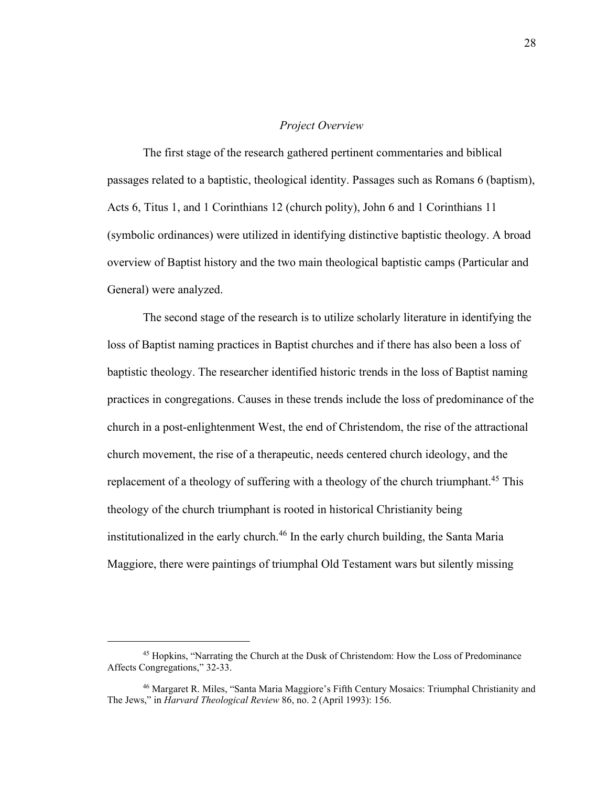#### *Project Overview*

The first stage of the research gathered pertinent commentaries and biblical passages related to a baptistic, theological identity. Passages such as Romans 6 (baptism), Acts 6, Titus 1, and 1 Corinthians 12 (church polity), John 6 and 1 Corinthians 11 (symbolic ordinances) were utilized in identifying distinctive baptistic theology. A broad overview of Baptist history and the two main theological baptistic camps (Particular and General) were analyzed.

The second stage of the research is to utilize scholarly literature in identifying the loss of Baptist naming practices in Baptist churches and if there has also been a loss of baptistic theology. The researcher identified historic trends in the loss of Baptist naming practices in congregations. Causes in these trends include the loss of predominance of the church in a post-enlightenment West, the end of Christendom, the rise of the attractional church movement, the rise of a therapeutic, needs centered church ideology, and the replacement of a theology of suffering with a theology of the church triumphant.<sup>45</sup> This theology of the church triumphant is rooted in historical Christianity being institutionalized in the early church.<sup>46</sup> In the early church building, the Santa Maria Maggiore, there were paintings of triumphal Old Testament wars but silently missing

<sup>45</sup> Hopkins, "Narrating the Church at the Dusk of Christendom: How the Loss of Predominance Affects Congregations," 32-33.

<sup>46</sup> Margaret R. Miles, "Santa Maria Maggiore's Fifth Century Mosaics: Triumphal Christianity and The Jews," in *Harvard Theological Review* 86, no. 2 (April 1993): 156.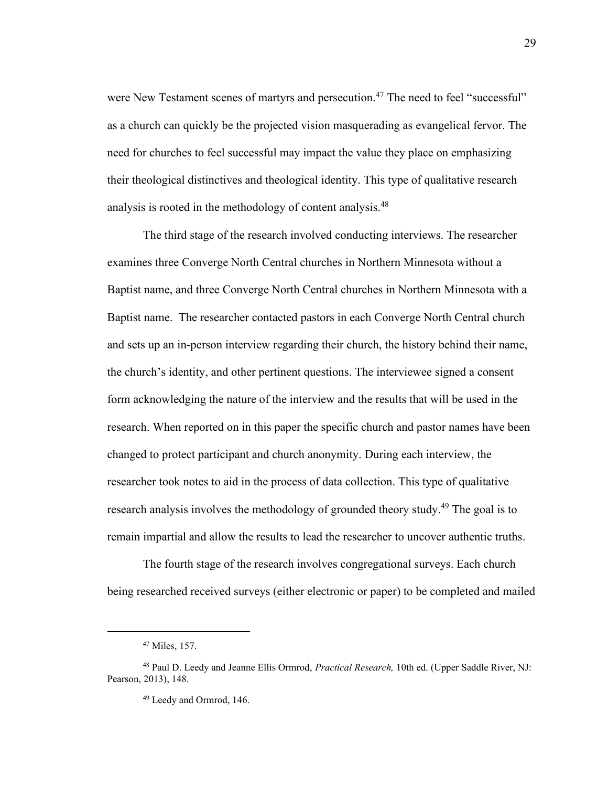were New Testament scenes of martyrs and persecution.<sup>47</sup> The need to feel "successful" as a church can quickly be the projected vision masquerading as evangelical fervor. The need for churches to feel successful may impact the value they place on emphasizing their theological distinctives and theological identity. This type of qualitative research analysis is rooted in the methodology of content analysis.<sup>48</sup>

The third stage of the research involved conducting interviews. The researcher examines three Converge North Central churches in Northern Minnesota without a Baptist name, and three Converge North Central churches in Northern Minnesota with a Baptist name. The researcher contacted pastors in each Converge North Central church and sets up an in-person interview regarding their church, the history behind their name, the church's identity, and other pertinent questions. The interviewee signed a consent form acknowledging the nature of the interview and the results that will be used in the research. When reported on in this paper the specific church and pastor names have been changed to protect participant and church anonymity. During each interview, the researcher took notes to aid in the process of data collection. This type of qualitative research analysis involves the methodology of grounded theory study.<sup>49</sup> The goal is to remain impartial and allow the results to lead the researcher to uncover authentic truths.

The fourth stage of the research involves congregational surveys. Each church being researched received surveys (either electronic or paper) to be completed and mailed

<sup>47</sup> Miles, 157.

<sup>48</sup> Paul D. Leedy and Jeanne Ellis Ormrod, *Practical Research,* 10th ed. (Upper Saddle River, NJ: Pearson, 2013), 148.

<sup>49</sup> Leedy and Ormrod, 146.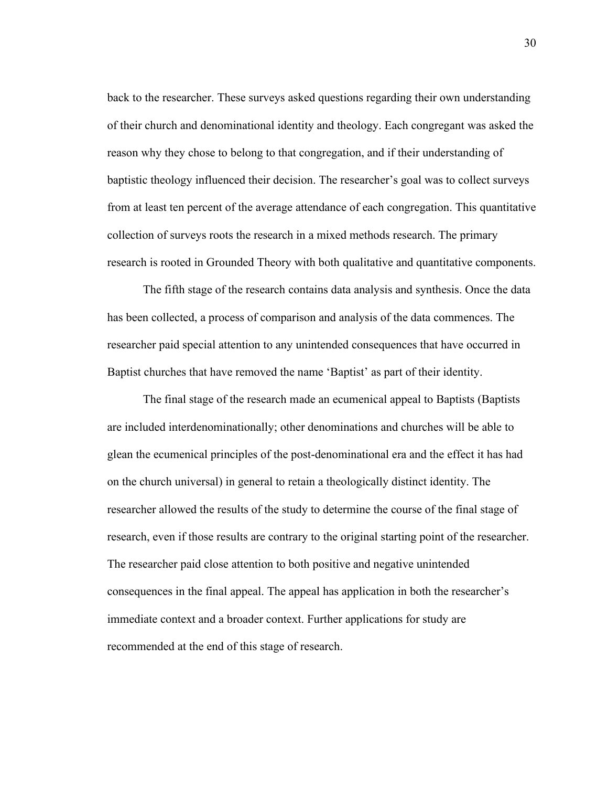back to the researcher. These surveys asked questions regarding their own understanding of their church and denominational identity and theology. Each congregant was asked the reason why they chose to belong to that congregation, and if their understanding of baptistic theology influenced their decision. The researcher's goal was to collect surveys from at least ten percent of the average attendance of each congregation. This quantitative collection of surveys roots the research in a mixed methods research. The primary research is rooted in Grounded Theory with both qualitative and quantitative components.

The fifth stage of the research contains data analysis and synthesis. Once the data has been collected, a process of comparison and analysis of the data commences. The researcher paid special attention to any unintended consequences that have occurred in Baptist churches that have removed the name 'Baptist' as part of their identity.

The final stage of the research made an ecumenical appeal to Baptists (Baptists are included interdenominationally; other denominations and churches will be able to glean the ecumenical principles of the post-denominational era and the effect it has had on the church universal) in general to retain a theologically distinct identity. The researcher allowed the results of the study to determine the course of the final stage of research, even if those results are contrary to the original starting point of the researcher. The researcher paid close attention to both positive and negative unintended consequences in the final appeal. The appeal has application in both the researcher's immediate context and a broader context. Further applications for study are recommended at the end of this stage of research.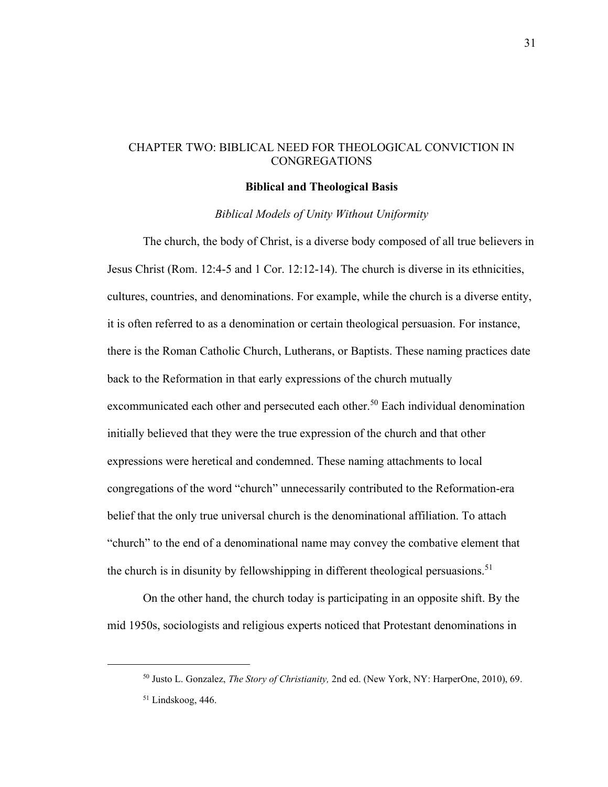#### <span id="page-32-1"></span><span id="page-32-0"></span>CHAPTER TWO: BIBLICAL NEED FOR THEOLOGICAL CONVICTION IN CONGREGATIONS

#### **Biblical and Theological Basis**

#### *Biblical Models of Unity Without Uniformity*

The church, the body of Christ, is a diverse body composed of all true believers in Jesus Christ (Rom. 12:4-5 and 1 Cor. 12:12-14). The church is diverse in its ethnicities, cultures, countries, and denominations. For example, while the church is a diverse entity, it is often referred to as a denomination or certain theological persuasion. For instance, there is the Roman Catholic Church, Lutherans, or Baptists. These naming practices date back to the Reformation in that early expressions of the church mutually excommunicated each other and persecuted each other.<sup>50</sup> Each individual denomination initially believed that they were the true expression of the church and that other expressions were heretical and condemned. These naming attachments to local congregations of the word "church" unnecessarily contributed to the Reformation-era belief that the only true universal church is the denominational affiliation. To attach "church" to the end of a denominational name may convey the combative element that the church is in disunity by fellowshipping in different theological persuasions.<sup>51</sup>

On the other hand, the church today is participating in an opposite shift. By the mid 1950s, sociologists and religious experts noticed that Protestant denominations in

<sup>50</sup> Justo L. Gonzalez, *The Story of Christianity,* 2nd ed. (New York, NY: HarperOne, 2010), 69. <sup>51</sup> Lindskoog, 446.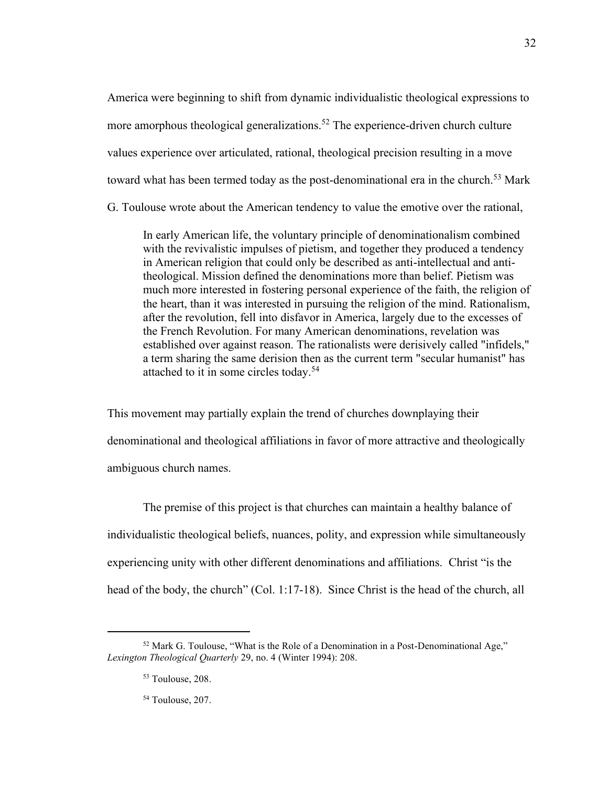America were beginning to shift from dynamic individualistic theological expressions to more amorphous theological generalizations.<sup>52</sup> The experience-driven church culture values experience over articulated, rational, theological precision resulting in a move toward what has been termed today as the post-denominational era in the church.<sup>53</sup> Mark G. Toulouse wrote about the American tendency to value the emotive over the rational,

In early American life, the voluntary principle of denominationalism combined with the revivalistic impulses of pietism, and together they produced a tendency in American religion that could only be described as anti-intellectual and antitheological. Mission defined the denominations more than belief. Pietism was much more interested in fostering personal experience of the faith, the religion of the heart, than it was interested in pursuing the religion of the mind. Rationalism, after the revolution, fell into disfavor in America, largely due to the excesses of the French Revolution. For many American denominations, revelation was established over against reason. The rationalists were derisively called "infidels," a term sharing the same derision then as the current term "secular humanist" has attached to it in some circles today.<sup>54</sup>

This movement may partially explain the trend of churches downplaying their denominational and theological affiliations in favor of more attractive and theologically ambiguous church names.

The premise of this project is that churches can maintain a healthy balance of individualistic theological beliefs, nuances, polity, and expression while simultaneously experiencing unity with other different denominations and affiliations. Christ "is the head of the body, the church" (Col. 1:17-18). Since Christ is the head of the church, all

32

 $52$  Mark G. Toulouse, "What is the Role of a Denomination in a Post-Denominational Age," *Lexington Theological Quarterly* 29, no. 4 (Winter 1994): 208.

<sup>53</sup> Toulouse, 208.

<sup>54</sup> Toulouse, 207.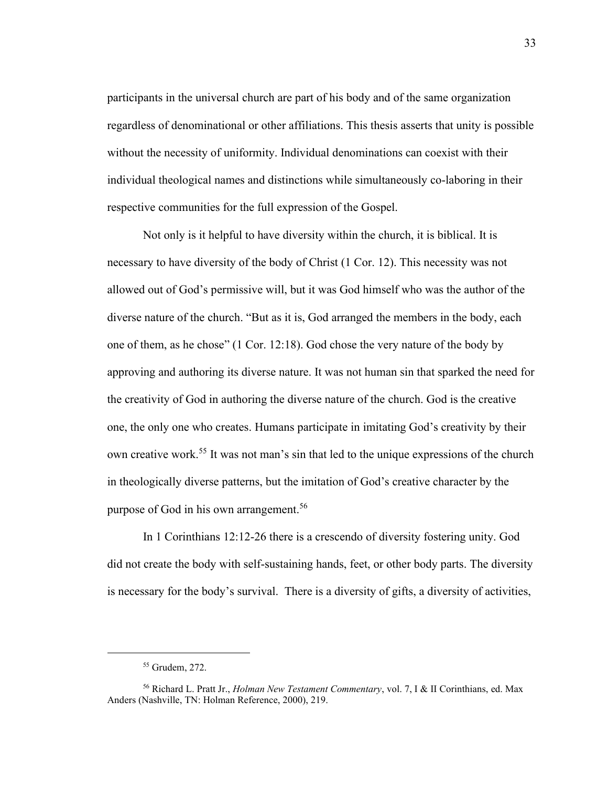participants in the universal church are part of his body and of the same organization regardless of denominational or other affiliations. This thesis asserts that unity is possible without the necessity of uniformity. Individual denominations can coexist with their individual theological names and distinctions while simultaneously co-laboring in their respective communities for the full expression of the Gospel.

Not only is it helpful to have diversity within the church, it is biblical. It is necessary to have diversity of the body of Christ (1 Cor. 12). This necessity was not allowed out of God's permissive will, but it was God himself who was the author of the diverse nature of the church. "But as it is, God arranged the members in the body, each one of them, as he chose" (1 Cor. 12:18). God chose the very nature of the body by approving and authoring its diverse nature. It was not human sin that sparked the need for the creativity of God in authoring the diverse nature of the church. God is the creative one, the only one who creates. Humans participate in imitating God's creativity by their own creative work.<sup>55</sup> It was not man's sin that led to the unique expressions of the church in theologically diverse patterns, but the imitation of God's creative character by the purpose of God in his own arrangement.<sup>56</sup>

In 1 Corinthians 12:12-26 there is a crescendo of diversity fostering unity. God did not create the body with self-sustaining hands, feet, or other body parts. The diversity is necessary for the body's survival. There is a diversity of gifts, a diversity of activities,

<sup>55</sup> Grudem, 272.

<sup>56</sup> Richard L. Pratt Jr., *Holman New Testament Commentary*, vol. 7, I & II Corinthians, ed. Max Anders (Nashville, TN: Holman Reference, 2000), 219.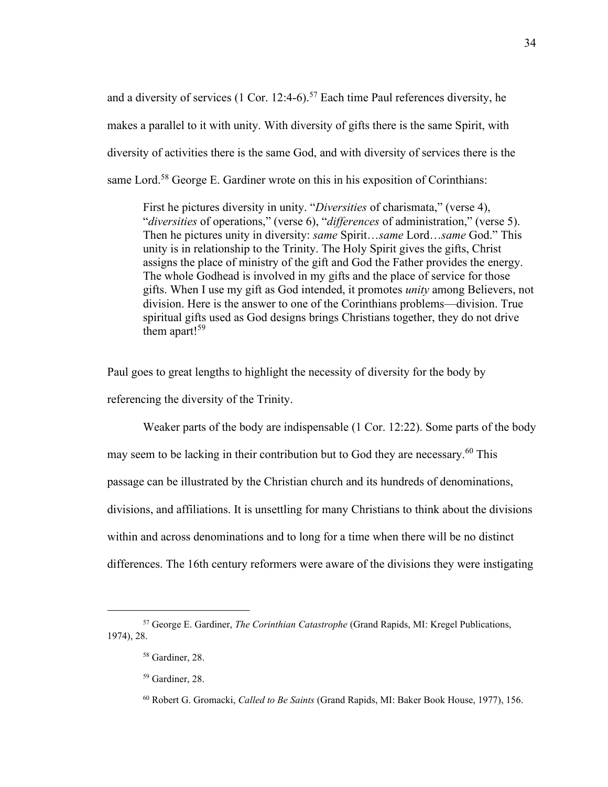and a diversity of services  $(1 \text{ Cor. } 12:4-6)$ .<sup>57</sup> Each time Paul references diversity, he makes a parallel to it with unity. With diversity of gifts there is the same Spirit, with diversity of activities there is the same God, and with diversity of services there is the same Lord.<sup>58</sup> George E. Gardiner wrote on this in his exposition of Corinthians:

First he pictures diversity in unity. "*Diversities* of charismata," (verse 4), "*diversities* of operations," (verse 6), "*differences* of administration," (verse 5). Then he pictures unity in diversity: *same* Spirit…*same* Lord…*same* God." This unity is in relationship to the Trinity. The Holy Spirit gives the gifts, Christ assigns the place of ministry of the gift and God the Father provides the energy. The whole Godhead is involved in my gifts and the place of service for those gifts. When I use my gift as God intended, it promotes *unity* among Believers, not division. Here is the answer to one of the Corinthians problems—division. True spiritual gifts used as God designs brings Christians together, they do not drive them apart!<sup>59</sup>

Paul goes to great lengths to highlight the necessity of diversity for the body by referencing the diversity of the Trinity.

Weaker parts of the body are indispensable (1 Cor. 12:22). Some parts of the body may seem to be lacking in their contribution but to God they are necessary.<sup>60</sup> This passage can be illustrated by the Christian church and its hundreds of denominations, divisions, and affiliations. It is unsettling for many Christians to think about the divisions within and across denominations and to long for a time when there will be no distinct differences. The 16th century reformers were aware of the divisions they were instigating

<sup>57</sup> George E. Gardiner, *The Corinthian Catastrophe* (Grand Rapids, MI: Kregel Publications, 1974), 28.

<sup>58</sup> Gardiner, 28.

<sup>59</sup> Gardiner, 28.

<sup>60</sup> Robert G. Gromacki, *Called to Be Saints* (Grand Rapids, MI: Baker Book House, 1977), 156.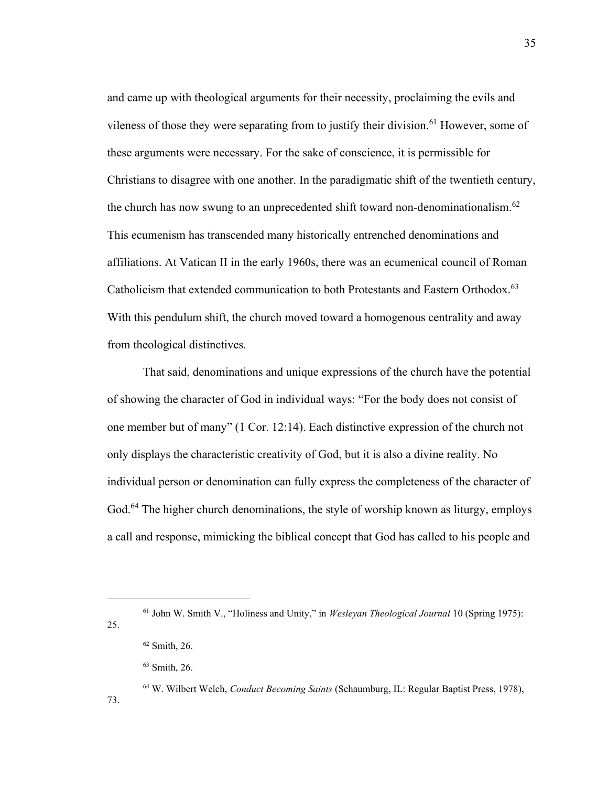and came up with theological arguments for their necessity, proclaiming the evils and vileness of those they were separating from to justify their division.<sup>61</sup> However, some of these arguments were necessary. For the sake of conscience, it is permissible for Christians to disagree with one another. In the paradigmatic shift of the twentieth century, the church has now swung to an unprecedented shift toward non-denominationalism.<sup>62</sup> This ecumenism has transcended many historically entrenched denominations and affiliations. At Vatican II in the early 1960s, there was an ecumenical council of Roman Catholicism that extended communication to both Protestants and Eastern Orthodox.<sup>63</sup> With this pendulum shift, the church moved toward a homogenous centrality and away from theological distinctives.

That said, denominations and unique expressions of the church have the potential of showing the character of God in individual ways: "For the body does not consist of one member but of many" (1 Cor. 12:14). Each distinctive expression of the church not only displays the characteristic creativity of God, but it is also a divine reality. No individual person or denomination can fully express the completeness of the character of God.<sup>64</sup> The higher church denominations, the style of worship known as liturgy, employs a call and response, mimicking the biblical concept that God has called to his people and

25.

73.

<sup>61</sup> John W. Smith V., "Holiness and Unity," in *Wesleyan Theological Journal* 10 (Spring 1975):

<sup>62</sup> Smith, 26.

<sup>63</sup> Smith, 26.

<sup>64</sup> W. Wilbert Welch, *Conduct Becoming Saints* (Schaumburg, IL: Regular Baptist Press, 1978),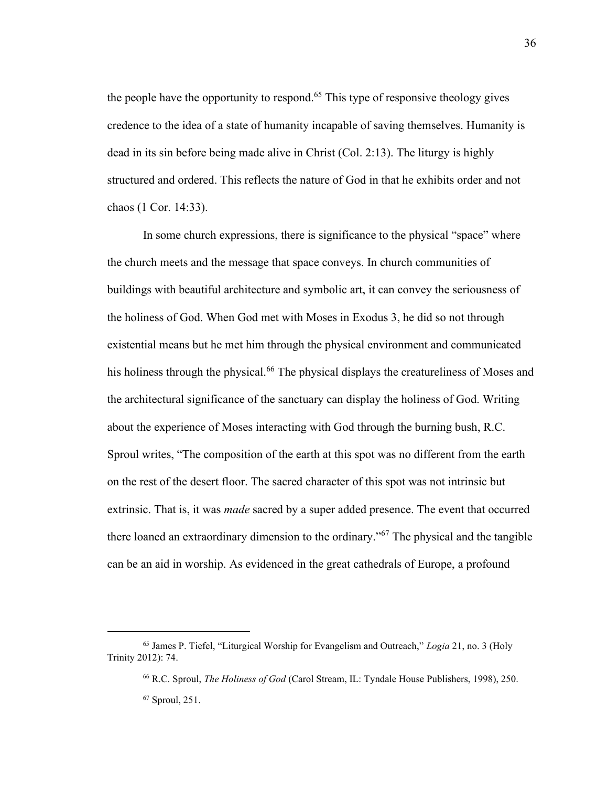the people have the opportunity to respond.<sup>65</sup> This type of responsive theology gives credence to the idea of a state of humanity incapable of saving themselves. Humanity is dead in its sin before being made alive in Christ (Col. 2:13). The liturgy is highly structured and ordered. This reflects the nature of God in that he exhibits order and not chaos (1 Cor. 14:33).

In some church expressions, there is significance to the physical "space" where the church meets and the message that space conveys. In church communities of buildings with beautiful architecture and symbolic art, it can convey the seriousness of the holiness of God. When God met with Moses in Exodus 3, he did so not through existential means but he met him through the physical environment and communicated his holiness through the physical.<sup>66</sup> The physical displays the creatureliness of Moses and the architectural significance of the sanctuary can display the holiness of God. Writing about the experience of Moses interacting with God through the burning bush, R.C. Sproul writes, "The composition of the earth at this spot was no different from the earth on the rest of the desert floor. The sacred character of this spot was not intrinsic but extrinsic. That is, it was *made* sacred by a super added presence. The event that occurred there loaned an extraordinary dimension to the ordinary."<sup>67</sup> The physical and the tangible can be an aid in worship. As evidenced in the great cathedrals of Europe, a profound

<sup>65</sup> James P. Tiefel, "Liturgical Worship for Evangelism and Outreach," *Logia* 21, no. 3 (Holy Trinity 2012): 74.

<sup>66</sup> R.C. Sproul, *The Holiness of God* (Carol Stream, IL: Tyndale House Publishers, 1998), 250. <sup>67</sup> Sproul, 251.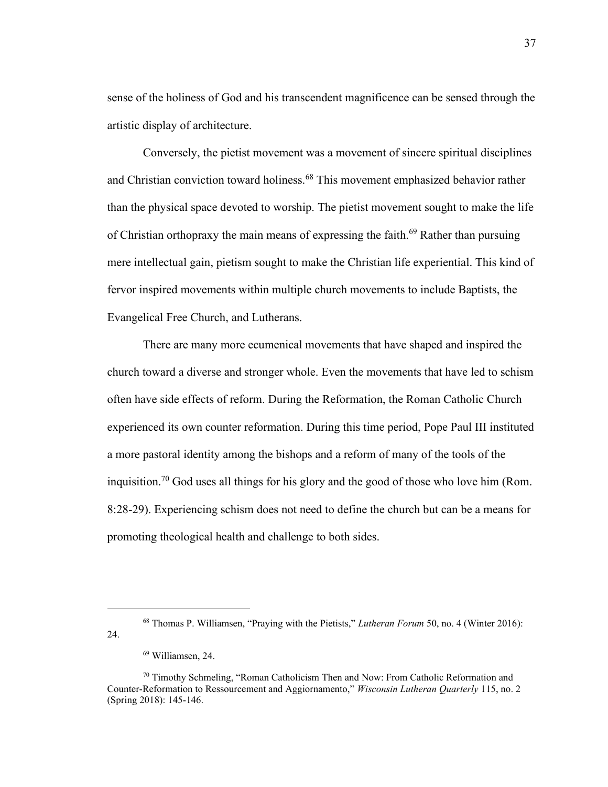sense of the holiness of God and his transcendent magnificence can be sensed through the artistic display of architecture.

Conversely, the pietist movement was a movement of sincere spiritual disciplines and Christian conviction toward holiness.<sup>68</sup> This movement emphasized behavior rather than the physical space devoted to worship. The pietist movement sought to make the life of Christian orthopraxy the main means of expressing the faith.<sup>69</sup> Rather than pursuing mere intellectual gain, pietism sought to make the Christian life experiential. This kind of fervor inspired movements within multiple church movements to include Baptists, the Evangelical Free Church, and Lutherans.

There are many more ecumenical movements that have shaped and inspired the church toward a diverse and stronger whole. Even the movements that have led to schism often have side effects of reform. During the Reformation, the Roman Catholic Church experienced its own counter reformation. During this time period, Pope Paul III instituted a more pastoral identity among the bishops and a reform of many of the tools of the inquisition.<sup>70</sup> God uses all things for his glory and the good of those who love him (Rom. 8:28-29). Experiencing schism does not need to define the church but can be a means for promoting theological health and challenge to both sides.

<sup>68</sup> Thomas P. Williamsen, "Praying with the Pietists," *Lutheran Forum* 50, no. 4 (Winter 2016): 24.

<sup>69</sup> Williamsen, 24.

<sup>&</sup>lt;sup>70</sup> Timothy Schmeling, "Roman Catholicism Then and Now: From Catholic Reformation and Counter-Reformation to Ressourcement and Aggiornamento," *Wisconsin Lutheran Quarterly* 115, no. 2 (Spring 2018): 145-146.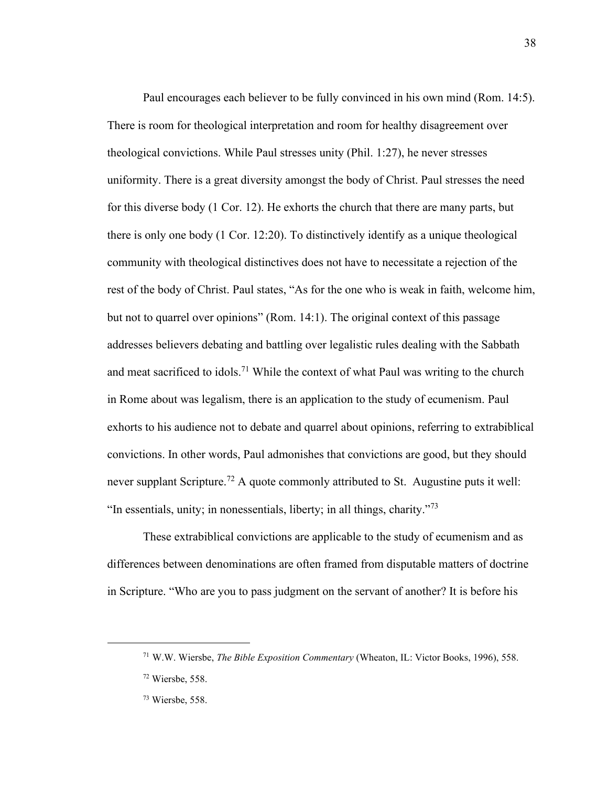Paul encourages each believer to be fully convinced in his own mind (Rom. 14:5). There is room for theological interpretation and room for healthy disagreement over theological convictions. While Paul stresses unity (Phil. 1:27), he never stresses uniformity. There is a great diversity amongst the body of Christ. Paul stresses the need for this diverse body (1 Cor. 12). He exhorts the church that there are many parts, but there is only one body (1 Cor. 12:20). To distinctively identify as a unique theological community with theological distinctives does not have to necessitate a rejection of the rest of the body of Christ. Paul states, "As for the one who is weak in faith, welcome him, but not to quarrel over opinions" (Rom. 14:1). The original context of this passage addresses believers debating and battling over legalistic rules dealing with the Sabbath and meat sacrificed to idols.<sup>71</sup> While the context of what Paul was writing to the church in Rome about was legalism, there is an application to the study of ecumenism. Paul exhorts to his audience not to debate and quarrel about opinions, referring to extrabiblical convictions. In other words, Paul admonishes that convictions are good, but they should never supplant Scripture.<sup>72</sup> A quote commonly attributed to St. Augustine puts it well: "In essentials, unity; in nonessentials, liberty; in all things, charity."<sup>73</sup>

These extrabiblical convictions are applicable to the study of ecumenism and as differences between denominations are often framed from disputable matters of doctrine in Scripture. "Who are you to pass judgment on the servant of another? It is before his

38

<sup>71</sup> W.W. Wiersbe, *The Bible Exposition Commentary* (Wheaton, IL: Victor Books, 1996), 558.

<sup>72</sup> Wiersbe, 558.

<sup>73</sup> Wiersbe, 558.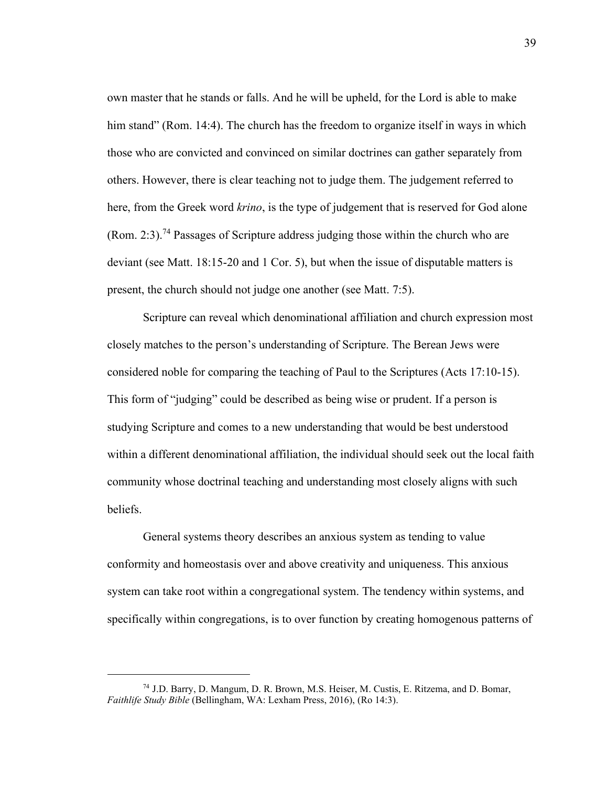own master that he stands or falls. And he will be upheld, for the Lord is able to make him stand" (Rom. 14:4). The church has the freedom to organize itself in ways in which those who are convicted and convinced on similar doctrines can gather separately from others. However, there is clear teaching not to judge them. The judgement referred to here, from the Greek word *krino*, is the type of judgement that is reserved for God alone (Rom. 2:3).<sup>74</sup> Passages of Scripture address judging those within the church who are deviant (see Matt. 18:15-20 and 1 Cor. 5), but when the issue of disputable matters is present, the church should not judge one another (see Matt. 7:5).

Scripture can reveal which denominational affiliation and church expression most closely matches to the person's understanding of Scripture. The Berean Jews were considered noble for comparing the teaching of Paul to the Scriptures (Acts 17:10-15). This form of "judging" could be described as being wise or prudent. If a person is studying Scripture and comes to a new understanding that would be best understood within a different denominational affiliation, the individual should seek out the local faith community whose doctrinal teaching and understanding most closely aligns with such beliefs.

General systems theory describes an anxious system as tending to value conformity and homeostasis over and above creativity and uniqueness. This anxious system can take root within a congregational system. The tendency within systems, and specifically within congregations, is to over function by creating homogenous patterns of

<sup>74</sup> J.D. Barry, D. Mangum, D. R. Brown, M.S. Heiser, M. Custis, E. Ritzema, and D. Bomar, *Faithlife Study Bible* (Bellingham, WA: Lexham Press, 2016), (Ro 14:3).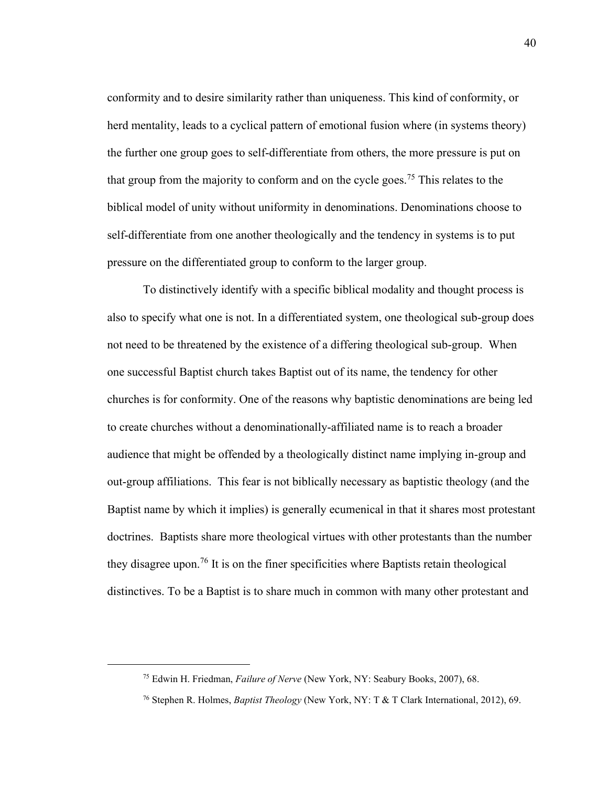conformity and to desire similarity rather than uniqueness. This kind of conformity, or herd mentality, leads to a cyclical pattern of emotional fusion where (in systems theory) the further one group goes to self-differentiate from others, the more pressure is put on that group from the majority to conform and on the cycle goes.<sup>75</sup> This relates to the biblical model of unity without uniformity in denominations. Denominations choose to self-differentiate from one another theologically and the tendency in systems is to put pressure on the differentiated group to conform to the larger group.

To distinctively identify with a specific biblical modality and thought process is also to specify what one is not. In a differentiated system, one theological sub-group does not need to be threatened by the existence of a differing theological sub-group. When one successful Baptist church takes Baptist out of its name, the tendency for other churches is for conformity. One of the reasons why baptistic denominations are being led to create churches without a denominationally-affiliated name is to reach a broader audience that might be offended by a theologically distinct name implying in-group and out-group affiliations. This fear is not biblically necessary as baptistic theology (and the Baptist name by which it implies) is generally ecumenical in that it shares most protestant doctrines. Baptists share more theological virtues with other protestants than the number they disagree upon.<sup>76</sup> It is on the finer specificities where Baptists retain theological distinctives. To be a Baptist is to share much in common with many other protestant and

<sup>75</sup> Edwin H. Friedman, *Failure of Nerve* (New York, NY: Seabury Books, 2007), 68.

<sup>76</sup> Stephen R. Holmes, *Baptist Theology* (New York, NY: T & T Clark International, 2012), 69.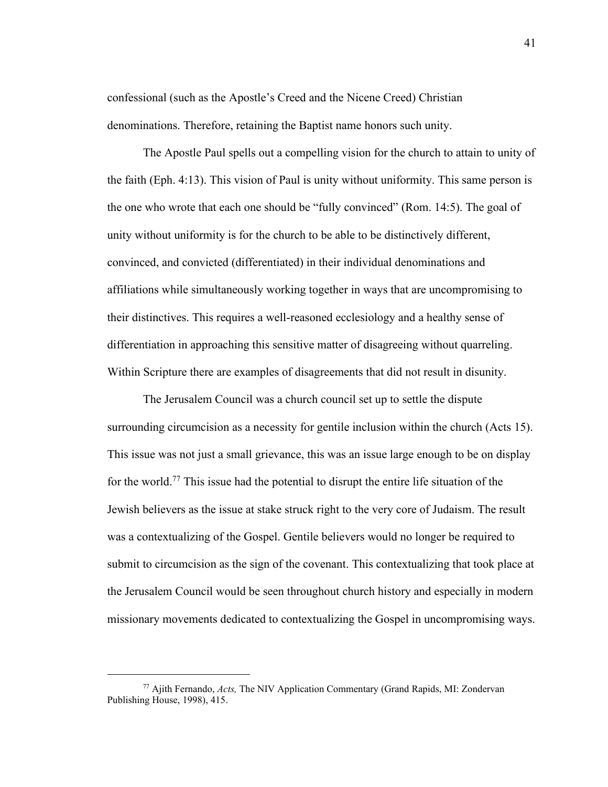confessional (such as the Apostle's Creed and the Nicene Creed) Christian denominations. Therefore, retaining the Baptist name honors such unity.

The Apostle Paul spells out a compelling vision for the church to attain to unity of the faith (Eph. 4:13). This vision of Paul is unity without uniformity. This same person is the one who wrote that each one should be "fully convinced" (Rom. 14:5). The goal of unity without uniformity is for the church to be able to be distinctively different, convinced, and convicted (differentiated) in their individual denominations and affiliations while simultaneously working together in ways that are uncompromising to their distinctives. This requires a well-reasoned ecclesiology and a healthy sense of differentiation in approaching this sensitive matter of disagreeing without quarreling. Within Scripture there are examples of disagreements that did not result in disunity.

The Jerusalem Council was a church council set up to settle the dispute surrounding circumcision as a necessity for gentile inclusion within the church (Acts 15). This issue was not just a small grievance, this was an issue large enough to be on display for the world.<sup>77</sup> This issue had the potential to disrupt the entire life situation of the Jewish believers as the issue at stake struck right to the very core of Judaism. The result was a contextualizing of the Gospel. Gentile believers would no longer be required to submit to circumcision as the sign of the covenant. This contextualizing that took place at the Jerusalem Council would be seen throughout church history and especially in modern missionary movements dedicated to contextualizing the Gospel in uncompromising ways.

<sup>77</sup> Ajith Fernando, *Acts,* The NIV Application Commentary (Grand Rapids, MI: Zondervan Publishing House, 1998), 415.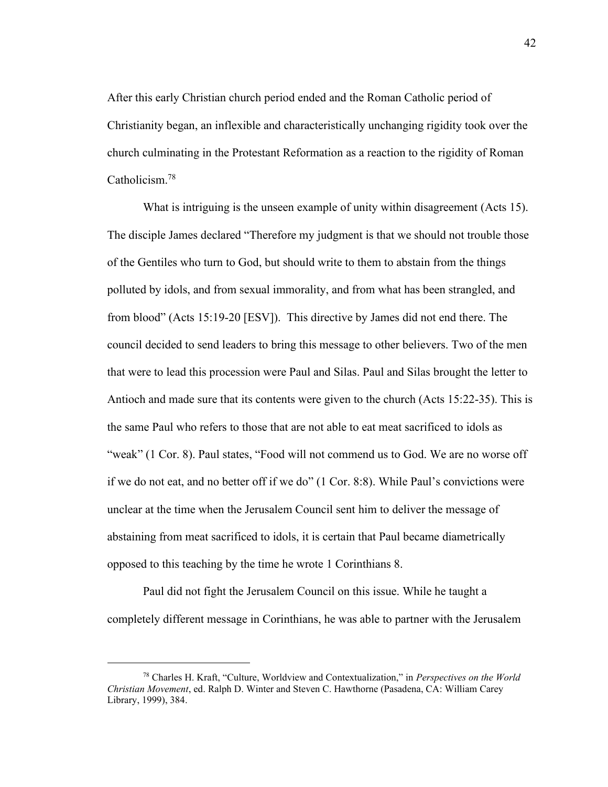After this early Christian church period ended and the Roman Catholic period of Christianity began, an inflexible and characteristically unchanging rigidity took over the church culminating in the Protestant Reformation as a reaction to the rigidity of Roman Catholicism. 78

What is intriguing is the unseen example of unity within disagreement (Acts 15). The disciple James declared "Therefore my judgment is that we should not trouble those of the Gentiles who turn to God, but should write to them to abstain from the things polluted by idols, and from sexual immorality, and from what has been strangled, and from blood" (Acts 15:19-20 [ESV]). This directive by James did not end there. The council decided to send leaders to bring this message to other believers. Two of the men that were to lead this procession were Paul and Silas. Paul and Silas brought the letter to Antioch and made sure that its contents were given to the church (Acts 15:22-35). This is the same Paul who refers to those that are not able to eat meat sacrificed to idols as "weak" (1 Cor. 8). Paul states, "Food will not commend us to God. We are no worse off if we do not eat, and no better off if we do" (1 Cor. 8:8). While Paul's convictions were unclear at the time when the Jerusalem Council sent him to deliver the message of abstaining from meat sacrificed to idols, it is certain that Paul became diametrically opposed to this teaching by the time he wrote 1 Corinthians 8.

Paul did not fight the Jerusalem Council on this issue. While he taught a completely different message in Corinthians, he was able to partner with the Jerusalem

<sup>78</sup> Charles H. Kraft, "Culture, Worldview and Contextualization," in *Perspectives on the World Christian Movement*, ed. Ralph D. Winter and Steven C. Hawthorne (Pasadena, CA: William Carey Library, 1999), 384.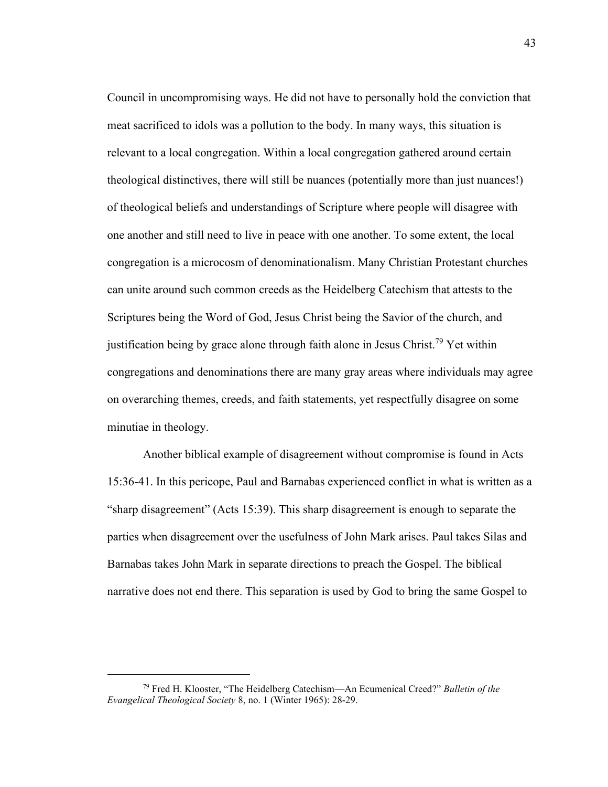Council in uncompromising ways. He did not have to personally hold the conviction that meat sacrificed to idols was a pollution to the body. In many ways, this situation is relevant to a local congregation. Within a local congregation gathered around certain theological distinctives, there will still be nuances (potentially more than just nuances!) of theological beliefs and understandings of Scripture where people will disagree with one another and still need to live in peace with one another. To some extent, the local congregation is a microcosm of denominationalism. Many Christian Protestant churches can unite around such common creeds as the Heidelberg Catechism that attests to the Scriptures being the Word of God, Jesus Christ being the Savior of the church, and justification being by grace alone through faith alone in Jesus Christ.<sup>79</sup> Yet within congregations and denominations there are many gray areas where individuals may agree on overarching themes, creeds, and faith statements, yet respectfully disagree on some minutiae in theology.

Another biblical example of disagreement without compromise is found in Acts 15:36-41. In this pericope, Paul and Barnabas experienced conflict in what is written as a "sharp disagreement" (Acts 15:39). This sharp disagreement is enough to separate the parties when disagreement over the usefulness of John Mark arises. Paul takes Silas and Barnabas takes John Mark in separate directions to preach the Gospel. The biblical narrative does not end there. This separation is used by God to bring the same Gospel to

<sup>79</sup> Fred H. Klooster, "The Heidelberg Catechism—An Ecumenical Creed?" *Bulletin of the Evangelical Theological Society* 8, no. 1 (Winter 1965): 28-29.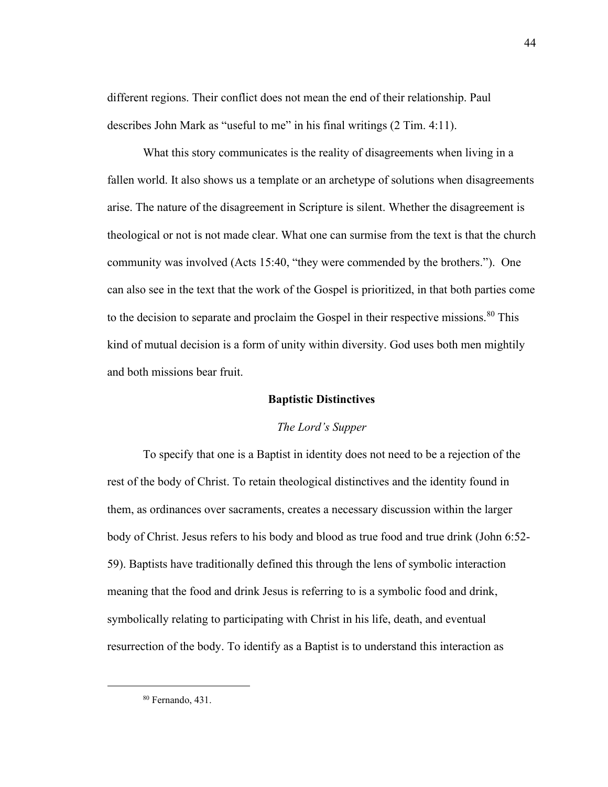different regions. Their conflict does not mean the end of their relationship. Paul describes John Mark as "useful to me" in his final writings (2 Tim. 4:11).

What this story communicates is the reality of disagreements when living in a fallen world. It also shows us a template or an archetype of solutions when disagreements arise. The nature of the disagreement in Scripture is silent. Whether the disagreement is theological or not is not made clear. What one can surmise from the text is that the church community was involved (Acts 15:40, "they were commended by the brothers."). One can also see in the text that the work of the Gospel is prioritized, in that both parties come to the decision to separate and proclaim the Gospel in their respective missions.<sup>80</sup> This kind of mutual decision is a form of unity within diversity. God uses both men mightily and both missions bear fruit.

## **Baptistic Distinctives**

### *The Lord's Supper*

To specify that one is a Baptist in identity does not need to be a rejection of the rest of the body of Christ. To retain theological distinctives and the identity found in them, as ordinances over sacraments, creates a necessary discussion within the larger body of Christ. Jesus refers to his body and blood as true food and true drink (John 6:52- 59). Baptists have traditionally defined this through the lens of symbolic interaction meaning that the food and drink Jesus is referring to is a symbolic food and drink, symbolically relating to participating with Christ in his life, death, and eventual resurrection of the body. To identify as a Baptist is to understand this interaction as

<sup>80</sup> Fernando, 431.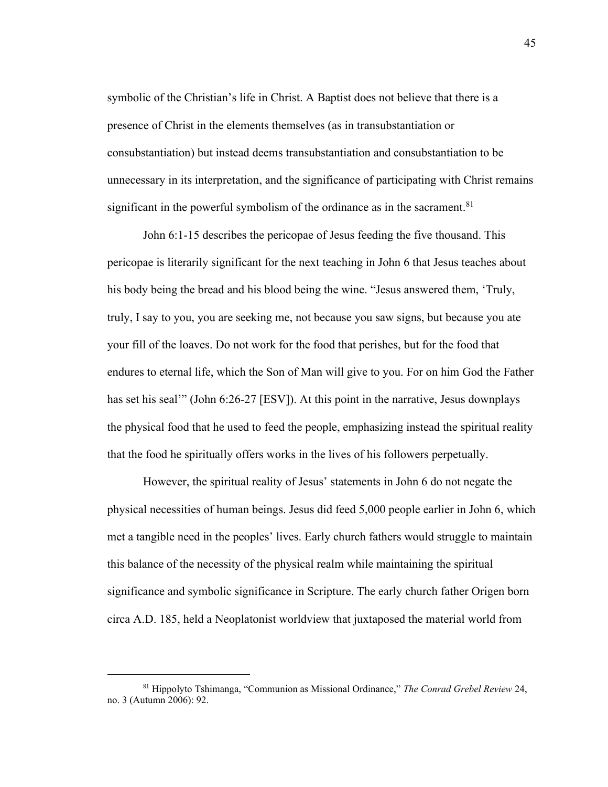symbolic of the Christian's life in Christ. A Baptist does not believe that there is a presence of Christ in the elements themselves (as in transubstantiation or consubstantiation) but instead deems transubstantiation and consubstantiation to be unnecessary in its interpretation, and the significance of participating with Christ remains significant in the powerful symbolism of the ordinance as in the sacrament. $81$ 

John 6:1-15 describes the pericopae of Jesus feeding the five thousand. This pericopae is literarily significant for the next teaching in John 6 that Jesus teaches about his body being the bread and his blood being the wine. "Jesus answered them, 'Truly, truly, I say to you, you are seeking me, not because you saw signs, but because you ate your fill of the loaves. Do not work for the food that perishes, but for the food that endures to eternal life, which the Son of Man will give to you. For on him God the Father has set his seal'" (John 6:26-27 [ESV]). At this point in the narrative, Jesus downplays the physical food that he used to feed the people, emphasizing instead the spiritual reality that the food he spiritually offers works in the lives of his followers perpetually.

However, the spiritual reality of Jesus' statements in John 6 do not negate the physical necessities of human beings. Jesus did feed 5,000 people earlier in John 6, which met a tangible need in the peoples' lives. Early church fathers would struggle to maintain this balance of the necessity of the physical realm while maintaining the spiritual significance and symbolic significance in Scripture. The early church father Origen born circa A.D. 185, held a Neoplatonist worldview that juxtaposed the material world from

<sup>81</sup> Hippolyto Tshimanga, "Communion as Missional Ordinance," *The Conrad Grebel Review* 24, no. 3 (Autumn 2006): 92.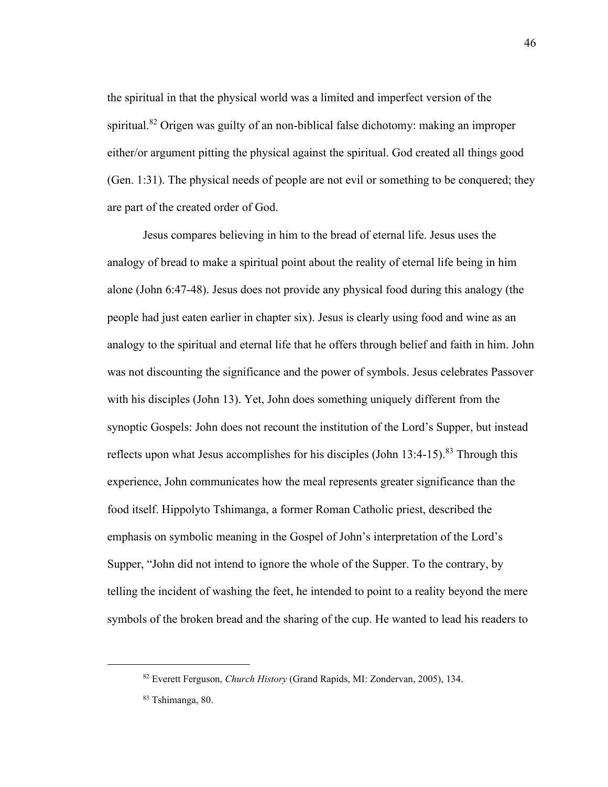the spiritual in that the physical world was a limited and imperfect version of the spiritual.<sup>82</sup> Origen was guilty of an non-biblical false dichotomy: making an improper either/or argument pitting the physical against the spiritual. God created all things good (Gen. 1:31). The physical needs of people are not evil or something to be conquered; they are part of the created order of God.

Jesus compares believing in him to the bread of eternal life. Jesus uses the analogy of bread to make a spiritual point about the reality of eternal life being in him alone (John 6:47-48). Jesus does not provide any physical food during this analogy (the people had just eaten earlier in chapter six). Jesus is clearly using food and wine as an analogy to the spiritual and eternal life that he offers through belief and faith in him. John was not discounting the significance and the power of symbols. Jesus celebrates Passover with his disciples (John 13). Yet, John does something uniquely different from the synoptic Gospels: John does not recount the institution of the Lord's Supper, but instead reflects upon what Jesus accomplishes for his disciples (John  $13:4-15$ ).<sup>83</sup> Through this experience, John communicates how the meal represents greater significance than the food itself. Hippolyto Tshimanga, a former Roman Catholic priest, described the emphasis on symbolic meaning in the Gospel of John's interpretation of the Lord's Supper, "John did not intend to ignore the whole of the Supper. To the contrary, by telling the incident of washing the feet, he intended to point to a reality beyond the mere symbols of the broken bread and the sharing of the cup. He wanted to lead his readers to

<sup>82</sup> Everett Ferguson, *Church History* (Grand Rapids, MI: Zondervan, 2005), 134.

<sup>83</sup> Tshimanga, 80.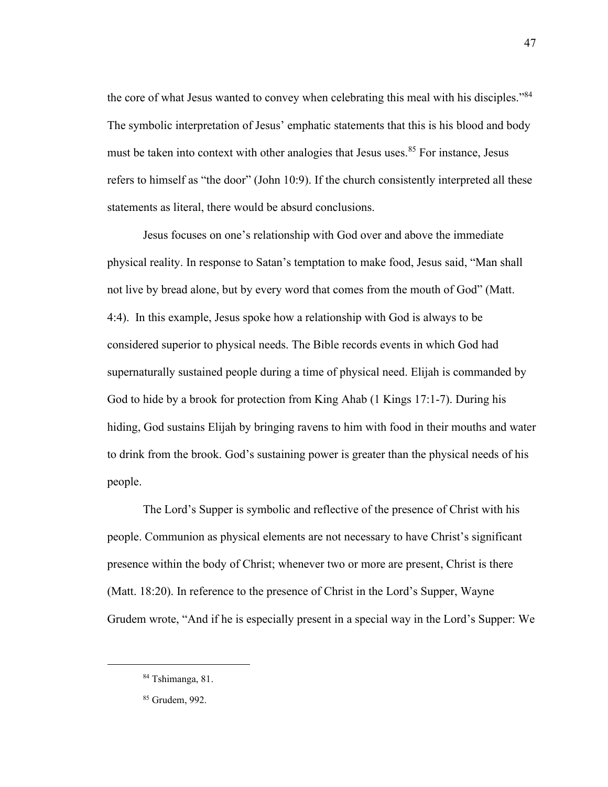the core of what Jesus wanted to convey when celebrating this meal with his disciples."<sup>84</sup> The symbolic interpretation of Jesus' emphatic statements that this is his blood and body must be taken into context with other analogies that Jesus uses.<sup>85</sup> For instance, Jesus refers to himself as "the door" (John 10:9). If the church consistently interpreted all these statements as literal, there would be absurd conclusions.

Jesus focuses on one's relationship with God over and above the immediate physical reality. In response to Satan's temptation to make food, Jesus said, "Man shall not live by bread alone, but by every word that comes from the mouth of God" (Matt. 4:4). In this example, Jesus spoke how a relationship with God is always to be considered superior to physical needs. The Bible records events in which God had supernaturally sustained people during a time of physical need. Elijah is commanded by God to hide by a brook for protection from King Ahab (1 Kings 17:1-7). During his hiding, God sustains Elijah by bringing ravens to him with food in their mouths and water to drink from the brook. God's sustaining power is greater than the physical needs of his people.

The Lord's Supper is symbolic and reflective of the presence of Christ with his people. Communion as physical elements are not necessary to have Christ's significant presence within the body of Christ; whenever two or more are present, Christ is there (Matt. 18:20). In reference to the presence of Christ in the Lord's Supper, Wayne Grudem wrote, "And if he is especially present in a special way in the Lord's Supper: We

<sup>84</sup> Tshimanga, 81.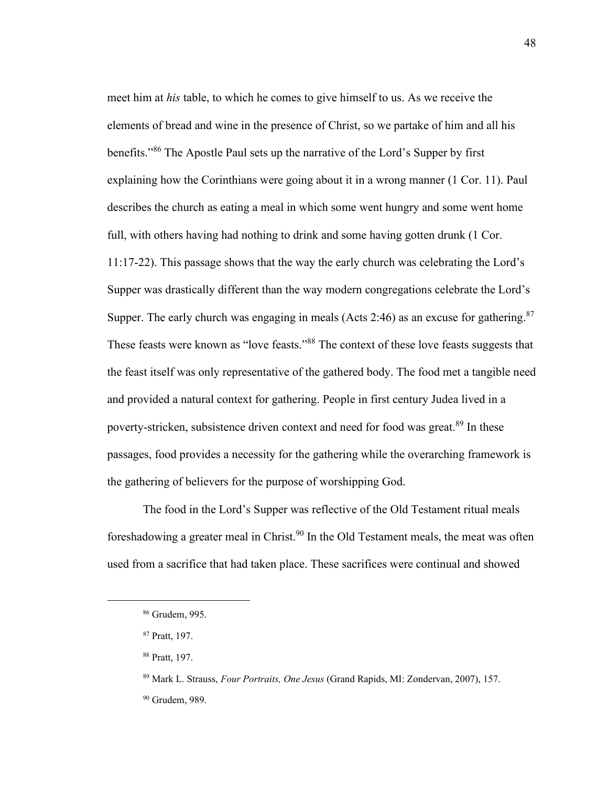meet him at *his* table, to which he comes to give himself to us. As we receive the elements of bread and wine in the presence of Christ, so we partake of him and all his benefits."<sup>86</sup> The Apostle Paul sets up the narrative of the Lord's Supper by first explaining how the Corinthians were going about it in a wrong manner (1 Cor. 11). Paul describes the church as eating a meal in which some went hungry and some went home full, with others having had nothing to drink and some having gotten drunk (1 Cor. 11:17-22). This passage shows that the way the early church was celebrating the Lord's Supper was drastically different than the way modern congregations celebrate the Lord's Supper. The early church was engaging in meals (Acts 2:46) as an excuse for gathering.<sup>87</sup> These feasts were known as "love feasts."<sup>88</sup> The context of these love feasts suggests that the feast itself was only representative of the gathered body. The food met a tangible need and provided a natural context for gathering. People in first century Judea lived in a poverty-stricken, subsistence driven context and need for food was great.<sup>89</sup> In these passages, food provides a necessity for the gathering while the overarching framework is the gathering of believers for the purpose of worshipping God.

The food in the Lord's Supper was reflective of the Old Testament ritual meals foreshadowing a greater meal in Christ.<sup>90</sup> In the Old Testament meals, the meat was often used from a sacrifice that had taken place. These sacrifices were continual and showed

<sup>86</sup> Grudem, 995.

<sup>87</sup> Pratt, 197.

<sup>88</sup> Pratt, 197.

<sup>89</sup> Mark L. Strauss, *Four Portraits, One Jesus* (Grand Rapids, MI: Zondervan, 2007), 157.

<sup>90</sup> Grudem, 989.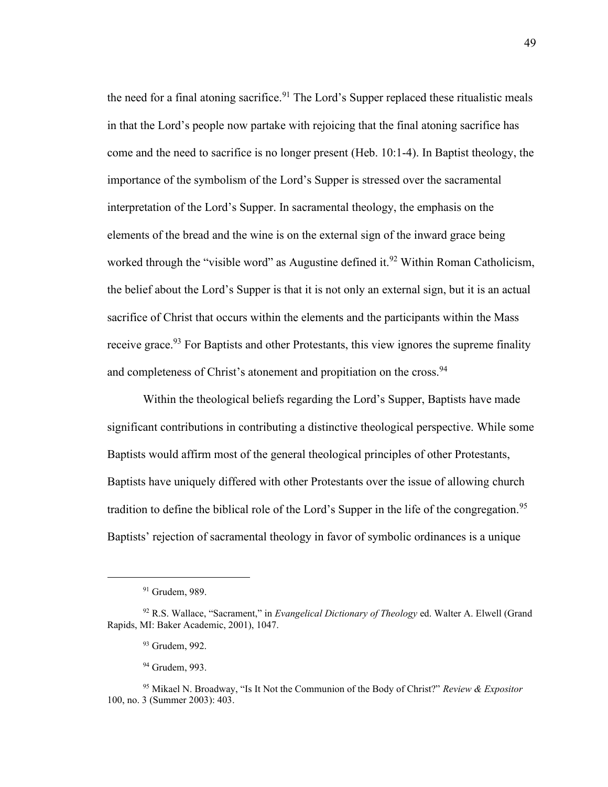the need for a final atoning sacrifice.<sup>91</sup> The Lord's Supper replaced these ritualistic meals in that the Lord's people now partake with rejoicing that the final atoning sacrifice has come and the need to sacrifice is no longer present (Heb. 10:1-4). In Baptist theology, the importance of the symbolism of the Lord's Supper is stressed over the sacramental interpretation of the Lord's Supper. In sacramental theology, the emphasis on the elements of the bread and the wine is on the external sign of the inward grace being worked through the "visible word" as Augustine defined it.<sup>92</sup> Within Roman Catholicism, the belief about the Lord's Supper is that it is not only an external sign, but it is an actual sacrifice of Christ that occurs within the elements and the participants within the Mass receive grace.<sup>93</sup> For Baptists and other Protestants, this view ignores the supreme finality and completeness of Christ's atonement and propitiation on the cross.<sup>94</sup>

Within the theological beliefs regarding the Lord's Supper, Baptists have made significant contributions in contributing a distinctive theological perspective. While some Baptists would affirm most of the general theological principles of other Protestants, Baptists have uniquely differed with other Protestants over the issue of allowing church tradition to define the biblical role of the Lord's Supper in the life of the congregation.<sup>95</sup> Baptists' rejection of sacramental theology in favor of symbolic ordinances is a unique

<sup>&</sup>lt;sup>91</sup> Grudem, 989.

<sup>92</sup> R.S. Wallace, "Sacrament," in *Evangelical Dictionary of Theology* ed. Walter A. Elwell (Grand Rapids, MI: Baker Academic, 2001), 1047.

<sup>93</sup> Grudem, 992.

<sup>94</sup> Grudem, 993.

<sup>95</sup> Mikael N. Broadway, "Is It Not the Communion of the Body of Christ?" *Review & Expositor* 100, no. 3 (Summer 2003): 403.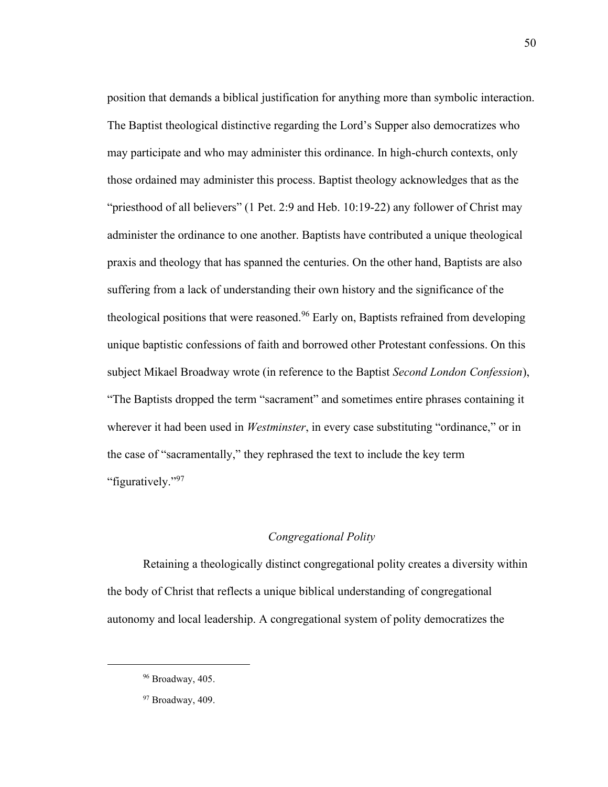position that demands a biblical justification for anything more than symbolic interaction. The Baptist theological distinctive regarding the Lord's Supper also democratizes who may participate and who may administer this ordinance. In high-church contexts, only those ordained may administer this process. Baptist theology acknowledges that as the "priesthood of all believers" (1 Pet. 2:9 and Heb. 10:19-22) any follower of Christ may administer the ordinance to one another. Baptists have contributed a unique theological praxis and theology that has spanned the centuries. On the other hand, Baptists are also suffering from a lack of understanding their own history and the significance of the theological positions that were reasoned.<sup>96</sup> Early on, Baptists refrained from developing unique baptistic confessions of faith and borrowed other Protestant confessions. On this subject Mikael Broadway wrote (in reference to the Baptist *Second London Confession*), "The Baptists dropped the term "sacrament" and sometimes entire phrases containing it wherever it had been used in *Westminster*, in every case substituting "ordinance," or in the case of "sacramentally," they rephrased the text to include the key term "figuratively."<sup>97</sup>

#### *Congregational Polity*

Retaining a theologically distinct congregational polity creates a diversity within the body of Christ that reflects a unique biblical understanding of congregational autonomy and local leadership. A congregational system of polity democratizes the

50

<sup>96</sup> Broadway, 405.

<sup>97</sup> Broadway, 409.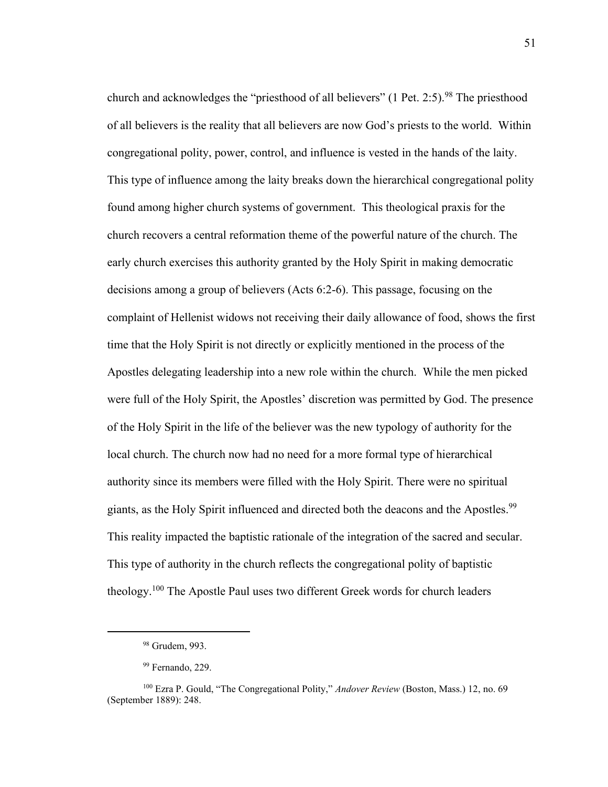church and acknowledges the "priesthood of all believers" (1 Pet. 2:5).<sup>98</sup> The priesthood of all believers is the reality that all believers are now God's priests to the world. Within congregational polity, power, control, and influence is vested in the hands of the laity. This type of influence among the laity breaks down the hierarchical congregational polity found among higher church systems of government. This theological praxis for the church recovers a central reformation theme of the powerful nature of the church. The early church exercises this authority granted by the Holy Spirit in making democratic decisions among a group of believers (Acts 6:2-6). This passage, focusing on the complaint of Hellenist widows not receiving their daily allowance of food, shows the first time that the Holy Spirit is not directly or explicitly mentioned in the process of the Apostles delegating leadership into a new role within the church. While the men picked were full of the Holy Spirit, the Apostles' discretion was permitted by God. The presence of the Holy Spirit in the life of the believer was the new typology of authority for the local church. The church now had no need for a more formal type of hierarchical authority since its members were filled with the Holy Spirit. There were no spiritual giants, as the Holy Spirit influenced and directed both the deacons and the Apostles.<sup>99</sup> This reality impacted the baptistic rationale of the integration of the sacred and secular. This type of authority in the church reflects the congregational polity of baptistic theology.<sup>100</sup> The Apostle Paul uses two different Greek words for church leaders

<sup>98</sup> Grudem, 993.

<sup>99</sup> Fernando, 229.

<sup>100</sup> Ezra P. Gould, "The Congregational Polity," *Andover Review* (Boston, Mass.) 12, no. 69 (September 1889): 248.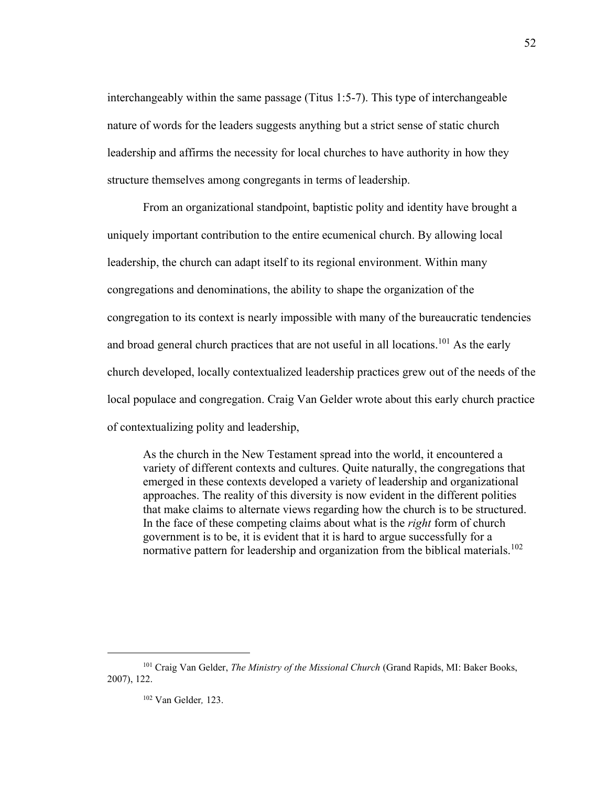interchangeably within the same passage (Titus 1:5-7). This type of interchangeable nature of words for the leaders suggests anything but a strict sense of static church leadership and affirms the necessity for local churches to have authority in how they structure themselves among congregants in terms of leadership.

From an organizational standpoint, baptistic polity and identity have brought a uniquely important contribution to the entire ecumenical church. By allowing local leadership, the church can adapt itself to its regional environment. Within many congregations and denominations, the ability to shape the organization of the congregation to its context is nearly impossible with many of the bureaucratic tendencies and broad general church practices that are not useful in all locations.<sup>101</sup> As the early church developed, locally contextualized leadership practices grew out of the needs of the local populace and congregation. Craig Van Gelder wrote about this early church practice of contextualizing polity and leadership,

As the church in the New Testament spread into the world, it encountered a variety of different contexts and cultures. Quite naturally, the congregations that emerged in these contexts developed a variety of leadership and organizational approaches. The reality of this diversity is now evident in the different polities that make claims to alternate views regarding how the church is to be structured. In the face of these competing claims about what is the *right* form of church government is to be, it is evident that it is hard to argue successfully for a normative pattern for leadership and organization from the biblical materials.<sup>102</sup>

52

<sup>101</sup> Craig Van Gelder, *The Ministry of the Missional Church* (Grand Rapids, MI: Baker Books, 2007), 122.

<sup>102</sup> Van Gelder*,* 123.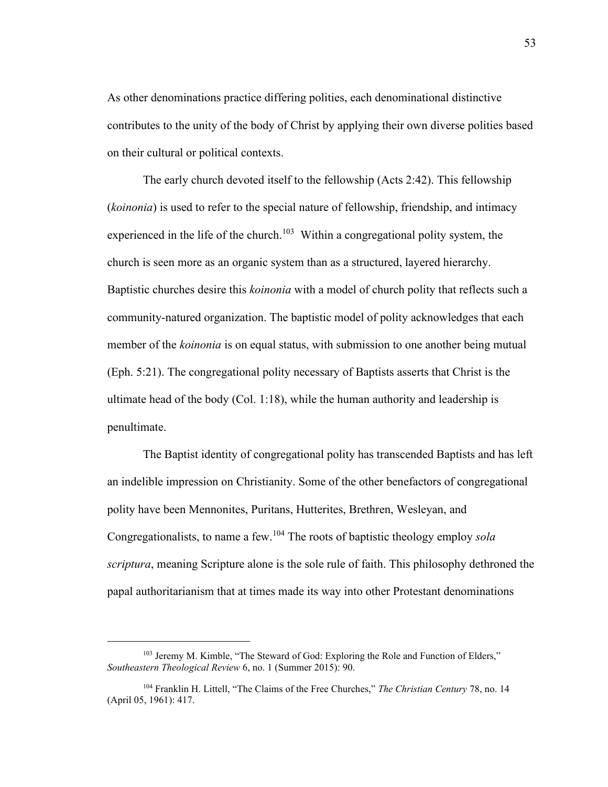As other denominations practice differing polities, each denominational distinctive contributes to the unity of the body of Christ by applying their own diverse polities based on their cultural or political contexts.

The early church devoted itself to the fellowship (Acts 2:42). This fellowship (*koinonia*) is used to refer to the special nature of fellowship, friendship, and intimacy experienced in the life of the church.<sup>103</sup> Within a congregational polity system, the church is seen more as an organic system than as a structured, layered hierarchy. Baptistic churches desire this *koinonia* with a model of church polity that reflects such a community-natured organization. The baptistic model of polity acknowledges that each member of the *koinonia* is on equal status, with submission to one another being mutual (Eph. 5:21). The congregational polity necessary of Baptists asserts that Christ is the ultimate head of the body (Col. 1:18), while the human authority and leadership is penultimate.

The Baptist identity of congregational polity has transcended Baptists and has left an indelible impression on Christianity. Some of the other benefactors of congregational polity have been Mennonites, Puritans, Hutterites, Brethren, Wesleyan, and Congregationalists, to name a few.<sup>104</sup> The roots of baptistic theology employ *sola scriptura*, meaning Scripture alone is the sole rule of faith. This philosophy dethroned the papal authoritarianism that at times made its way into other Protestant denominations

<sup>&</sup>lt;sup>103</sup> Jeremy M. Kimble, "The Steward of God: Exploring the Role and Function of Elders," *Southeastern Theological Review* 6, no. 1 (Summer 2015): 90.

<sup>104</sup> Franklin H. Littell, "The Claims of the Free Churches," *The Christian Century* 78, no. 14 (April 05, 1961): 417.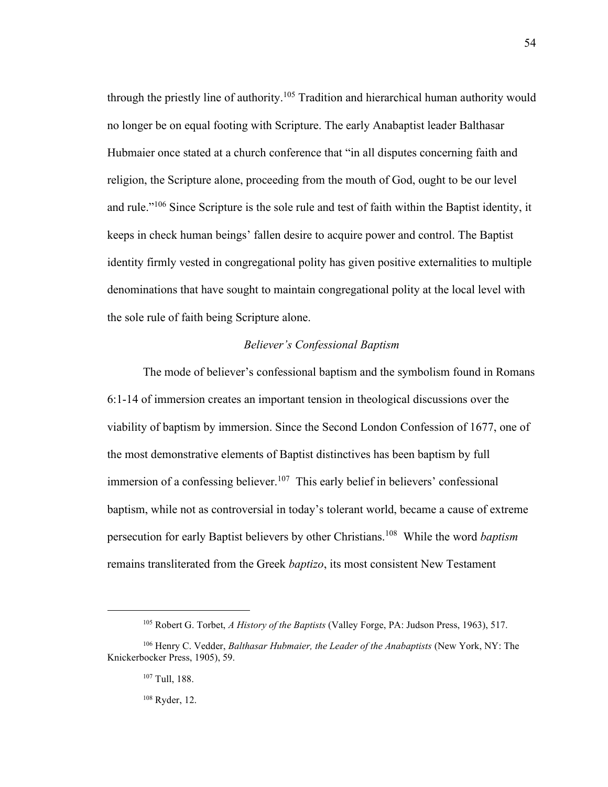through the priestly line of authority.<sup>105</sup> Tradition and hierarchical human authority would no longer be on equal footing with Scripture. The early Anabaptist leader Balthasar Hubmaier once stated at a church conference that "in all disputes concerning faith and religion, the Scripture alone, proceeding from the mouth of God, ought to be our level and rule."<sup>106</sup> Since Scripture is the sole rule and test of faith within the Baptist identity, it keeps in check human beings' fallen desire to acquire power and control. The Baptist identity firmly vested in congregational polity has given positive externalities to multiple denominations that have sought to maintain congregational polity at the local level with the sole rule of faith being Scripture alone.

# *Believer's Confessional Baptism*

The mode of believer's confessional baptism and the symbolism found in Romans 6:1-14 of immersion creates an important tension in theological discussions over the viability of baptism by immersion. Since the Second London Confession of 1677, one of the most demonstrative elements of Baptist distinctives has been baptism by full immersion of a confessing believer.<sup>107</sup> This early belief in believers' confessional baptism, while not as controversial in today's tolerant world, became a cause of extreme persecution for early Baptist believers by other Christians.<sup>108</sup> While the word *baptism* remains transliterated from the Greek *baptizo*, its most consistent New Testament

<sup>105</sup> Robert G. Torbet, *A History of the Baptists* (Valley Forge, PA: Judson Press, 1963), 517.

<sup>106</sup> Henry C. Vedder, *Balthasar Hubmaier, the Leader of the Anabaptists* (New York, NY: The Knickerbocker Press, 1905), 59.

<sup>107</sup> Tull, 188.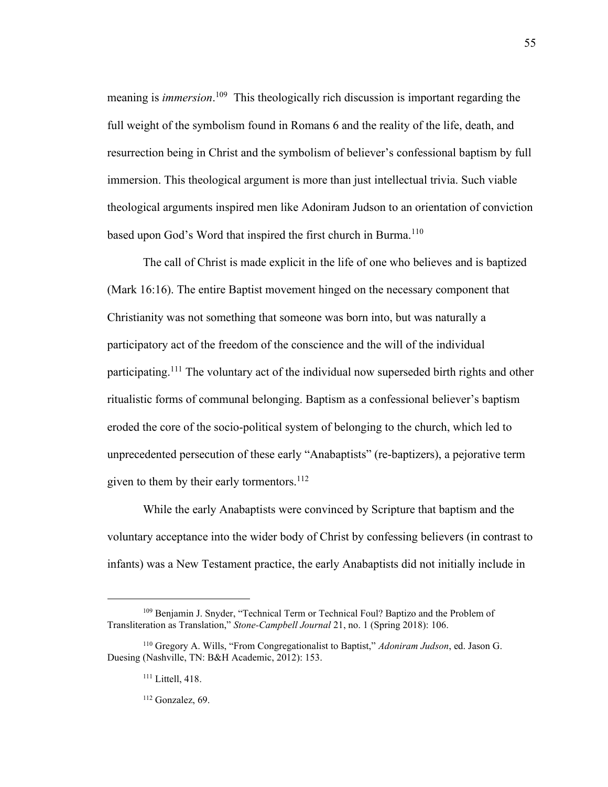meaning is *immersion*. 109 This theologically rich discussion is important regarding the full weight of the symbolism found in Romans 6 and the reality of the life, death, and resurrection being in Christ and the symbolism of believer's confessional baptism by full immersion. This theological argument is more than just intellectual trivia. Such viable theological arguments inspired men like Adoniram Judson to an orientation of conviction based upon God's Word that inspired the first church in Burma.<sup>110</sup>

The call of Christ is made explicit in the life of one who believes and is baptized (Mark 16:16). The entire Baptist movement hinged on the necessary component that Christianity was not something that someone was born into, but was naturally a participatory act of the freedom of the conscience and the will of the individual participating.<sup>111</sup> The voluntary act of the individual now superseded birth rights and other ritualistic forms of communal belonging. Baptism as a confessional believer's baptism eroded the core of the socio-political system of belonging to the church, which led to unprecedented persecution of these early "Anabaptists" (re-baptizers), a pejorative term given to them by their early tormentors. $^{112}$ 

While the early Anabaptists were convinced by Scripture that baptism and the voluntary acceptance into the wider body of Christ by confessing believers (in contrast to infants) was a New Testament practice, the early Anabaptists did not initially include in

<sup>112</sup> Gonzalez, 69.

<sup>109</sup> Benjamin J. Snyder, "Technical Term or Technical Foul? Baptizo and the Problem of Transliteration as Translation," *Stone-Campbell Journal* 21, no. 1 (Spring 2018): 106.

<sup>110</sup> Gregory A. Wills, "From Congregationalist to Baptist," *Adoniram Judson*, ed. Jason G. Duesing (Nashville, TN: B&H Academic, 2012): 153.

<sup>&</sup>lt;sup>111</sup> Littell, 418.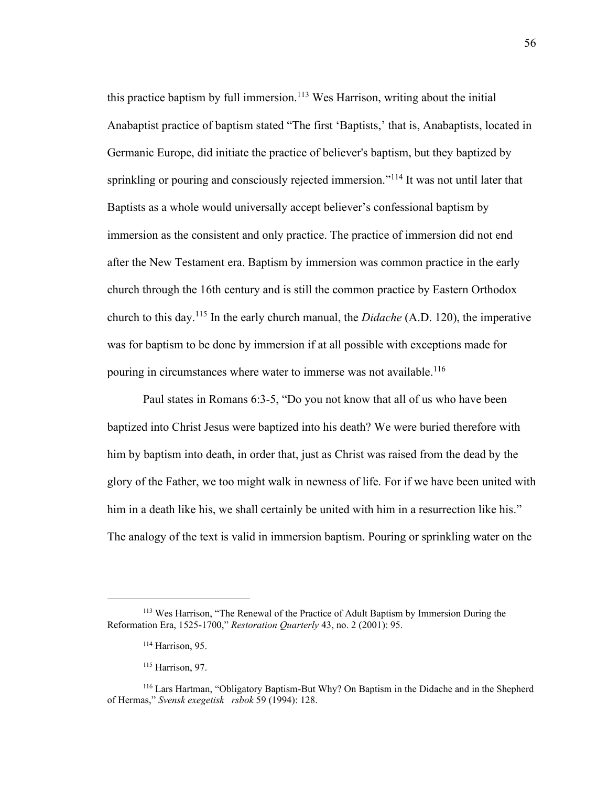this practice baptism by full immersion.<sup>113</sup> Wes Harrison, writing about the initial Anabaptist practice of baptism stated "The first 'Baptists,' that is, Anabaptists, located in Germanic Europe, did initiate the practice of believer's baptism, but they baptized by sprinkling or pouring and consciously rejected immersion."<sup>114</sup> It was not until later that Baptists as a whole would universally accept believer's confessional baptism by immersion as the consistent and only practice. The practice of immersion did not end after the New Testament era. Baptism by immersion was common practice in the early church through the 16th century and is still the common practice by Eastern Orthodox church to this day.<sup>115</sup> In the early church manual, the *Didache* (A.D. 120), the imperative was for baptism to be done by immersion if at all possible with exceptions made for pouring in circumstances where water to immerse was not available.<sup>116</sup>

Paul states in Romans 6:3-5, "Do you not know that all of us who have been baptized into Christ Jesus were baptized into his death? We were buried therefore with him by baptism into death, in order that, just as Christ was raised from the dead by the glory of the Father, we too might walk in newness of life. For if we have been united with him in a death like his, we shall certainly be united with him in a resurrection like his." The analogy of the text is valid in immersion baptism. Pouring or sprinkling water on the

<sup>&</sup>lt;sup>113</sup> Wes Harrison, "The Renewal of the Practice of Adult Baptism by Immersion During the Reformation Era, 1525-1700," *Restoration Quarterly* 43, no. 2 (2001): 95.

<sup>&</sup>lt;sup>114</sup> Harrison, 95.

<sup>115</sup> Harrison, 97.

<sup>116</sup> Lars Hartman, "Obligatory Baptism-But Why? On Baptism in the Didache and in the Shepherd of Hermas," *Svensk exegetisk rsbok* 59 (1994): 128.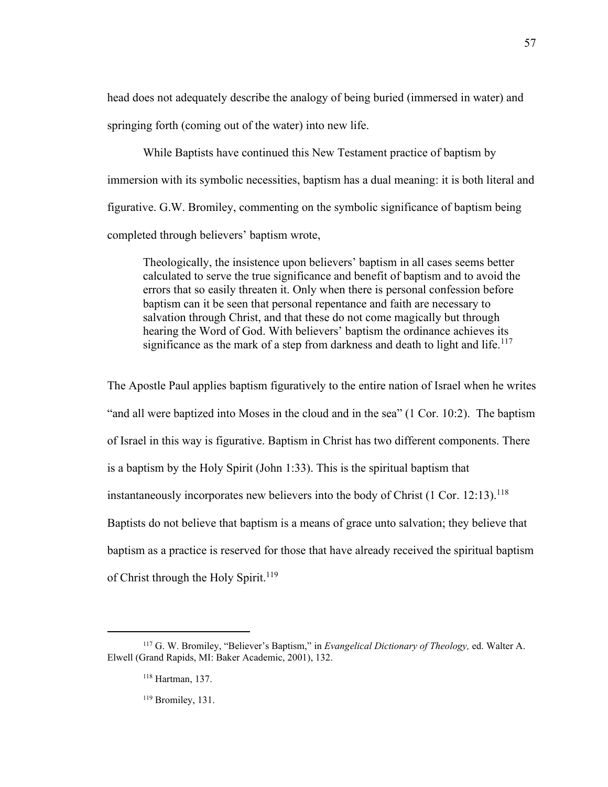head does not adequately describe the analogy of being buried (immersed in water) and springing forth (coming out of the water) into new life.

While Baptists have continued this New Testament practice of baptism by immersion with its symbolic necessities, baptism has a dual meaning: it is both literal and figurative. G.W. Bromiley, commenting on the symbolic significance of baptism being completed through believers' baptism wrote,

Theologically, the insistence upon believers' baptism in all cases seems better calculated to serve the true significance and benefit of baptism and to avoid the errors that so easily threaten it. Only when there is personal confession before baptism can it be seen that personal repentance and faith are necessary to salvation through Christ, and that these do not come magically but through hearing the Word of God. With believers' baptism the ordinance achieves its significance as the mark of a step from darkness and death to light and life.<sup>117</sup>

The Apostle Paul applies baptism figuratively to the entire nation of Israel when he writes "and all were baptized into Moses in the cloud and in the sea" (1 Cor. 10:2). The baptism of Israel in this way is figurative. Baptism in Christ has two different components. There is a baptism by the Holy Spirit (John 1:33). This is the spiritual baptism that instantaneously incorporates new believers into the body of Christ  $(1 \text{ Cor. } 12:13)$ .<sup>118</sup> Baptists do not believe that baptism is a means of grace unto salvation; they believe that baptism as a practice is reserved for those that have already received the spiritual baptism of Christ through the Holy Spirit.<sup>119</sup>

<sup>117</sup> G. W. Bromiley, "Believer's Baptism," in *Evangelical Dictionary of Theology,* ed. Walter A. Elwell (Grand Rapids, MI: Baker Academic, 2001), 132.

<sup>118</sup> Hartman, 137.

<sup>119</sup> Bromiley, 131.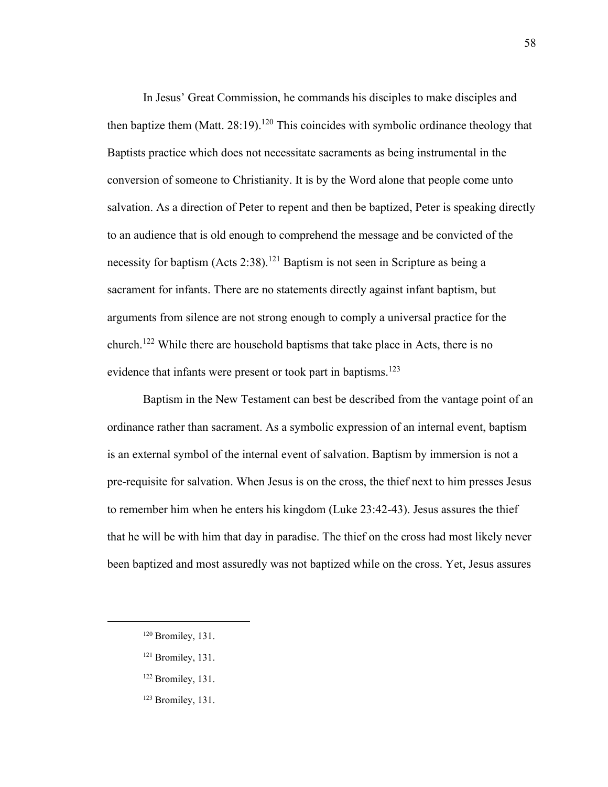In Jesus' Great Commission, he commands his disciples to make disciples and then baptize them (Matt.  $28:19$ ).<sup>120</sup> This coincides with symbolic ordinance theology that Baptists practice which does not necessitate sacraments as being instrumental in the conversion of someone to Christianity. It is by the Word alone that people come unto salvation. As a direction of Peter to repent and then be baptized, Peter is speaking directly to an audience that is old enough to comprehend the message and be convicted of the necessity for baptism (Acts 2:38).<sup>121</sup> Baptism is not seen in Scripture as being a sacrament for infants. There are no statements directly against infant baptism, but arguments from silence are not strong enough to comply a universal practice for the church. <sup>122</sup> While there are household baptisms that take place in Acts, there is no evidence that infants were present or took part in baptisms.<sup>123</sup>

Baptism in the New Testament can best be described from the vantage point of an ordinance rather than sacrament. As a symbolic expression of an internal event, baptism is an external symbol of the internal event of salvation. Baptism by immersion is not a pre-requisite for salvation. When Jesus is on the cross, the thief next to him presses Jesus to remember him when he enters his kingdom (Luke 23:42-43). Jesus assures the thief that he will be with him that day in paradise. The thief on the cross had most likely never been baptized and most assuredly was not baptized while on the cross. Yet, Jesus assures

<sup>120</sup> Bromiley, 131.

<sup>121</sup> Bromiley, 131.

<sup>122</sup> Bromiley, 131.

<sup>123</sup> Bromiley, 131.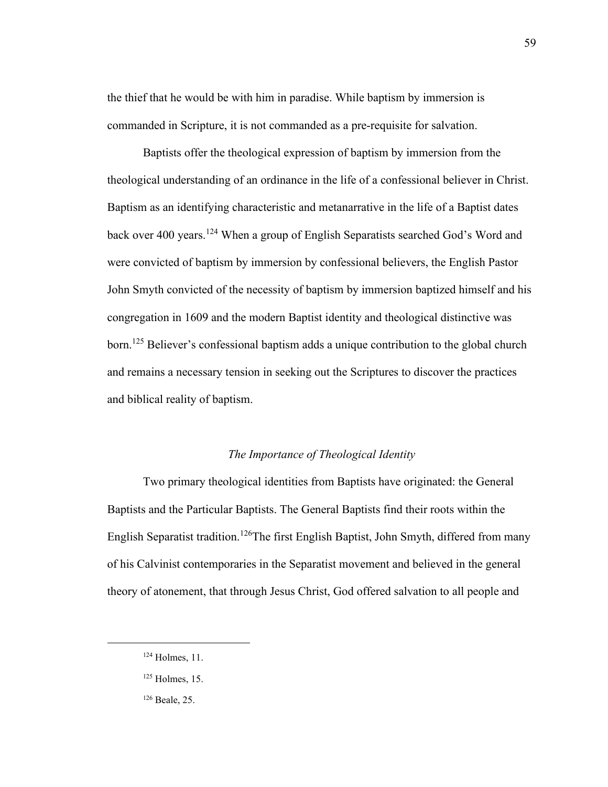the thief that he would be with him in paradise. While baptism by immersion is commanded in Scripture, it is not commanded as a pre-requisite for salvation.

Baptists offer the theological expression of baptism by immersion from the theological understanding of an ordinance in the life of a confessional believer in Christ. Baptism as an identifying characteristic and metanarrative in the life of a Baptist dates back over 400 years.<sup>124</sup> When a group of English Separatists searched God's Word and were convicted of baptism by immersion by confessional believers, the English Pastor John Smyth convicted of the necessity of baptism by immersion baptized himself and his congregation in 1609 and the modern Baptist identity and theological distinctive was born.<sup>125</sup> Believer's confessional baptism adds a unique contribution to the global church and remains a necessary tension in seeking out the Scriptures to discover the practices and biblical reality of baptism.

### *The Importance of Theological Identity*

Two primary theological identities from Baptists have originated: the General Baptists and the Particular Baptists. The General Baptists find their roots within the English Separatist tradition.<sup>126</sup>The first English Baptist, John Smyth, differed from many of his Calvinist contemporaries in the Separatist movement and believed in the general theory of atonement, that through Jesus Christ, God offered salvation to all people and

<sup>124</sup> Holmes, 11.

 $125$  Holmes, 15.

<sup>126</sup> Beale, 25.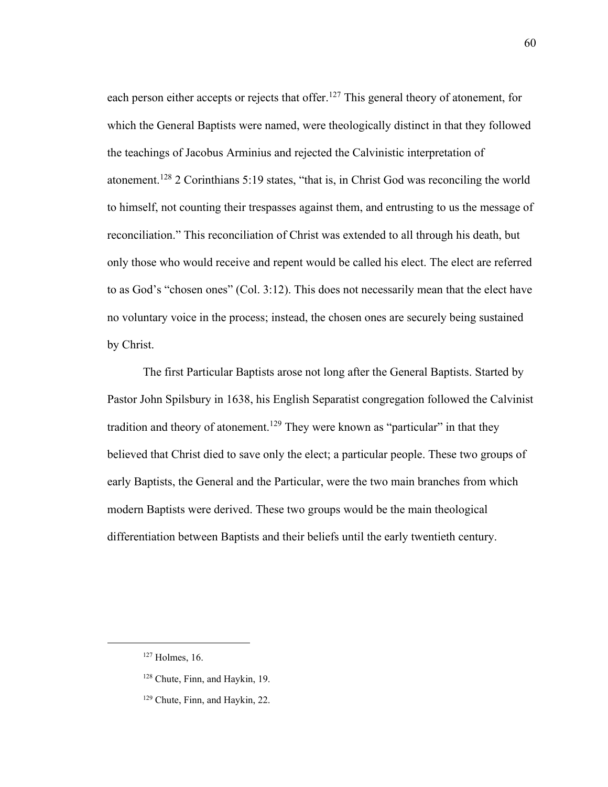each person either accepts or rejects that offer.<sup>127</sup> This general theory of atonement, for which the General Baptists were named, were theologically distinct in that they followed the teachings of Jacobus Arminius and rejected the Calvinistic interpretation of atonement.<sup>128</sup> 2 Corinthians 5:19 states, "that is, in Christ God was reconciling the world to himself, not counting their trespasses against them, and entrusting to us the message of reconciliation." This reconciliation of Christ was extended to all through his death, but only those who would receive and repent would be called his elect. The elect are referred to as God's "chosen ones" (Col. 3:12). This does not necessarily mean that the elect have no voluntary voice in the process; instead, the chosen ones are securely being sustained by Christ.

The first Particular Baptists arose not long after the General Baptists. Started by Pastor John Spilsbury in 1638, his English Separatist congregation followed the Calvinist tradition and theory of atonement.<sup>129</sup> They were known as "particular" in that they believed that Christ died to save only the elect; a particular people. These two groups of early Baptists, the General and the Particular, were the two main branches from which modern Baptists were derived. These two groups would be the main theological differentiation between Baptists and their beliefs until the early twentieth century.

<sup>127</sup> Holmes, 16.

<sup>&</sup>lt;sup>128</sup> Chute, Finn, and Haykin, 19.

<sup>129</sup> Chute, Finn, and Haykin, 22.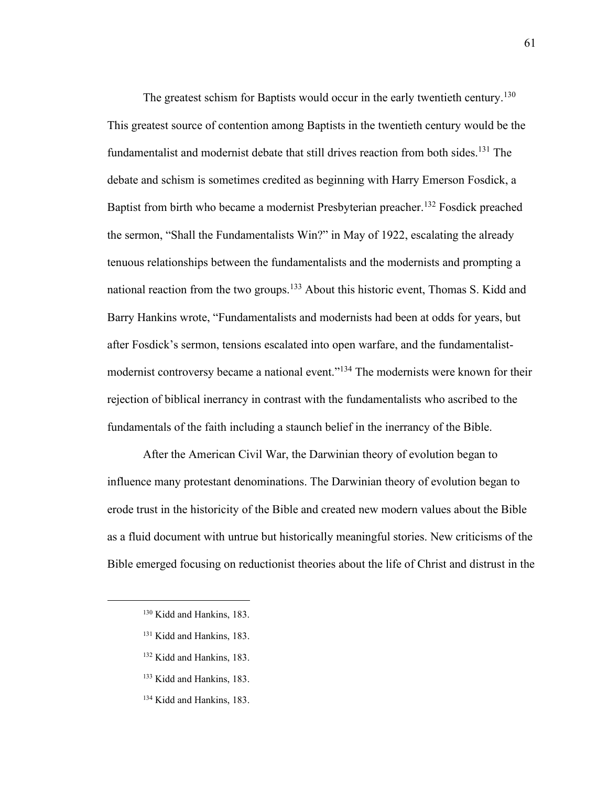The greatest schism for Baptists would occur in the early twentieth century.<sup>130</sup> This greatest source of contention among Baptists in the twentieth century would be the fundamentalist and modernist debate that still drives reaction from both sides.<sup>131</sup> The debate and schism is sometimes credited as beginning with Harry Emerson Fosdick, a Baptist from birth who became a modernist Presbyterian preacher.<sup>132</sup> Fosdick preached the sermon, "Shall the Fundamentalists Win?" in May of 1922, escalating the already tenuous relationships between the fundamentalists and the modernists and prompting a national reaction from the two groups.<sup>133</sup> About this historic event, Thomas S. Kidd and Barry Hankins wrote, "Fundamentalists and modernists had been at odds for years, but after Fosdick's sermon, tensions escalated into open warfare, and the fundamentalistmodernist controversy became a national event."<sup>134</sup> The modernists were known for their rejection of biblical inerrancy in contrast with the fundamentalists who ascribed to the fundamentals of the faith including a staunch belief in the inerrancy of the Bible.

After the American Civil War, the Darwinian theory of evolution began to influence many protestant denominations. The Darwinian theory of evolution began to erode trust in the historicity of the Bible and created new modern values about the Bible as a fluid document with untrue but historically meaningful stories. New criticisms of the Bible emerged focusing on reductionist theories about the life of Christ and distrust in the

- <sup>131</sup> Kidd and Hankins, 183.
- <sup>132</sup> Kidd and Hankins, 183.
- <sup>133</sup> Kidd and Hankins, 183.

<sup>&</sup>lt;sup>130</sup> Kidd and Hankins, 183.

<sup>134</sup> Kidd and Hankins, 183.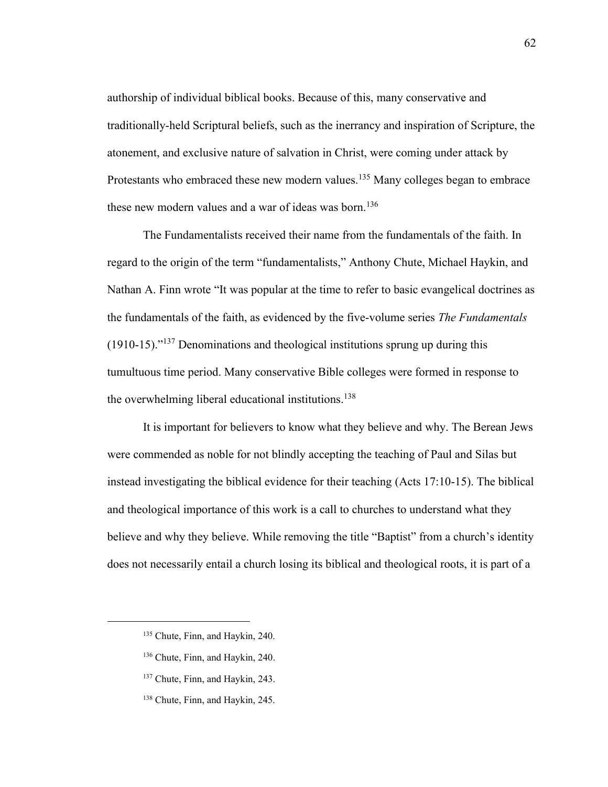authorship of individual biblical books. Because of this, many conservative and traditionally-held Scriptural beliefs, such as the inerrancy and inspiration of Scripture, the atonement, and exclusive nature of salvation in Christ, were coming under attack by Protestants who embraced these new modern values.<sup>135</sup> Many colleges began to embrace these new modern values and a war of ideas was born.<sup>136</sup>

The Fundamentalists received their name from the fundamentals of the faith. In regard to the origin of the term "fundamentalists," Anthony Chute, Michael Haykin, and Nathan A. Finn wrote "It was popular at the time to refer to basic evangelical doctrines as the fundamentals of the faith, as evidenced by the five-volume series *The Fundamentals*  (1910-15)." <sup>137</sup> Denominations and theological institutions sprung up during this tumultuous time period. Many conservative Bible colleges were formed in response to the overwhelming liberal educational institutions.<sup>138</sup>

It is important for believers to know what they believe and why. The Berean Jews were commended as noble for not blindly accepting the teaching of Paul and Silas but instead investigating the biblical evidence for their teaching (Acts 17:10-15). The biblical and theological importance of this work is a call to churches to understand what they believe and why they believe. While removing the title "Baptist" from a church's identity does not necessarily entail a church losing its biblical and theological roots, it is part of a

- <sup>136</sup> Chute, Finn, and Haykin, 240.
- <sup>137</sup> Chute, Finn, and Haykin, 243.
- <sup>138</sup> Chute, Finn, and Haykin, 245.

<sup>135</sup> Chute, Finn, and Haykin, 240.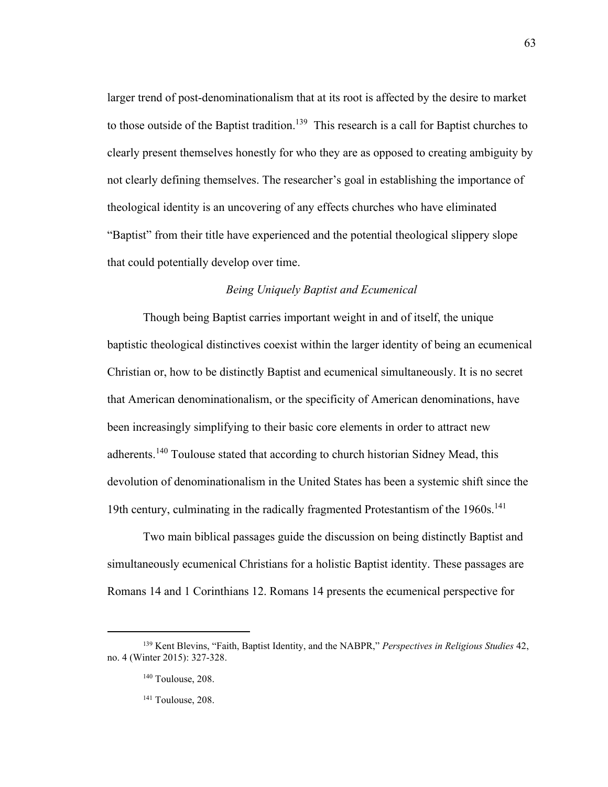larger trend of post-denominationalism that at its root is affected by the desire to market to those outside of the Baptist tradition.<sup>139</sup> This research is a call for Baptist churches to clearly present themselves honestly for who they are as opposed to creating ambiguity by not clearly defining themselves. The researcher's goal in establishing the importance of theological identity is an uncovering of any effects churches who have eliminated "Baptist" from their title have experienced and the potential theological slippery slope that could potentially develop over time.

## *Being Uniquely Baptist and Ecumenical*

Though being Baptist carries important weight in and of itself, the unique baptistic theological distinctives coexist within the larger identity of being an ecumenical Christian or, how to be distinctly Baptist and ecumenical simultaneously. It is no secret that American denominationalism, or the specificity of American denominations, have been increasingly simplifying to their basic core elements in order to attract new adherents.<sup>140</sup> Toulouse stated that according to church historian Sidney Mead, this devolution of denominationalism in the United States has been a systemic shift since the 19th century, culminating in the radically fragmented Protestantism of the 1960s. 141

Two main biblical passages guide the discussion on being distinctly Baptist and simultaneously ecumenical Christians for a holistic Baptist identity. These passages are Romans 14 and 1 Corinthians 12. Romans 14 presents the ecumenical perspective for

<sup>139</sup> Kent Blevins, "Faith, Baptist Identity, and the NABPR," *Perspectives in Religious Studies* 42, no. 4 (Winter 2015): 327-328.

<sup>&</sup>lt;sup>140</sup> Toulouse, 208.

<sup>&</sup>lt;sup>141</sup> Toulouse, 208.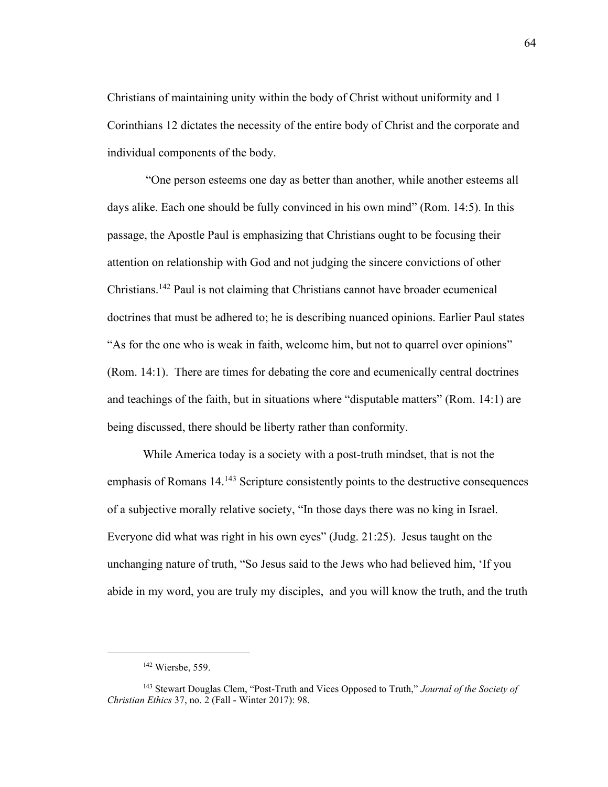Christians of maintaining unity within the body of Christ without uniformity and 1 Corinthians 12 dictates the necessity of the entire body of Christ and the corporate and individual components of the body.

"One person esteems one day as better than another, while another esteems all days alike. Each one should be fully convinced in his own mind" (Rom. 14:5). In this passage, the Apostle Paul is emphasizing that Christians ought to be focusing their attention on relationship with God and not judging the sincere convictions of other Christians. <sup>142</sup> Paul is not claiming that Christians cannot have broader ecumenical doctrines that must be adhered to; he is describing nuanced opinions. Earlier Paul states "As for the one who is weak in faith, welcome him, but not to quarrel over opinions" (Rom. 14:1). There are times for debating the core and ecumenically central doctrines and teachings of the faith, but in situations where "disputable matters" (Rom. 14:1) are being discussed, there should be liberty rather than conformity.

While America today is a society with a post-truth mindset, that is not the emphasis of Romans  $14^{143}$  Scripture consistently points to the destructive consequences of a subjective morally relative society, "In those days there was no king in Israel. Everyone did what was right in his own eyes" (Judg. 21:25). Jesus taught on the unchanging nature of truth, "So Jesus said to the Jews who had believed him, 'If you abide in my word, you are truly my disciples, and you will know the truth, and the truth

<sup>142</sup> Wiersbe, 559.

<sup>143</sup> Stewart Douglas Clem, "Post-Truth and Vices Opposed to Truth," *Journal of the Society of Christian Ethics* 37, no. 2 (Fall - Winter 2017): 98.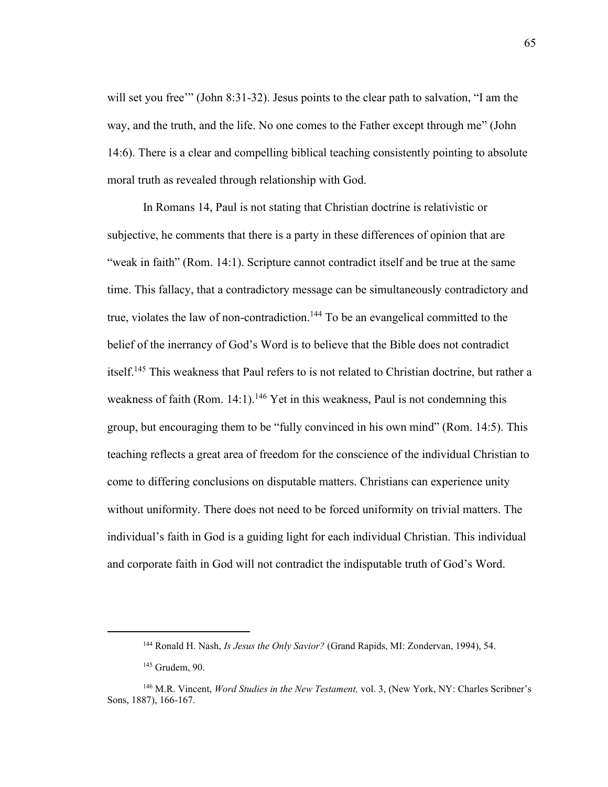will set you free"" (John 8:31-32). Jesus points to the clear path to salvation, "I am the way, and the truth, and the life. No one comes to the Father except through me" (John 14:6). There is a clear and compelling biblical teaching consistently pointing to absolute moral truth as revealed through relationship with God.

In Romans 14, Paul is not stating that Christian doctrine is relativistic or subjective, he comments that there is a party in these differences of opinion that are "weak in faith" (Rom. 14:1). Scripture cannot contradict itself and be true at the same time. This fallacy, that a contradictory message can be simultaneously contradictory and true, violates the law of non-contradiction.<sup>144</sup> To be an evangelical committed to the belief of the inerrancy of God's Word is to believe that the Bible does not contradict itself.<sup>145</sup> This weakness that Paul refers to is not related to Christian doctrine, but rather a weakness of faith (Rom. 14:1).<sup>146</sup> Yet in this weakness, Paul is not condemning this group, but encouraging them to be "fully convinced in his own mind" (Rom. 14:5). This teaching reflects a great area of freedom for the conscience of the individual Christian to come to differing conclusions on disputable matters. Christians can experience unity without uniformity. There does not need to be forced uniformity on trivial matters. The individual's faith in God is a guiding light for each individual Christian. This individual and corporate faith in God will not contradict the indisputable truth of God's Word.

<sup>144</sup> Ronald H. Nash, *Is Jesus the Only Savior?* (Grand Rapids, MI: Zondervan, 1994), 54.

<sup>145</sup> Grudem, 90.

<sup>146</sup> M.R. Vincent, *Word Studies in the New Testament,* vol. 3, (New York, NY: Charles Scribner's Sons, 1887), 166-167.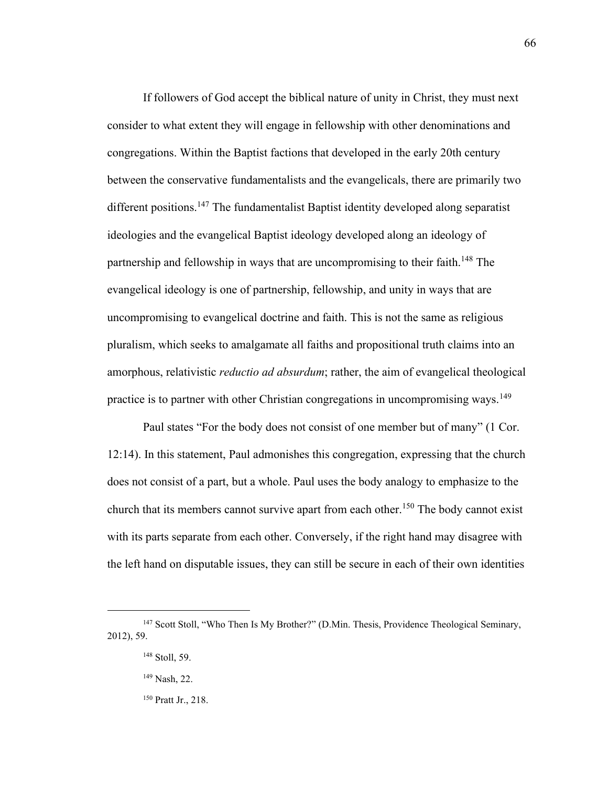If followers of God accept the biblical nature of unity in Christ, they must next consider to what extent they will engage in fellowship with other denominations and congregations. Within the Baptist factions that developed in the early 20th century between the conservative fundamentalists and the evangelicals, there are primarily two different positions.<sup>147</sup> The fundamentalist Baptist identity developed along separatist ideologies and the evangelical Baptist ideology developed along an ideology of partnership and fellowship in ways that are uncompromising to their faith.<sup>148</sup> The evangelical ideology is one of partnership, fellowship, and unity in ways that are uncompromising to evangelical doctrine and faith. This is not the same as religious pluralism, which seeks to amalgamate all faiths and propositional truth claims into an amorphous, relativistic *reductio ad absurdum*; rather, the aim of evangelical theological practice is to partner with other Christian congregations in uncompromising ways.<sup>149</sup>

Paul states "For the body does not consist of one member but of many" (1 Cor. 12:14). In this statement, Paul admonishes this congregation, expressing that the church does not consist of a part, but a whole. Paul uses the body analogy to emphasize to the church that its members cannot survive apart from each other.<sup>150</sup> The body cannot exist with its parts separate from each other. Conversely, if the right hand may disagree with the left hand on disputable issues, they can still be secure in each of their own identities

<sup>147</sup> Scott Stoll, "Who Then Is My Brother?" (D.Min. Thesis, Providence Theological Seminary, 2012), 59.

<sup>148</sup> Stoll, 59.

<sup>149</sup> Nash, 22.

<sup>150</sup> Pratt Jr., 218.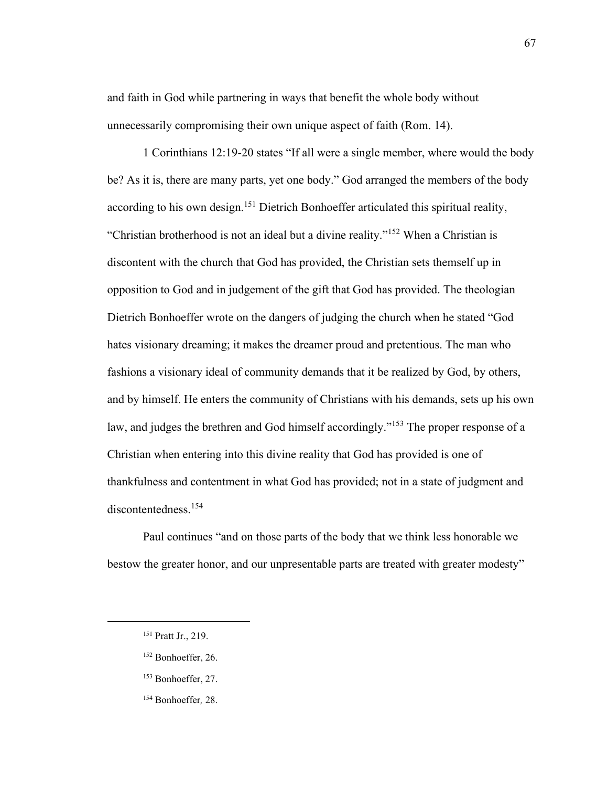and faith in God while partnering in ways that benefit the whole body without unnecessarily compromising their own unique aspect of faith (Rom. 14).

1 Corinthians 12:19-20 states "If all were a single member, where would the body be? As it is, there are many parts, yet one body." God arranged the members of the body according to his own design.<sup>151</sup> Dietrich Bonhoeffer articulated this spiritual reality, "Christian brotherhood is not an ideal but a divine reality."<sup>152</sup> When a Christian is discontent with the church that God has provided, the Christian sets themself up in opposition to God and in judgement of the gift that God has provided. The theologian Dietrich Bonhoeffer wrote on the dangers of judging the church when he stated "God hates visionary dreaming; it makes the dreamer proud and pretentious. The man who fashions a visionary ideal of community demands that it be realized by God, by others, and by himself. He enters the community of Christians with his demands, sets up his own law, and judges the brethren and God himself accordingly."<sup>153</sup> The proper response of a Christian when entering into this divine reality that God has provided is one of thankfulness and contentment in what God has provided; not in a state of judgment and discontentedness.<sup>154</sup>

Paul continues "and on those parts of the body that we think less honorable we bestow the greater honor, and our unpresentable parts are treated with greater modesty"

- <sup>152</sup> Bonhoeffer, 26.
- <sup>153</sup> Bonhoeffer, 27.
- <sup>154</sup> Bonhoeffer*,* 28.

<sup>151</sup> Pratt Jr., 219.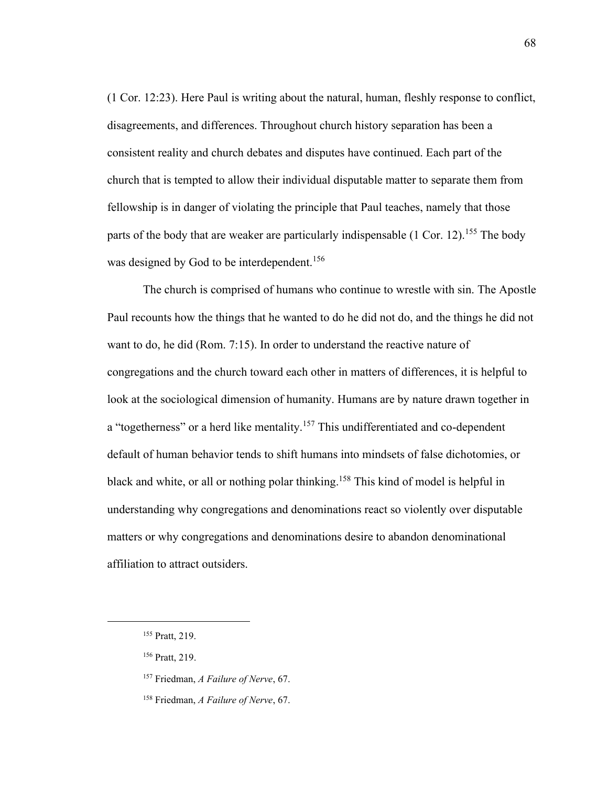(1 Cor. 12:23). Here Paul is writing about the natural, human, fleshly response to conflict, disagreements, and differences. Throughout church history separation has been a consistent reality and church debates and disputes have continued. Each part of the church that is tempted to allow their individual disputable matter to separate them from fellowship is in danger of violating the principle that Paul teaches, namely that those parts of the body that are weaker are particularly indispensable (1 Cor. 12).<sup>155</sup> The body was designed by God to be interdependent.<sup>156</sup>

The church is comprised of humans who continue to wrestle with sin. The Apostle Paul recounts how the things that he wanted to do he did not do, and the things he did not want to do, he did (Rom. 7:15). In order to understand the reactive nature of congregations and the church toward each other in matters of differences, it is helpful to look at the sociological dimension of humanity. Humans are by nature drawn together in a "togetherness" or a herd like mentality.<sup>157</sup> This undifferentiated and co-dependent default of human behavior tends to shift humans into mindsets of false dichotomies, or black and white, or all or nothing polar thinking.<sup>158</sup> This kind of model is helpful in understanding why congregations and denominations react so violently over disputable matters or why congregations and denominations desire to abandon denominational affiliation to attract outsiders.

<sup>155</sup> Pratt, 219.

<sup>156</sup> Pratt, 219.

<sup>157</sup> Friedman, *A Failure of Nerve*, 67.

<sup>158</sup> Friedman, *A Failure of Nerve*, 67.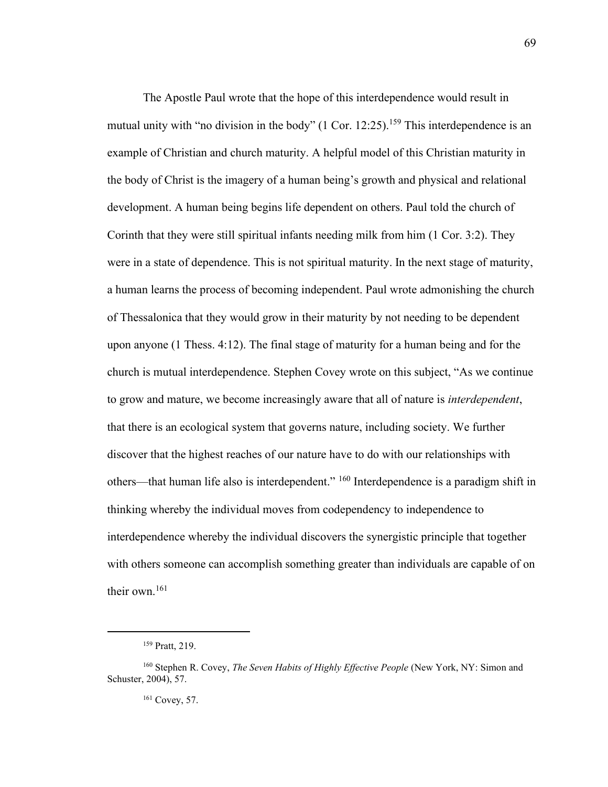The Apostle Paul wrote that the hope of this interdependence would result in mutual unity with "no division in the body"  $(1 \text{ Cor. } 12:25)$ .<sup>159</sup> This interdependence is an example of Christian and church maturity. A helpful model of this Christian maturity in the body of Christ is the imagery of a human being's growth and physical and relational development. A human being begins life dependent on others. Paul told the church of Corinth that they were still spiritual infants needing milk from him (1 Cor. 3:2). They were in a state of dependence. This is not spiritual maturity. In the next stage of maturity, a human learns the process of becoming independent. Paul wrote admonishing the church of Thessalonica that they would grow in their maturity by not needing to be dependent upon anyone (1 Thess. 4:12). The final stage of maturity for a human being and for the church is mutual interdependence. Stephen Covey wrote on this subject, "As we continue to grow and mature, we become increasingly aware that all of nature is *interdependent*, that there is an ecological system that governs nature, including society. We further discover that the highest reaches of our nature have to do with our relationships with others—that human life also is interdependent." <sup>160</sup> Interdependence is a paradigm shift in thinking whereby the individual moves from codependency to independence to interdependence whereby the individual discovers the synergistic principle that together with others someone can accomplish something greater than individuals are capable of on their own.<sup>161</sup>

<sup>161</sup> Covey, 57.

<sup>159</sup> Pratt, 219.

<sup>160</sup> Stephen R. Covey, *The Seven Habits of Highly Effective People* (New York, NY: Simon and Schuster, 2004), 57.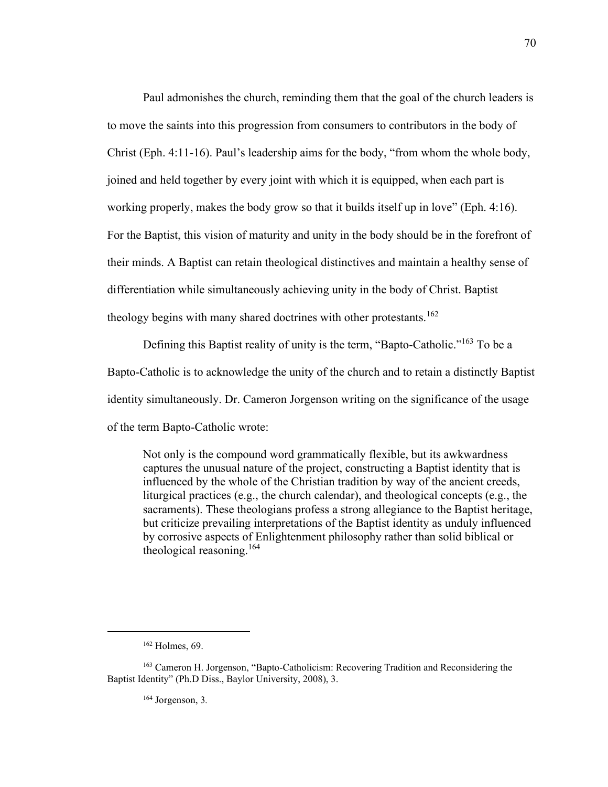Paul admonishes the church, reminding them that the goal of the church leaders is to move the saints into this progression from consumers to contributors in the body of Christ (Eph. 4:11-16). Paul's leadership aims for the body, "from whom the whole body, joined and held together by every joint with which it is equipped, when each part is working properly, makes the body grow so that it builds itself up in love" (Eph. 4:16). For the Baptist, this vision of maturity and unity in the body should be in the forefront of their minds. A Baptist can retain theological distinctives and maintain a healthy sense of differentiation while simultaneously achieving unity in the body of Christ. Baptist theology begins with many shared doctrines with other protestants.<sup>162</sup>

Defining this Baptist reality of unity is the term, "Bapto-Catholic."<sup>163</sup> To be a Bapto-Catholic is to acknowledge the unity of the church and to retain a distinctly Baptist identity simultaneously. Dr. Cameron Jorgenson writing on the significance of the usage of the term Bapto-Catholic wrote:

Not only is the compound word grammatically flexible, but its awkwardness captures the unusual nature of the project, constructing a Baptist identity that is influenced by the whole of the Christian tradition by way of the ancient creeds, liturgical practices (e.g., the church calendar), and theological concepts (e.g., the sacraments). These theologians profess a strong allegiance to the Baptist heritage, but criticize prevailing interpretations of the Baptist identity as unduly influenced by corrosive aspects of Enlightenment philosophy rather than solid biblical or theological reasoning.<sup>164</sup>

<sup>164</sup> Jorgenson, 3*.*

 $162$  Holmes, 69.

<sup>&</sup>lt;sup>163</sup> Cameron H. Jorgenson, "Bapto-Catholicism: Recovering Tradition and Reconsidering the Baptist Identity" (Ph.D Diss., Baylor University, 2008), 3.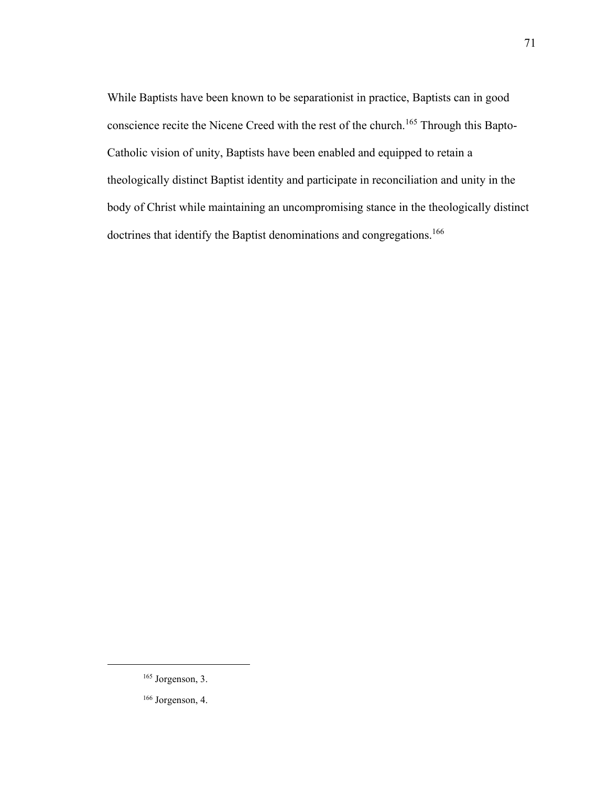While Baptists have been known to be separationist in practice, Baptists can in good conscience recite the Nicene Creed with the rest of the church.<sup>165</sup> Through this Bapto-Catholic vision of unity, Baptists have been enabled and equipped to retain a theologically distinct Baptist identity and participate in reconciliation and unity in the body of Christ while maintaining an uncompromising stance in the theologically distinct doctrines that identify the Baptist denominations and congregations.<sup>166</sup>

71

<sup>165</sup> Jorgenson, 3.

<sup>166</sup> Jorgenson, 4.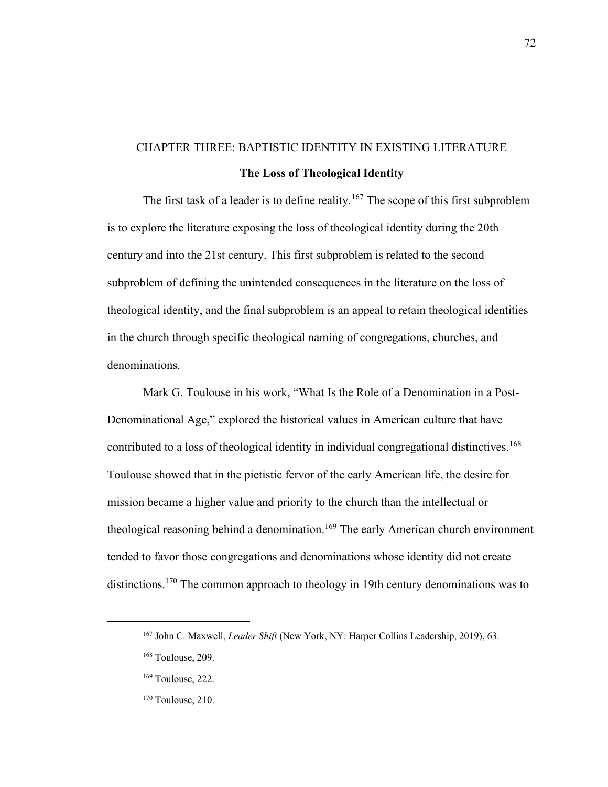# CHAPTER THREE: BAPTISTIC IDENTITY IN EXISTING LITERATURE **The Loss of Theological Identity**

The first task of a leader is to define reality.<sup>167</sup> The scope of this first subproblem is to explore the literature exposing the loss of theological identity during the 20th century and into the 21st century. This first subproblem is related to the second subproblem of defining the unintended consequences in the literature on the loss of theological identity, and the final subproblem is an appeal to retain theological identities in the church through specific theological naming of congregations, churches, and denominations.

Mark G. Toulouse in his work, "What Is the Role of a Denomination in a Post-Denominational Age," explored the historical values in American culture that have contributed to a loss of theological identity in individual congregational distinctives.<sup>168</sup> Toulouse showed that in the pietistic fervor of the early American life, the desire for mission became a higher value and priority to the church than the intellectual or theological reasoning behind a denomination.<sup>169</sup> The early American church environment tended to favor those congregations and denominations whose identity did not create distinctions.<sup>170</sup> The common approach to theology in 19th century denominations was to

<sup>167</sup> John C. Maxwell, *Leader Shift* (New York, NY: Harper Collins Leadership, 2019), 63.

<sup>168</sup> Toulouse, 209.

<sup>169</sup> Toulouse, 222.

<sup>&</sup>lt;sup>170</sup> Toulouse, 210.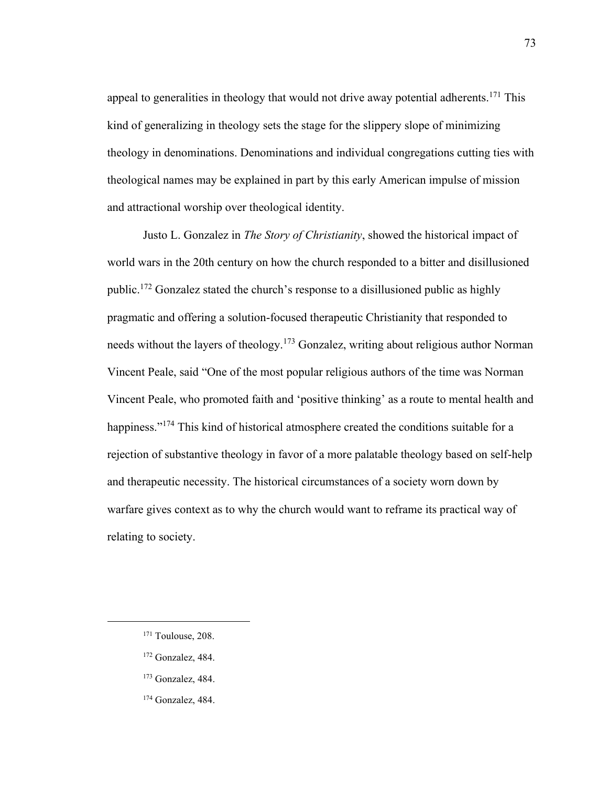appeal to generalities in theology that would not drive away potential adherents.<sup>171</sup> This kind of generalizing in theology sets the stage for the slippery slope of minimizing theology in denominations. Denominations and individual congregations cutting ties with theological names may be explained in part by this early American impulse of mission and attractional worship over theological identity.

Justo L. Gonzalez in *The Story of Christianity*, showed the historical impact of world wars in the 20th century on how the church responded to a bitter and disillusioned public.<sup>172</sup> Gonzalez stated the church's response to a disillusioned public as highly pragmatic and offering a solution-focused therapeutic Christianity that responded to needs without the layers of theology.<sup>173</sup> Gonzalez, writing about religious author Norman Vincent Peale, said "One of the most popular religious authors of the time was Norman Vincent Peale, who promoted faith and 'positive thinking' as a route to mental health and happiness."<sup>174</sup> This kind of historical atmosphere created the conditions suitable for a rejection of substantive theology in favor of a more palatable theology based on self-help and therapeutic necessity. The historical circumstances of a society worn down by warfare gives context as to why the church would want to reframe its practical way of relating to society.

- <sup>172</sup> Gonzalez, 484.
- <sup>173</sup> Gonzalez, 484.
- <sup>174</sup> Gonzalez, 484.

<sup>&</sup>lt;sup>171</sup> Toulouse, 208.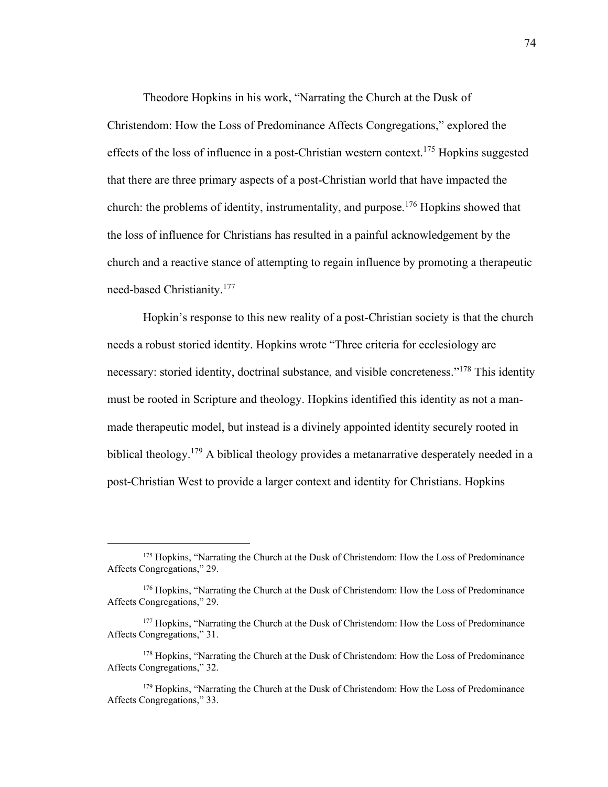Theodore Hopkins in his work, "Narrating the Church at the Dusk of Christendom: How the Loss of Predominance Affects Congregations," explored the effects of the loss of influence in a post-Christian western context.<sup>175</sup> Hopkins suggested that there are three primary aspects of a post-Christian world that have impacted the church: the problems of identity, instrumentality, and purpose.<sup>176</sup> Hopkins showed that the loss of influence for Christians has resulted in a painful acknowledgement by the church and a reactive stance of attempting to regain influence by promoting a therapeutic need-based Christianity.<sup>177</sup>

Hopkin's response to this new reality of a post-Christian society is that the church needs a robust storied identity. Hopkins wrote "Three criteria for ecclesiology are necessary: storied identity, doctrinal substance, and visible concreteness."<sup>178</sup> This identity must be rooted in Scripture and theology. Hopkins identified this identity as not a manmade therapeutic model, but instead is a divinely appointed identity securely rooted in biblical theology.<sup>179</sup> A biblical theology provides a metanarrative desperately needed in a post-Christian West to provide a larger context and identity for Christians. Hopkins

<sup>&</sup>lt;sup>175</sup> Hopkins, "Narrating the Church at the Dusk of Christendom: How the Loss of Predominance Affects Congregations," 29.

<sup>176</sup> Hopkins, "Narrating the Church at the Dusk of Christendom: How the Loss of Predominance Affects Congregations," 29.

<sup>&</sup>lt;sup>177</sup> Hopkins, "Narrating the Church at the Dusk of Christendom: How the Loss of Predominance Affects Congregations," 31.

<sup>&</sup>lt;sup>178</sup> Hopkins, "Narrating the Church at the Dusk of Christendom: How the Loss of Predominance Affects Congregations," 32.

<sup>&</sup>lt;sup>179</sup> Hopkins, "Narrating the Church at the Dusk of Christendom: How the Loss of Predominance Affects Congregations," 33.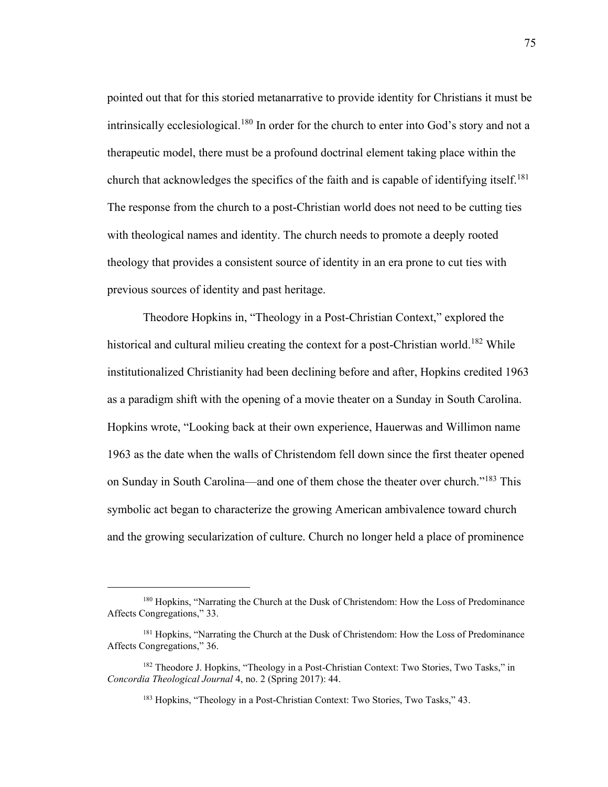pointed out that for this storied metanarrative to provide identity for Christians it must be intrinsically ecclesiological.<sup>180</sup> In order for the church to enter into God's story and not a therapeutic model, there must be a profound doctrinal element taking place within the church that acknowledges the specifics of the faith and is capable of identifying itself.<sup>181</sup> The response from the church to a post-Christian world does not need to be cutting ties with theological names and identity. The church needs to promote a deeply rooted theology that provides a consistent source of identity in an era prone to cut ties with previous sources of identity and past heritage.

Theodore Hopkins in, "Theology in a Post-Christian Context," explored the historical and cultural milieu creating the context for a post-Christian world.<sup>182</sup> While institutionalized Christianity had been declining before and after, Hopkins credited 1963 as a paradigm shift with the opening of a movie theater on a Sunday in South Carolina. Hopkins wrote, "Looking back at their own experience, Hauerwas and Willimon name 1963 as the date when the walls of Christendom fell down since the first theater opened on Sunday in South Carolina—and one of them chose the theater over church."<sup>183</sup> This symbolic act began to characterize the growing American ambivalence toward church and the growing secularization of culture. Church no longer held a place of prominence

<sup>&</sup>lt;sup>180</sup> Hopkins, "Narrating the Church at the Dusk of Christendom: How the Loss of Predominance Affects Congregations," 33.

<sup>&</sup>lt;sup>181</sup> Hopkins, "Narrating the Church at the Dusk of Christendom: How the Loss of Predominance Affects Congregations," 36.

<sup>&</sup>lt;sup>182</sup> Theodore J. Hopkins, "Theology in a Post-Christian Context: Two Stories, Two Tasks," in *Concordia Theological Journal* 4, no. 2 (Spring 2017): 44.

<sup>183</sup> Hopkins, "Theology in a Post-Christian Context: Two Stories, Two Tasks," 43.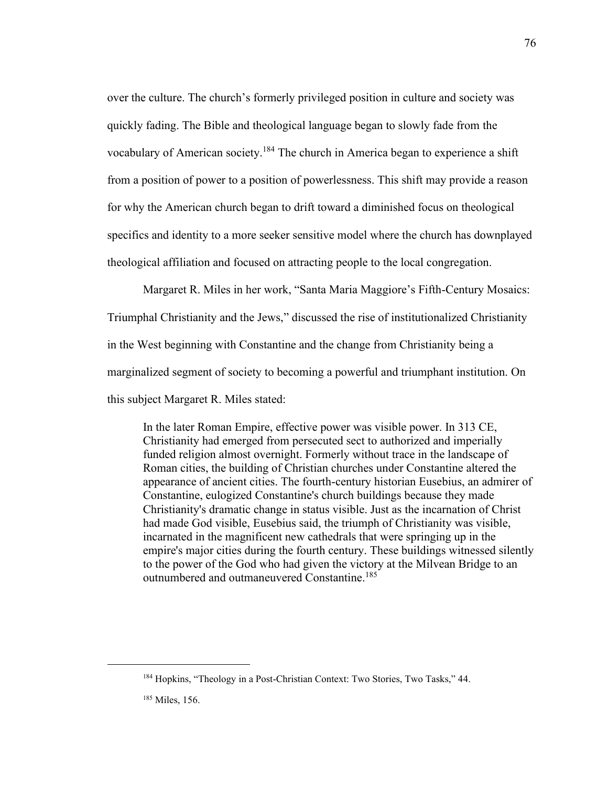over the culture. The church's formerly privileged position in culture and society was quickly fading. The Bible and theological language began to slowly fade from the vocabulary of American society.<sup>184</sup> The church in America began to experience a shift from a position of power to a position of powerlessness. This shift may provide a reason for why the American church began to drift toward a diminished focus on theological specifics and identity to a more seeker sensitive model where the church has downplayed theological affiliation and focused on attracting people to the local congregation.

Margaret R. Miles in her work, "Santa Maria Maggiore's Fifth-Century Mosaics: Triumphal Christianity and the Jews," discussed the rise of institutionalized Christianity in the West beginning with Constantine and the change from Christianity being a marginalized segment of society to becoming a powerful and triumphant institution. On this subject Margaret R. Miles stated:

In the later Roman Empire, effective power was visible power. In 313 CE, Christianity had emerged from persecuted sect to authorized and imperially funded religion almost overnight. Formerly without trace in the landscape of Roman cities, the building of Christian churches under Constantine altered the appearance of ancient cities. The fourth-century historian Eusebius, an admirer of Constantine, eulogized Constantine's church buildings because they made Christianity's dramatic change in status visible. Just as the incarnation of Christ had made God visible, Eusebius said, the triumph of Christianity was visible, incarnated in the magnificent new cathedrals that were springing up in the empire's major cities during the fourth century. These buildings witnessed silently to the power of the God who had given the victory at the Milvean Bridge to an outnumbered and outmaneuvered Constantine. 185

76

<sup>184</sup> Hopkins, "Theology in a Post-Christian Context: Two Stories, Two Tasks," 44.

<sup>185</sup> Miles, 156.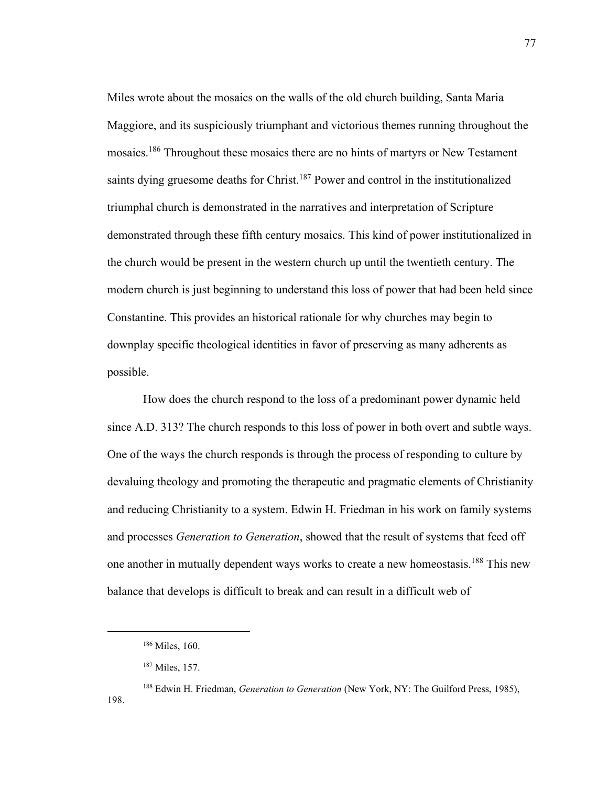Miles wrote about the mosaics on the walls of the old church building, Santa Maria Maggiore, and its suspiciously triumphant and victorious themes running throughout the mosaics.<sup>186</sup> Throughout these mosaics there are no hints of martyrs or New Testament saints dying gruesome deaths for Christ.<sup>187</sup> Power and control in the institutionalized triumphal church is demonstrated in the narratives and interpretation of Scripture demonstrated through these fifth century mosaics. This kind of power institutionalized in the church would be present in the western church up until the twentieth century. The modern church is just beginning to understand this loss of power that had been held since Constantine. This provides an historical rationale for why churches may begin to downplay specific theological identities in favor of preserving as many adherents as possible.

How does the church respond to the loss of a predominant power dynamic held since A.D. 313? The church responds to this loss of power in both overt and subtle ways. One of the ways the church responds is through the process of responding to culture by devaluing theology and promoting the therapeutic and pragmatic elements of Christianity and reducing Christianity to a system. Edwin H. Friedman in his work on family systems and processes *Generation to Generation*, showed that the result of systems that feed off one another in mutually dependent ways works to create a new homeostasis.<sup>188</sup> This new balance that develops is difficult to break and can result in a difficult web of

<sup>186</sup> Miles, 160.

<sup>187</sup> Miles, 157.

<sup>188</sup> Edwin H. Friedman, *Generation to Generation* (New York, NY: The Guilford Press, 1985), 198.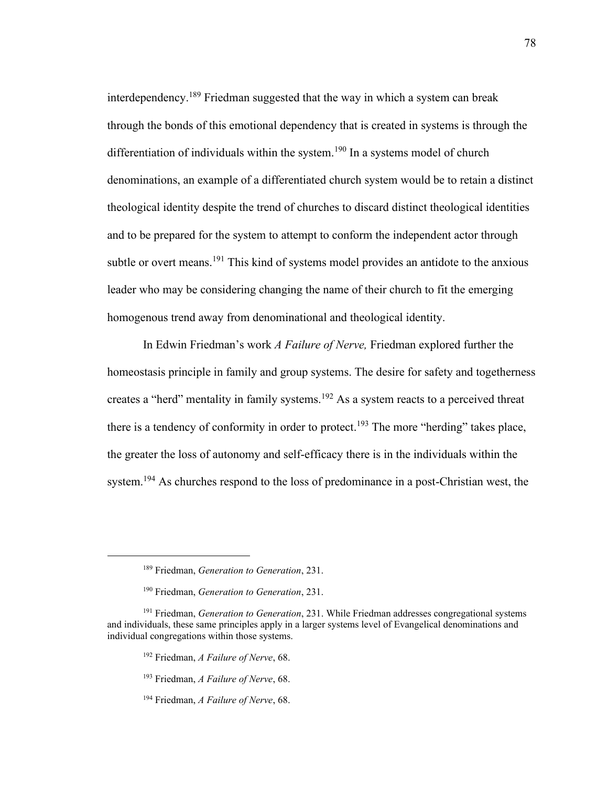interdependency.<sup>189</sup> Friedman suggested that the way in which a system can break through the bonds of this emotional dependency that is created in systems is through the differentiation of individuals within the system.<sup>190</sup> In a systems model of church denominations, an example of a differentiated church system would be to retain a distinct theological identity despite the trend of churches to discard distinct theological identities and to be prepared for the system to attempt to conform the independent actor through subtle or overt means.<sup>191</sup> This kind of systems model provides an antidote to the anxious leader who may be considering changing the name of their church to fit the emerging homogenous trend away from denominational and theological identity.

In Edwin Friedman's work *A Failure of Nerve,* Friedman explored further the homeostasis principle in family and group systems. The desire for safety and togetherness creates a "herd" mentality in family systems.<sup>192</sup> As a system reacts to a perceived threat there is a tendency of conformity in order to protect.<sup>193</sup> The more "herding" takes place, the greater the loss of autonomy and self-efficacy there is in the individuals within the system.<sup>194</sup> As churches respond to the loss of predominance in a post-Christian west, the

- <sup>192</sup> Friedman, *A Failure of Nerve*, 68.
- <sup>193</sup> Friedman, *A Failure of Nerve*, 68.
- <sup>194</sup> Friedman, *A Failure of Nerve*, 68.

<sup>189</sup> Friedman, *Generation to Generation*, 231.

<sup>190</sup> Friedman, *Generation to Generation*, 231.

<sup>191</sup> Friedman, *Generation to Generation*, 231. While Friedman addresses congregational systems and individuals, these same principles apply in a larger systems level of Evangelical denominations and individual congregations within those systems.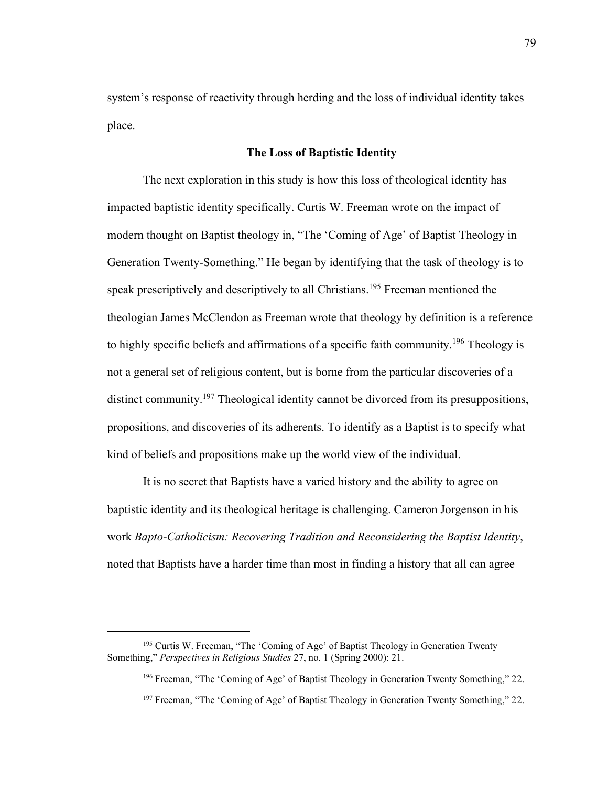system's response of reactivity through herding and the loss of individual identity takes place.

### **The Loss of Baptistic Identity**

The next exploration in this study is how this loss of theological identity has impacted baptistic identity specifically. Curtis W. Freeman wrote on the impact of modern thought on Baptist theology in, "The 'Coming of Age' of Baptist Theology in Generation Twenty-Something." He began by identifying that the task of theology is to speak prescriptively and descriptively to all Christians.<sup>195</sup> Freeman mentioned the theologian James McClendon as Freeman wrote that theology by definition is a reference to highly specific beliefs and affirmations of a specific faith community.<sup>196</sup> Theology is not a general set of religious content, but is borne from the particular discoveries of a distinct community.<sup>197</sup> Theological identity cannot be divorced from its presuppositions, propositions, and discoveries of its adherents. To identify as a Baptist is to specify what kind of beliefs and propositions make up the world view of the individual.

It is no secret that Baptists have a varied history and the ability to agree on baptistic identity and its theological heritage is challenging. Cameron Jorgenson in his work *Bapto-Catholicism: Recovering Tradition and Reconsidering the Baptist Identity*, noted that Baptists have a harder time than most in finding a history that all can agree

<sup>&</sup>lt;sup>195</sup> Curtis W. Freeman, "The 'Coming of Age' of Baptist Theology in Generation Twenty Something," *Perspectives in Religious Studies* 27, no. 1 (Spring 2000): 21.

<sup>196</sup> Freeman, "The 'Coming of Age' of Baptist Theology in Generation Twenty Something," 22.

<sup>&</sup>lt;sup>197</sup> Freeman, "The 'Coming of Age' of Baptist Theology in Generation Twenty Something," 22.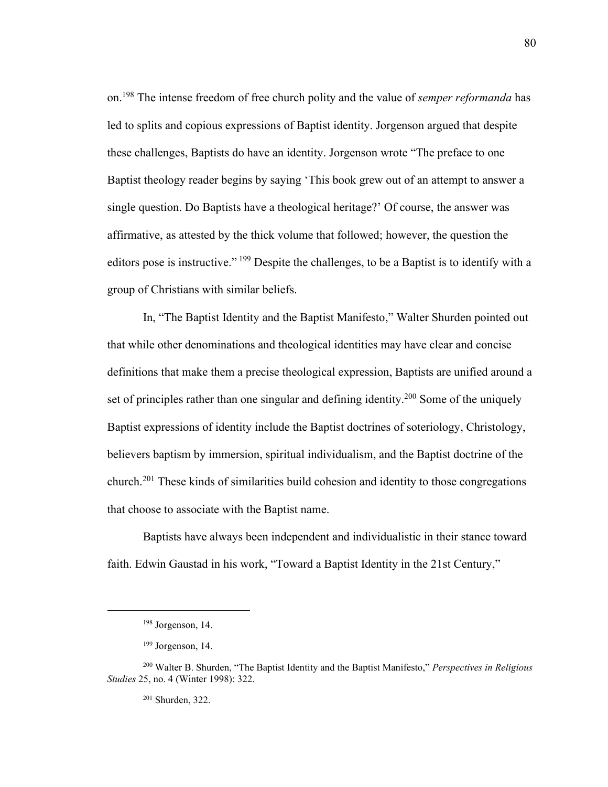on.<sup>198</sup> The intense freedom of free church polity and the value of *semper reformanda* has led to splits and copious expressions of Baptist identity. Jorgenson argued that despite these challenges, Baptists do have an identity. Jorgenson wrote "The preface to one Baptist theology reader begins by saying 'This book grew out of an attempt to answer a single question. Do Baptists have a theological heritage?' Of course, the answer was affirmative, as attested by the thick volume that followed; however, the question the editors pose is instructive."<sup>199</sup> Despite the challenges, to be a Baptist is to identify with a group of Christians with similar beliefs.

In, "The Baptist Identity and the Baptist Manifesto," Walter Shurden pointed out that while other denominations and theological identities may have clear and concise definitions that make them a precise theological expression, Baptists are unified around a set of principles rather than one singular and defining identity.<sup>200</sup> Some of the uniquely Baptist expressions of identity include the Baptist doctrines of soteriology, Christology, believers baptism by immersion, spiritual individualism, and the Baptist doctrine of the church.<sup>201</sup> These kinds of similarities build cohesion and identity to those congregations that choose to associate with the Baptist name.

Baptists have always been independent and individualistic in their stance toward faith. Edwin Gaustad in his work, "Toward a Baptist Identity in the 21st Century,"

<sup>198</sup> Jorgenson, 14.

 $199$  Jorgenson, 14.

<sup>200</sup> Walter B. Shurden, "The Baptist Identity and the Baptist Manifesto," *Perspectives in Religious Studies* 25, no. 4 (Winter 1998): 322.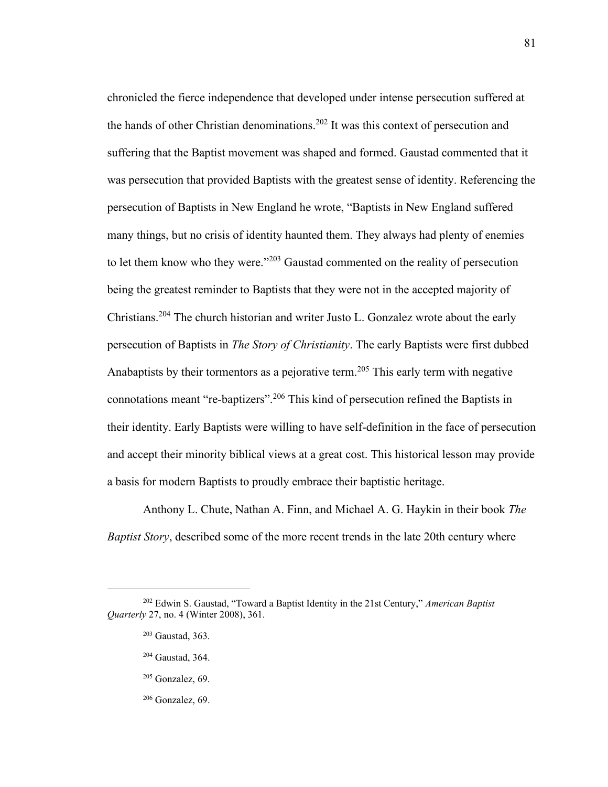chronicled the fierce independence that developed under intense persecution suffered at the hands of other Christian denominations.<sup>202</sup> It was this context of persecution and suffering that the Baptist movement was shaped and formed. Gaustad commented that it was persecution that provided Baptists with the greatest sense of identity. Referencing the persecution of Baptists in New England he wrote, "Baptists in New England suffered many things, but no crisis of identity haunted them. They always had plenty of enemies to let them know who they were." $203$  Gaustad commented on the reality of persecution being the greatest reminder to Baptists that they were not in the accepted majority of Christians.<sup>204</sup> The church historian and writer Justo L. Gonzalez wrote about the early persecution of Baptists in *The Story of Christianity*. The early Baptists were first dubbed Anabaptists by their tormentors as a pejorative term.<sup>205</sup> This early term with negative connotations meant "re*-*baptizers". <sup>206</sup> This kind of persecution refined the Baptists in their identity. Early Baptists were willing to have self-definition in the face of persecution and accept their minority biblical views at a great cost. This historical lesson may provide a basis for modern Baptists to proudly embrace their baptistic heritage.

Anthony L. Chute, Nathan A. Finn, and Michael A. G. Haykin in their book *The Baptist Story*, described some of the more recent trends in the late 20th century where

- <sup>205</sup> Gonzalez, 69.
- <sup>206</sup> Gonzalez, 69.

<sup>202</sup> Edwin S. Gaustad, "Toward a Baptist Identity in the 21st Century," *American Baptist Quarterly* 27, no. 4 (Winter 2008), 361.

<sup>203</sup> Gaustad, 363.

<sup>204</sup> Gaustad, 364.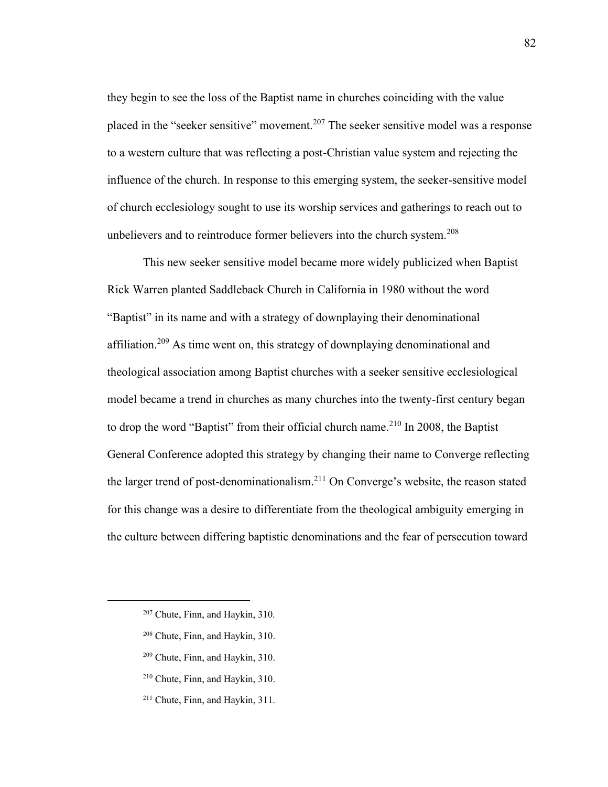they begin to see the loss of the Baptist name in churches coinciding with the value placed in the "seeker sensitive" movement.<sup>207</sup> The seeker sensitive model was a response to a western culture that was reflecting a post-Christian value system and rejecting the influence of the church. In response to this emerging system, the seeker-sensitive model of church ecclesiology sought to use its worship services and gatherings to reach out to unbelievers and to reintroduce former believers into the church system.<sup>208</sup>

This new seeker sensitive model became more widely publicized when Baptist Rick Warren planted Saddleback Church in California in 1980 without the word "Baptist" in its name and with a strategy of downplaying their denominational affiliation.<sup>209</sup> As time went on, this strategy of downplaying denominational and theological association among Baptist churches with a seeker sensitive ecclesiological model became a trend in churches as many churches into the twenty-first century began to drop the word "Baptist" from their official church name.<sup>210</sup> In 2008, the Baptist General Conference adopted this strategy by changing their name to Converge reflecting the larger trend of post-denominationalism.<sup>211</sup> On Converge's website, the reason stated for this change was a desire to differentiate from the theological ambiguity emerging in the culture between differing baptistic denominations and the fear of persecution toward

- <sup>207</sup> Chute, Finn, and Haykin, 310.
- <sup>208</sup> Chute, Finn, and Haykin, 310.
- <sup>209</sup> Chute, Finn, and Haykin, 310.
- <sup>210</sup> Chute, Finn, and Haykin, 310.
- <sup>211</sup> Chute, Finn, and Haykin, 311.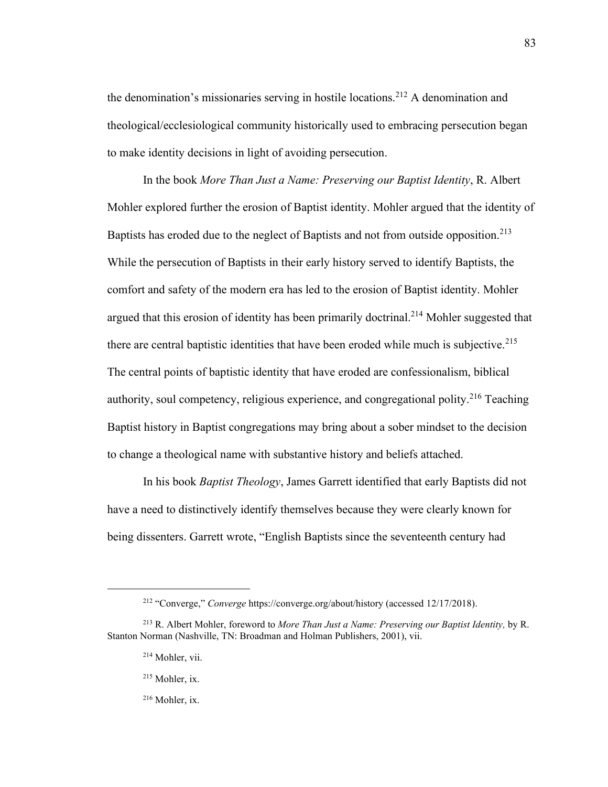the denomination's missionaries serving in hostile locations.<sup>212</sup> A denomination and theological/ecclesiological community historically used to embracing persecution began to make identity decisions in light of avoiding persecution.

In the book *More Than Just a Name: Preserving our Baptist Identity*, R. Albert Mohler explored further the erosion of Baptist identity. Mohler argued that the identity of Baptists has eroded due to the neglect of Baptists and not from outside opposition.<sup>213</sup> While the persecution of Baptists in their early history served to identify Baptists, the comfort and safety of the modern era has led to the erosion of Baptist identity. Mohler argued that this erosion of identity has been primarily doctrinal.<sup>214</sup> Mohler suggested that there are central baptistic identities that have been eroded while much is subjective.<sup>215</sup> The central points of baptistic identity that have eroded are confessionalism, biblical authority, soul competency, religious experience, and congregational polity.<sup>216</sup> Teaching Baptist history in Baptist congregations may bring about a sober mindset to the decision to change a theological name with substantive history and beliefs attached.

In his book *Baptist Theology*, James Garrett identified that early Baptists did not have a need to distinctively identify themselves because they were clearly known for being dissenters. Garrett wrote, "English Baptists since the seventeenth century had

- <sup>215</sup> Mohler, ix.
- <sup>216</sup> Mohler, ix.

<sup>212</sup> "Converge," *Converge* https://converge.org/about/history (accessed 12/17/2018).

<sup>213</sup> R. Albert Mohler, foreword to *More Than Just a Name: Preserving our Baptist Identity,* by R. Stanton Norman (Nashville, TN: Broadman and Holman Publishers, 2001), vii.

<sup>214</sup> Mohler, vii.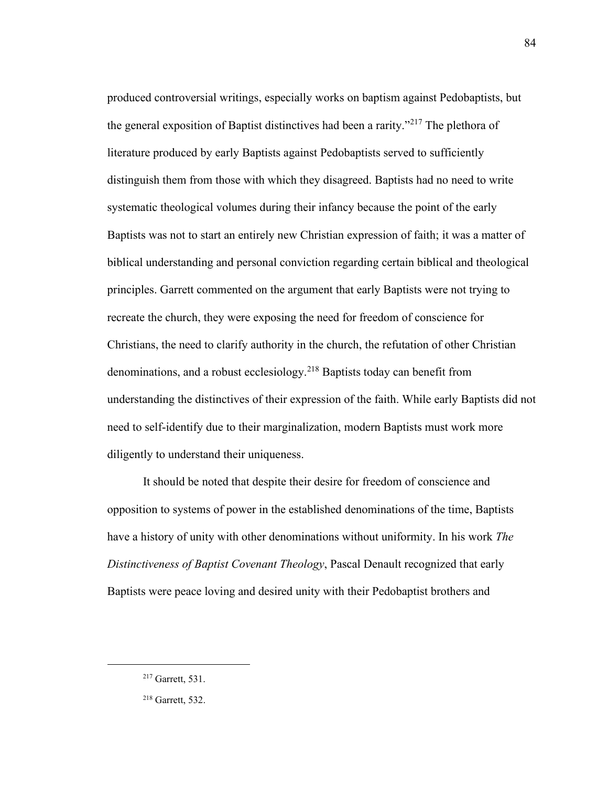produced controversial writings, especially works on baptism against Pedobaptists, but the general exposition of Baptist distinctives had been a rarity."<sup>217</sup> The plethora of literature produced by early Baptists against Pedobaptists served to sufficiently distinguish them from those with which they disagreed. Baptists had no need to write systematic theological volumes during their infancy because the point of the early Baptists was not to start an entirely new Christian expression of faith; it was a matter of biblical understanding and personal conviction regarding certain biblical and theological principles. Garrett commented on the argument that early Baptists were not trying to recreate the church, they were exposing the need for freedom of conscience for Christians, the need to clarify authority in the church, the refutation of other Christian denominations, and a robust ecclesiology.<sup>218</sup> Baptists today can benefit from understanding the distinctives of their expression of the faith. While early Baptists did not need to self-identify due to their marginalization, modern Baptists must work more diligently to understand their uniqueness.

It should be noted that despite their desire for freedom of conscience and opposition to systems of power in the established denominations of the time, Baptists have a history of unity with other denominations without uniformity. In his work *The Distinctiveness of Baptist Covenant Theology*, Pascal Denault recognized that early Baptists were peace loving and desired unity with their Pedobaptist brothers and

84

<sup>217</sup> Garrett, 531.

<sup>218</sup> Garrett, 532.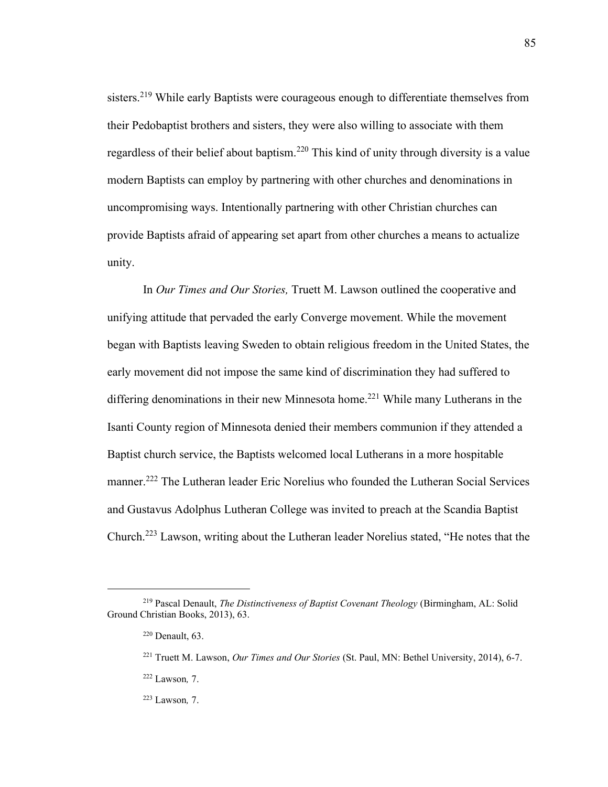sisters.<sup>219</sup> While early Baptists were courageous enough to differentiate themselves from their Pedobaptist brothers and sisters, they were also willing to associate with them regardless of their belief about baptism.<sup>220</sup> This kind of unity through diversity is a value modern Baptists can employ by partnering with other churches and denominations in uncompromising ways. Intentionally partnering with other Christian churches can provide Baptists afraid of appearing set apart from other churches a means to actualize unity.

In *Our Times and Our Stories,* Truett M. Lawson outlined the cooperative and unifying attitude that pervaded the early Converge movement. While the movement began with Baptists leaving Sweden to obtain religious freedom in the United States, the early movement did not impose the same kind of discrimination they had suffered to differing denominations in their new Minnesota home.<sup>221</sup> While many Lutherans in the Isanti County region of Minnesota denied their members communion if they attended a Baptist church service, the Baptists welcomed local Lutherans in a more hospitable manner.<sup>222</sup> The Lutheran leader Eric Norelius who founded the Lutheran Social Services and Gustavus Adolphus Lutheran College was invited to preach at the Scandia Baptist Church.<sup>223</sup> Lawson, writing about the Lutheran leader Norelius stated, "He notes that the

85

<sup>219</sup> Pascal Denault, *The Distinctiveness of Baptist Covenant Theology* (Birmingham, AL: Solid Ground Christian Books, 2013), 63.

<sup>220</sup> Denault, 63.

<sup>221</sup> Truett M. Lawson, *Our Times and Our Stories* (St. Paul, MN: Bethel University, 2014), 6-7.

<sup>222</sup> Lawson*,* 7.

<sup>223</sup> Lawson*,* 7.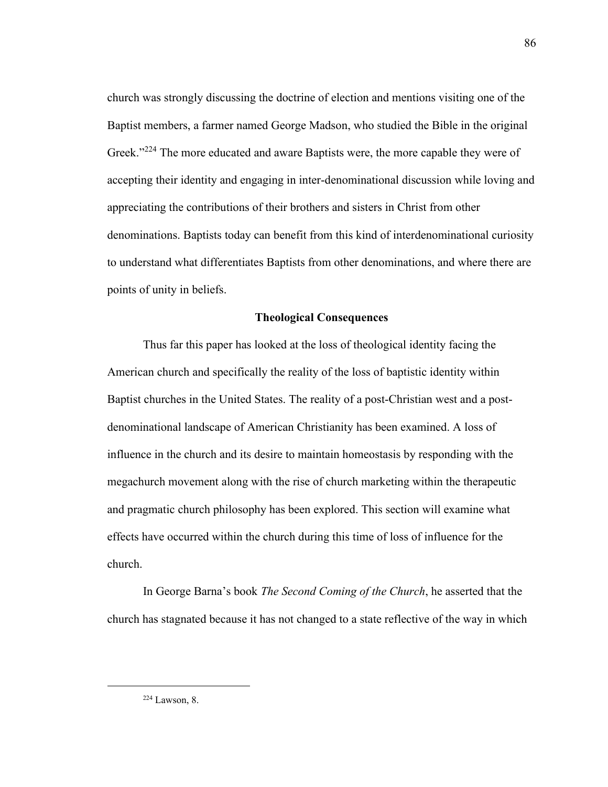church was strongly discussing the doctrine of election and mentions visiting one of the Baptist members, a farmer named George Madson, who studied the Bible in the original Greek."<sup>224</sup> The more educated and aware Baptists were, the more capable they were of accepting their identity and engaging in inter-denominational discussion while loving and appreciating the contributions of their brothers and sisters in Christ from other denominations. Baptists today can benefit from this kind of interdenominational curiosity to understand what differentiates Baptists from other denominations, and where there are points of unity in beliefs.

### **Theological Consequences**

Thus far this paper has looked at the loss of theological identity facing the American church and specifically the reality of the loss of baptistic identity within Baptist churches in the United States. The reality of a post-Christian west and a postdenominational landscape of American Christianity has been examined. A loss of influence in the church and its desire to maintain homeostasis by responding with the megachurch movement along with the rise of church marketing within the therapeutic and pragmatic church philosophy has been explored. This section will examine what effects have occurred within the church during this time of loss of influence for the church.

In George Barna's book *The Second Coming of the Church*, he asserted that the church has stagnated because it has not changed to a state reflective of the way in which

<sup>86</sup>

<sup>224</sup> Lawson, 8.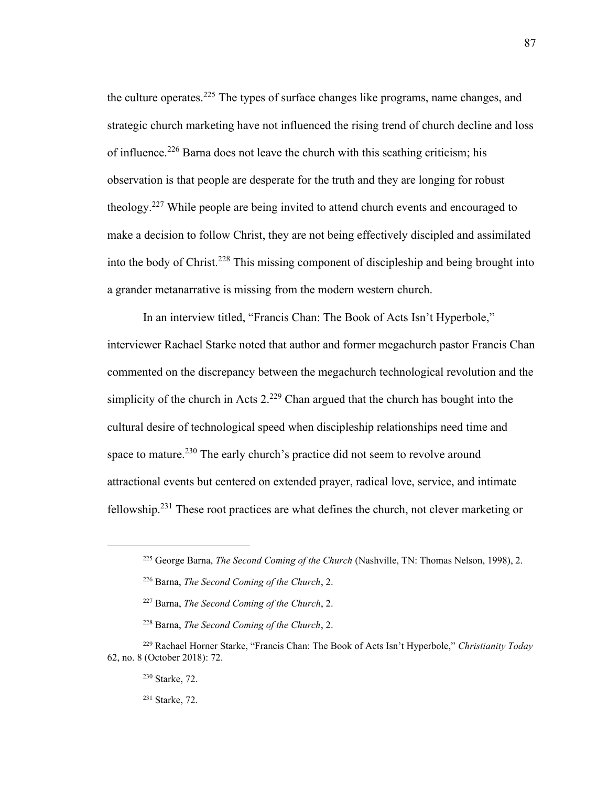the culture operates.<sup>225</sup> The types of surface changes like programs, name changes, and strategic church marketing have not influenced the rising trend of church decline and loss of influence.<sup>226</sup> Barna does not leave the church with this scathing criticism; his observation is that people are desperate for the truth and they are longing for robust theology.<sup>227</sup> While people are being invited to attend church events and encouraged to make a decision to follow Christ, they are not being effectively discipled and assimilated into the body of Christ.<sup>228</sup> This missing component of discipleship and being brought into a grander metanarrative is missing from the modern western church.

In an interview titled, "Francis Chan: The Book of Acts Isn't Hyperbole," interviewer Rachael Starke noted that author and former megachurch pastor Francis Chan commented on the discrepancy between the megachurch technological revolution and the simplicity of the church in Acts  $2^{229}$  Chan argued that the church has bought into the cultural desire of technological speed when discipleship relationships need time and space to mature.<sup>230</sup> The early church's practice did not seem to revolve around attractional events but centered on extended prayer, radical love, service, and intimate fellowship.<sup>231</sup> These root practices are what defines the church, not clever marketing or

<sup>225</sup> George Barna, *The Second Coming of the Church* (Nashville, TN: Thomas Nelson, 1998), 2.

<sup>226</sup> Barna, *The Second Coming of the Church*, 2.

<sup>227</sup> Barna, *The Second Coming of the Church*, 2.

<sup>228</sup> Barna, *The Second Coming of the Church*, 2.

<sup>229</sup> Rachael Horner Starke, "Francis Chan: The Book of Acts Isn't Hyperbole," *Christianity Today* 62, no. 8 (October 2018): 72.

<sup>230</sup> Starke, 72.

<sup>231</sup> Starke, 72.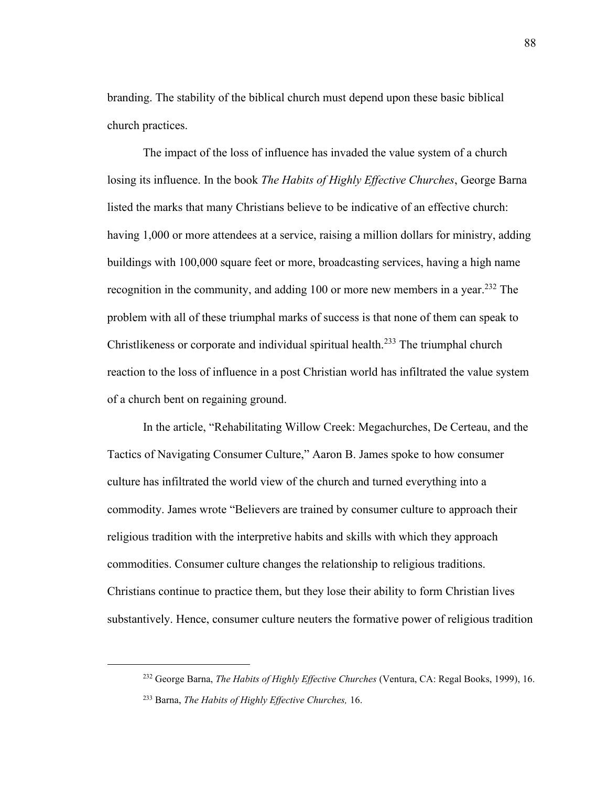branding. The stability of the biblical church must depend upon these basic biblical church practices.

The impact of the loss of influence has invaded the value system of a church losing its influence. In the book *The Habits of Highly Effective Churches*, George Barna listed the marks that many Christians believe to be indicative of an effective church: having 1,000 or more attendees at a service, raising a million dollars for ministry, adding buildings with 100,000 square feet or more, broadcasting services, having a high name recognition in the community, and adding 100 or more new members in a year.<sup>232</sup> The problem with all of these triumphal marks of success is that none of them can speak to Christlikeness or corporate and individual spiritual health.<sup>233</sup> The triumphal church reaction to the loss of influence in a post Christian world has infiltrated the value system of a church bent on regaining ground.

In the article, "Rehabilitating Willow Creek: Megachurches, De Certeau, and the Tactics of Navigating Consumer Culture," Aaron B. James spoke to how consumer culture has infiltrated the world view of the church and turned everything into a commodity. James wrote "Believers are trained by consumer culture to approach their religious tradition with the interpretive habits and skills with which they approach commodities. Consumer culture changes the relationship to religious traditions. Christians continue to practice them, but they lose their ability to form Christian lives substantively. Hence, consumer culture neuters the formative power of religious tradition

<sup>232</sup> George Barna, *The Habits of Highly Effective Churches* (Ventura, CA: Regal Books, 1999), 16. <sup>233</sup> Barna, *The Habits of Highly Effective Churches,* 16.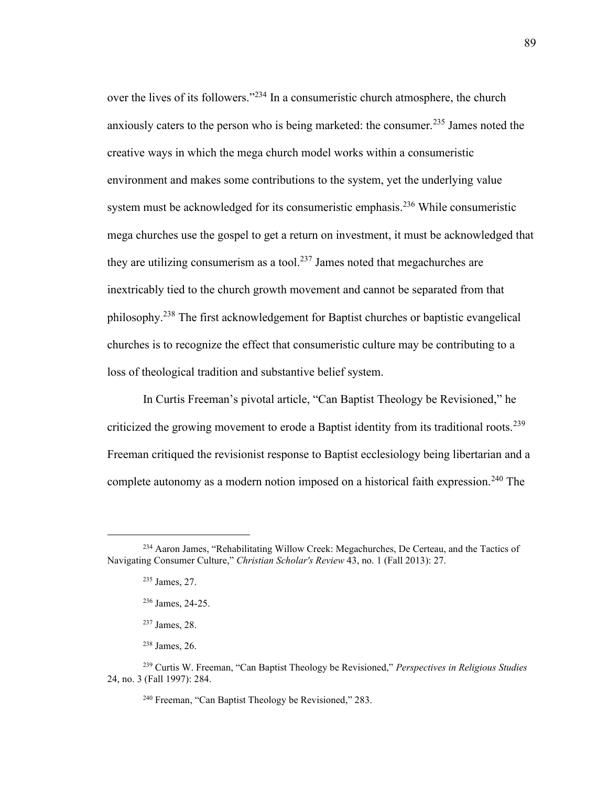over the lives of its followers."<sup>234</sup> In a consumeristic church atmosphere, the church anxiously caters to the person who is being marketed: the consumer.<sup>235</sup> James noted the creative ways in which the mega church model works within a consumeristic environment and makes some contributions to the system, yet the underlying value system must be acknowledged for its consumeristic emphasis.<sup>236</sup> While consumeristic mega churches use the gospel to get a return on investment, it must be acknowledged that they are utilizing consumerism as a tool.<sup>237</sup> James noted that megachurches are inextricably tied to the church growth movement and cannot be separated from that philosophy.<sup>238</sup> The first acknowledgement for Baptist churches or baptistic evangelical churches is to recognize the effect that consumeristic culture may be contributing to a loss of theological tradition and substantive belief system.

In Curtis Freeman's pivotal article, "Can Baptist Theology be Revisioned," he criticized the growing movement to erode a Baptist identity from its traditional roots.<sup>239</sup> Freeman critiqued the revisionist response to Baptist ecclesiology being libertarian and a complete autonomy as a modern notion imposed on a historical faith expression.<sup>240</sup> The

<sup>234</sup> Aaron James, "Rehabilitating Willow Creek: Megachurches, De Certeau, and the Tactics of Navigating Consumer Culture," *Christian Scholar's Review* 43, no. 1 (Fall 2013): 27.

<sup>235</sup> James, 27.

<sup>236</sup> James, 24-25.

<sup>237</sup> James, 28.

<sup>238</sup> James, 26.

<sup>239</sup> Curtis W. Freeman, "Can Baptist Theology be Revisioned," *Perspectives in Religious Studies* 24, no. 3 (Fall 1997): 284.

<sup>240</sup> Freeman, "Can Baptist Theology be Revisioned," 283.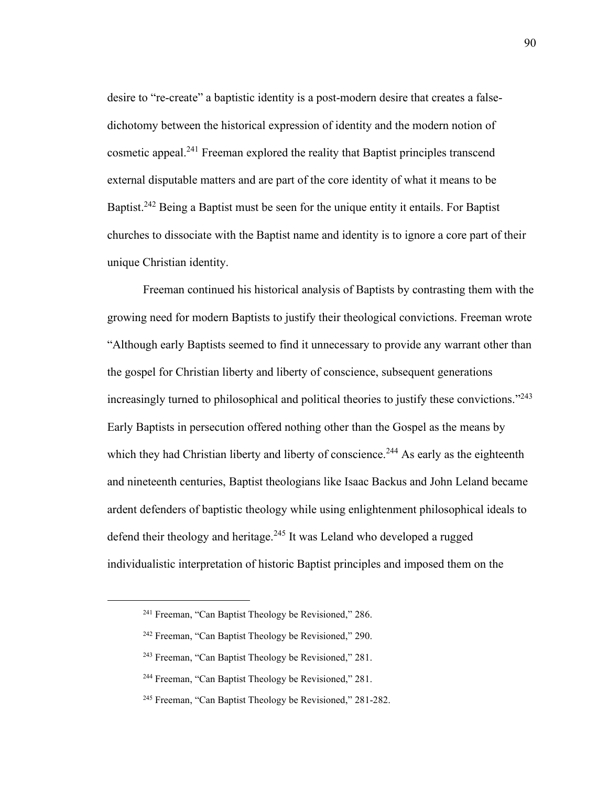desire to "re-create" a baptistic identity is a post-modern desire that creates a falsedichotomy between the historical expression of identity and the modern notion of cosmetic appeal.<sup>241</sup> Freeman explored the reality that Baptist principles transcend external disputable matters and are part of the core identity of what it means to be Baptist.<sup>242</sup> Being a Baptist must be seen for the unique entity it entails. For Baptist churches to dissociate with the Baptist name and identity is to ignore a core part of their unique Christian identity.

Freeman continued his historical analysis of Baptists by contrasting them with the growing need for modern Baptists to justify their theological convictions. Freeman wrote "Although early Baptists seemed to find it unnecessary to provide any warrant other than the gospel for Christian liberty and liberty of conscience, subsequent generations increasingly turned to philosophical and political theories to justify these convictions."<sup>243</sup> Early Baptists in persecution offered nothing other than the Gospel as the means by which they had Christian liberty and liberty of conscience.<sup>244</sup> As early as the eighteenth and nineteenth centuries, Baptist theologians like Isaac Backus and John Leland became ardent defenders of baptistic theology while using enlightenment philosophical ideals to defend their theology and heritage.<sup>245</sup> It was Leland who developed a rugged individualistic interpretation of historic Baptist principles and imposed them on the

<sup>241</sup> Freeman, "Can Baptist Theology be Revisioned," 286.

<sup>242</sup> Freeman, "Can Baptist Theology be Revisioned," 290.

<sup>243</sup> Freeman, "Can Baptist Theology be Revisioned," 281.

<sup>244</sup> Freeman, "Can Baptist Theology be Revisioned," 281.

<sup>245</sup> Freeman, "Can Baptist Theology be Revisioned," 281-282.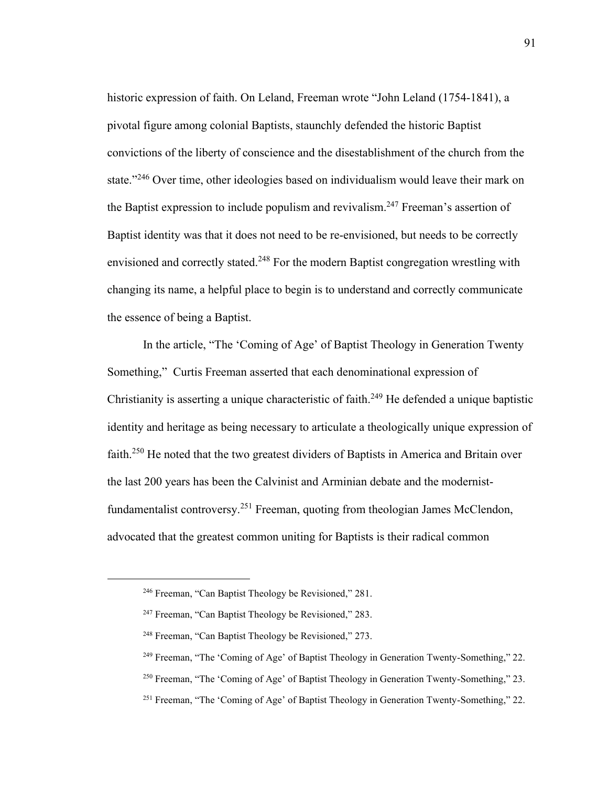historic expression of faith. On Leland, Freeman wrote "John Leland (1754-1841), a pivotal figure among colonial Baptists, staunchly defended the historic Baptist convictions of the liberty of conscience and the disestablishment of the church from the state."<sup>246</sup> Over time, other ideologies based on individualism would leave their mark on the Baptist expression to include populism and revivalism.<sup>247</sup> Freeman's assertion of Baptist identity was that it does not need to be re-envisioned, but needs to be correctly envisioned and correctly stated.<sup>248</sup> For the modern Baptist congregation wrestling with changing its name, a helpful place to begin is to understand and correctly communicate the essence of being a Baptist.

In the article, "The 'Coming of Age' of Baptist Theology in Generation Twenty Something," Curtis Freeman asserted that each denominational expression of Christianity is asserting a unique characteristic of faith.<sup>249</sup> He defended a unique baptistic identity and heritage as being necessary to articulate a theologically unique expression of faith.<sup>250</sup> He noted that the two greatest dividers of Baptists in America and Britain over the last 200 years has been the Calvinist and Arminian debate and the modernistfundamentalist controversy.<sup>251</sup> Freeman, quoting from theologian James McClendon, advocated that the greatest common uniting for Baptists is their radical common

<sup>246</sup> Freeman, "Can Baptist Theology be Revisioned," 281.

<sup>247</sup> Freeman, "Can Baptist Theology be Revisioned," 283.

<sup>248</sup> Freeman, "Can Baptist Theology be Revisioned," 273.

<sup>249</sup> Freeman, "The 'Coming of Age' of Baptist Theology in Generation Twenty-Something," 22.

<sup>&</sup>lt;sup>250</sup> Freeman, "The 'Coming of Age' of Baptist Theology in Generation Twenty-Something," 23.

<sup>251</sup> Freeman, "The 'Coming of Age' of Baptist Theology in Generation Twenty-Something," 22.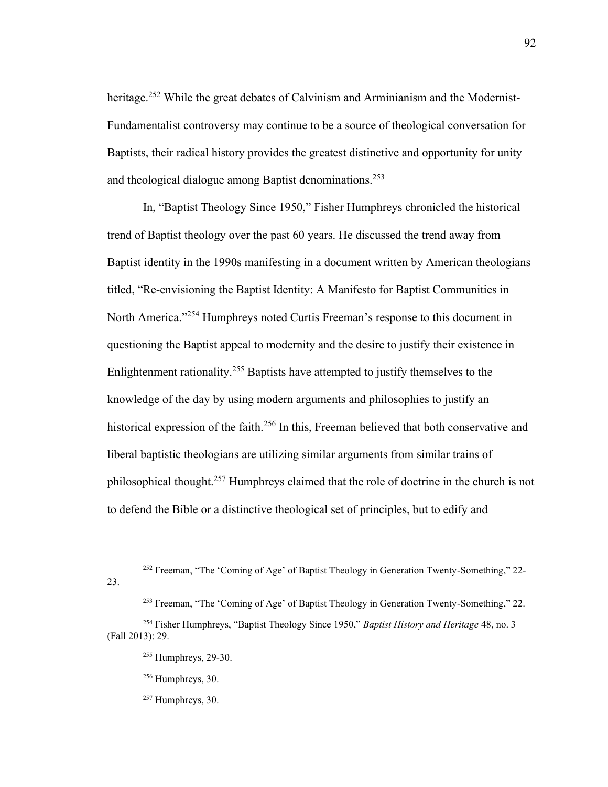heritage.<sup>252</sup> While the great debates of Calvinism and Arminianism and the Modernist-Fundamentalist controversy may continue to be a source of theological conversation for Baptists, their radical history provides the greatest distinctive and opportunity for unity and theological dialogue among Baptist denominations.<sup>253</sup>

In, "Baptist Theology Since 1950," Fisher Humphreys chronicled the historical trend of Baptist theology over the past 60 years. He discussed the trend away from Baptist identity in the 1990s manifesting in a document written by American theologians titled, "Re-envisioning the Baptist Identity: A Manifesto for Baptist Communities in North America."<sup>254</sup> Humphreys noted Curtis Freeman's response to this document in questioning the Baptist appeal to modernity and the desire to justify their existence in Enlightenment rationality.<sup>255</sup> Baptists have attempted to justify themselves to the knowledge of the day by using modern arguments and philosophies to justify an historical expression of the faith.<sup>256</sup> In this, Freeman believed that both conservative and liberal baptistic theologians are utilizing similar arguments from similar trains of philosophical thought.<sup>257</sup> Humphreys claimed that the role of doctrine in the church is not to defend the Bible or a distinctive theological set of principles, but to edify and

<sup>256</sup> Humphreys, 30.

<sup>252</sup> Freeman, "The 'Coming of Age' of Baptist Theology in Generation Twenty-Something," 22- 23.

<sup>253</sup> Freeman, "The 'Coming of Age' of Baptist Theology in Generation Twenty-Something," 22.

<sup>254</sup> Fisher Humphreys, "Baptist Theology Since 1950," *Baptist History and Heritage* 48, no. 3 (Fall 2013): 29.

<sup>255</sup> Humphreys, 29-30.

<sup>257</sup> Humphreys, 30.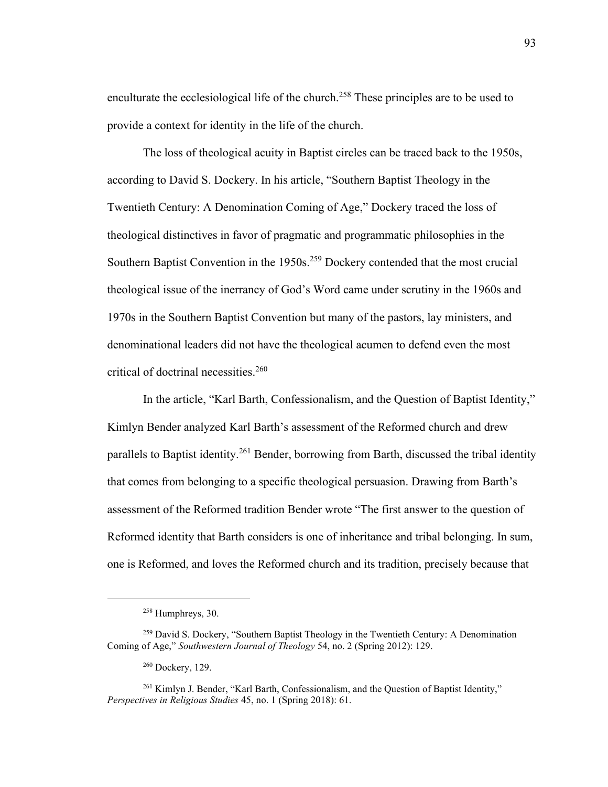enculturate the ecclesiological life of the church.<sup>258</sup> These principles are to be used to provide a context for identity in the life of the church.

The loss of theological acuity in Baptist circles can be traced back to the 1950s, according to David S. Dockery. In his article, "Southern Baptist Theology in the Twentieth Century: A Denomination Coming of Age," Dockery traced the loss of theological distinctives in favor of pragmatic and programmatic philosophies in the Southern Baptist Convention in the 1950s.<sup>259</sup> Dockery contended that the most crucial theological issue of the inerrancy of God's Word came under scrutiny in the 1960s and 1970s in the Southern Baptist Convention but many of the pastors, lay ministers, and denominational leaders did not have the theological acumen to defend even the most critical of doctrinal necessities.<sup>260</sup>

In the article, "Karl Barth, Confessionalism, and the Question of Baptist Identity," Kimlyn Bender analyzed Karl Barth's assessment of the Reformed church and drew parallels to Baptist identity.<sup>261</sup> Bender, borrowing from Barth, discussed the tribal identity that comes from belonging to a specific theological persuasion. Drawing from Barth's assessment of the Reformed tradition Bender wrote "The first answer to the question of Reformed identity that Barth considers is one of inheritance and tribal belonging. In sum, one is Reformed, and loves the Reformed church and its tradition, precisely because that

 $258$  Humphreys, 30.

<sup>&</sup>lt;sup>259</sup> David S. Dockery, "Southern Baptist Theology in the Twentieth Century: A Denomination Coming of Age," *Southwestern Journal of Theology* 54, no. 2 (Spring 2012): 129.

<sup>260</sup> Dockery, 129.

<sup>&</sup>lt;sup>261</sup> Kimlyn J. Bender, "Karl Barth, Confessionalism, and the Question of Baptist Identity," *Perspectives in Religious Studies* 45, no. 1 (Spring 2018): 61.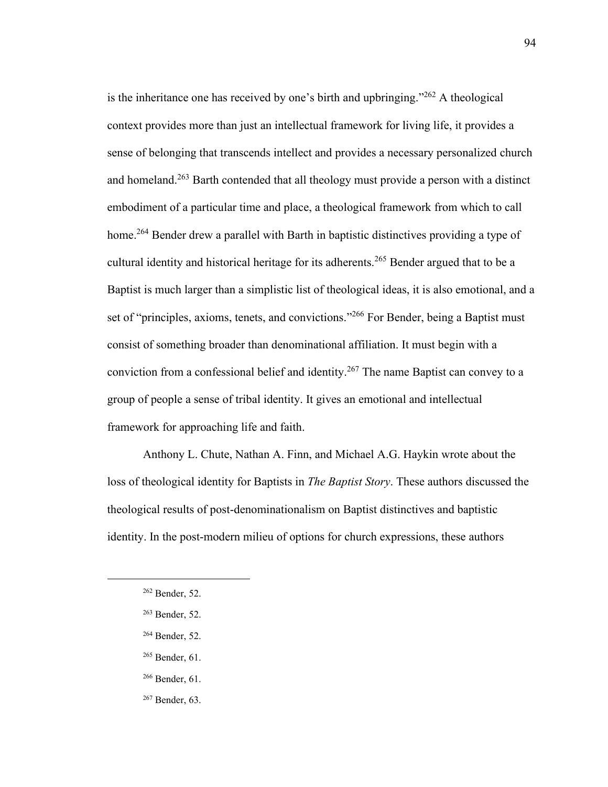is the inheritance one has received by one's birth and upbringing." $262$  A theological context provides more than just an intellectual framework for living life, it provides a sense of belonging that transcends intellect and provides a necessary personalized church and homeland.<sup>263</sup> Barth contended that all theology must provide a person with a distinct embodiment of a particular time and place, a theological framework from which to call home.<sup>264</sup> Bender drew a parallel with Barth in baptistic distinctives providing a type of cultural identity and historical heritage for its adherents.<sup>265</sup> Bender argued that to be a Baptist is much larger than a simplistic list of theological ideas, it is also emotional, and a set of "principles, axioms, tenets, and convictions."<sup>266</sup> For Bender, being a Baptist must consist of something broader than denominational affiliation. It must begin with a conviction from a confessional belief and identity.<sup>267</sup> The name Baptist can convey to a group of people a sense of tribal identity. It gives an emotional and intellectual framework for approaching life and faith.

Anthony L. Chute, Nathan A. Finn, and Michael A.G. Haykin wrote about the loss of theological identity for Baptists in *The Baptist Story*. These authors discussed the theological results of post-denominationalism on Baptist distinctives and baptistic identity. In the post-modern milieu of options for church expressions, these authors

<sup>262</sup> Bender, 52.

<sup>263</sup> Bender, 52.

<sup>264</sup> Bender, 52.

<sup>265</sup> Bender, 61.

<sup>266</sup> Bender, 61.

<sup>267</sup> Bender, 63.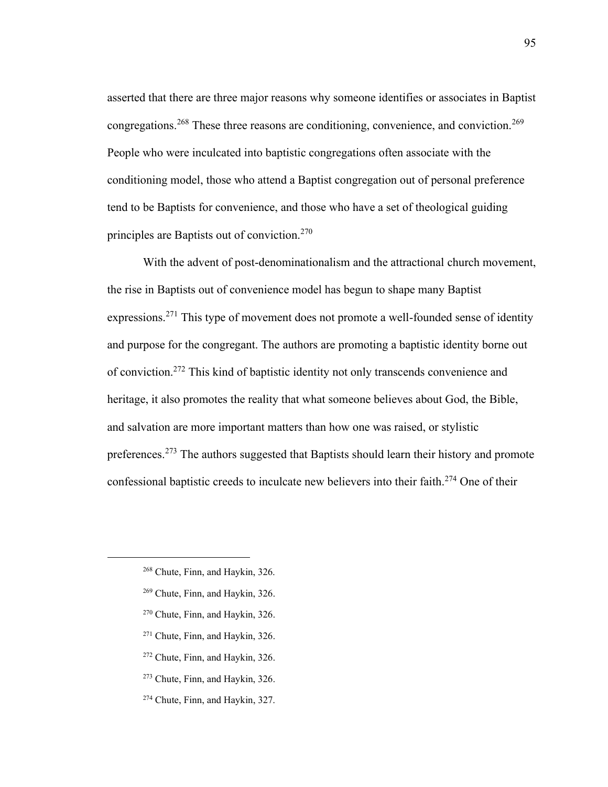asserted that there are three major reasons why someone identifies or associates in Baptist congregations.<sup>268</sup> These three reasons are conditioning, convenience, and conviction.<sup>269</sup> People who were inculcated into baptistic congregations often associate with the conditioning model, those who attend a Baptist congregation out of personal preference tend to be Baptists for convenience, and those who have a set of theological guiding principles are Baptists out of conviction.<sup>270</sup>

With the advent of post-denominationalism and the attractional church movement, the rise in Baptists out of convenience model has begun to shape many Baptist expressions.<sup>271</sup> This type of movement does not promote a well-founded sense of identity and purpose for the congregant. The authors are promoting a baptistic identity borne out of conviction.<sup>272</sup> This kind of baptistic identity not only transcends convenience and heritage, it also promotes the reality that what someone believes about God, the Bible, and salvation are more important matters than how one was raised, or stylistic preferences.<sup>273</sup> The authors suggested that Baptists should learn their history and promote confessional baptistic creeds to inculcate new believers into their faith.<sup>274</sup> One of their

- <sup>270</sup> Chute, Finn, and Haykin, 326.
- <sup>271</sup> Chute, Finn, and Haykin, 326.
- <sup>272</sup> Chute, Finn, and Haykin, 326.
- <sup>273</sup> Chute, Finn, and Haykin, 326.
- <sup>274</sup> Chute, Finn, and Haykin, 327.

<sup>268</sup> Chute, Finn, and Haykin, 326.

<sup>269</sup> Chute, Finn, and Haykin, 326.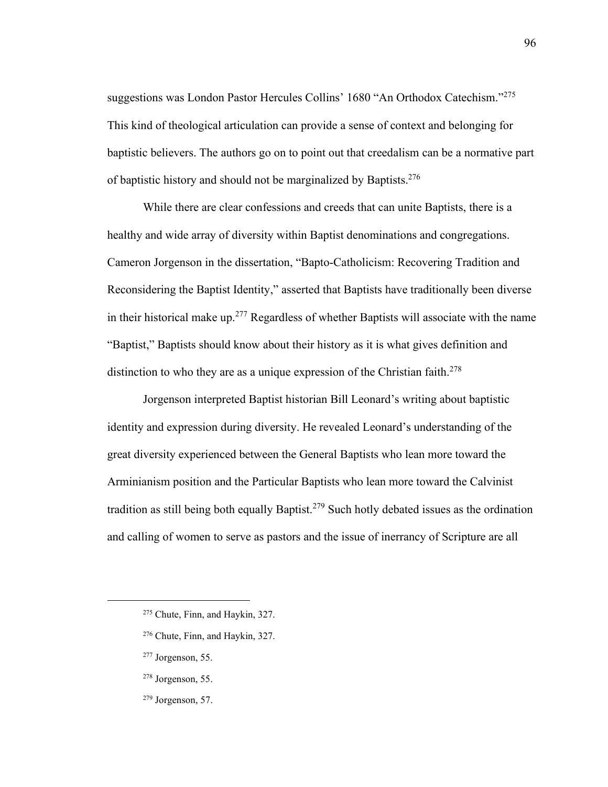suggestions was London Pastor Hercules Collins' 1680 "An Orthodox Catechism."<sup>275</sup> This kind of theological articulation can provide a sense of context and belonging for baptistic believers. The authors go on to point out that creedalism can be a normative part of baptistic history and should not be marginalized by Baptists.<sup>276</sup>

While there are clear confessions and creeds that can unite Baptists, there is a healthy and wide array of diversity within Baptist denominations and congregations. Cameron Jorgenson in the dissertation, "Bapto-Catholicism: Recovering Tradition and Reconsidering the Baptist Identity," asserted that Baptists have traditionally been diverse in their historical make up.<sup>277</sup> Regardless of whether Baptists will associate with the name "Baptist," Baptists should know about their history as it is what gives definition and distinction to who they are as a unique expression of the Christian faith.<sup>278</sup>

Jorgenson interpreted Baptist historian Bill Leonard's writing about baptistic identity and expression during diversity. He revealed Leonard's understanding of the great diversity experienced between the General Baptists who lean more toward the Arminianism position and the Particular Baptists who lean more toward the Calvinist tradition as still being both equally Baptist.<sup>279</sup> Such hotly debated issues as the ordination and calling of women to serve as pastors and the issue of inerrancy of Scripture are all

- <sup>277</sup> Jorgenson, 55.
- <sup>278</sup> Jorgenson, 55.
- $279$  Jorgenson, 57.

<sup>275</sup> Chute, Finn, and Haykin, 327.

<sup>276</sup> Chute, Finn, and Haykin, 327.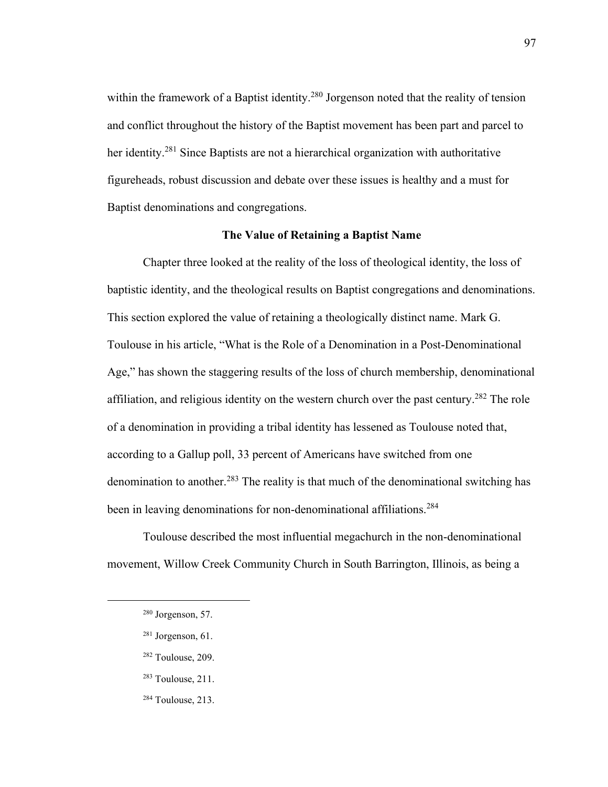within the framework of a Baptist identity.<sup>280</sup> Jorgenson noted that the reality of tension and conflict throughout the history of the Baptist movement has been part and parcel to her identity.<sup>281</sup> Since Baptists are not a hierarchical organization with authoritative figureheads, robust discussion and debate over these issues is healthy and a must for Baptist denominations and congregations.

## **The Value of Retaining a Baptist Name**

Chapter three looked at the reality of the loss of theological identity, the loss of baptistic identity, and the theological results on Baptist congregations and denominations. This section explored the value of retaining a theologically distinct name. Mark G. Toulouse in his article, "What is the Role of a Denomination in a Post-Denominational Age," has shown the staggering results of the loss of church membership, denominational affiliation, and religious identity on the western church over the past century.<sup>282</sup> The role of a denomination in providing a tribal identity has lessened as Toulouse noted that, according to a Gallup poll, 33 percent of Americans have switched from one denomination to another.<sup>283</sup> The reality is that much of the denominational switching has been in leaving denominations for non-denominational affiliations.<sup>284</sup>

Toulouse described the most influential megachurch in the non-denominational movement, Willow Creek Community Church in South Barrington, Illinois, as being a

- <sup>282</sup> Toulouse, 209.
- <sup>283</sup> Toulouse, 211.
- <sup>284</sup> Toulouse, 213.

 $280$  Jorgenson, 57.

 $281$  Jorgenson, 61.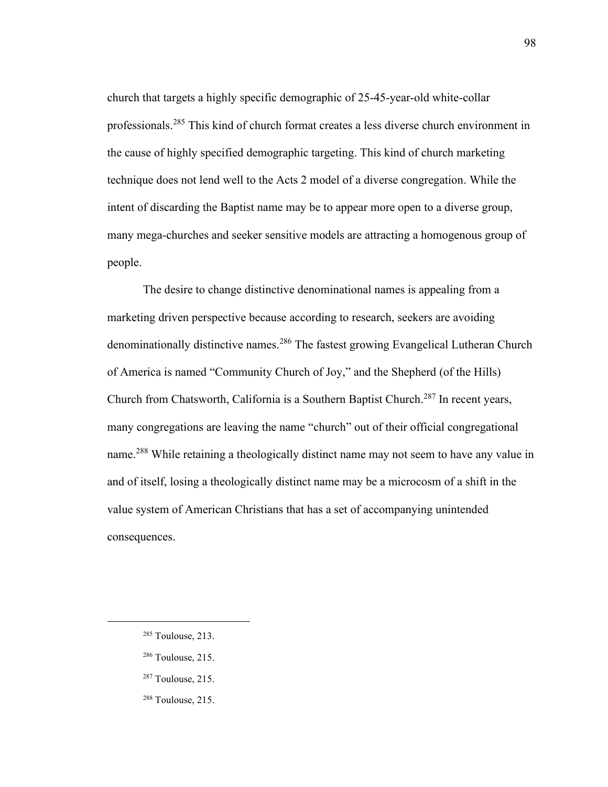church that targets a highly specific demographic of 25-45-year-old white-collar professionals.<sup>285</sup> This kind of church format creates a less diverse church environment in the cause of highly specified demographic targeting. This kind of church marketing technique does not lend well to the Acts 2 model of a diverse congregation. While the intent of discarding the Baptist name may be to appear more open to a diverse group, many mega-churches and seeker sensitive models are attracting a homogenous group of people.

The desire to change distinctive denominational names is appealing from a marketing driven perspective because according to research, seekers are avoiding denominationally distinctive names.<sup>286</sup> The fastest growing Evangelical Lutheran Church of America is named "Community Church of Joy," and the Shepherd (of the Hills) Church from Chatsworth, California is a Southern Baptist Church.<sup>287</sup> In recent years, many congregations are leaving the name "church" out of their official congregational name.<sup>288</sup> While retaining a theologically distinct name may not seem to have any value in and of itself, losing a theologically distinct name may be a microcosm of a shift in the value system of American Christians that has a set of accompanying unintended consequences.

- <sup>286</sup> Toulouse, 215.
- $287$  Toulouse, 215.
- <sup>288</sup> Toulouse, 215.

<sup>285</sup> Toulouse, 213.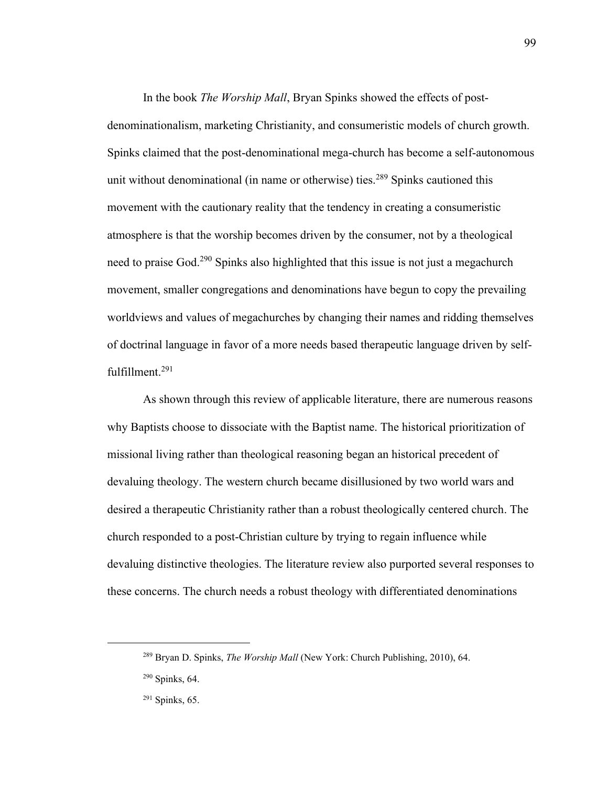In the book *The Worship Mall*, Bryan Spinks showed the effects of postdenominationalism, marketing Christianity, and consumeristic models of church growth. Spinks claimed that the post-denominational mega-church has become a self-autonomous unit without denominational (in name or otherwise) ties.<sup>289</sup> Spinks cautioned this movement with the cautionary reality that the tendency in creating a consumeristic atmosphere is that the worship becomes driven by the consumer, not by a theological need to praise God.<sup>290</sup> Spinks also highlighted that this issue is not just a megachurch movement, smaller congregations and denominations have begun to copy the prevailing worldviews and values of megachurches by changing their names and ridding themselves of doctrinal language in favor of a more needs based therapeutic language driven by selffulfillment.<sup>291</sup>

As shown through this review of applicable literature, there are numerous reasons why Baptists choose to dissociate with the Baptist name. The historical prioritization of missional living rather than theological reasoning began an historical precedent of devaluing theology. The western church became disillusioned by two world wars and desired a therapeutic Christianity rather than a robust theologically centered church. The church responded to a post-Christian culture by trying to regain influence while devaluing distinctive theologies. The literature review also purported several responses to these concerns. The church needs a robust theology with differentiated denominations

99

<sup>289</sup> Bryan D. Spinks, *The Worship Mall* (New York: Church Publishing, 2010), 64.

<sup>290</sup> Spinks, 64.

<sup>291</sup> Spinks, 65.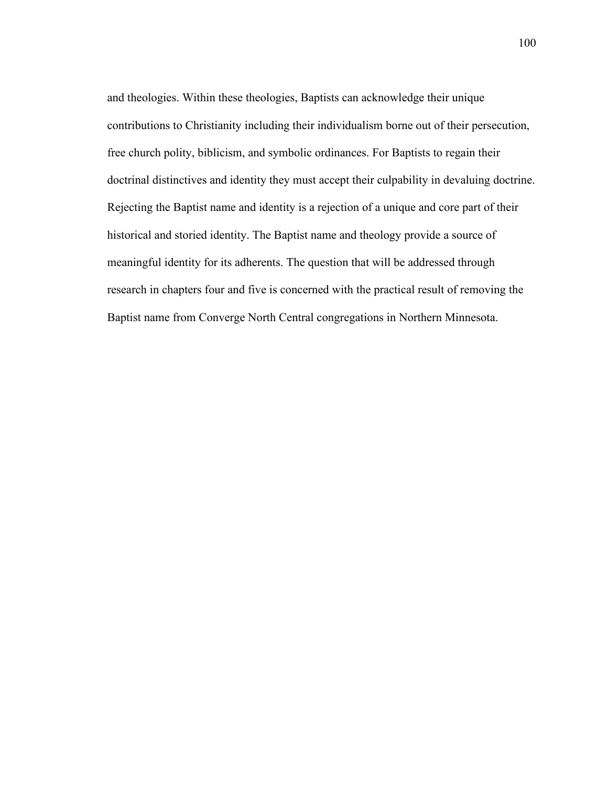and theologies. Within these theologies, Baptists can acknowledge their unique contributions to Christianity including their individualism borne out of their persecution, free church polity, biblicism, and symbolic ordinances. For Baptists to regain their doctrinal distinctives and identity they must accept their culpability in devaluing doctrine. Rejecting the Baptist name and identity is a rejection of a unique and core part of their historical and storied identity. The Baptist name and theology provide a source of meaningful identity for its adherents. The question that will be addressed through research in chapters four and five is concerned with the practical result of removing the Baptist name from Converge North Central congregations in Northern Minnesota.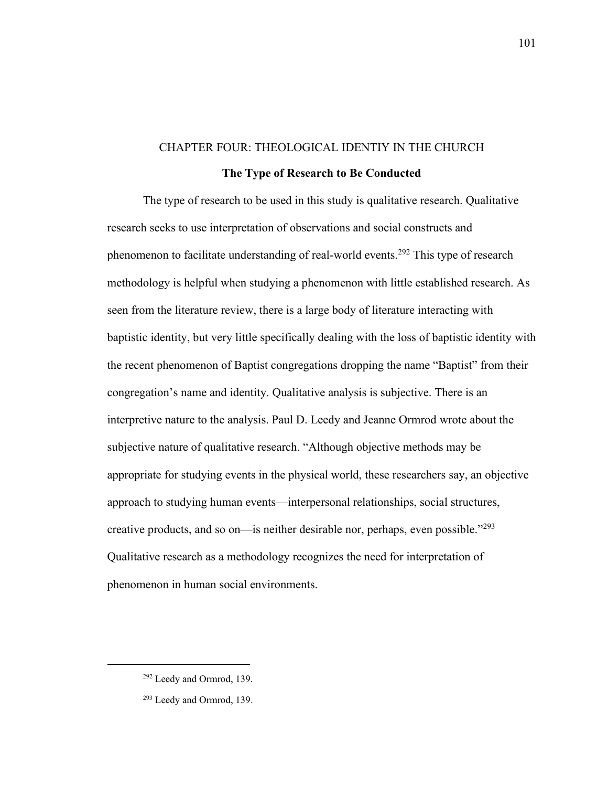# CHAPTER FOUR: THEOLOGICAL IDENTIY IN THE CHURCH **The Type of Research to Be Conducted**

The type of research to be used in this study is qualitative research. Qualitative research seeks to use interpretation of observations and social constructs and phenomenon to facilitate understanding of real-world events.<sup>292</sup> This type of research methodology is helpful when studying a phenomenon with little established research. As seen from the literature review, there is a large body of literature interacting with baptistic identity, but very little specifically dealing with the loss of baptistic identity with the recent phenomenon of Baptist congregations dropping the name "Baptist" from their congregation's name and identity. Qualitative analysis is subjective. There is an interpretive nature to the analysis. Paul D. Leedy and Jeanne Ormrod wrote about the subjective nature of qualitative research. "Although objective methods may be appropriate for studying events in the physical world, these researchers say, an objective approach to studying human events—interpersonal relationships, social structures, creative products, and so on—is neither desirable nor, perhaps, even possible."<sup>293</sup> Qualitative research as a methodology recognizes the need for interpretation of phenomenon in human social environments.

<sup>292</sup> Leedy and Ormrod, 139.

<sup>293</sup> Leedy and Ormrod, 139.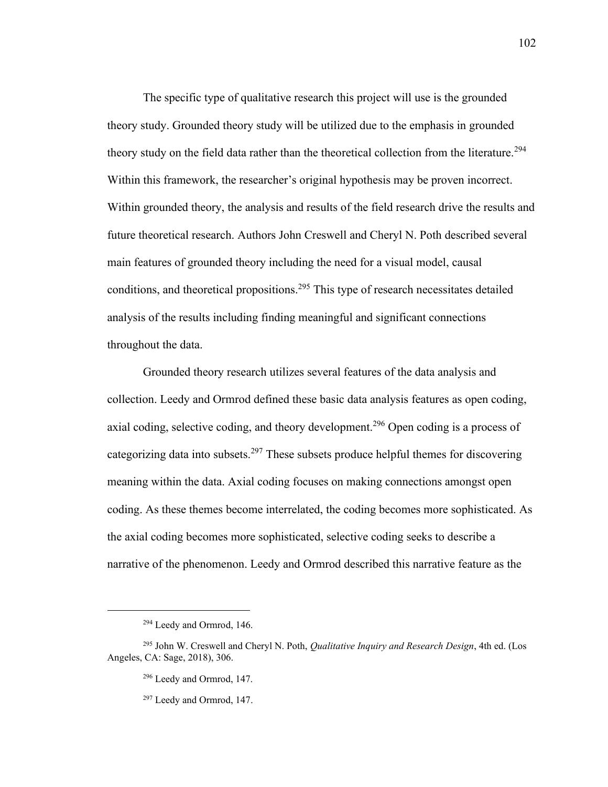The specific type of qualitative research this project will use is the grounded theory study. Grounded theory study will be utilized due to the emphasis in grounded theory study on the field data rather than the theoretical collection from the literature.<sup>294</sup> Within this framework, the researcher's original hypothesis may be proven incorrect. Within grounded theory, the analysis and results of the field research drive the results and future theoretical research. Authors John Creswell and Cheryl N. Poth described several main features of grounded theory including the need for a visual model, causal conditions, and theoretical propositions.<sup>295</sup> This type of research necessitates detailed analysis of the results including finding meaningful and significant connections throughout the data.

Grounded theory research utilizes several features of the data analysis and collection. Leedy and Ormrod defined these basic data analysis features as open coding, axial coding, selective coding, and theory development.<sup>296</sup> Open coding is a process of categorizing data into subsets.<sup>297</sup> These subsets produce helpful themes for discovering meaning within the data. Axial coding focuses on making connections amongst open coding. As these themes become interrelated, the coding becomes more sophisticated. As the axial coding becomes more sophisticated, selective coding seeks to describe a narrative of the phenomenon. Leedy and Ormrod described this narrative feature as the

<sup>294</sup> Leedy and Ormrod, 146.

<sup>295</sup> John W. Creswell and Cheryl N. Poth, *Qualitative Inquiry and Research Design*, 4th ed. (Los Angeles, CA: Sage, 2018), 306.

<sup>296</sup> Leedy and Ormrod, 147.

<sup>297</sup> Leedy and Ormrod, 147.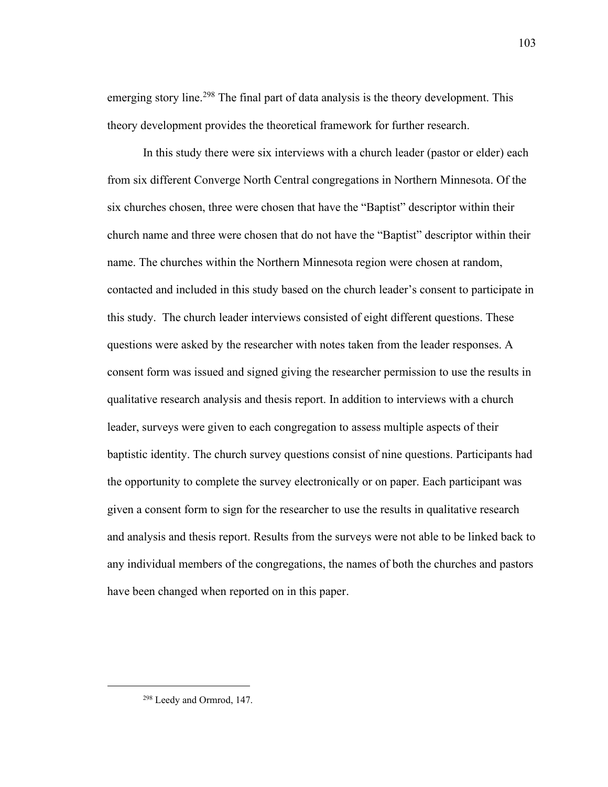emerging story line.<sup>298</sup> The final part of data analysis is the theory development. This theory development provides the theoretical framework for further research.

In this study there were six interviews with a church leader (pastor or elder) each from six different Converge North Central congregations in Northern Minnesota. Of the six churches chosen, three were chosen that have the "Baptist" descriptor within their church name and three were chosen that do not have the "Baptist" descriptor within their name. The churches within the Northern Minnesota region were chosen at random, contacted and included in this study based on the church leader's consent to participate in this study. The church leader interviews consisted of eight different questions. These questions were asked by the researcher with notes taken from the leader responses. A consent form was issued and signed giving the researcher permission to use the results in qualitative research analysis and thesis report. In addition to interviews with a church leader, surveys were given to each congregation to assess multiple aspects of their baptistic identity. The church survey questions consist of nine questions. Participants had the opportunity to complete the survey electronically or on paper. Each participant was given a consent form to sign for the researcher to use the results in qualitative research and analysis and thesis report. Results from the surveys were not able to be linked back to any individual members of the congregations, the names of both the churches and pastors have been changed when reported on in this paper.

<sup>298</sup> Leedy and Ormrod, 147.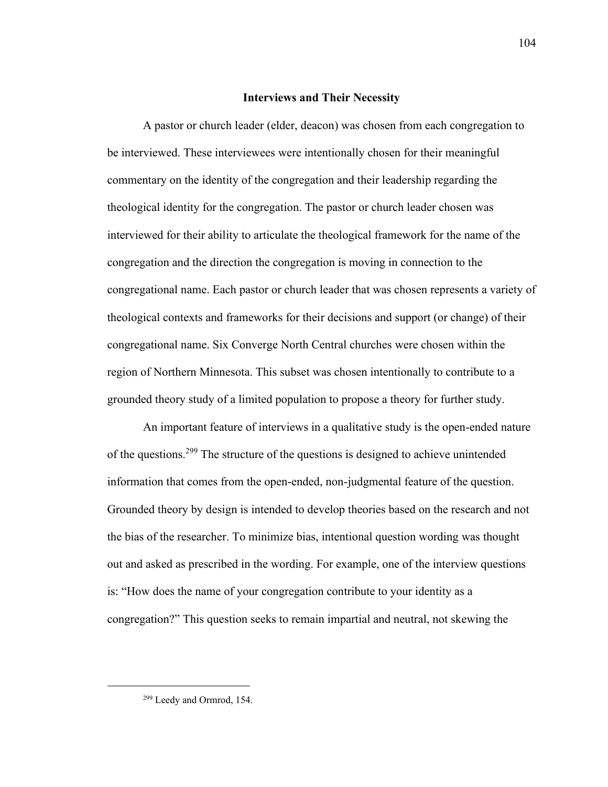### **Interviews and Their Necessity**

A pastor or church leader (elder, deacon) was chosen from each congregation to be interviewed. These interviewees were intentionally chosen for their meaningful commentary on the identity of the congregation and their leadership regarding the theological identity for the congregation. The pastor or church leader chosen was interviewed for their ability to articulate the theological framework for the name of the congregation and the direction the congregation is moving in connection to the congregational name. Each pastor or church leader that was chosen represents a variety of theological contexts and frameworks for their decisions and support (or change) of their congregational name. Six Converge North Central churches were chosen within the region of Northern Minnesota. This subset was chosen intentionally to contribute to a grounded theory study of a limited population to propose a theory for further study.

An important feature of interviews in a qualitative study is the open-ended nature of the questions.<sup>299</sup> The structure of the questions is designed to achieve unintended information that comes from the open-ended, non-judgmental feature of the question. Grounded theory by design is intended to develop theories based on the research and not the bias of the researcher. To minimize bias, intentional question wording was thought out and asked as prescribed in the wording. For example, one of the interview questions is: "How does the name of your congregation contribute to your identity as a congregation?" This question seeks to remain impartial and neutral, not skewing the

<sup>299</sup> Leedy and Ormrod, 154.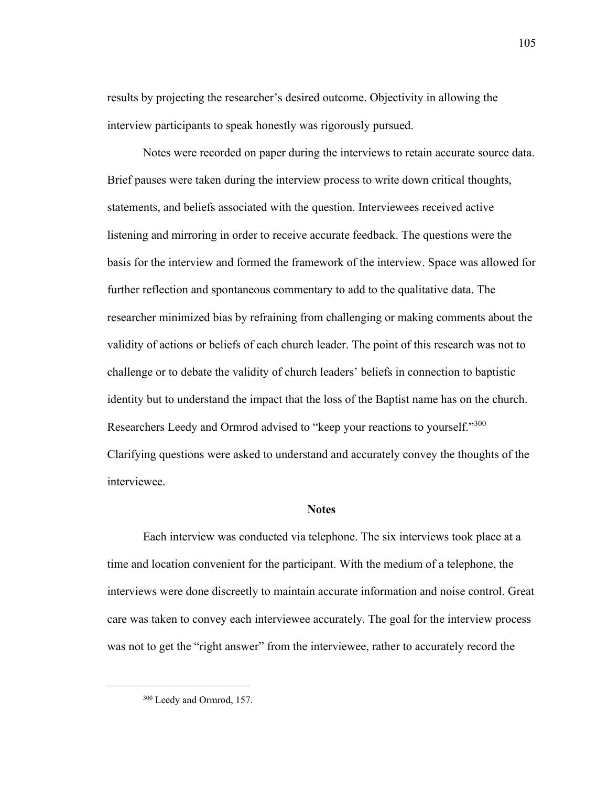results by projecting the researcher's desired outcome. Objectivity in allowing the interview participants to speak honestly was rigorously pursued.

Notes were recorded on paper during the interviews to retain accurate source data. Brief pauses were taken during the interview process to write down critical thoughts, statements, and beliefs associated with the question. Interviewees received active listening and mirroring in order to receive accurate feedback. The questions were the basis for the interview and formed the framework of the interview. Space was allowed for further reflection and spontaneous commentary to add to the qualitative data. The researcher minimized bias by refraining from challenging or making comments about the validity of actions or beliefs of each church leader. The point of this research was not to challenge or to debate the validity of church leaders' beliefs in connection to baptistic identity but to understand the impact that the loss of the Baptist name has on the church. Researchers Leedy and Ormrod advised to "keep your reactions to yourself."300 Clarifying questions were asked to understand and accurately convey the thoughts of the interviewee.

#### **Notes**

Each interview was conducted via telephone. The six interviews took place at a time and location convenient for the participant. With the medium of a telephone, the interviews were done discreetly to maintain accurate information and noise control. Great care was taken to convey each interviewee accurately. The goal for the interview process was not to get the "right answer" from the interviewee, rather to accurately record the

<sup>&</sup>lt;sup>300</sup> Leedy and Ormrod, 157.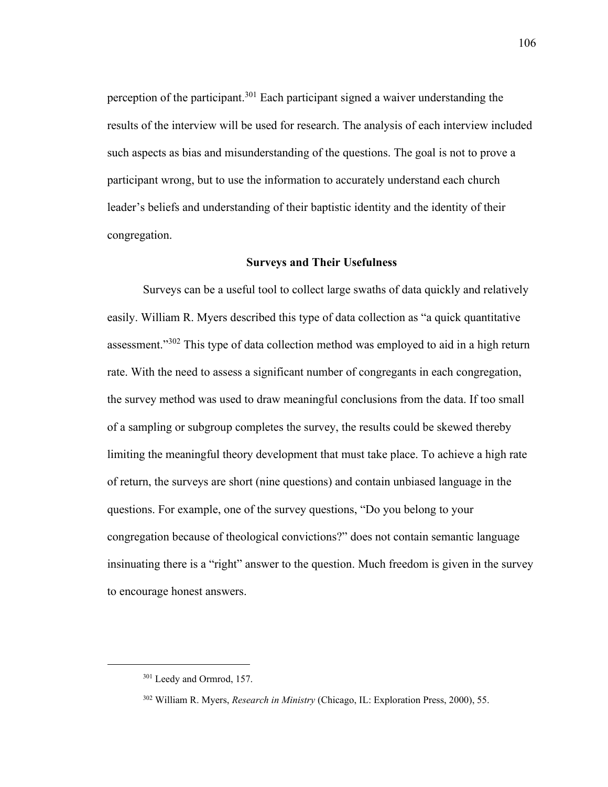perception of the participant.<sup>301</sup> Each participant signed a waiver understanding the results of the interview will be used for research. The analysis of each interview included such aspects as bias and misunderstanding of the questions. The goal is not to prove a participant wrong, but to use the information to accurately understand each church leader's beliefs and understanding of their baptistic identity and the identity of their congregation.

### **Surveys and Their Usefulness**

Surveys can be a useful tool to collect large swaths of data quickly and relatively easily. William R. Myers described this type of data collection as "a quick quantitative assessment."<sup>302</sup> This type of data collection method was employed to aid in a high return rate. With the need to assess a significant number of congregants in each congregation, the survey method was used to draw meaningful conclusions from the data. If too small of a sampling or subgroup completes the survey, the results could be skewed thereby limiting the meaningful theory development that must take place. To achieve a high rate of return, the surveys are short (nine questions) and contain unbiased language in the questions. For example, one of the survey questions, "Do you belong to your congregation because of theological convictions?" does not contain semantic language insinuating there is a "right" answer to the question. Much freedom is given in the survey to encourage honest answers.

<sup>&</sup>lt;sup>301</sup> Leedy and Ormrod, 157.

<sup>302</sup> William R. Myers, *Research in Ministry* (Chicago, IL: Exploration Press, 2000), 55.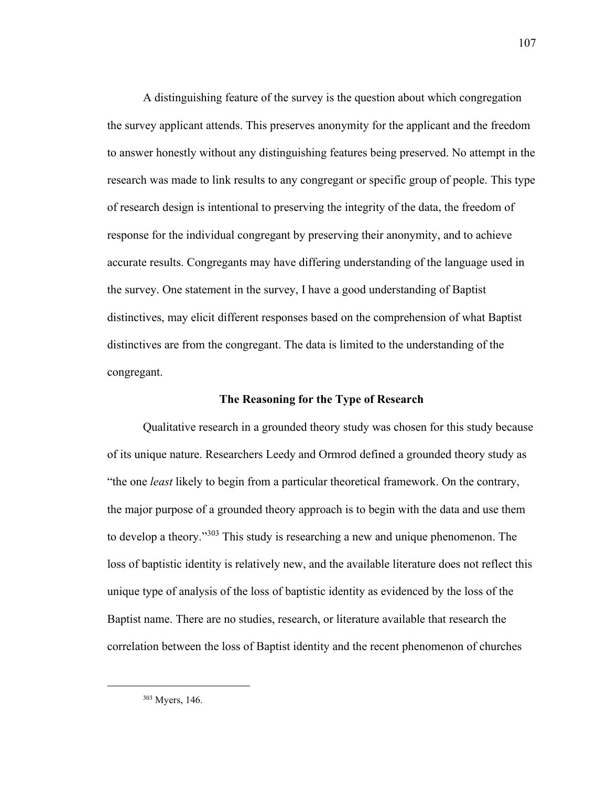A distinguishing feature of the survey is the question about which congregation the survey applicant attends. This preserves anonymity for the applicant and the freedom to answer honestly without any distinguishing features being preserved. No attempt in the research was made to link results to any congregant or specific group of people. This type of research design is intentional to preserving the integrity of the data, the freedom of response for the individual congregant by preserving their anonymity, and to achieve accurate results. Congregants may have differing understanding of the language used in the survey. One statement in the survey, I have a good understanding of Baptist distinctives, may elicit different responses based on the comprehension of what Baptist distinctives are from the congregant. The data is limited to the understanding of the congregant.

## **The Reasoning for the Type of Research**

Qualitative research in a grounded theory study was chosen for this study because of its unique nature. Researchers Leedy and Ormrod defined a grounded theory study as "the one *least* likely to begin from a particular theoretical framework. On the contrary, the major purpose of a grounded theory approach is to begin with the data and use them to develop a theory."<sup>303</sup> This study is researching a new and unique phenomenon. The loss of baptistic identity is relatively new, and the available literature does not reflect this unique type of analysis of the loss of baptistic identity as evidenced by the loss of the Baptist name. There are no studies, research, or literature available that research the correlation between the loss of Baptist identity and the recent phenomenon of churches

<sup>303</sup> Myers, 146.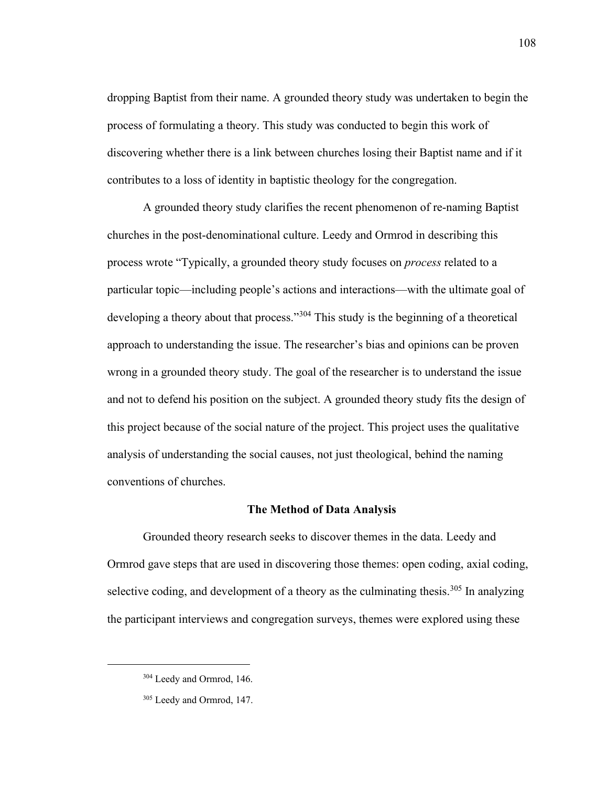dropping Baptist from their name. A grounded theory study was undertaken to begin the process of formulating a theory. This study was conducted to begin this work of discovering whether there is a link between churches losing their Baptist name and if it contributes to a loss of identity in baptistic theology for the congregation.

A grounded theory study clarifies the recent phenomenon of re-naming Baptist churches in the post-denominational culture. Leedy and Ormrod in describing this process wrote "Typically, a grounded theory study focuses on *process* related to a particular topic—including people's actions and interactions—with the ultimate goal of developing a theory about that process."<sup>304</sup> This study is the beginning of a theoretical approach to understanding the issue. The researcher's bias and opinions can be proven wrong in a grounded theory study. The goal of the researcher is to understand the issue and not to defend his position on the subject. A grounded theory study fits the design of this project because of the social nature of the project. This project uses the qualitative analysis of understanding the social causes, not just theological, behind the naming conventions of churches.

## **The Method of Data Analysis**

Grounded theory research seeks to discover themes in the data. Leedy and Ormrod gave steps that are used in discovering those themes: open coding, axial coding, selective coding, and development of a theory as the culminating thesis.<sup>305</sup> In analyzing the participant interviews and congregation surveys, themes were explored using these

<sup>&</sup>lt;sup>304</sup> Leedy and Ormrod, 146.

<sup>305</sup> Leedy and Ormrod, 147.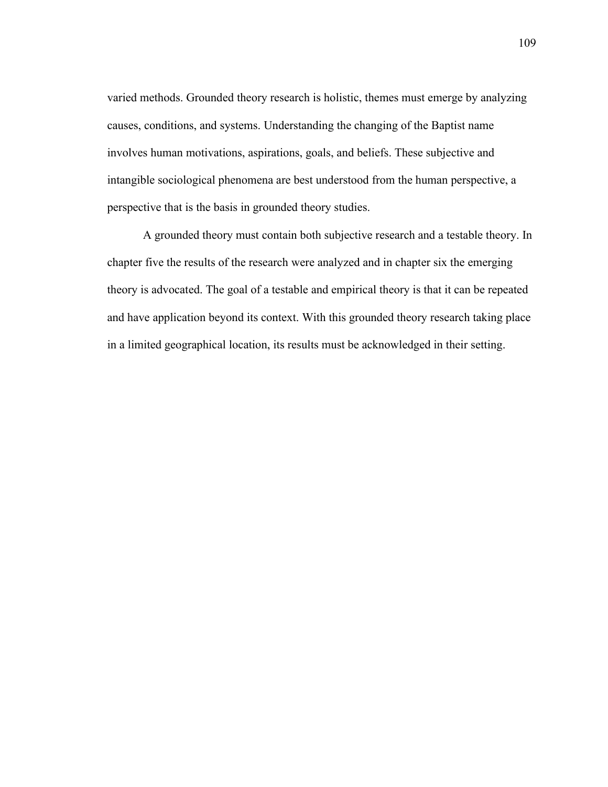varied methods. Grounded theory research is holistic, themes must emerge by analyzing causes, conditions, and systems. Understanding the changing of the Baptist name involves human motivations, aspirations, goals, and beliefs. These subjective and intangible sociological phenomena are best understood from the human perspective, a perspective that is the basis in grounded theory studies.

A grounded theory must contain both subjective research and a testable theory. In chapter five the results of the research were analyzed and in chapter six the emerging theory is advocated. The goal of a testable and empirical theory is that it can be repeated and have application beyond its context. With this grounded theory research taking place in a limited geographical location, its results must be acknowledged in their setting.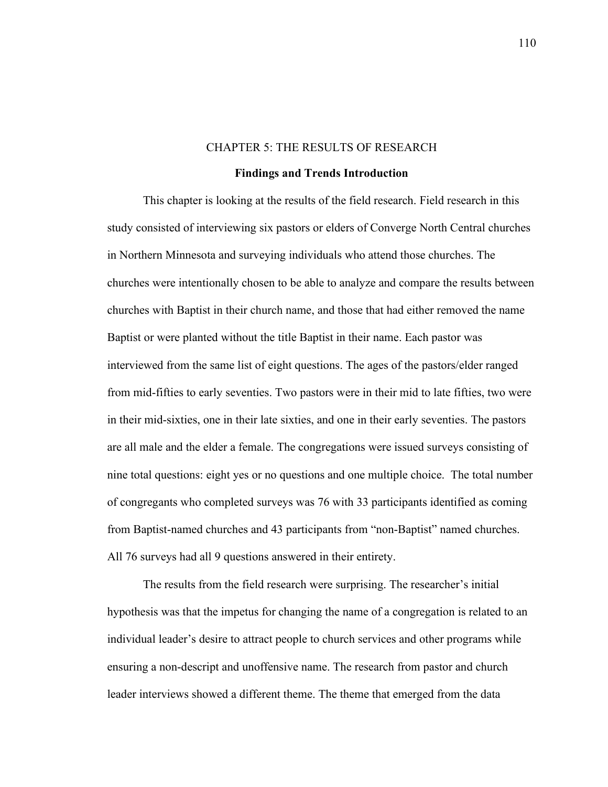#### CHAPTER 5: THE RESULTS OF RESEARCH

### **Findings and Trends Introduction**

This chapter is looking at the results of the field research. Field research in this study consisted of interviewing six pastors or elders of Converge North Central churches in Northern Minnesota and surveying individuals who attend those churches. The churches were intentionally chosen to be able to analyze and compare the results between churches with Baptist in their church name, and those that had either removed the name Baptist or were planted without the title Baptist in their name. Each pastor was interviewed from the same list of eight questions. The ages of the pastors/elder ranged from mid-fifties to early seventies. Two pastors were in their mid to late fifties, two were in their mid-sixties, one in their late sixties, and one in their early seventies. The pastors are all male and the elder a female. The congregations were issued surveys consisting of nine total questions: eight yes or no questions and one multiple choice. The total number of congregants who completed surveys was 76 with 33 participants identified as coming from Baptist-named churches and 43 participants from "non-Baptist" named churches. All 76 surveys had all 9 questions answered in their entirety.

The results from the field research were surprising. The researcher's initial hypothesis was that the impetus for changing the name of a congregation is related to an individual leader's desire to attract people to church services and other programs while ensuring a non-descript and unoffensive name. The research from pastor and church leader interviews showed a different theme. The theme that emerged from the data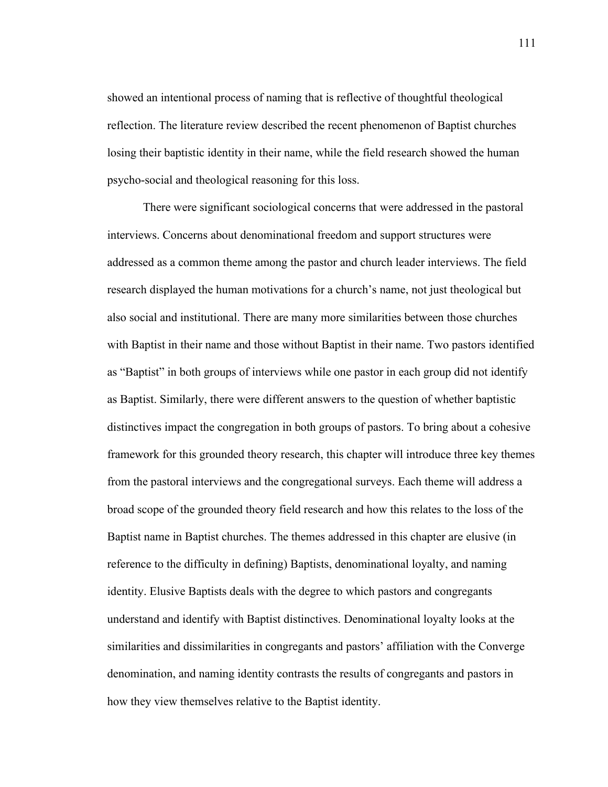showed an intentional process of naming that is reflective of thoughtful theological reflection. The literature review described the recent phenomenon of Baptist churches losing their baptistic identity in their name, while the field research showed the human psycho-social and theological reasoning for this loss.

There were significant sociological concerns that were addressed in the pastoral interviews. Concerns about denominational freedom and support structures were addressed as a common theme among the pastor and church leader interviews. The field research displayed the human motivations for a church's name, not just theological but also social and institutional. There are many more similarities between those churches with Baptist in their name and those without Baptist in their name. Two pastors identified as "Baptist" in both groups of interviews while one pastor in each group did not identify as Baptist. Similarly, there were different answers to the question of whether baptistic distinctives impact the congregation in both groups of pastors. To bring about a cohesive framework for this grounded theory research, this chapter will introduce three key themes from the pastoral interviews and the congregational surveys. Each theme will address a broad scope of the grounded theory field research and how this relates to the loss of the Baptist name in Baptist churches. The themes addressed in this chapter are elusive (in reference to the difficulty in defining) Baptists, denominational loyalty, and naming identity. Elusive Baptists deals with the degree to which pastors and congregants understand and identify with Baptist distinctives. Denominational loyalty looks at the similarities and dissimilarities in congregants and pastors' affiliation with the Converge denomination, and naming identity contrasts the results of congregants and pastors in how they view themselves relative to the Baptist identity.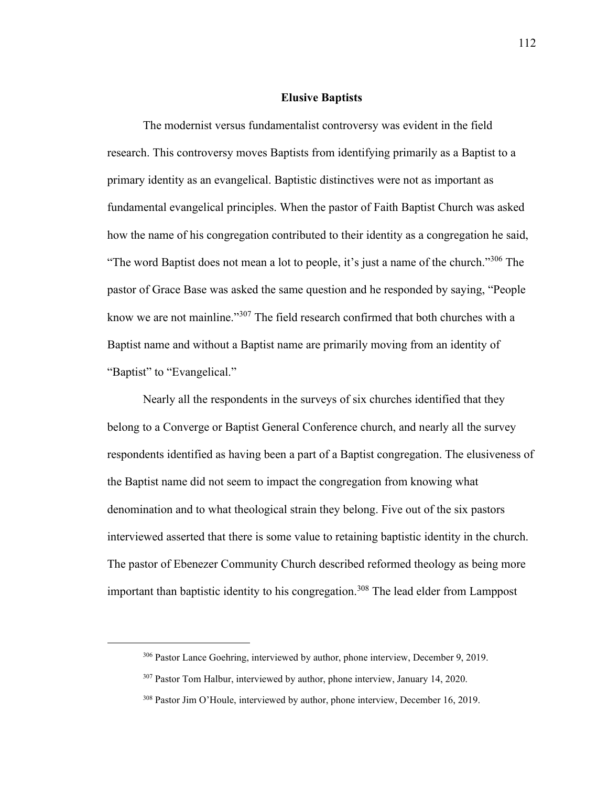## **Elusive Baptists**

The modernist versus fundamentalist controversy was evident in the field research. This controversy moves Baptists from identifying primarily as a Baptist to a primary identity as an evangelical. Baptistic distinctives were not as important as fundamental evangelical principles. When the pastor of Faith Baptist Church was asked how the name of his congregation contributed to their identity as a congregation he said, "The word Baptist does not mean a lot to people, it's just a name of the church."<sup>306</sup> The pastor of Grace Base was asked the same question and he responded by saying, "People know we are not mainline."<sup>307</sup> The field research confirmed that both churches with a Baptist name and without a Baptist name are primarily moving from an identity of "Baptist" to "Evangelical."

Nearly all the respondents in the surveys of six churches identified that they belong to a Converge or Baptist General Conference church, and nearly all the survey respondents identified as having been a part of a Baptist congregation. The elusiveness of the Baptist name did not seem to impact the congregation from knowing what denomination and to what theological strain they belong. Five out of the six pastors interviewed asserted that there is some value to retaining baptistic identity in the church. The pastor of Ebenezer Community Church described reformed theology as being more important than baptistic identity to his congregation.<sup>308</sup> The lead elder from Lamppost

<sup>306</sup> Pastor Lance Goehring, interviewed by author, phone interview, December 9, 2019.

<sup>&</sup>lt;sup>307</sup> Pastor Tom Halbur, interviewed by author, phone interview, January 14, 2020.

<sup>&</sup>lt;sup>308</sup> Pastor Jim O'Houle, interviewed by author, phone interview, December 16, 2019.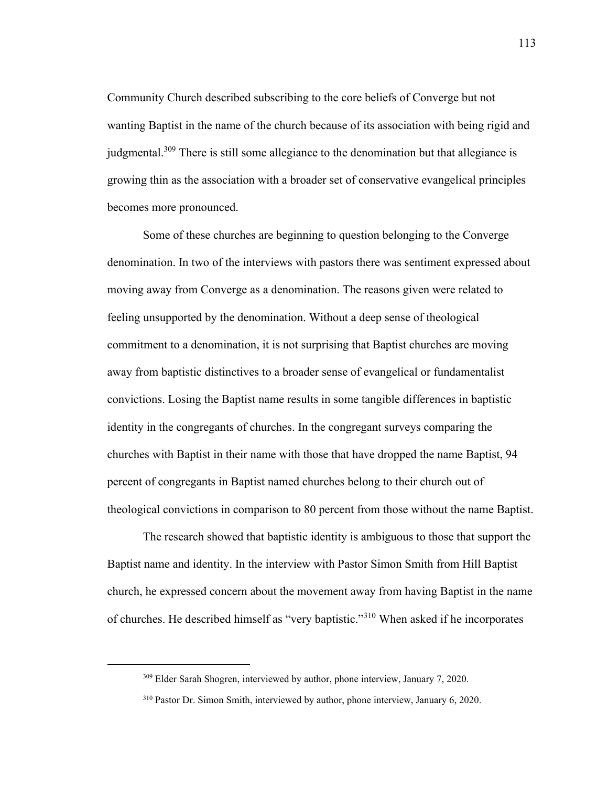Community Church described subscribing to the core beliefs of Converge but not wanting Baptist in the name of the church because of its association with being rigid and judgmental.<sup>309</sup> There is still some allegiance to the denomination but that allegiance is growing thin as the association with a broader set of conservative evangelical principles becomes more pronounced.

Some of these churches are beginning to question belonging to the Converge denomination. In two of the interviews with pastors there was sentiment expressed about moving away from Converge as a denomination. The reasons given were related to feeling unsupported by the denomination. Without a deep sense of theological commitment to a denomination, it is not surprising that Baptist churches are moving away from baptistic distinctives to a broader sense of evangelical or fundamentalist convictions. Losing the Baptist name results in some tangible differences in baptistic identity in the congregants of churches. In the congregant surveys comparing the churches with Baptist in their name with those that have dropped the name Baptist, 94 percent of congregants in Baptist named churches belong to their church out of theological convictions in comparison to 80 percent from those without the name Baptist.

The research showed that baptistic identity is ambiguous to those that support the Baptist name and identity. In the interview with Pastor Simon Smith from Hill Baptist church, he expressed concern about the movement away from having Baptist in the name of churches. He described himself as "very baptistic."<sup>310</sup> When asked if he incorporates

<sup>309</sup> Elder Sarah Shogren, interviewed by author, phone interview, January 7, 2020.

<sup>310</sup> Pastor Dr. Simon Smith, interviewed by author, phone interview, January 6, 2020.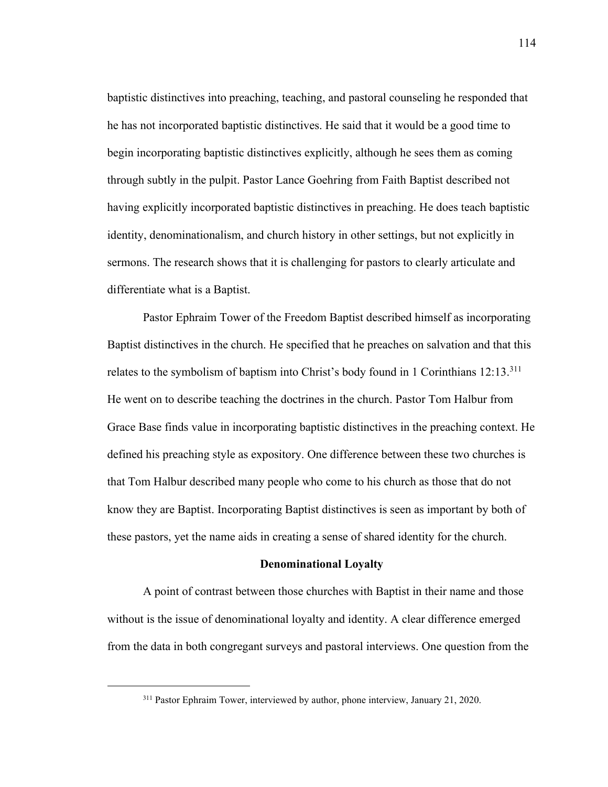baptistic distinctives into preaching, teaching, and pastoral counseling he responded that he has not incorporated baptistic distinctives. He said that it would be a good time to begin incorporating baptistic distinctives explicitly, although he sees them as coming through subtly in the pulpit. Pastor Lance Goehring from Faith Baptist described not having explicitly incorporated baptistic distinctives in preaching. He does teach baptistic identity, denominationalism, and church history in other settings, but not explicitly in sermons. The research shows that it is challenging for pastors to clearly articulate and differentiate what is a Baptist.

Pastor Ephraim Tower of the Freedom Baptist described himself as incorporating Baptist distinctives in the church. He specified that he preaches on salvation and that this relates to the symbolism of baptism into Christ's body found in 1 Corinthians  $12:13.^{311}$ He went on to describe teaching the doctrines in the church. Pastor Tom Halbur from Grace Base finds value in incorporating baptistic distinctives in the preaching context. He defined his preaching style as expository. One difference between these two churches is that Tom Halbur described many people who come to his church as those that do not know they are Baptist. Incorporating Baptist distinctives is seen as important by both of these pastors, yet the name aids in creating a sense of shared identity for the church.

#### **Denominational Loyalty**

A point of contrast between those churches with Baptist in their name and those without is the issue of denominational loyalty and identity. A clear difference emerged from the data in both congregant surveys and pastoral interviews. One question from the

<sup>311</sup> Pastor Ephraim Tower, interviewed by author, phone interview, January 21, 2020.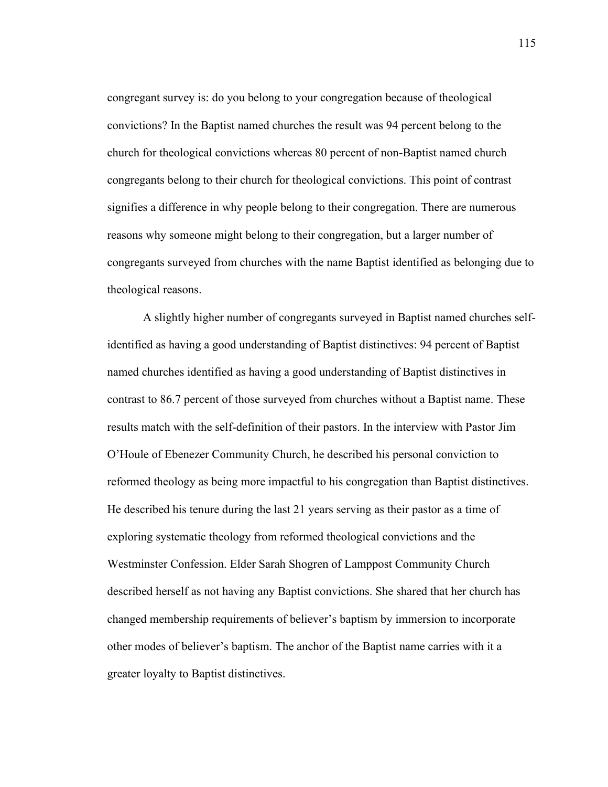congregant survey is: do you belong to your congregation because of theological convictions? In the Baptist named churches the result was 94 percent belong to the church for theological convictions whereas 80 percent of non-Baptist named church congregants belong to their church for theological convictions. This point of contrast signifies a difference in why people belong to their congregation. There are numerous reasons why someone might belong to their congregation, but a larger number of congregants surveyed from churches with the name Baptist identified as belonging due to theological reasons.

A slightly higher number of congregants surveyed in Baptist named churches selfidentified as having a good understanding of Baptist distinctives: 94 percent of Baptist named churches identified as having a good understanding of Baptist distinctives in contrast to 86.7 percent of those surveyed from churches without a Baptist name. These results match with the self-definition of their pastors. In the interview with Pastor Jim O'Houle of Ebenezer Community Church, he described his personal conviction to reformed theology as being more impactful to his congregation than Baptist distinctives. He described his tenure during the last 21 years serving as their pastor as a time of exploring systematic theology from reformed theological convictions and the Westminster Confession. Elder Sarah Shogren of Lamppost Community Church described herself as not having any Baptist convictions. She shared that her church has changed membership requirements of believer's baptism by immersion to incorporate other modes of believer's baptism. The anchor of the Baptist name carries with it a greater loyalty to Baptist distinctives.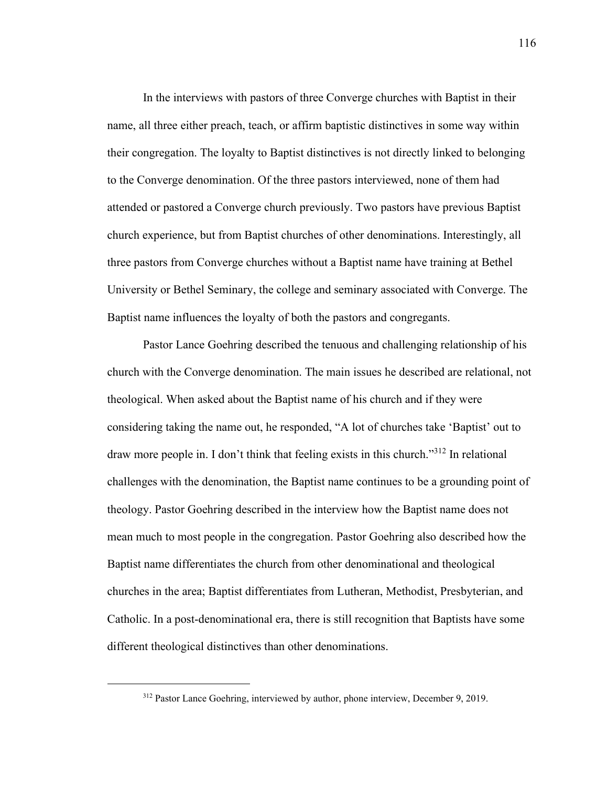In the interviews with pastors of three Converge churches with Baptist in their name, all three either preach, teach, or affirm baptistic distinctives in some way within their congregation. The loyalty to Baptist distinctives is not directly linked to belonging to the Converge denomination. Of the three pastors interviewed, none of them had attended or pastored a Converge church previously. Two pastors have previous Baptist church experience, but from Baptist churches of other denominations. Interestingly, all three pastors from Converge churches without a Baptist name have training at Bethel University or Bethel Seminary, the college and seminary associated with Converge. The Baptist name influences the loyalty of both the pastors and congregants.

Pastor Lance Goehring described the tenuous and challenging relationship of his church with the Converge denomination. The main issues he described are relational, not theological. When asked about the Baptist name of his church and if they were considering taking the name out, he responded, "A lot of churches take 'Baptist' out to draw more people in. I don't think that feeling exists in this church."<sup>312</sup> In relational challenges with the denomination, the Baptist name continues to be a grounding point of theology. Pastor Goehring described in the interview how the Baptist name does not mean much to most people in the congregation. Pastor Goehring also described how the Baptist name differentiates the church from other denominational and theological churches in the area; Baptist differentiates from Lutheran, Methodist, Presbyterian, and Catholic. In a post-denominational era, there is still recognition that Baptists have some different theological distinctives than other denominations.

<sup>312</sup> Pastor Lance Goehring, interviewed by author, phone interview, December 9, 2019.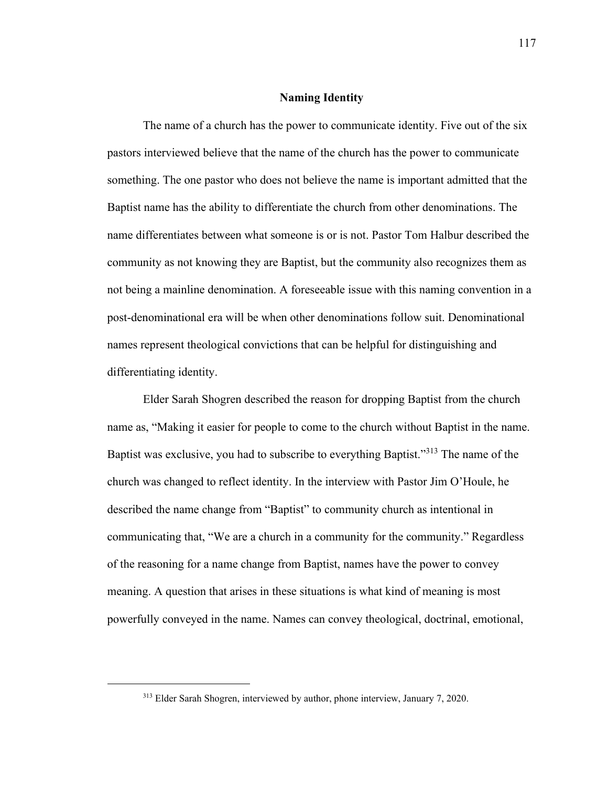## **Naming Identity**

The name of a church has the power to communicate identity. Five out of the six pastors interviewed believe that the name of the church has the power to communicate something. The one pastor who does not believe the name is important admitted that the Baptist name has the ability to differentiate the church from other denominations. The name differentiates between what someone is or is not. Pastor Tom Halbur described the community as not knowing they are Baptist, but the community also recognizes them as not being a mainline denomination. A foreseeable issue with this naming convention in a post-denominational era will be when other denominations follow suit. Denominational names represent theological convictions that can be helpful for distinguishing and differentiating identity.

Elder Sarah Shogren described the reason for dropping Baptist from the church name as, "Making it easier for people to come to the church without Baptist in the name. Baptist was exclusive, you had to subscribe to everything Baptist."<sup>313</sup> The name of the church was changed to reflect identity. In the interview with Pastor Jim O'Houle, he described the name change from "Baptist" to community church as intentional in communicating that, "We are a church in a community for the community." Regardless of the reasoning for a name change from Baptist, names have the power to convey meaning. A question that arises in these situations is what kind of meaning is most powerfully conveyed in the name. Names can convey theological, doctrinal, emotional,

<sup>313</sup> Elder Sarah Shogren, interviewed by author, phone interview, January 7, 2020.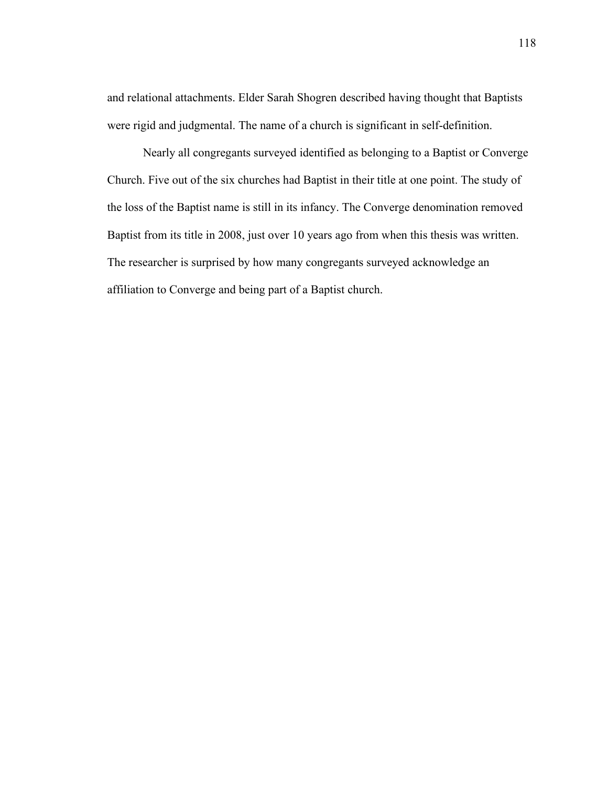and relational attachments. Elder Sarah Shogren described having thought that Baptists were rigid and judgmental. The name of a church is significant in self-definition.

Nearly all congregants surveyed identified as belonging to a Baptist or Converge Church. Five out of the six churches had Baptist in their title at one point. The study of the loss of the Baptist name is still in its infancy. The Converge denomination removed Baptist from its title in 2008, just over 10 years ago from when this thesis was written. The researcher is surprised by how many congregants surveyed acknowledge an affiliation to Converge and being part of a Baptist church.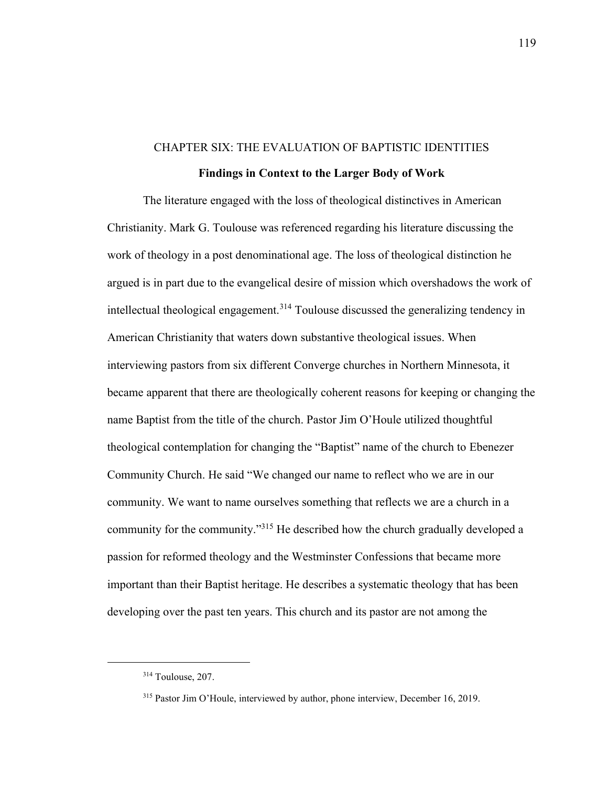# CHAPTER SIX: THE EVALUATION OF BAPTISTIC IDENTITIES **Findings in Context to the Larger Body of Work**

The literature engaged with the loss of theological distinctives in American Christianity. Mark G. Toulouse was referenced regarding his literature discussing the work of theology in a post denominational age. The loss of theological distinction he argued is in part due to the evangelical desire of mission which overshadows the work of intellectual theological engagement.<sup>314</sup> Toulouse discussed the generalizing tendency in American Christianity that waters down substantive theological issues. When interviewing pastors from six different Converge churches in Northern Minnesota, it became apparent that there are theologically coherent reasons for keeping or changing the name Baptist from the title of the church. Pastor Jim O'Houle utilized thoughtful theological contemplation for changing the "Baptist" name of the church to Ebenezer Community Church. He said "We changed our name to reflect who we are in our community. We want to name ourselves something that reflects we are a church in a community for the community."<sup>315</sup> He described how the church gradually developed a passion for reformed theology and the Westminster Confessions that became more important than their Baptist heritage. He describes a systematic theology that has been developing over the past ten years. This church and its pastor are not among the

<sup>314</sup> Toulouse, 207.

<sup>315</sup> Pastor Jim O'Houle, interviewed by author, phone interview, December 16, 2019.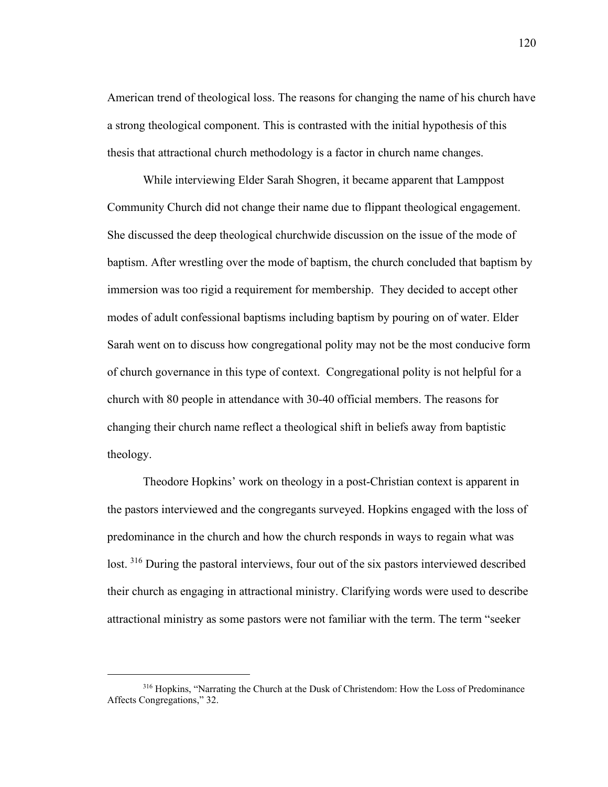American trend of theological loss. The reasons for changing the name of his church have a strong theological component. This is contrasted with the initial hypothesis of this thesis that attractional church methodology is a factor in church name changes.

While interviewing Elder Sarah Shogren, it became apparent that Lamppost Community Church did not change their name due to flippant theological engagement. She discussed the deep theological churchwide discussion on the issue of the mode of baptism. After wrestling over the mode of baptism, the church concluded that baptism by immersion was too rigid a requirement for membership. They decided to accept other modes of adult confessional baptisms including baptism by pouring on of water. Elder Sarah went on to discuss how congregational polity may not be the most conducive form of church governance in this type of context. Congregational polity is not helpful for a church with 80 people in attendance with 30-40 official members. The reasons for changing their church name reflect a theological shift in beliefs away from baptistic theology.

Theodore Hopkins' work on theology in a post-Christian context is apparent in the pastors interviewed and the congregants surveyed. Hopkins engaged with the loss of predominance in the church and how the church responds in ways to regain what was lost. <sup>316</sup> During the pastoral interviews, four out of the six pastors interviewed described their church as engaging in attractional ministry. Clarifying words were used to describe attractional ministry as some pastors were not familiar with the term. The term "seeker

<sup>316</sup> Hopkins, "Narrating the Church at the Dusk of Christendom: How the Loss of Predominance Affects Congregations," 32.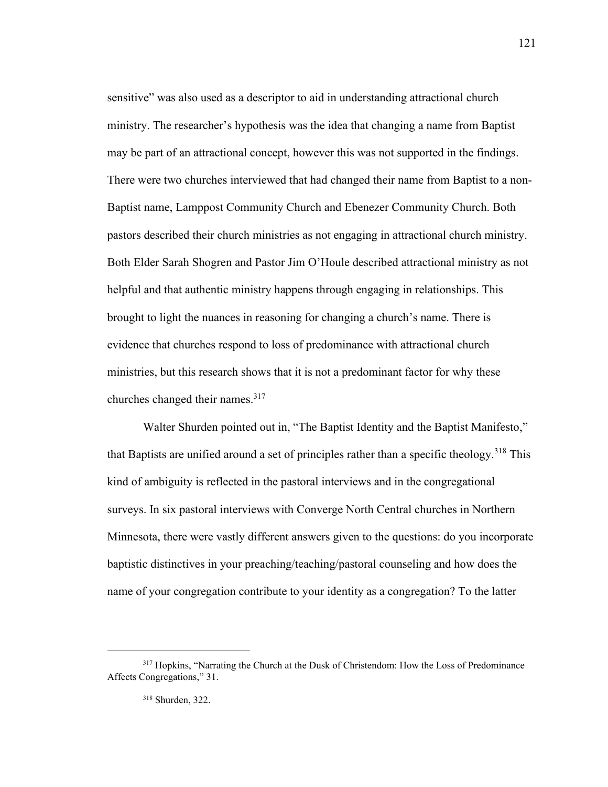sensitive" was also used as a descriptor to aid in understanding attractional church ministry. The researcher's hypothesis was the idea that changing a name from Baptist may be part of an attractional concept, however this was not supported in the findings. There were two churches interviewed that had changed their name from Baptist to a non-Baptist name, Lamppost Community Church and Ebenezer Community Church. Both pastors described their church ministries as not engaging in attractional church ministry. Both Elder Sarah Shogren and Pastor Jim O'Houle described attractional ministry as not helpful and that authentic ministry happens through engaging in relationships. This brought to light the nuances in reasoning for changing a church's name. There is evidence that churches respond to loss of predominance with attractional church ministries, but this research shows that it is not a predominant factor for why these churches changed their names.<sup>317</sup>

Walter Shurden pointed out in, "The Baptist Identity and the Baptist Manifesto," that Baptists are unified around a set of principles rather than a specific theology.<sup>318</sup> This kind of ambiguity is reflected in the pastoral interviews and in the congregational surveys. In six pastoral interviews with Converge North Central churches in Northern Minnesota, there were vastly different answers given to the questions: do you incorporate baptistic distinctives in your preaching/teaching/pastoral counseling and how does the name of your congregation contribute to your identity as a congregation? To the latter

<sup>&</sup>lt;sup>317</sup> Hopkins, "Narrating the Church at the Dusk of Christendom: How the Loss of Predominance Affects Congregations," 31.

<sup>318</sup> Shurden, 322.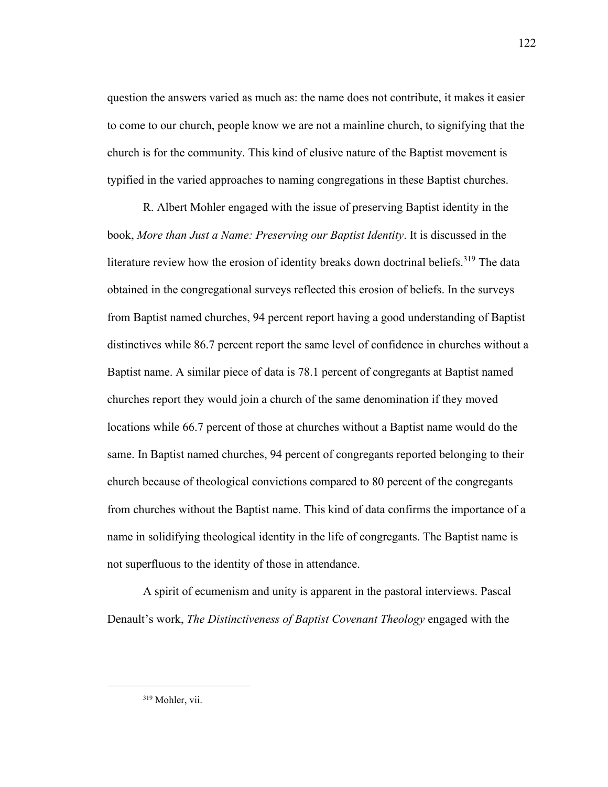question the answers varied as much as: the name does not contribute, it makes it easier to come to our church, people know we are not a mainline church, to signifying that the church is for the community. This kind of elusive nature of the Baptist movement is typified in the varied approaches to naming congregations in these Baptist churches.

R. Albert Mohler engaged with the issue of preserving Baptist identity in the book, *More than Just a Name: Preserving our Baptist Identity*. It is discussed in the literature review how the erosion of identity breaks down doctrinal beliefs.<sup>319</sup> The data obtained in the congregational surveys reflected this erosion of beliefs. In the surveys from Baptist named churches, 94 percent report having a good understanding of Baptist distinctives while 86.7 percent report the same level of confidence in churches without a Baptist name. A similar piece of data is 78.1 percent of congregants at Baptist named churches report they would join a church of the same denomination if they moved locations while 66.7 percent of those at churches without a Baptist name would do the same. In Baptist named churches, 94 percent of congregants reported belonging to their church because of theological convictions compared to 80 percent of the congregants from churches without the Baptist name. This kind of data confirms the importance of a name in solidifying theological identity in the life of congregants. The Baptist name is not superfluous to the identity of those in attendance.

A spirit of ecumenism and unity is apparent in the pastoral interviews. Pascal Denault's work, *The Distinctiveness of Baptist Covenant Theology* engaged with the

<sup>122</sup>

<sup>319</sup> Mohler, vii.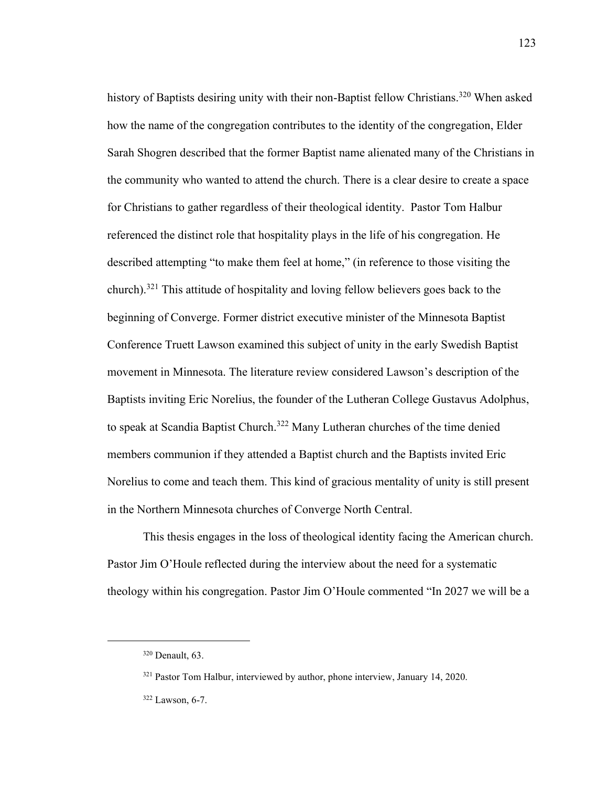history of Baptists desiring unity with their non-Baptist fellow Christians.<sup>320</sup> When asked how the name of the congregation contributes to the identity of the congregation, Elder Sarah Shogren described that the former Baptist name alienated many of the Christians in the community who wanted to attend the church. There is a clear desire to create a space for Christians to gather regardless of their theological identity. Pastor Tom Halbur referenced the distinct role that hospitality plays in the life of his congregation. He described attempting "to make them feel at home," (in reference to those visiting the church).<sup>321</sup> This attitude of hospitality and loving fellow believers goes back to the beginning of Converge. Former district executive minister of the Minnesota Baptist Conference Truett Lawson examined this subject of unity in the early Swedish Baptist movement in Minnesota. The literature review considered Lawson's description of the Baptists inviting Eric Norelius, the founder of the Lutheran College Gustavus Adolphus, to speak at Scandia Baptist Church.<sup>322</sup> Many Lutheran churches of the time denied members communion if they attended a Baptist church and the Baptists invited Eric Norelius to come and teach them. This kind of gracious mentality of unity is still present in the Northern Minnesota churches of Converge North Central.

This thesis engages in the loss of theological identity facing the American church. Pastor Jim O'Houle reflected during the interview about the need for a systematic theology within his congregation. Pastor Jim O'Houle commented "In 2027 we will be a

<sup>320</sup> Denault, 63.

<sup>&</sup>lt;sup>321</sup> Pastor Tom Halbur, interviewed by author, phone interview, January 14, 2020.

<sup>322</sup> Lawson, 6-7.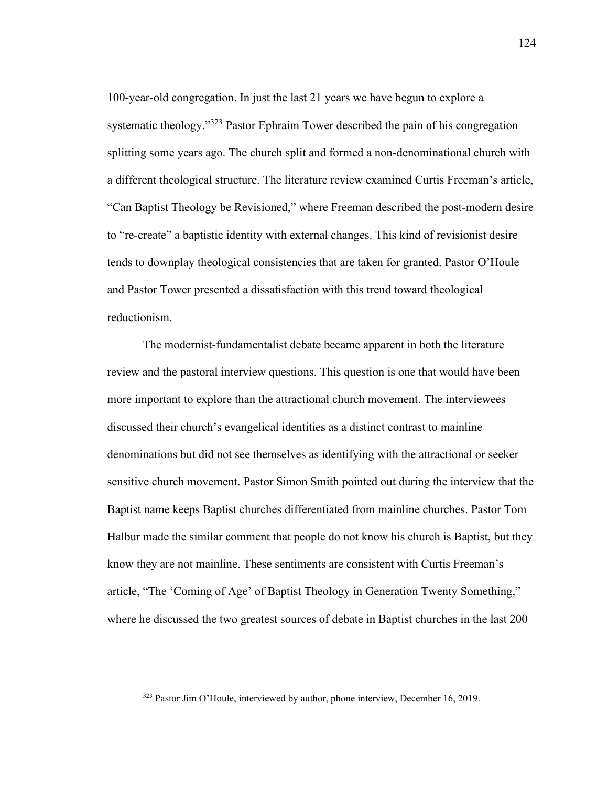100-year-old congregation. In just the last 21 years we have begun to explore a systematic theology."<sup>323</sup> Pastor Ephraim Tower described the pain of his congregation splitting some years ago. The church split and formed a non-denominational church with a different theological structure. The literature review examined Curtis Freeman's article, "Can Baptist Theology be Revisioned," where Freeman described the post-modern desire to "re-create" a baptistic identity with external changes. This kind of revisionist desire tends to downplay theological consistencies that are taken for granted. Pastor O'Houle and Pastor Tower presented a dissatisfaction with this trend toward theological reductionism.

The modernist-fundamentalist debate became apparent in both the literature review and the pastoral interview questions. This question is one that would have been more important to explore than the attractional church movement. The interviewees discussed their church's evangelical identities as a distinct contrast to mainline denominations but did not see themselves as identifying with the attractional or seeker sensitive church movement. Pastor Simon Smith pointed out during the interview that the Baptist name keeps Baptist churches differentiated from mainline churches. Pastor Tom Halbur made the similar comment that people do not know his church is Baptist, but they know they are not mainline. These sentiments are consistent with Curtis Freeman's article, "The 'Coming of Age' of Baptist Theology in Generation Twenty Something," where he discussed the two greatest sources of debate in Baptist churches in the last 200

<sup>323</sup> Pastor Jim O'Houle, interviewed by author, phone interview, December 16, 2019.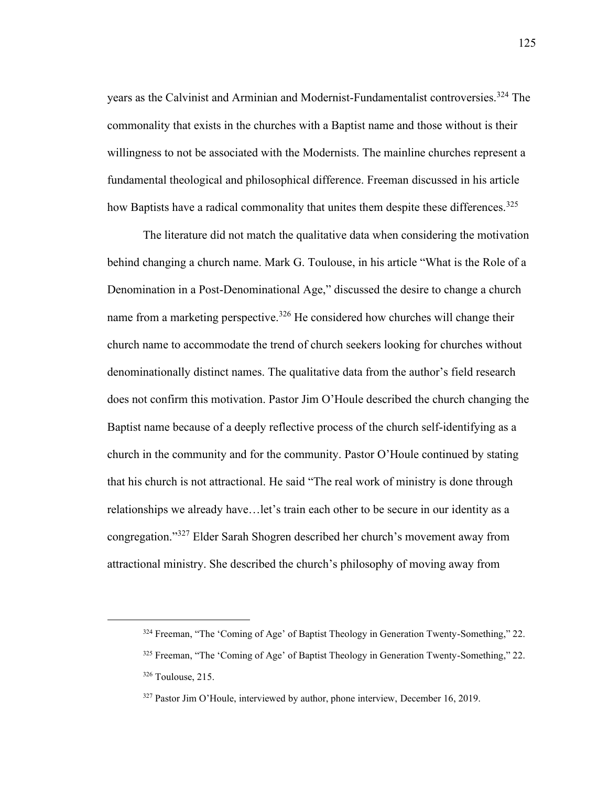years as the Calvinist and Arminian and Modernist-Fundamentalist controversies.<sup>324</sup> The commonality that exists in the churches with a Baptist name and those without is their willingness to not be associated with the Modernists. The mainline churches represent a fundamental theological and philosophical difference. Freeman discussed in his article how Baptists have a radical commonality that unites them despite these differences.<sup>325</sup>

The literature did not match the qualitative data when considering the motivation behind changing a church name. Mark G. Toulouse, in his article "What is the Role of a Denomination in a Post-Denominational Age," discussed the desire to change a church name from a marketing perspective.<sup>326</sup> He considered how churches will change their church name to accommodate the trend of church seekers looking for churches without denominationally distinct names. The qualitative data from the author's field research does not confirm this motivation. Pastor Jim O'Houle described the church changing the Baptist name because of a deeply reflective process of the church self-identifying as a church in the community and for the community. Pastor O'Houle continued by stating that his church is not attractional. He said "The real work of ministry is done through relationships we already have…let's train each other to be secure in our identity as a congregation."<sup>327</sup> Elder Sarah Shogren described her church's movement away from attractional ministry. She described the church's philosophy of moving away from

<sup>324</sup> Freeman, "The 'Coming of Age' of Baptist Theology in Generation Twenty-Something," 22.

<sup>325</sup> Freeman, "The 'Coming of Age' of Baptist Theology in Generation Twenty-Something," 22. <sup>326</sup> Toulouse, 215.

<sup>327</sup> Pastor Jim O'Houle, interviewed by author, phone interview, December 16, 2019.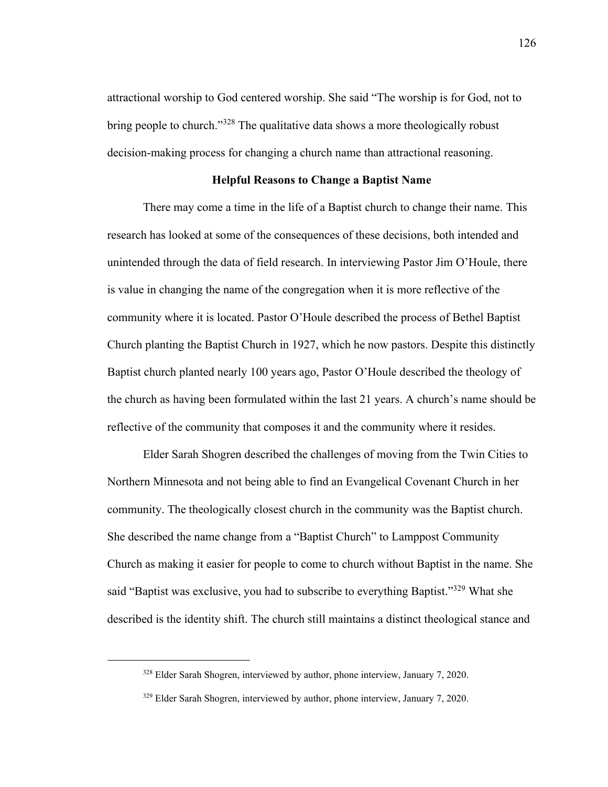attractional worship to God centered worship. She said "The worship is for God, not to bring people to church."<sup>328</sup> The qualitative data shows a more theologically robust decision-making process for changing a church name than attractional reasoning.

# **Helpful Reasons to Change a Baptist Name**

There may come a time in the life of a Baptist church to change their name. This research has looked at some of the consequences of these decisions, both intended and unintended through the data of field research. In interviewing Pastor Jim O'Houle, there is value in changing the name of the congregation when it is more reflective of the community where it is located. Pastor O'Houle described the process of Bethel Baptist Church planting the Baptist Church in 1927, which he now pastors. Despite this distinctly Baptist church planted nearly 100 years ago, Pastor O'Houle described the theology of the church as having been formulated within the last 21 years. A church's name should be reflective of the community that composes it and the community where it resides.

Elder Sarah Shogren described the challenges of moving from the Twin Cities to Northern Minnesota and not being able to find an Evangelical Covenant Church in her community. The theologically closest church in the community was the Baptist church. She described the name change from a "Baptist Church" to Lamppost Community Church as making it easier for people to come to church without Baptist in the name. She said "Baptist was exclusive, you had to subscribe to everything Baptist."<sup>329</sup> What she described is the identity shift. The church still maintains a distinct theological stance and

<sup>328</sup> Elder Sarah Shogren, interviewed by author, phone interview, January 7, 2020.

<sup>&</sup>lt;sup>329</sup> Elder Sarah Shogren, interviewed by author, phone interview, January 7, 2020.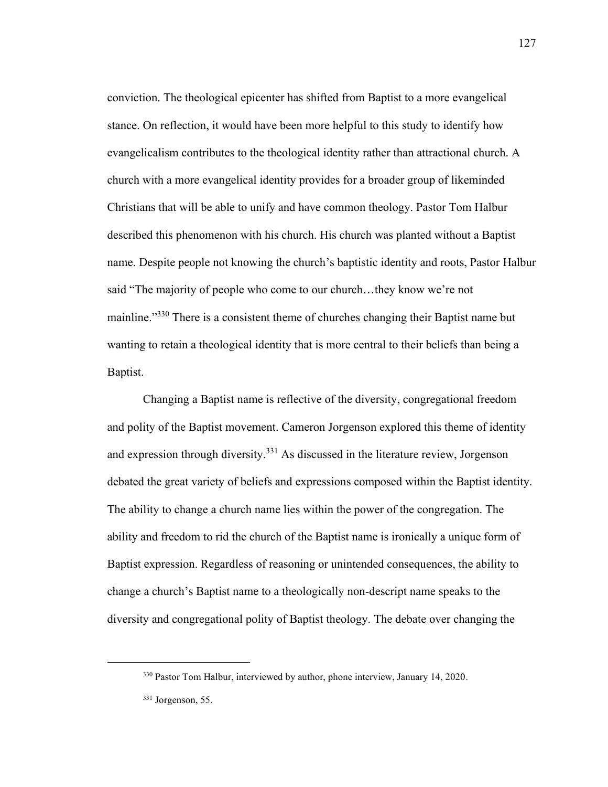conviction. The theological epicenter has shifted from Baptist to a more evangelical stance. On reflection, it would have been more helpful to this study to identify how evangelicalism contributes to the theological identity rather than attractional church. A church with a more evangelical identity provides for a broader group of likeminded Christians that will be able to unify and have common theology. Pastor Tom Halbur described this phenomenon with his church. His church was planted without a Baptist name. Despite people not knowing the church's baptistic identity and roots, Pastor Halbur said "The majority of people who come to our church…they know we're not mainline."<sup>330</sup> There is a consistent theme of churches changing their Baptist name but wanting to retain a theological identity that is more central to their beliefs than being a Baptist.

Changing a Baptist name is reflective of the diversity, congregational freedom and polity of the Baptist movement. Cameron Jorgenson explored this theme of identity and expression through diversity.<sup>331</sup> As discussed in the literature review, Jorgenson debated the great variety of beliefs and expressions composed within the Baptist identity. The ability to change a church name lies within the power of the congregation. The ability and freedom to rid the church of the Baptist name is ironically a unique form of Baptist expression. Regardless of reasoning or unintended consequences, the ability to change a church's Baptist name to a theologically non-descript name speaks to the diversity and congregational polity of Baptist theology. The debate over changing the

<sup>330</sup> Pastor Tom Halbur, interviewed by author, phone interview, January 14, 2020.

<sup>331</sup> Jorgenson, 55.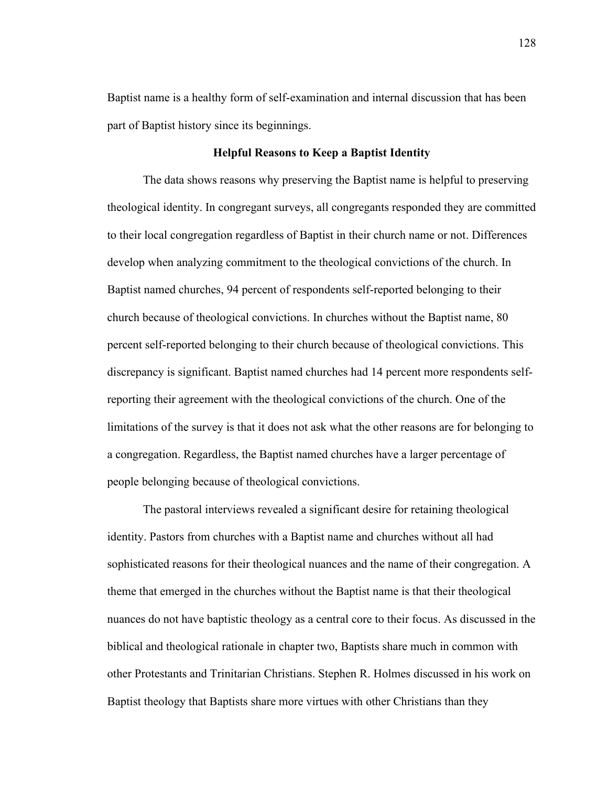Baptist name is a healthy form of self-examination and internal discussion that has been part of Baptist history since its beginnings.

# **Helpful Reasons to Keep a Baptist Identity**

The data shows reasons why preserving the Baptist name is helpful to preserving theological identity. In congregant surveys, all congregants responded they are committed to their local congregation regardless of Baptist in their church name or not. Differences develop when analyzing commitment to the theological convictions of the church. In Baptist named churches, 94 percent of respondents self-reported belonging to their church because of theological convictions. In churches without the Baptist name, 80 percent self-reported belonging to their church because of theological convictions. This discrepancy is significant. Baptist named churches had 14 percent more respondents selfreporting their agreement with the theological convictions of the church. One of the limitations of the survey is that it does not ask what the other reasons are for belonging to a congregation. Regardless, the Baptist named churches have a larger percentage of people belonging because of theological convictions.

The pastoral interviews revealed a significant desire for retaining theological identity. Pastors from churches with a Baptist name and churches without all had sophisticated reasons for their theological nuances and the name of their congregation. A theme that emerged in the churches without the Baptist name is that their theological nuances do not have baptistic theology as a central core to their focus. As discussed in the biblical and theological rationale in chapter two, Baptists share much in common with other Protestants and Trinitarian Christians. Stephen R. Holmes discussed in his work on Baptist theology that Baptists share more virtues with other Christians than they

128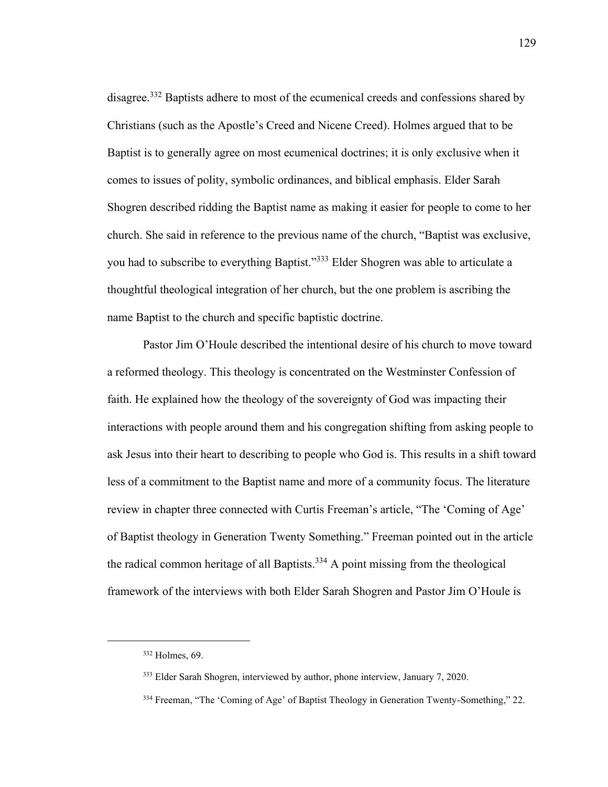disagree.<sup>332</sup> Baptists adhere to most of the ecumenical creeds and confessions shared by Christians (such as the Apostle's Creed and Nicene Creed). Holmes argued that to be Baptist is to generally agree on most ecumenical doctrines; it is only exclusive when it comes to issues of polity, symbolic ordinances, and biblical emphasis. Elder Sarah Shogren described ridding the Baptist name as making it easier for people to come to her church. She said in reference to the previous name of the church, "Baptist was exclusive, you had to subscribe to everything Baptist."<sup>333</sup> Elder Shogren was able to articulate a thoughtful theological integration of her church, but the one problem is ascribing the name Baptist to the church and specific baptistic doctrine.

Pastor Jim O'Houle described the intentional desire of his church to move toward a reformed theology. This theology is concentrated on the Westminster Confession of faith. He explained how the theology of the sovereignty of God was impacting their interactions with people around them and his congregation shifting from asking people to ask Jesus into their heart to describing to people who God is. This results in a shift toward less of a commitment to the Baptist name and more of a community focus. The literature review in chapter three connected with Curtis Freeman's article, "The 'Coming of Age' of Baptist theology in Generation Twenty Something." Freeman pointed out in the article the radical common heritage of all Baptists.<sup>334</sup> A point missing from the theological framework of the interviews with both Elder Sarah Shogren and Pastor Jim O'Houle is

<sup>332</sup> Holmes, 69.

<sup>333</sup> Elder Sarah Shogren, interviewed by author, phone interview, January 7, 2020.

<sup>&</sup>lt;sup>334</sup> Freeman, "The 'Coming of Age' of Baptist Theology in Generation Twenty-Something," 22.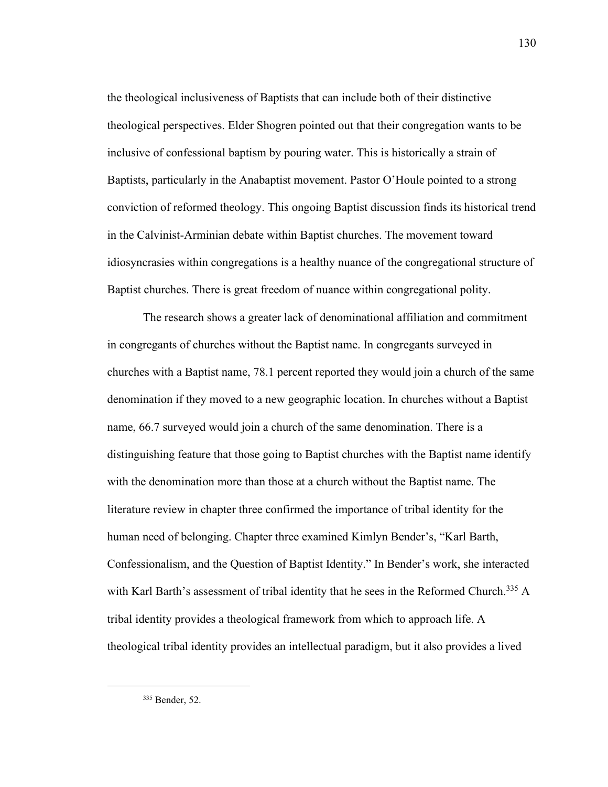the theological inclusiveness of Baptists that can include both of their distinctive theological perspectives. Elder Shogren pointed out that their congregation wants to be inclusive of confessional baptism by pouring water. This is historically a strain of Baptists, particularly in the Anabaptist movement. Pastor O'Houle pointed to a strong conviction of reformed theology. This ongoing Baptist discussion finds its historical trend in the Calvinist-Arminian debate within Baptist churches. The movement toward idiosyncrasies within congregations is a healthy nuance of the congregational structure of Baptist churches. There is great freedom of nuance within congregational polity.

The research shows a greater lack of denominational affiliation and commitment in congregants of churches without the Baptist name. In congregants surveyed in churches with a Baptist name, 78.1 percent reported they would join a church of the same denomination if they moved to a new geographic location. In churches without a Baptist name, 66.7 surveyed would join a church of the same denomination. There is a distinguishing feature that those going to Baptist churches with the Baptist name identify with the denomination more than those at a church without the Baptist name. The literature review in chapter three confirmed the importance of tribal identity for the human need of belonging. Chapter three examined Kimlyn Bender's, "Karl Barth, Confessionalism, and the Question of Baptist Identity." In Bender's work, she interacted with Karl Barth's assessment of tribal identity that he sees in the Reformed Church.<sup>335</sup> A tribal identity provides a theological framework from which to approach life. A theological tribal identity provides an intellectual paradigm, but it also provides a lived

<sup>335</sup> Bender, 52.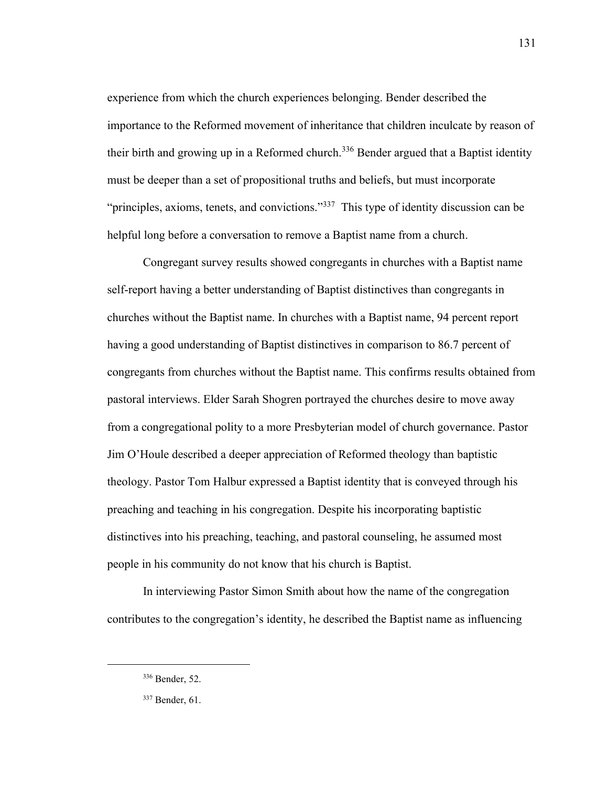experience from which the church experiences belonging. Bender described the importance to the Reformed movement of inheritance that children inculcate by reason of their birth and growing up in a Reformed church.<sup>336</sup> Bender argued that a Baptist identity must be deeper than a set of propositional truths and beliefs, but must incorporate "principles, axioms, tenets, and convictions."<sup>337</sup> This type of identity discussion can be helpful long before a conversation to remove a Baptist name from a church.

Congregant survey results showed congregants in churches with a Baptist name self-report having a better understanding of Baptist distinctives than congregants in churches without the Baptist name. In churches with a Baptist name, 94 percent report having a good understanding of Baptist distinctives in comparison to 86.7 percent of congregants from churches without the Baptist name. This confirms results obtained from pastoral interviews. Elder Sarah Shogren portrayed the churches desire to move away from a congregational polity to a more Presbyterian model of church governance. Pastor Jim O'Houle described a deeper appreciation of Reformed theology than baptistic theology. Pastor Tom Halbur expressed a Baptist identity that is conveyed through his preaching and teaching in his congregation. Despite his incorporating baptistic distinctives into his preaching, teaching, and pastoral counseling, he assumed most people in his community do not know that his church is Baptist.

In interviewing Pastor Simon Smith about how the name of the congregation contributes to the congregation's identity, he described the Baptist name as influencing

<sup>336</sup> Bender, 52.

<sup>337</sup> Bender, 61.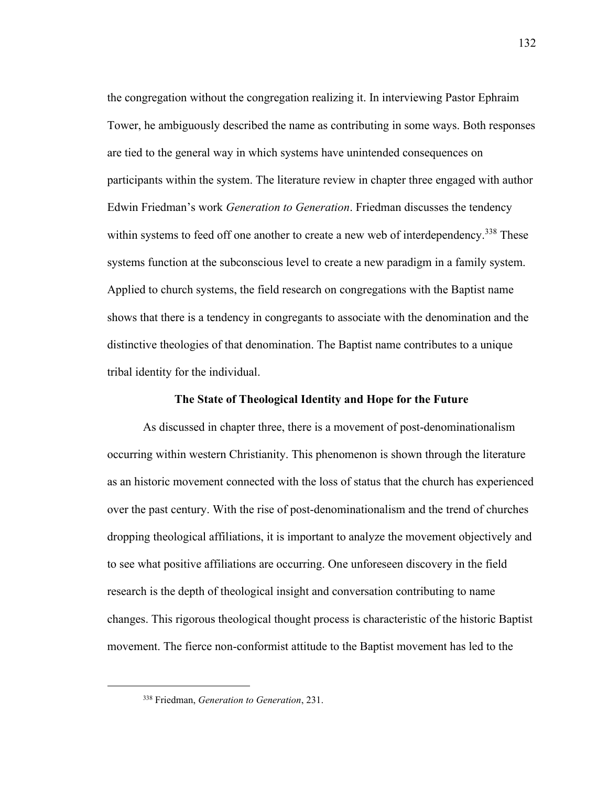the congregation without the congregation realizing it. In interviewing Pastor Ephraim Tower, he ambiguously described the name as contributing in some ways. Both responses are tied to the general way in which systems have unintended consequences on participants within the system. The literature review in chapter three engaged with author Edwin Friedman's work *Generation to Generation*. Friedman discusses the tendency within systems to feed off one another to create a new web of interdependency.<sup>338</sup> These systems function at the subconscious level to create a new paradigm in a family system. Applied to church systems, the field research on congregations with the Baptist name shows that there is a tendency in congregants to associate with the denomination and the distinctive theologies of that denomination. The Baptist name contributes to a unique tribal identity for the individual.

# **The State of Theological Identity and Hope for the Future**

As discussed in chapter three, there is a movement of post-denominationalism occurring within western Christianity. This phenomenon is shown through the literature as an historic movement connected with the loss of status that the church has experienced over the past century. With the rise of post-denominationalism and the trend of churches dropping theological affiliations, it is important to analyze the movement objectively and to see what positive affiliations are occurring. One unforeseen discovery in the field research is the depth of theological insight and conversation contributing to name changes. This rigorous theological thought process is characteristic of the historic Baptist movement. The fierce non-conformist attitude to the Baptist movement has led to the

<sup>338</sup> Friedman, *Generation to Generation*, 231.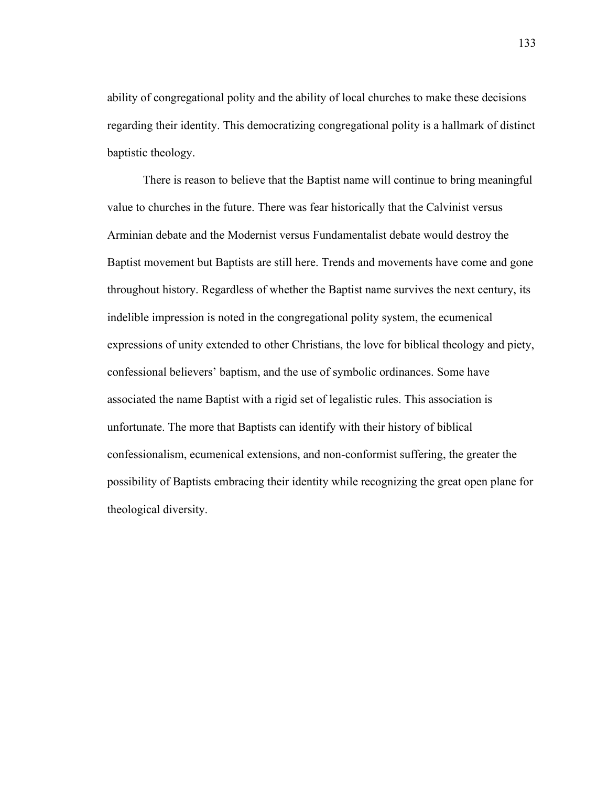ability of congregational polity and the ability of local churches to make these decisions regarding their identity. This democratizing congregational polity is a hallmark of distinct baptistic theology.

There is reason to believe that the Baptist name will continue to bring meaningful value to churches in the future. There was fear historically that the Calvinist versus Arminian debate and the Modernist versus Fundamentalist debate would destroy the Baptist movement but Baptists are still here. Trends and movements have come and gone throughout history. Regardless of whether the Baptist name survives the next century, its indelible impression is noted in the congregational polity system, the ecumenical expressions of unity extended to other Christians, the love for biblical theology and piety, confessional believers' baptism, and the use of symbolic ordinances. Some have associated the name Baptist with a rigid set of legalistic rules. This association is unfortunate. The more that Baptists can identify with their history of biblical confessionalism, ecumenical extensions, and non-conformist suffering, the greater the possibility of Baptists embracing their identity while recognizing the great open plane for theological diversity.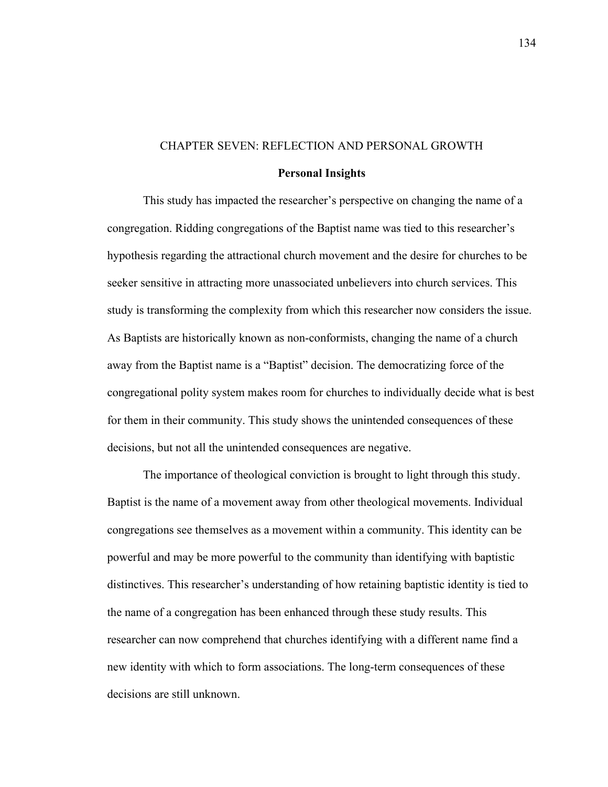#### CHAPTER SEVEN: REFLECTION AND PERSONAL GROWTH

#### **Personal Insights**

This study has impacted the researcher's perspective on changing the name of a congregation. Ridding congregations of the Baptist name was tied to this researcher's hypothesis regarding the attractional church movement and the desire for churches to be seeker sensitive in attracting more unassociated unbelievers into church services. This study is transforming the complexity from which this researcher now considers the issue. As Baptists are historically known as non-conformists, changing the name of a church away from the Baptist name is a "Baptist" decision. The democratizing force of the congregational polity system makes room for churches to individually decide what is best for them in their community. This study shows the unintended consequences of these decisions, but not all the unintended consequences are negative.

The importance of theological conviction is brought to light through this study. Baptist is the name of a movement away from other theological movements. Individual congregations see themselves as a movement within a community. This identity can be powerful and may be more powerful to the community than identifying with baptistic distinctives. This researcher's understanding of how retaining baptistic identity is tied to the name of a congregation has been enhanced through these study results. This researcher can now comprehend that churches identifying with a different name find a new identity with which to form associations. The long-term consequences of these decisions are still unknown.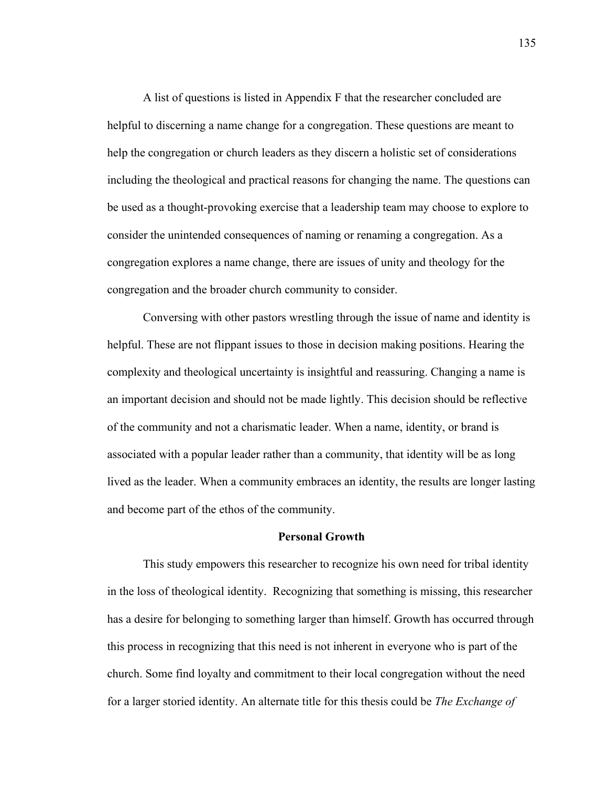A list of questions is listed in Appendix F that the researcher concluded are helpful to discerning a name change for a congregation. These questions are meant to help the congregation or church leaders as they discern a holistic set of considerations including the theological and practical reasons for changing the name. The questions can be used as a thought-provoking exercise that a leadership team may choose to explore to consider the unintended consequences of naming or renaming a congregation. As a congregation explores a name change, there are issues of unity and theology for the congregation and the broader church community to consider.

Conversing with other pastors wrestling through the issue of name and identity is helpful. These are not flippant issues to those in decision making positions. Hearing the complexity and theological uncertainty is insightful and reassuring. Changing a name is an important decision and should not be made lightly. This decision should be reflective of the community and not a charismatic leader. When a name, identity, or brand is associated with a popular leader rather than a community, that identity will be as long lived as the leader. When a community embraces an identity, the results are longer lasting and become part of the ethos of the community.

# **Personal Growth**

This study empowers this researcher to recognize his own need for tribal identity in the loss of theological identity. Recognizing that something is missing, this researcher has a desire for belonging to something larger than himself. Growth has occurred through this process in recognizing that this need is not inherent in everyone who is part of the church. Some find loyalty and commitment to their local congregation without the need for a larger storied identity. An alternate title for this thesis could be *The Exchange of*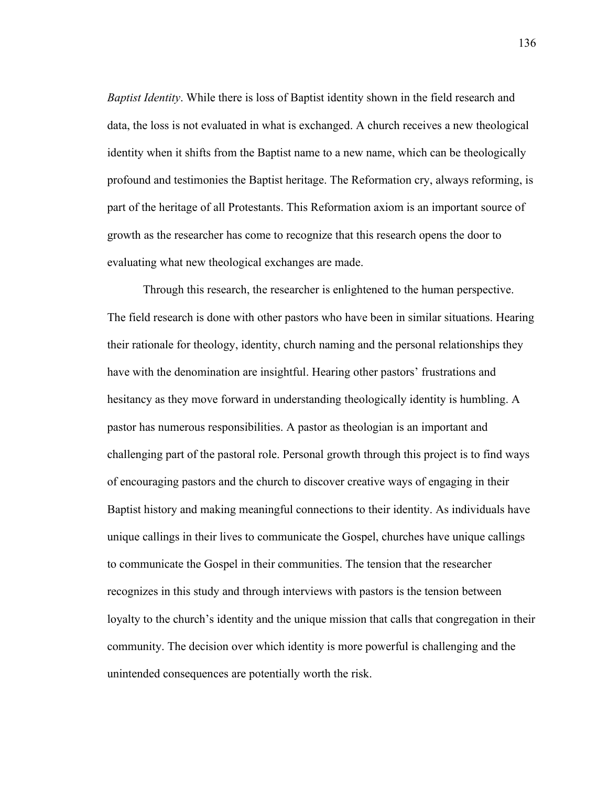*Baptist Identity*. While there is loss of Baptist identity shown in the field research and data, the loss is not evaluated in what is exchanged. A church receives a new theological identity when it shifts from the Baptist name to a new name, which can be theologically profound and testimonies the Baptist heritage. The Reformation cry, always reforming, is part of the heritage of all Protestants. This Reformation axiom is an important source of growth as the researcher has come to recognize that this research opens the door to evaluating what new theological exchanges are made.

Through this research, the researcher is enlightened to the human perspective. The field research is done with other pastors who have been in similar situations. Hearing their rationale for theology, identity, church naming and the personal relationships they have with the denomination are insightful. Hearing other pastors' frustrations and hesitancy as they move forward in understanding theologically identity is humbling. A pastor has numerous responsibilities. A pastor as theologian is an important and challenging part of the pastoral role. Personal growth through this project is to find ways of encouraging pastors and the church to discover creative ways of engaging in their Baptist history and making meaningful connections to their identity. As individuals have unique callings in their lives to communicate the Gospel, churches have unique callings to communicate the Gospel in their communities. The tension that the researcher recognizes in this study and through interviews with pastors is the tension between loyalty to the church's identity and the unique mission that calls that congregation in their community. The decision over which identity is more powerful is challenging and the unintended consequences are potentially worth the risk.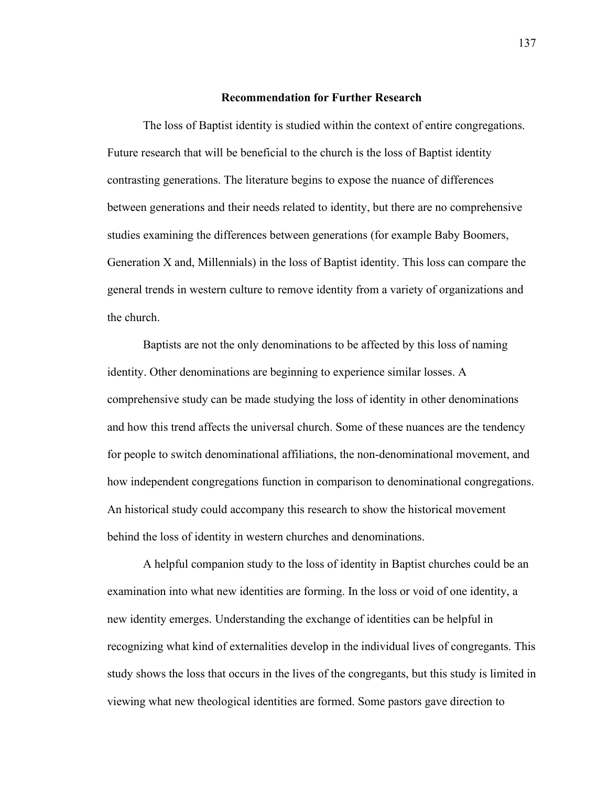# **Recommendation for Further Research**

The loss of Baptist identity is studied within the context of entire congregations. Future research that will be beneficial to the church is the loss of Baptist identity contrasting generations. The literature begins to expose the nuance of differences between generations and their needs related to identity, but there are no comprehensive studies examining the differences between generations (for example Baby Boomers, Generation X and, Millennials) in the loss of Baptist identity. This loss can compare the general trends in western culture to remove identity from a variety of organizations and the church.

Baptists are not the only denominations to be affected by this loss of naming identity. Other denominations are beginning to experience similar losses. A comprehensive study can be made studying the loss of identity in other denominations and how this trend affects the universal church. Some of these nuances are the tendency for people to switch denominational affiliations, the non-denominational movement, and how independent congregations function in comparison to denominational congregations. An historical study could accompany this research to show the historical movement behind the loss of identity in western churches and denominations.

A helpful companion study to the loss of identity in Baptist churches could be an examination into what new identities are forming. In the loss or void of one identity, a new identity emerges. Understanding the exchange of identities can be helpful in recognizing what kind of externalities develop in the individual lives of congregants. This study shows the loss that occurs in the lives of the congregants, but this study is limited in viewing what new theological identities are formed. Some pastors gave direction to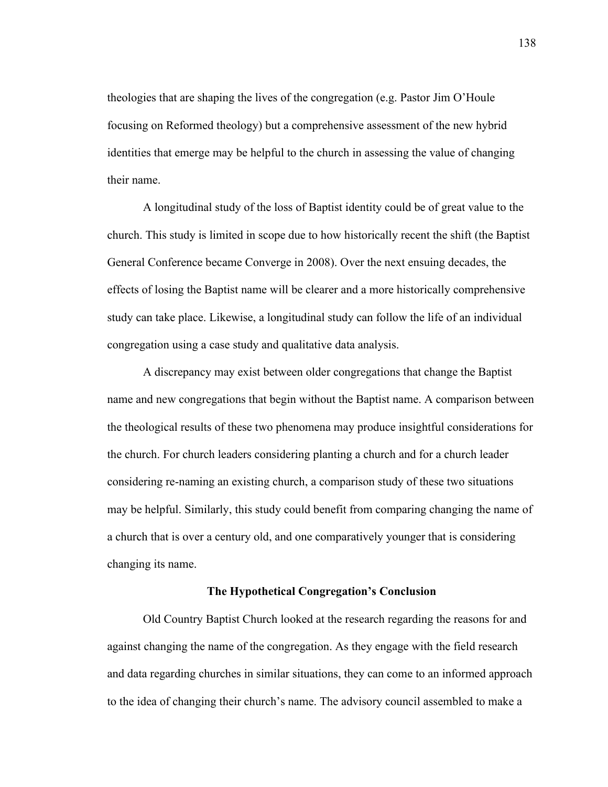theologies that are shaping the lives of the congregation (e.g. Pastor Jim O'Houle focusing on Reformed theology) but a comprehensive assessment of the new hybrid identities that emerge may be helpful to the church in assessing the value of changing their name.

A longitudinal study of the loss of Baptist identity could be of great value to the church. This study is limited in scope due to how historically recent the shift (the Baptist General Conference became Converge in 2008). Over the next ensuing decades, the effects of losing the Baptist name will be clearer and a more historically comprehensive study can take place. Likewise, a longitudinal study can follow the life of an individual congregation using a case study and qualitative data analysis.

A discrepancy may exist between older congregations that change the Baptist name and new congregations that begin without the Baptist name. A comparison between the theological results of these two phenomena may produce insightful considerations for the church. For church leaders considering planting a church and for a church leader considering re-naming an existing church, a comparison study of these two situations may be helpful. Similarly, this study could benefit from comparing changing the name of a church that is over a century old, and one comparatively younger that is considering changing its name.

#### **The Hypothetical Congregation's Conclusion**

Old Country Baptist Church looked at the research regarding the reasons for and against changing the name of the congregation. As they engage with the field research and data regarding churches in similar situations, they can come to an informed approach to the idea of changing their church's name. The advisory council assembled to make a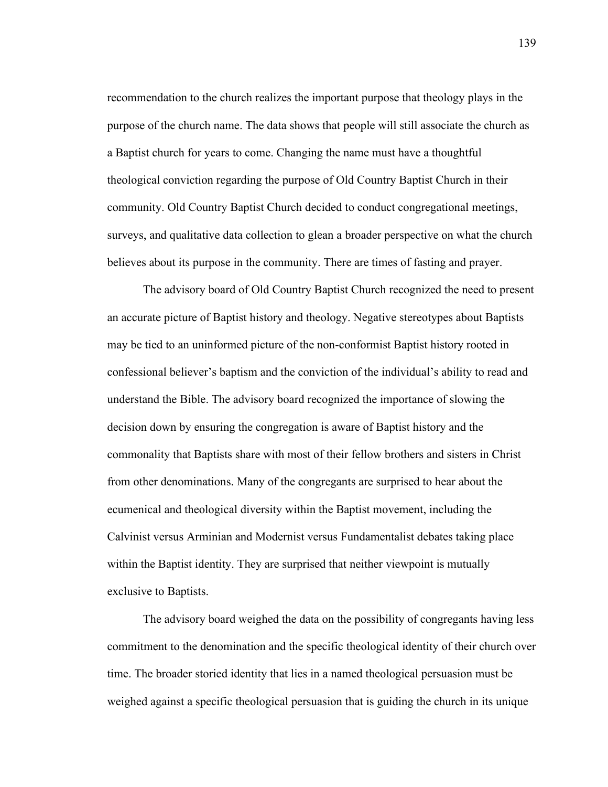recommendation to the church realizes the important purpose that theology plays in the purpose of the church name. The data shows that people will still associate the church as a Baptist church for years to come. Changing the name must have a thoughtful theological conviction regarding the purpose of Old Country Baptist Church in their community. Old Country Baptist Church decided to conduct congregational meetings, surveys, and qualitative data collection to glean a broader perspective on what the church believes about its purpose in the community. There are times of fasting and prayer.

The advisory board of Old Country Baptist Church recognized the need to present an accurate picture of Baptist history and theology. Negative stereotypes about Baptists may be tied to an uninformed picture of the non-conformist Baptist history rooted in confessional believer's baptism and the conviction of the individual's ability to read and understand the Bible. The advisory board recognized the importance of slowing the decision down by ensuring the congregation is aware of Baptist history and the commonality that Baptists share with most of their fellow brothers and sisters in Christ from other denominations. Many of the congregants are surprised to hear about the ecumenical and theological diversity within the Baptist movement, including the Calvinist versus Arminian and Modernist versus Fundamentalist debates taking place within the Baptist identity. They are surprised that neither viewpoint is mutually exclusive to Baptists.

The advisory board weighed the data on the possibility of congregants having less commitment to the denomination and the specific theological identity of their church over time. The broader storied identity that lies in a named theological persuasion must be weighed against a specific theological persuasion that is guiding the church in its unique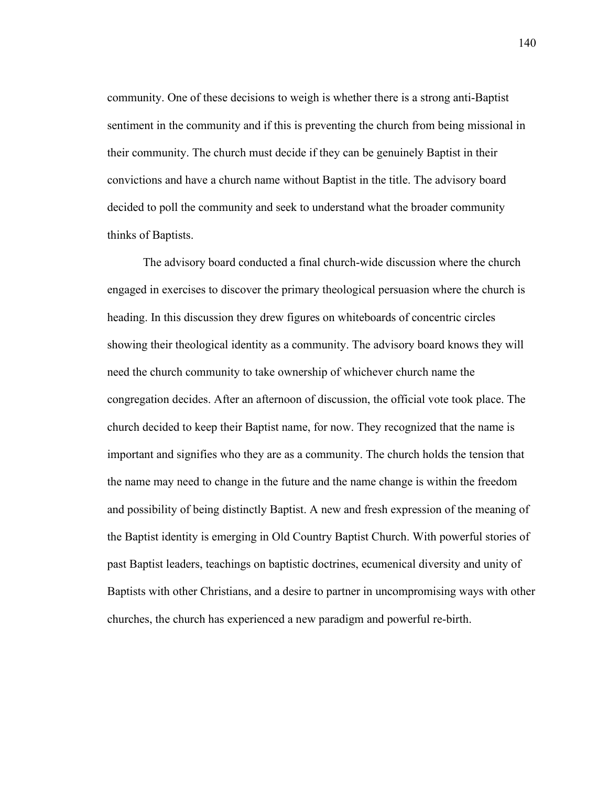community. One of these decisions to weigh is whether there is a strong anti-Baptist sentiment in the community and if this is preventing the church from being missional in their community. The church must decide if they can be genuinely Baptist in their convictions and have a church name without Baptist in the title. The advisory board decided to poll the community and seek to understand what the broader community thinks of Baptists.

The advisory board conducted a final church-wide discussion where the church engaged in exercises to discover the primary theological persuasion where the church is heading. In this discussion they drew figures on whiteboards of concentric circles showing their theological identity as a community. The advisory board knows they will need the church community to take ownership of whichever church name the congregation decides. After an afternoon of discussion, the official vote took place. The church decided to keep their Baptist name, for now. They recognized that the name is important and signifies who they are as a community. The church holds the tension that the name may need to change in the future and the name change is within the freedom and possibility of being distinctly Baptist. A new and fresh expression of the meaning of the Baptist identity is emerging in Old Country Baptist Church. With powerful stories of past Baptist leaders, teachings on baptistic doctrines, ecumenical diversity and unity of Baptists with other Christians, and a desire to partner in uncompromising ways with other churches, the church has experienced a new paradigm and powerful re-birth.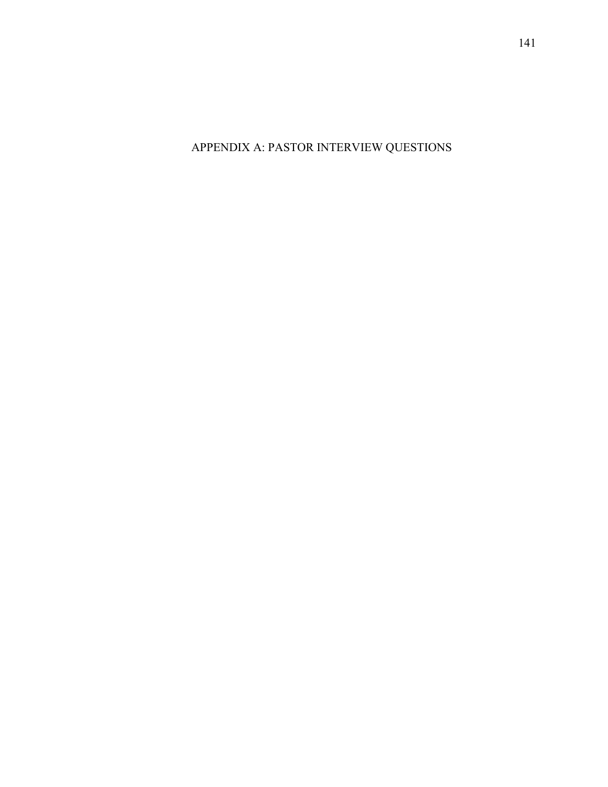APPENDIX A: PASTOR INTERVIEW QUESTIONS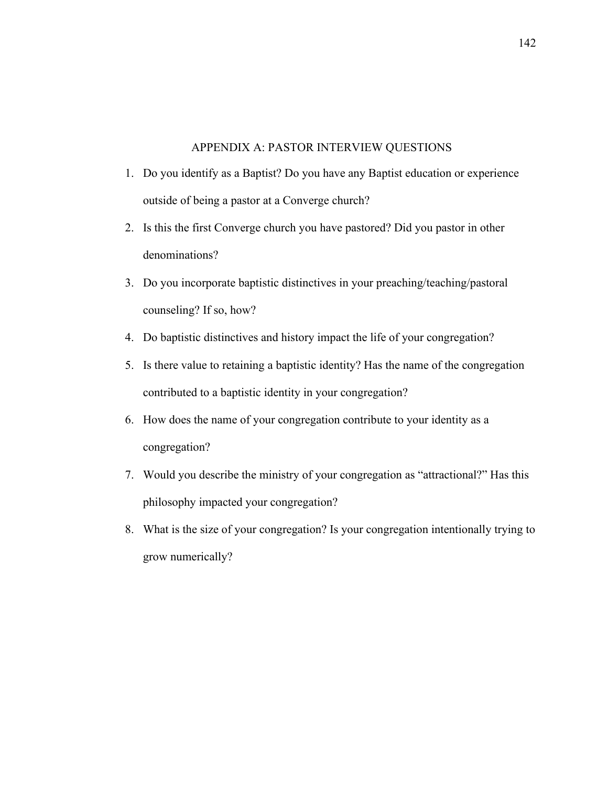# APPENDIX A: PASTOR INTERVIEW QUESTIONS

- 1. Do you identify as a Baptist? Do you have any Baptist education or experience outside of being a pastor at a Converge church?
- 2. Is this the first Converge church you have pastored? Did you pastor in other denominations?
- 3. Do you incorporate baptistic distinctives in your preaching/teaching/pastoral counseling? If so, how?
- 4. Do baptistic distinctives and history impact the life of your congregation?
- 5. Is there value to retaining a baptistic identity? Has the name of the congregation contributed to a baptistic identity in your congregation?
- 6. How does the name of your congregation contribute to your identity as a congregation?
- 7. Would you describe the ministry of your congregation as "attractional?" Has this philosophy impacted your congregation?
- 8. What is the size of your congregation? Is your congregation intentionally trying to grow numerically?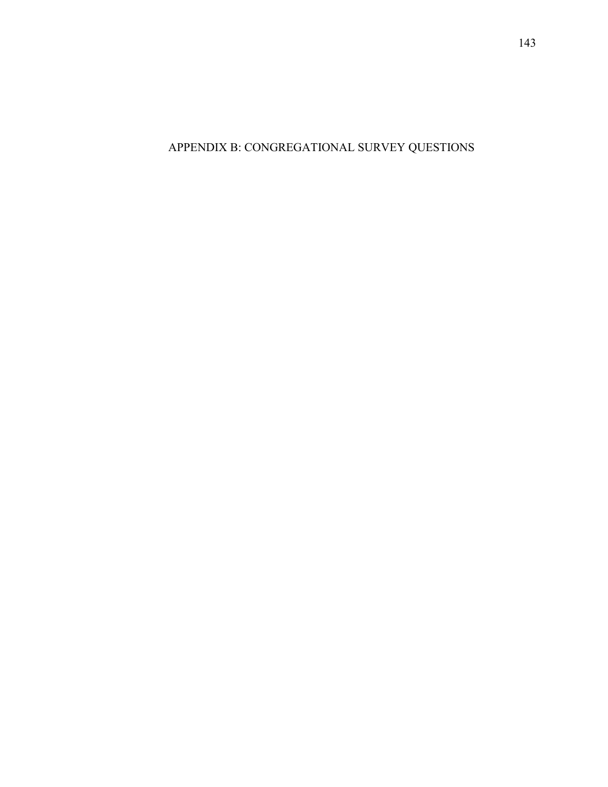APPENDIX B: CONGREGATIONAL SURVEY QUESTIONS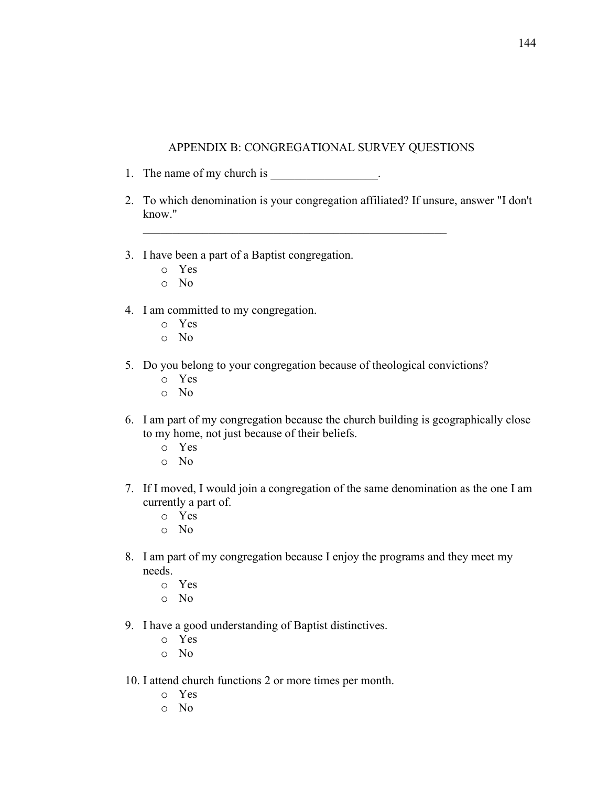### APPENDIX B: CONGREGATIONAL SURVEY QUESTIONS

- 1. The name of my church is \_\_\_\_\_\_\_\_\_\_\_\_\_\_\_.
- 2. To which denomination is your congregation affiliated? If unsure, answer "I don't know."

\_\_\_\_\_\_\_\_\_\_\_\_\_\_\_\_\_\_\_\_\_\_\_\_\_\_\_\_\_\_\_\_\_\_\_\_\_\_\_\_\_\_\_\_\_\_\_\_\_\_\_

- 3. I have been a part of a Baptist congregation.
	- o Yes
	- o No
- 4. I am committed to my congregation.
	- o Yes
	- o No
- 5. Do you belong to your congregation because of theological convictions?
	- o Yes
	- o No
- 6. I am part of my congregation because the church building is geographically close to my home, not just because of their beliefs.
	- o Yes
	- o No
- 7. If I moved, I would join a congregation of the same denomination as the one I am currently a part of.
	- o Yes
	- o No
- 8. I am part of my congregation because I enjoy the programs and they meet my needs.
	- o Yes
	- o No
- 9. I have a good understanding of Baptist distinctives.
	- o Yes
	- o No
- 10. I attend church functions 2 or more times per month.
	- o Yes
	- o No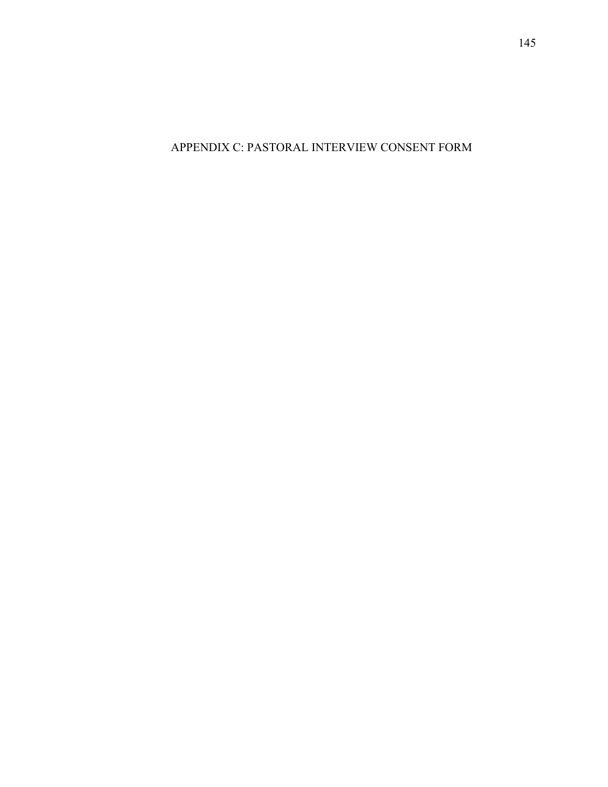APPENDIX C: PASTORAL INTERVIEW CONSENT FORM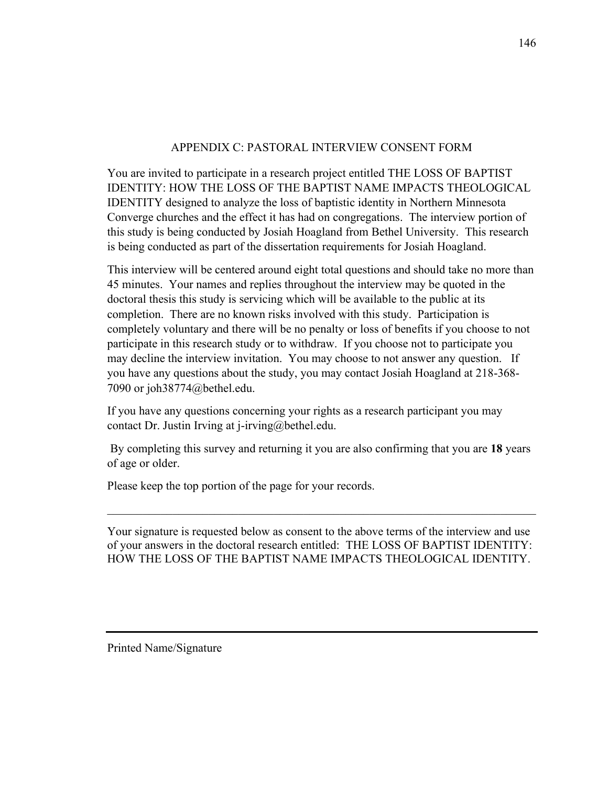## APPENDIX C: PASTORAL INTERVIEW CONSENT FORM

You are invited to participate in a research project entitled THE LOSS OF BAPTIST IDENTITY: HOW THE LOSS OF THE BAPTIST NAME IMPACTS THEOLOGICAL IDENTITY designed to analyze the loss of baptistic identity in Northern Minnesota Converge churches and the effect it has had on congregations. The interview portion of this study is being conducted by Josiah Hoagland from Bethel University. This research is being conducted as part of the dissertation requirements for Josiah Hoagland.

This interview will be centered around eight total questions and should take no more than 45 minutes. Your names and replies throughout the interview may be quoted in the doctoral thesis this study is servicing which will be available to the public at its completion. There are no known risks involved with this study. Participation is completely voluntary and there will be no penalty or loss of benefits if you choose to not participate in this research study or to withdraw. If you choose not to participate you may decline the interview invitation. You may choose to not answer any question. If you have any questions about the study, you may contact Josiah Hoagland at 218-368- 7090 or joh38774@bethel.edu.

If you have any questions concerning your rights as a research participant you may contact Dr. Justin Irving at j-irving@bethel.edu.

By completing this survey and returning it you are also confirming that you are **18** years of age or older.

Please keep the top portion of the page for your records.

Your signature is requested below as consent to the above terms of the interview and use of your answers in the doctoral research entitled: THE LOSS OF BAPTIST IDENTITY: HOW THE LOSS OF THE BAPTIST NAME IMPACTS THEOLOGICAL IDENTITY.

Printed Name/Signature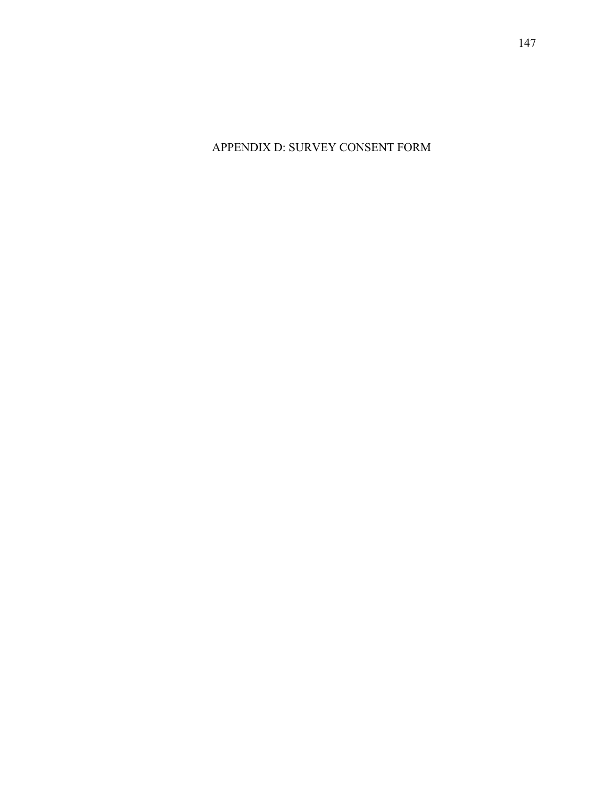APPENDIX D: SURVEY CONSENT FORM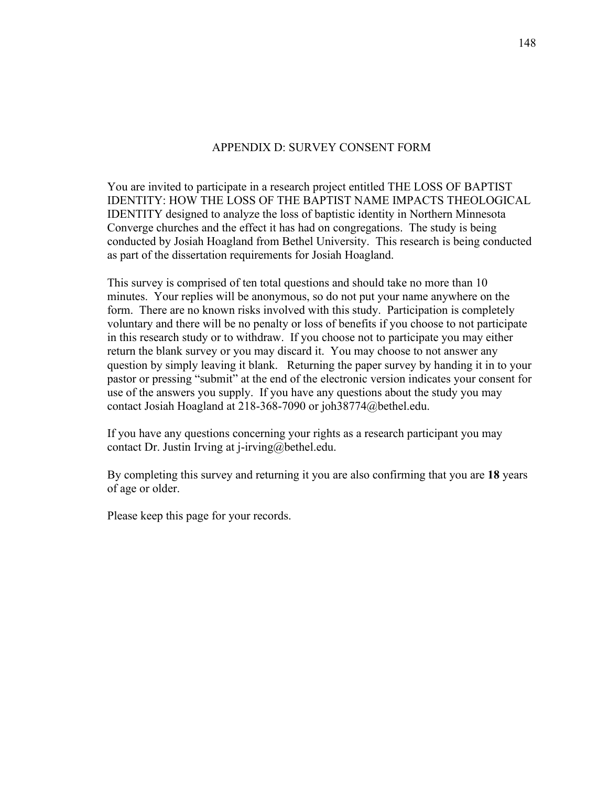### APPENDIX D: SURVEY CONSENT FORM

You are invited to participate in a research project entitled THE LOSS OF BAPTIST IDENTITY: HOW THE LOSS OF THE BAPTIST NAME IMPACTS THEOLOGICAL IDENTITY designed to analyze the loss of baptistic identity in Northern Minnesota Converge churches and the effect it has had on congregations. The study is being conducted by Josiah Hoagland from Bethel University. This research is being conducted as part of the dissertation requirements for Josiah Hoagland.

This survey is comprised of ten total questions and should take no more than 10 minutes. Your replies will be anonymous, so do not put your name anywhere on the form. There are no known risks involved with this study. Participation is completely voluntary and there will be no penalty or loss of benefits if you choose to not participate in this research study or to withdraw. If you choose not to participate you may either return the blank survey or you may discard it. You may choose to not answer any question by simply leaving it blank. Returning the paper survey by handing it in to your pastor or pressing "submit" at the end of the electronic version indicates your consent for use of the answers you supply. If you have any questions about the study you may contact Josiah Hoagland at 218-368-7090 or joh38774@bethel.edu.

If you have any questions concerning your rights as a research participant you may contact Dr. Justin Irving at j-irving@bethel.edu.

By completing this survey and returning it you are also confirming that you are **18** years of age or older.

Please keep this page for your records.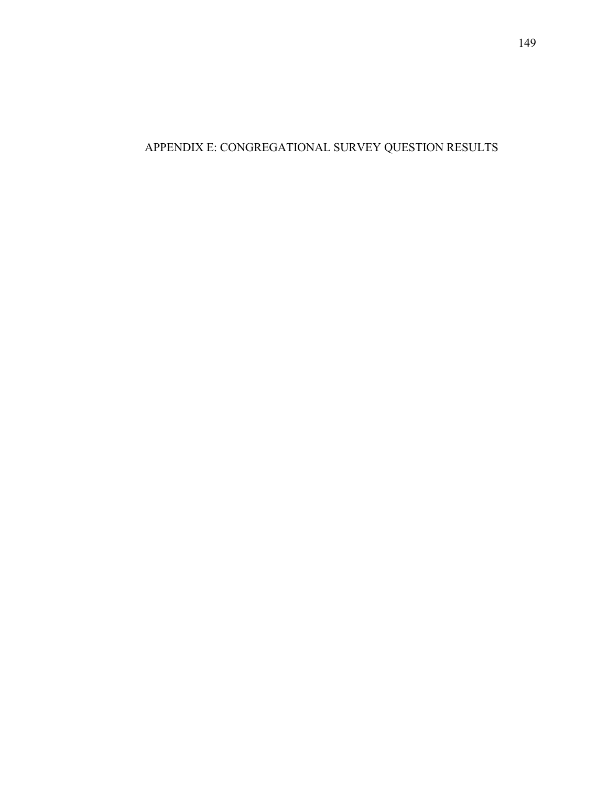# APPENDIX E: CONGREGATIONAL SURVEY QUESTION RESULTS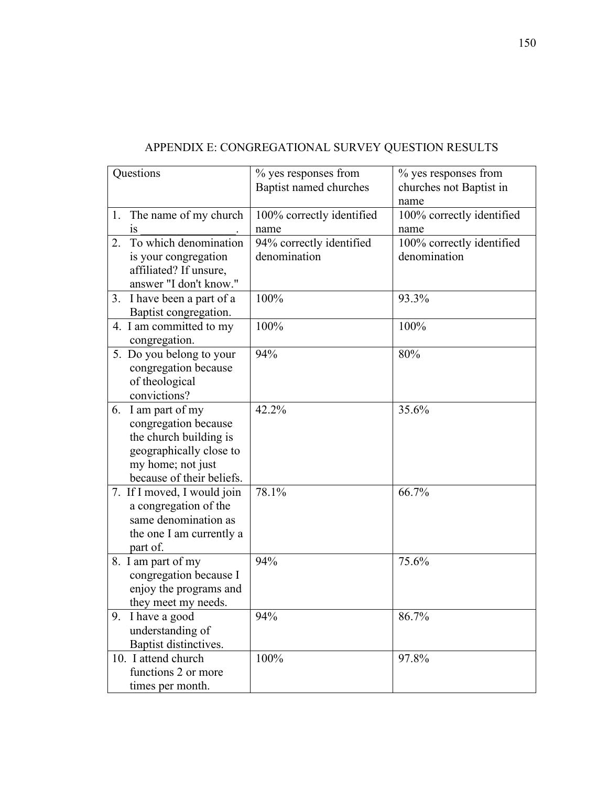| Questions                                                                                                                                         | % yes responses from<br>Baptist named churches | % yes responses from<br>churches not Baptist in<br>name |
|---------------------------------------------------------------------------------------------------------------------------------------------------|------------------------------------------------|---------------------------------------------------------|
| 1. The name of my church<br>1S                                                                                                                    | 100% correctly identified<br>name              | 100% correctly identified<br>name                       |
| To which denomination<br>2.                                                                                                                       | 94% correctly identified                       | 100% correctly identified                               |
| is your congregation<br>affiliated? If unsure,<br>answer "I don't know."                                                                          | denomination                                   | denomination                                            |
| 3. I have been a part of a<br>Baptist congregation.                                                                                               | 100%                                           | 93.3%                                                   |
| 4. I am committed to my<br>congregation.                                                                                                          | 100%                                           | 100%                                                    |
| 5. Do you belong to your<br>congregation because<br>of theological<br>convictions?                                                                | 94%                                            | 80%                                                     |
| 6. I am part of my<br>congregation because<br>the church building is<br>geographically close to<br>my home; not just<br>because of their beliefs. | 42.2%                                          | 35.6%                                                   |
| 7. If I moved, I would join<br>a congregation of the<br>same denomination as<br>the one I am currently a<br>part of.                              | 78.1%                                          | 66.7%                                                   |
| 8. I am part of my<br>congregation because I<br>enjoy the programs and<br>they meet my needs.                                                     | 94%                                            | 75.6%                                                   |
| 9. I have a good<br>understanding of<br>Baptist distinctives.                                                                                     | 94%                                            | 86.7%                                                   |
| 10. I attend church<br>functions 2 or more<br>times per month.                                                                                    | 100%                                           | 97.8%                                                   |

# APPENDIX E: CONGREGATIONAL SURVEY QUESTION RESULTS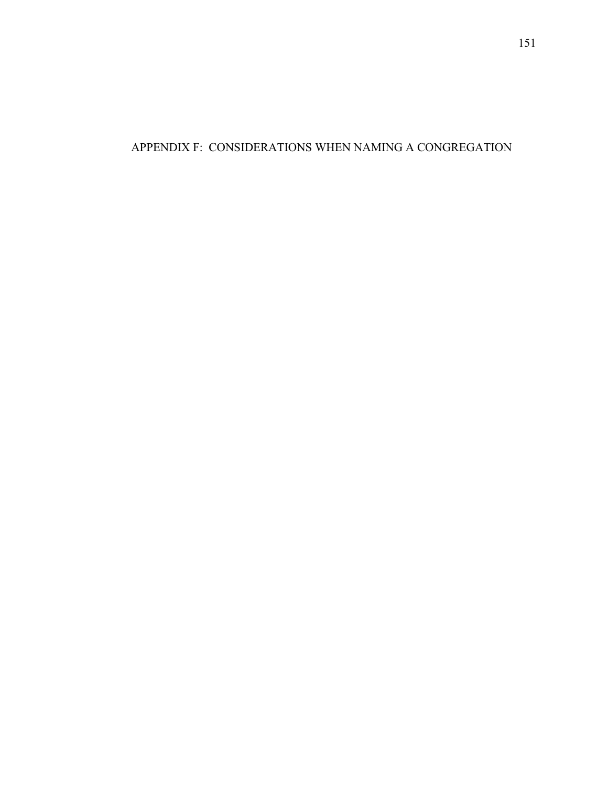APPENDIX F: CONSIDERATIONS WHEN NAMING A CONGREGATION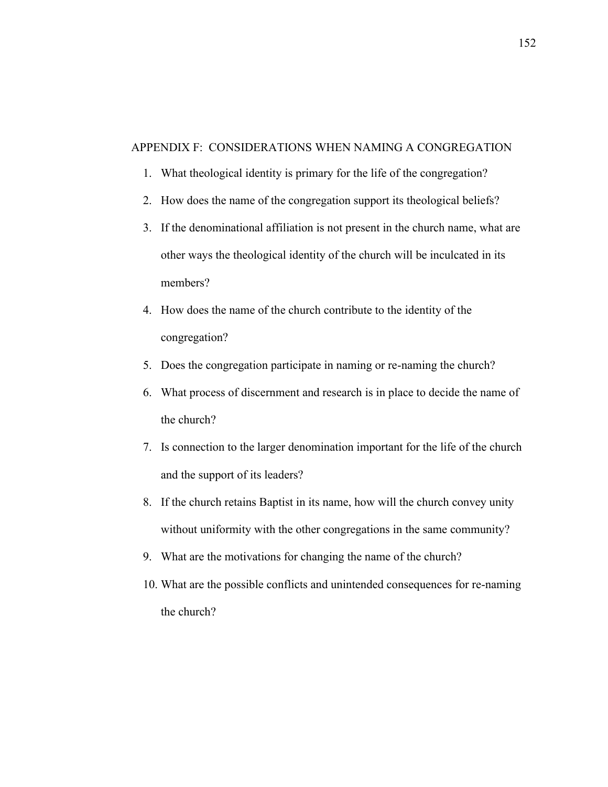### APPENDIX F: CONSIDERATIONS WHEN NAMING A CONGREGATION

- 1. What theological identity is primary for the life of the congregation?
- 2. How does the name of the congregation support its theological beliefs?
- 3. If the denominational affiliation is not present in the church name, what are other ways the theological identity of the church will be inculcated in its members?
- 4. How does the name of the church contribute to the identity of the congregation?
- 5. Does the congregation participate in naming or re-naming the church?
- 6. What process of discernment and research is in place to decide the name of the church?
- 7. Is connection to the larger denomination important for the life of the church and the support of its leaders?
- 8. If the church retains Baptist in its name, how will the church convey unity without uniformity with the other congregations in the same community?
- 9. What are the motivations for changing the name of the church?
- 10. What are the possible conflicts and unintended consequences for re-naming the church?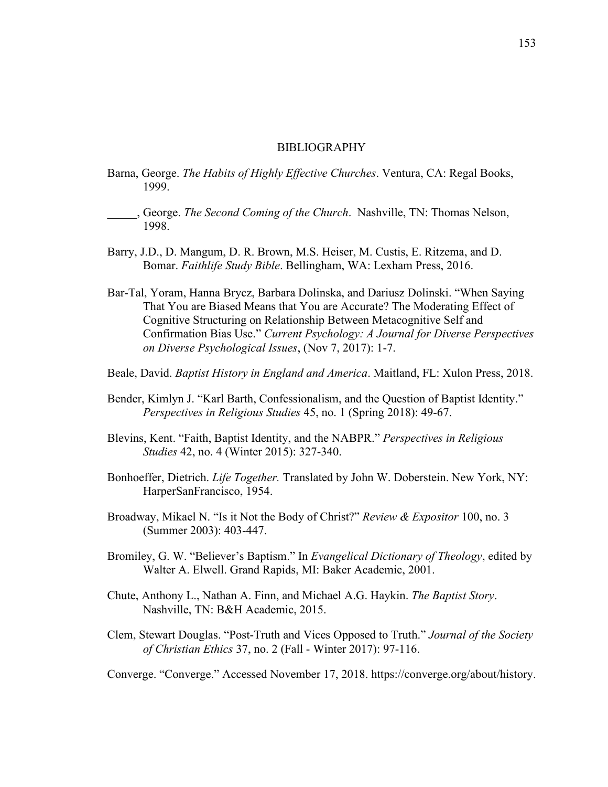#### BIBLIOGRAPHY

- Barna, George. *The Habits of Highly Effective Churches*. Ventura, CA: Regal Books, 1999.
- \_\_\_\_\_, George. *The Second Coming of the Church*. Nashville, TN: Thomas Nelson, 1998.
- Barry, J.D., D. Mangum, D. R. Brown, M.S. Heiser, M. Custis, E. Ritzema, and D. Bomar. *Faithlife Study Bible*. Bellingham, WA: Lexham Press, 2016.
- Bar-Tal, Yoram, Hanna Brycz, Barbara Dolinska, and Dariusz Dolinski. "When Saying That You are Biased Means that You are Accurate? The Moderating Effect of Cognitive Structuring on Relationship Between Metacognitive Self and Confirmation Bias Use." *Current Psychology: A Journal for Diverse Perspectives on Diverse Psychological Issues*, (Nov 7, 2017): 1-7.
- Beale, David. *Baptist History in England and America*. Maitland, FL: Xulon Press, 2018.
- Bender, Kimlyn J. "Karl Barth, Confessionalism, and the Question of Baptist Identity." *Perspectives in Religious Studies* 45, no. 1 (Spring 2018): 49-67.
- Blevins, Kent. "Faith, Baptist Identity, and the NABPR." *Perspectives in Religious Studies* 42, no. 4 (Winter 2015): 327-340.
- Bonhoeffer, Dietrich. *Life Together.* Translated by John W. Doberstein. New York, NY: HarperSanFrancisco, 1954.
- Broadway, Mikael N. "Is it Not the Body of Christ?" *Review & Expositor* 100, no. 3 (Summer 2003): 403-447.
- Bromiley, G. W. "Believer's Baptism." In *Evangelical Dictionary of Theology*, edited by Walter A. Elwell. Grand Rapids, MI: Baker Academic, 2001.
- Chute, Anthony L., Nathan A. Finn, and Michael A.G. Haykin. *The Baptist Story*. Nashville, TN: B&H Academic, 2015.
- Clem, Stewart Douglas. "Post-Truth and Vices Opposed to Truth." *Journal of the Society of Christian Ethics* 37, no. 2 (Fall - Winter 2017): 97-116.

Converge. "Converge." Accessed November 17, 2018. https://converge.org/about/history.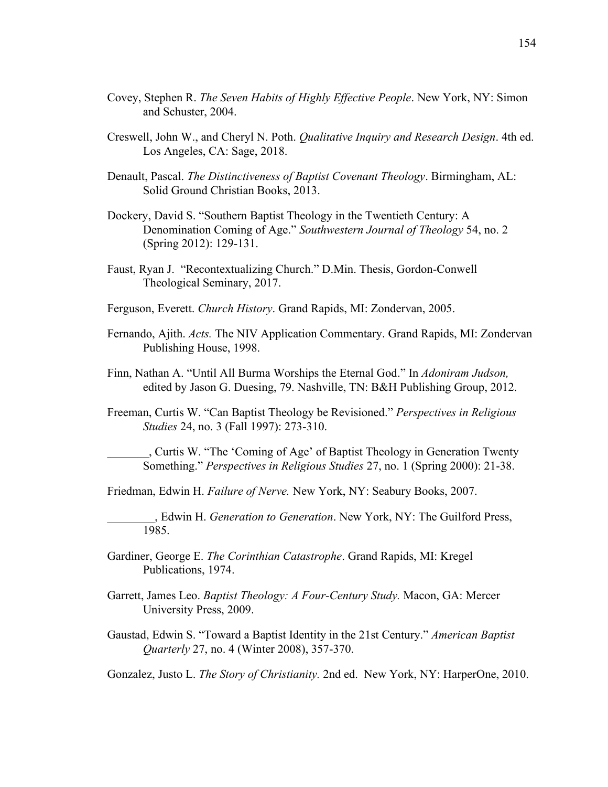- Covey, Stephen R. *The Seven Habits of Highly Effective People*. New York, NY: Simon and Schuster, 2004.
- Creswell, John W., and Cheryl N. Poth. *Qualitative Inquiry and Research Design*. 4th ed. Los Angeles, CA: Sage, 2018.
- Denault, Pascal. *The Distinctiveness of Baptist Covenant Theology*. Birmingham, AL: Solid Ground Christian Books, 2013.
- Dockery, David S. "Southern Baptist Theology in the Twentieth Century: A Denomination Coming of Age." *Southwestern Journal of Theology* 54, no. 2 (Spring 2012): 129-131.
- Faust, Ryan J. "Recontextualizing Church." D.Min. Thesis, Gordon-Conwell Theological Seminary, 2017.
- Ferguson, Everett. *Church History*. Grand Rapids, MI: Zondervan, 2005.
- Fernando, Ajith. *Acts.* The NIV Application Commentary. Grand Rapids, MI: Zondervan Publishing House, 1998.
- Finn, Nathan A. "Until All Burma Worships the Eternal God." In *Adoniram Judson,*  edited by Jason G. Duesing, 79. Nashville, TN: B&H Publishing Group, 2012.
- Freeman, Curtis W. "Can Baptist Theology be Revisioned." *Perspectives in Religious Studies* 24, no. 3 (Fall 1997): 273-310.
	- \_\_\_\_\_\_\_, Curtis W. "The 'Coming of Age' of Baptist Theology in Generation Twenty Something." *Perspectives in Religious Studies* 27, no. 1 (Spring 2000): 21-38.

Friedman, Edwin H. *Failure of Nerve.* New York, NY: Seabury Books, 2007.

\_\_\_\_\_\_\_\_, Edwin H. *Generation to Generation*. New York, NY: The Guilford Press, 1985.

- Gardiner, George E. *The Corinthian Catastrophe*. Grand Rapids, MI: Kregel Publications, 1974.
- Garrett, James Leo. *Baptist Theology: A Four-Century Study.* Macon, GA: Mercer University Press, 2009.
- Gaustad, Edwin S. "Toward a Baptist Identity in the 21st Century." *American Baptist Quarterly* 27, no. 4 (Winter 2008), 357-370.

Gonzalez, Justo L. *The Story of Christianity.* 2nd ed. New York, NY: HarperOne, 2010.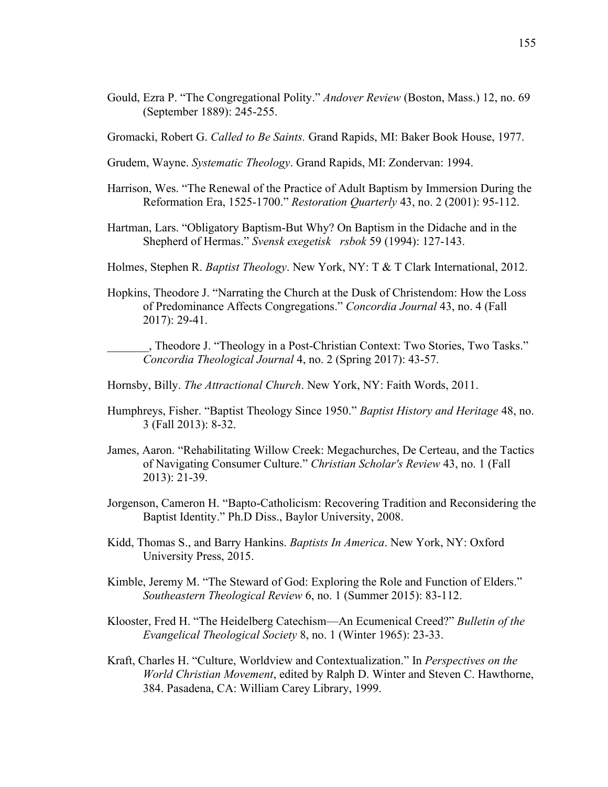Gould, Ezra P. "The Congregational Polity." *Andover Review* (Boston, Mass.) 12, no. 69 (September 1889): 245-255.

Gromacki, Robert G. *Called to Be Saints.* Grand Rapids, MI: Baker Book House, 1977.

- Grudem, Wayne. *Systematic Theology*. Grand Rapids, MI: Zondervan: 1994.
- Harrison, Wes. "The Renewal of the Practice of Adult Baptism by Immersion During the Reformation Era, 1525-1700." *Restoration Quarterly* 43, no. 2 (2001): 95-112.
- Hartman, Lars. "Obligatory Baptism-But Why? On Baptism in the Didache and in the Shepherd of Hermas." *Svensk exegetisk rsbok* 59 (1994): 127-143.

Holmes, Stephen R. *Baptist Theology*. New York, NY: T & T Clark International, 2012.

Hopkins, Theodore J. "Narrating the Church at the Dusk of Christendom: How the Loss of Predominance Affects Congregations." *Concordia Journal* 43, no. 4 (Fall 2017): 29-41.

\_\_\_\_\_\_\_, Theodore J. "Theology in a Post-Christian Context: Two Stories, Two Tasks." *Concordia Theological Journal* 4, no. 2 (Spring 2017): 43-57.

Hornsby, Billy. *The Attractional Church*. New York, NY: Faith Words, 2011.

- Humphreys, Fisher. "Baptist Theology Since 1950." *Baptist History and Heritage* 48, no. 3 (Fall 2013): 8-32.
- James, Aaron. "Rehabilitating Willow Creek: Megachurches, De Certeau, and the Tactics of Navigating Consumer Culture." *Christian Scholar's Review* 43, no. 1 (Fall 2013): 21-39.
- Jorgenson, Cameron H. "Bapto-Catholicism: Recovering Tradition and Reconsidering the Baptist Identity." Ph.D Diss., Baylor University, 2008.
- Kidd, Thomas S., and Barry Hankins. *Baptists In America*. New York, NY: Oxford University Press, 2015.
- Kimble, Jeremy M. "The Steward of God: Exploring the Role and Function of Elders." *Southeastern Theological Review* 6, no. 1 (Summer 2015): 83-112.
- Klooster, Fred H. "The Heidelberg Catechism—An Ecumenical Creed?" *Bulletin of the Evangelical Theological Society* 8, no. 1 (Winter 1965): 23-33.
- Kraft, Charles H. "Culture, Worldview and Contextualization." In *Perspectives on the World Christian Movement*, edited by Ralph D. Winter and Steven C. Hawthorne, 384. Pasadena, CA: William Carey Library, 1999.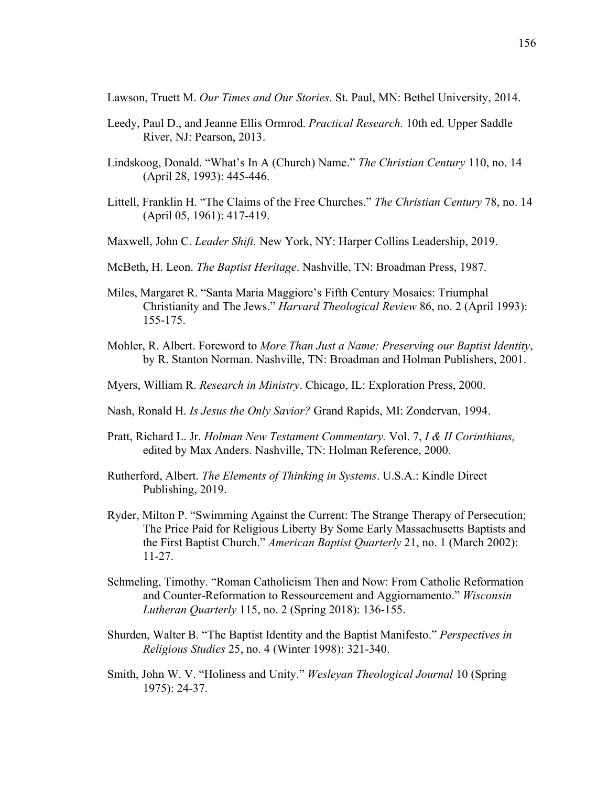Lawson, Truett M. *Our Times and Our Stories*. St. Paul, MN: Bethel University, 2014.

- Leedy, Paul D., and Jeanne Ellis Ormrod. *Practical Research.* 10th ed. Upper Saddle River, NJ: Pearson, 2013.
- Lindskoog, Donald. "What's In A (Church) Name." *The Christian Century* 110, no. 14 (April 28, 1993): 445-446.
- Littell, Franklin H. "The Claims of the Free Churches." *The Christian Century* 78, no. 14 (April 05, 1961): 417-419.
- Maxwell, John C. *Leader Shift.* New York, NY: Harper Collins Leadership, 2019.
- McBeth, H. Leon. *The Baptist Heritage*. Nashville, TN: Broadman Press, 1987.
- Miles, Margaret R. "Santa Maria Maggiore's Fifth Century Mosaics: Triumphal Christianity and The Jews." *Harvard Theological Review* 86, no. 2 (April 1993): 155-175.
- Mohler, R. Albert. Foreword to *More Than Just a Name: Preserving our Baptist Identity*, by R. Stanton Norman. Nashville, TN: Broadman and Holman Publishers, 2001.
- Myers, William R. *Research in Ministry*. Chicago, IL: Exploration Press, 2000.
- Nash, Ronald H. *Is Jesus the Only Savior?* Grand Rapids, MI: Zondervan, 1994.
- Pratt, Richard L. Jr. *Holman New Testament Commentary.* Vol. 7, *I & II Corinthians,*  edited by Max Anders. Nashville, TN: Holman Reference, 2000.
- Rutherford, Albert. *The Elements of Thinking in Systems*. U.S.A.: Kindle Direct Publishing, 2019.
- Ryder, Milton P. "Swimming Against the Current: The Strange Therapy of Persecution; The Price Paid for Religious Liberty By Some Early Massachusetts Baptists and the First Baptist Church." *American Baptist Quarterly* 21, no. 1 (March 2002): 11-27.
- Schmeling, Timothy. "Roman Catholicism Then and Now: From Catholic Reformation and Counter-Reformation to Ressourcement and Aggiornamento." *Wisconsin Lutheran Quarterly* 115, no. 2 (Spring 2018): 136-155.
- Shurden, Walter B. "The Baptist Identity and the Baptist Manifesto." *Perspectives in Religious Studies* 25, no. 4 (Winter 1998): 321-340.
- Smith, John W. V. "Holiness and Unity." *Wesleyan Theological Journal* 10 (Spring 1975): 24-37.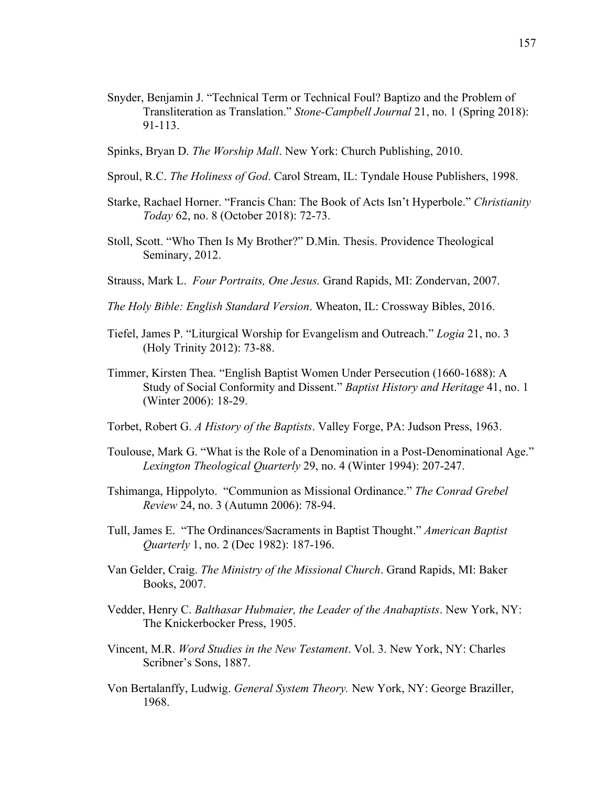- Snyder, Benjamin J. "Technical Term or Technical Foul? Baptizo and the Problem of Transliteration as Translation." *Stone-Campbell Journal* 21, no. 1 (Spring 2018): 91-113.
- Spinks, Bryan D. *The Worship Mall*. New York: Church Publishing, 2010.
- Sproul, R.C. *The Holiness of God*. Carol Stream, IL: Tyndale House Publishers, 1998.
- Starke, Rachael Horner. "Francis Chan: The Book of Acts Isn't Hyperbole." *Christianity Today* 62, no. 8 (October 2018): 72-73.
- Stoll, Scott. "Who Then Is My Brother?" D.Min. Thesis. Providence Theological Seminary, 2012.
- Strauss, Mark L. *Four Portraits, One Jesus.* Grand Rapids, MI: Zondervan, 2007.
- *The Holy Bible: English Standard Version*. Wheaton, IL: Crossway Bibles, 2016.
- Tiefel, James P. "Liturgical Worship for Evangelism and Outreach." *Logia* 21, no. 3 (Holy Trinity 2012): 73-88.
- Timmer, Kirsten Thea. "English Baptist Women Under Persecution (1660-1688): A Study of Social Conformity and Dissent." *Baptist History and Heritage* 41, no. 1 (Winter 2006): 18-29.
- Torbet, Robert G. *A History of the Baptists*. Valley Forge, PA: Judson Press, 1963.
- Toulouse, Mark G. "What is the Role of a Denomination in a Post-Denominational Age." *Lexington Theological Quarterly* 29, no. 4 (Winter 1994): 207-247.
- Tshimanga, Hippolyto. "Communion as Missional Ordinance." *The Conrad Grebel Review* 24, no. 3 (Autumn 2006): 78-94.
- Tull, James E. "The Ordinances/Sacraments in Baptist Thought." *American Baptist Quarterly* 1, no. 2 (Dec 1982): 187-196.
- Van Gelder, Craig. *The Ministry of the Missional Church*. Grand Rapids, MI: Baker Books, 2007.
- Vedder, Henry C. *Balthasar Hubmaier, the Leader of the Anabaptists*. New York, NY: The Knickerbocker Press, 1905.
- Vincent, M.R. *Word Studies in the New Testament*. Vol. 3. New York, NY: Charles Scribner's Sons, 1887.
- Von Bertalanffy, Ludwig. *General System Theory.* New York, NY: George Braziller, 1968.